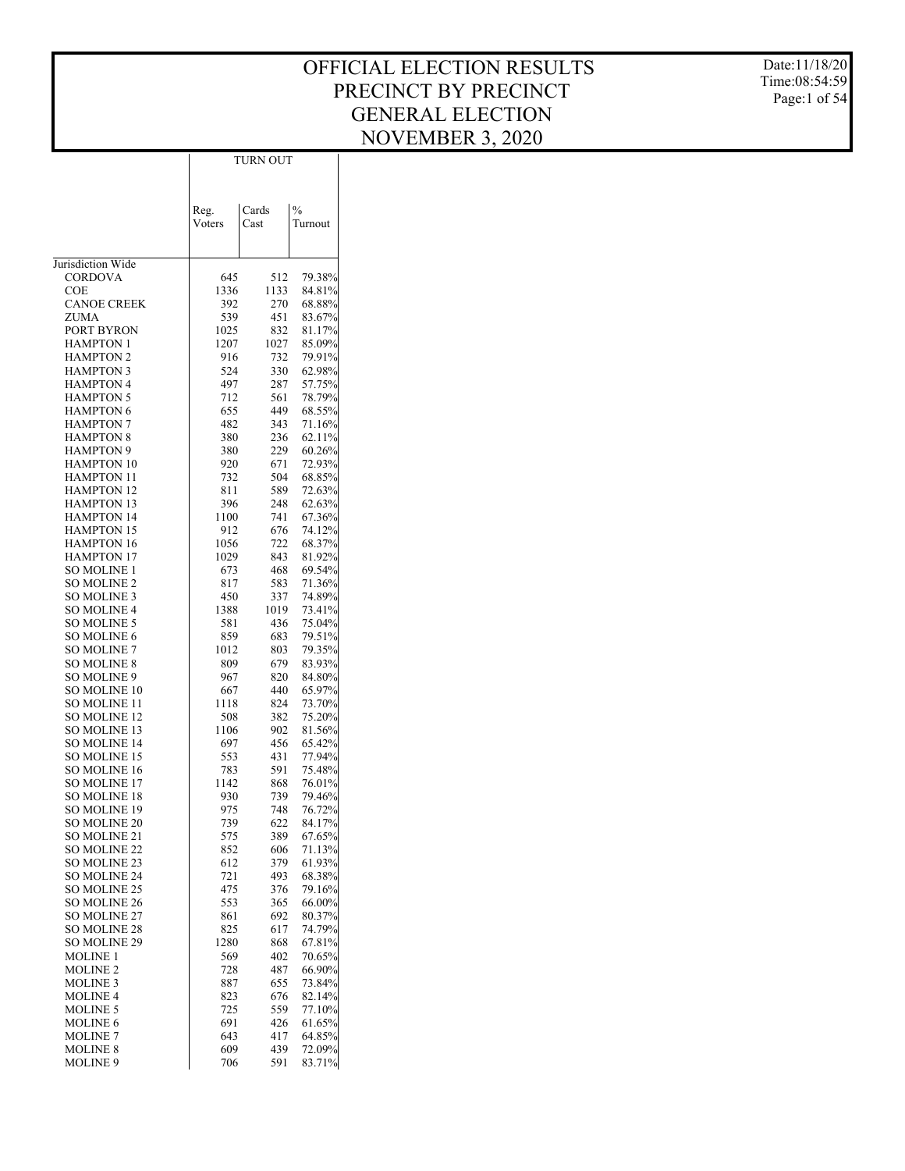Date:11/18/20 Time:08:54:59 Page:1 of 54

|                                            |             | TURN OUT    |                  |
|--------------------------------------------|-------------|-------------|------------------|
|                                            |             |             |                  |
|                                            |             |             |                  |
|                                            | Reg.        | Cards       | $\frac{0}{0}$    |
|                                            | Voters      | Cast        | Turnout          |
|                                            |             |             |                  |
| Jurisdiction Wide                          |             |             |                  |
| <b>CORDOVA</b>                             | 645         | 512         | 79.38%           |
| COE                                        | 1336        | 1133        | 84.81%           |
| <b>CANOE CREEK</b>                         | 392         | 270         | 68.88%           |
| ZUMA<br>PORT BYRON                         | 539<br>1025 | 451<br>832  | 83.67%<br>81.17% |
| HAMPTON 1                                  | 1207        | 1027        | 85.09%           |
| <b>HAMPTON 2</b>                           | 916         | 732         | 79.91%           |
| <b>HAMPTON 3</b>                           | 524         | 330         | 62.98%           |
| <b>HAMPTON 4</b>                           | 497         | 287         | 57.75%           |
| <b>HAMPTON 5</b>                           | 712         | 561         | 78.79%           |
| <b>HAMPTON 6</b><br><b>HAMPTON 7</b>       | 655<br>482  | 449<br>343  | 68.55%<br>71.16% |
| <b>HAMPTON 8</b>                           | 380         | 236         | 62.11%           |
| <b>HAMPTON 9</b>                           | 380         | 229         | 60.26%           |
| <b>HAMPTON 10</b>                          | 920         | 671         | 72.93%           |
| <b>HAMPTON 11</b>                          | 732         | 504         | 68.85%           |
| <b>HAMPTON 12</b>                          | 811         | 589         | 72.63%<br>62.63% |
| <b>HAMPTON 13</b><br><b>HAMPTON 14</b>     | 396<br>1100 | 248<br>741  | 67.36%           |
| <b>HAMPTON 15</b>                          | 912         | 676         | 74.12%           |
| <b>HAMPTON 16</b>                          | 1056        | 722         | 68.37%           |
| <b>HAMPTON 17</b>                          | 1029        | 843         | 81.92%           |
| SO MOLINE 1                                | 673         | 468         | 69.54%           |
| <b>SO MOLINE 2</b>                         | 817         | 583         | 71.36%           |
| SO MOLINE 3<br>SO MOLINE 4                 | 450<br>1388 | 337<br>1019 | 74.89%<br>73.41% |
| SO MOLINE 5                                | 581         | 436         | 75.04%           |
| <b>SO MOLINE 6</b>                         | 859         | 683         | 79.51%           |
| SO MOLINE 7                                | 1012        | 803         | 79.35%           |
| <b>SO MOLINE 8</b>                         | 809         | 679         | 83.93%           |
| SO MOLINE 9<br>SO MOLINE 10                | 967<br>667  | 820<br>440  | 84.80%<br>65.97% |
| SO MOLINE 11                               | 1118        | 824         | 73.70%           |
| <b>SO MOLINE 12</b>                        | 508         | 382         | 75.20%           |
| SO MOLINE 13                               | 1106        | 902         | 81.56%           |
| <b>SO MOLINE 14</b>                        | 697         | 456         | 65.42%           |
| SO MOLINE 15                               | 553         | 431         | 77.94%           |
| <b>SO MOLINE 16</b><br>SO MOLINE 17        | 783<br>1142 | 591<br>868  | 75.48%<br>76.01% |
| <b>SO MOLINE 18</b>                        | 930         | 739         | 79.46%           |
| SO MOLINE 19                               | 975         | 748         | 76.72%           |
| <b>SO MOLINE 20</b>                        | 739         | 622         | 84.17%           |
| SO MOLINE 21                               | 575         | 389         | 67.65%           |
| <b>SO MOLINE 22</b><br><b>SO MOLINE 23</b> | 852         | 606         | 71.13%           |
| <b>SO MOLINE 24</b>                        | 612<br>721  | 379<br>493  | 61.93%<br>68.38% |
| <b>SO MOLINE 25</b>                        | 475         | 376         | 79.16%           |
| <b>SO MOLINE 26</b>                        | 553         | 365         | 66.00%           |
| SO MOLINE 27                               | 861         | 692         | 80.37%           |
| <b>SO MOLINE 28</b>                        | 825         | 617         | 74.79%           |
| SO MOLINE 29<br><b>MOLINE 1</b>            | 1280<br>569 | 868<br>402  | 67.81%<br>70.65% |
| <b>MOLINE 2</b>                            | 728         | 487         | 66.90%           |
| <b>MOLINE 3</b>                            | 887         | 655         | 73.84%           |
| <b>MOLINE 4</b>                            | 823         | 676         | 82.14%           |
| <b>MOLINE 5</b>                            | 725         | 559         | 77.10%           |
| <b>MOLINE 6</b>                            | 691         | 426         | 61.65%           |
| <b>MOLINE 7</b><br><b>MOLINE 8</b>         | 643<br>609  | 417<br>439  | 64.85%<br>72.09% |
| MOLINE 9                                   | 706         | 591         | 83.71%           |
|                                            |             |             |                  |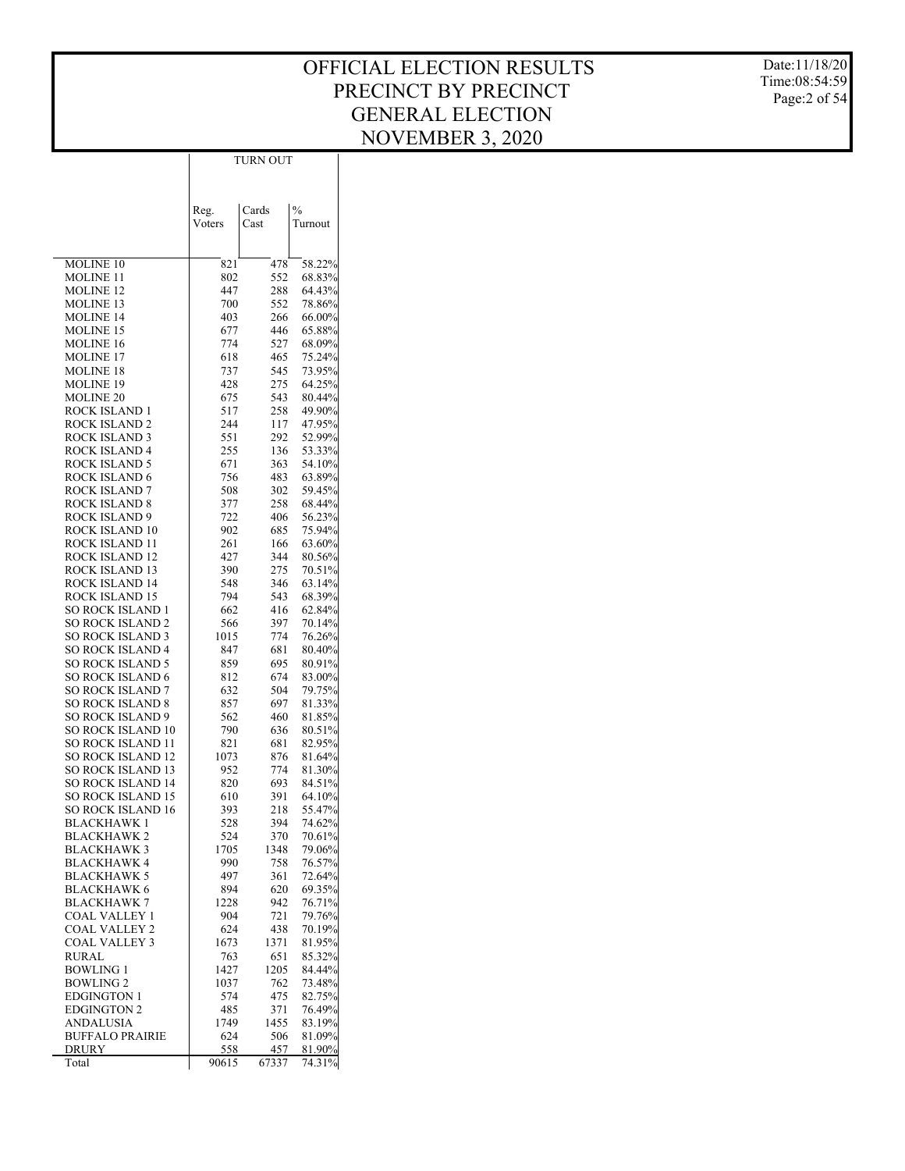Date:11/18/20 Time:08:54:59 Page:2 of 54

| Cards<br>$\frac{0}{0}$<br>Reg.<br>Cast<br>Voters<br>Turnout<br>MOLINE 10<br>58.22%<br>821<br>478<br>MOLINE 11<br>802<br>552<br>68.83%<br><b>MOLINE 12</b><br>447<br>288<br>64.43%<br><b>MOLINE 13</b><br>700<br>552<br>78.86%<br><b>MOLINE 14</b><br>403<br>266<br>66.00%<br><b>MOLINE 15</b><br>677<br>446<br>65.88%<br><b>MOLINE 16</b><br>774<br>527<br>68.09%<br><b>MOLINE 17</b><br>618<br>465<br>75.24%<br><b>MOLINE 18</b><br>737<br>545<br>73.95%<br><b>MOLINE 19</b><br>428<br>275<br>64.25%<br><b>MOLINE 20</b><br>675<br>543<br>80.44%<br>ROCK ISLAND 1<br>517<br>258<br>49.90%<br>47.95%<br>ROCK ISLAND 2<br>244<br>117<br>52.99%<br>ROCK ISLAND 3<br>551<br>292<br>ROCK ISLAND 4<br>255<br>136<br>53.33%<br>ROCK ISLAND 5<br>671<br>363<br>54.10%<br>ROCK ISLAND 6<br>756<br>483<br>63.89%<br>ROCK ISLAND 7<br>508<br>302<br>59.45%<br>ROCK ISLAND 8<br>377<br>258<br>68.44%<br><b>ROCK ISLAND 9</b><br>722<br>406<br>56.23%<br>ROCK ISLAND 10<br>902<br>685<br>75.94%<br>ROCK ISLAND 11<br>261<br>166<br>63.60%<br>ROCK ISLAND 12<br>427<br>344<br>$80.56\%$<br>ROCK ISLAND 13<br>390<br>275<br>70.51%<br>ROCK ISLAND 14<br>548<br>346<br>63.14%<br>ROCK ISLAND 15<br>794<br>543<br>68.39%<br>SO ROCK ISLAND 1<br>662<br>416<br>62.84%<br><b>SO ROCK ISLAND 2</b><br>566<br>397<br>70.14%<br><b>SO ROCK ISLAND 3</b><br>1015<br>774<br>76.26%<br><b>SO ROCK ISLAND 4</b><br>681<br>80.40%<br>847<br><b>SO ROCK ISLAND 5</b><br>859<br>695<br>80.91%<br><b>SO ROCK ISLAND 6</b><br>812<br>674<br>83.00%<br><b>SO ROCK ISLAND 7</b><br>632<br>504<br>79.75%<br><b>SO ROCK ISLAND 8</b><br>857<br>697<br>81.33%<br><b>SO ROCK ISLAND 9</b><br>562<br>460<br>81.85%<br><b>SO ROCK ISLAND 10</b><br>790<br>636<br>80.51%<br>SO ROCK ISLAND 11<br>821<br>681<br>82.95%<br><b>SO ROCK ISLAND 12</b><br>1073<br>876<br>81.64%<br>SO ROCK ISLAND 13<br>952<br>774<br>81.30%<br><b>SO ROCK ISLAND 14</b><br>820<br>693<br>84.51%<br><b>SO ROCK ISLAND 15</b><br>610<br>391<br>64.10%<br>SO ROCK ISLAND 16<br>393<br>55.47%<br>218<br><b>BLACKHAWK1</b><br>528<br>394<br>74.62%<br><b>BLACKHAWK 2</b><br>524<br>370<br>70.61%<br><b>BLACKHAWK3</b><br>1705<br>1348<br>79.06%<br>BLACKHAWK 4<br>990<br>758<br>76.57%<br><b>BLACKHAWK 5</b><br>497<br>361<br>72.64%<br><b>BLACKHAWK 6</b><br>894<br>620<br>69.35%<br><b>BLACKHAWK7</b><br>1228<br>942<br>76.71%<br>COAL VALLEY 1<br>904<br>721<br>79.76%<br>COAL VALLEY 2<br>624<br>438<br>70.19%<br>COAL VALLEY 3<br>1673<br>1371<br>81.95%<br>763<br>651<br>85.32%<br>RURAL<br><b>BOWLING 1</b><br>1427<br>1205<br>84.44%<br><b>BOWLING 2</b><br>1037<br>762<br>73.48%<br><b>EDGINGTON 1</b><br>574<br>475<br>82.75%<br><b>EDGINGTON 2</b><br>485<br>371<br>76.49% |           | TURN OUT |      |        |  |  |  |  |  |
|-----------------------------------------------------------------------------------------------------------------------------------------------------------------------------------------------------------------------------------------------------------------------------------------------------------------------------------------------------------------------------------------------------------------------------------------------------------------------------------------------------------------------------------------------------------------------------------------------------------------------------------------------------------------------------------------------------------------------------------------------------------------------------------------------------------------------------------------------------------------------------------------------------------------------------------------------------------------------------------------------------------------------------------------------------------------------------------------------------------------------------------------------------------------------------------------------------------------------------------------------------------------------------------------------------------------------------------------------------------------------------------------------------------------------------------------------------------------------------------------------------------------------------------------------------------------------------------------------------------------------------------------------------------------------------------------------------------------------------------------------------------------------------------------------------------------------------------------------------------------------------------------------------------------------------------------------------------------------------------------------------------------------------------------------------------------------------------------------------------------------------------------------------------------------------------------------------------------------------------------------------------------------------------------------------------------------------------------------------------------------------------------------------------------------------------------------------------------------------------------------------------------------------------------------------------------------------------------------------------------------------------------------------------------------------------------------------------------------|-----------|----------|------|--------|--|--|--|--|--|
|                                                                                                                                                                                                                                                                                                                                                                                                                                                                                                                                                                                                                                                                                                                                                                                                                                                                                                                                                                                                                                                                                                                                                                                                                                                                                                                                                                                                                                                                                                                                                                                                                                                                                                                                                                                                                                                                                                                                                                                                                                                                                                                                                                                                                                                                                                                                                                                                                                                                                                                                                                                                                                                                                                                       |           |          |      |        |  |  |  |  |  |
|                                                                                                                                                                                                                                                                                                                                                                                                                                                                                                                                                                                                                                                                                                                                                                                                                                                                                                                                                                                                                                                                                                                                                                                                                                                                                                                                                                                                                                                                                                                                                                                                                                                                                                                                                                                                                                                                                                                                                                                                                                                                                                                                                                                                                                                                                                                                                                                                                                                                                                                                                                                                                                                                                                                       |           |          |      |        |  |  |  |  |  |
|                                                                                                                                                                                                                                                                                                                                                                                                                                                                                                                                                                                                                                                                                                                                                                                                                                                                                                                                                                                                                                                                                                                                                                                                                                                                                                                                                                                                                                                                                                                                                                                                                                                                                                                                                                                                                                                                                                                                                                                                                                                                                                                                                                                                                                                                                                                                                                                                                                                                                                                                                                                                                                                                                                                       |           |          |      |        |  |  |  |  |  |
|                                                                                                                                                                                                                                                                                                                                                                                                                                                                                                                                                                                                                                                                                                                                                                                                                                                                                                                                                                                                                                                                                                                                                                                                                                                                                                                                                                                                                                                                                                                                                                                                                                                                                                                                                                                                                                                                                                                                                                                                                                                                                                                                                                                                                                                                                                                                                                                                                                                                                                                                                                                                                                                                                                                       |           |          |      |        |  |  |  |  |  |
|                                                                                                                                                                                                                                                                                                                                                                                                                                                                                                                                                                                                                                                                                                                                                                                                                                                                                                                                                                                                                                                                                                                                                                                                                                                                                                                                                                                                                                                                                                                                                                                                                                                                                                                                                                                                                                                                                                                                                                                                                                                                                                                                                                                                                                                                                                                                                                                                                                                                                                                                                                                                                                                                                                                       |           |          |      |        |  |  |  |  |  |
|                                                                                                                                                                                                                                                                                                                                                                                                                                                                                                                                                                                                                                                                                                                                                                                                                                                                                                                                                                                                                                                                                                                                                                                                                                                                                                                                                                                                                                                                                                                                                                                                                                                                                                                                                                                                                                                                                                                                                                                                                                                                                                                                                                                                                                                                                                                                                                                                                                                                                                                                                                                                                                                                                                                       |           |          |      |        |  |  |  |  |  |
|                                                                                                                                                                                                                                                                                                                                                                                                                                                                                                                                                                                                                                                                                                                                                                                                                                                                                                                                                                                                                                                                                                                                                                                                                                                                                                                                                                                                                                                                                                                                                                                                                                                                                                                                                                                                                                                                                                                                                                                                                                                                                                                                                                                                                                                                                                                                                                                                                                                                                                                                                                                                                                                                                                                       |           |          |      |        |  |  |  |  |  |
|                                                                                                                                                                                                                                                                                                                                                                                                                                                                                                                                                                                                                                                                                                                                                                                                                                                                                                                                                                                                                                                                                                                                                                                                                                                                                                                                                                                                                                                                                                                                                                                                                                                                                                                                                                                                                                                                                                                                                                                                                                                                                                                                                                                                                                                                                                                                                                                                                                                                                                                                                                                                                                                                                                                       |           |          |      |        |  |  |  |  |  |
|                                                                                                                                                                                                                                                                                                                                                                                                                                                                                                                                                                                                                                                                                                                                                                                                                                                                                                                                                                                                                                                                                                                                                                                                                                                                                                                                                                                                                                                                                                                                                                                                                                                                                                                                                                                                                                                                                                                                                                                                                                                                                                                                                                                                                                                                                                                                                                                                                                                                                                                                                                                                                                                                                                                       |           |          |      |        |  |  |  |  |  |
|                                                                                                                                                                                                                                                                                                                                                                                                                                                                                                                                                                                                                                                                                                                                                                                                                                                                                                                                                                                                                                                                                                                                                                                                                                                                                                                                                                                                                                                                                                                                                                                                                                                                                                                                                                                                                                                                                                                                                                                                                                                                                                                                                                                                                                                                                                                                                                                                                                                                                                                                                                                                                                                                                                                       |           |          |      |        |  |  |  |  |  |
|                                                                                                                                                                                                                                                                                                                                                                                                                                                                                                                                                                                                                                                                                                                                                                                                                                                                                                                                                                                                                                                                                                                                                                                                                                                                                                                                                                                                                                                                                                                                                                                                                                                                                                                                                                                                                                                                                                                                                                                                                                                                                                                                                                                                                                                                                                                                                                                                                                                                                                                                                                                                                                                                                                                       |           |          |      |        |  |  |  |  |  |
|                                                                                                                                                                                                                                                                                                                                                                                                                                                                                                                                                                                                                                                                                                                                                                                                                                                                                                                                                                                                                                                                                                                                                                                                                                                                                                                                                                                                                                                                                                                                                                                                                                                                                                                                                                                                                                                                                                                                                                                                                                                                                                                                                                                                                                                                                                                                                                                                                                                                                                                                                                                                                                                                                                                       |           |          |      |        |  |  |  |  |  |
|                                                                                                                                                                                                                                                                                                                                                                                                                                                                                                                                                                                                                                                                                                                                                                                                                                                                                                                                                                                                                                                                                                                                                                                                                                                                                                                                                                                                                                                                                                                                                                                                                                                                                                                                                                                                                                                                                                                                                                                                                                                                                                                                                                                                                                                                                                                                                                                                                                                                                                                                                                                                                                                                                                                       |           |          |      |        |  |  |  |  |  |
|                                                                                                                                                                                                                                                                                                                                                                                                                                                                                                                                                                                                                                                                                                                                                                                                                                                                                                                                                                                                                                                                                                                                                                                                                                                                                                                                                                                                                                                                                                                                                                                                                                                                                                                                                                                                                                                                                                                                                                                                                                                                                                                                                                                                                                                                                                                                                                                                                                                                                                                                                                                                                                                                                                                       |           |          |      |        |  |  |  |  |  |
|                                                                                                                                                                                                                                                                                                                                                                                                                                                                                                                                                                                                                                                                                                                                                                                                                                                                                                                                                                                                                                                                                                                                                                                                                                                                                                                                                                                                                                                                                                                                                                                                                                                                                                                                                                                                                                                                                                                                                                                                                                                                                                                                                                                                                                                                                                                                                                                                                                                                                                                                                                                                                                                                                                                       |           |          |      |        |  |  |  |  |  |
|                                                                                                                                                                                                                                                                                                                                                                                                                                                                                                                                                                                                                                                                                                                                                                                                                                                                                                                                                                                                                                                                                                                                                                                                                                                                                                                                                                                                                                                                                                                                                                                                                                                                                                                                                                                                                                                                                                                                                                                                                                                                                                                                                                                                                                                                                                                                                                                                                                                                                                                                                                                                                                                                                                                       |           |          |      |        |  |  |  |  |  |
|                                                                                                                                                                                                                                                                                                                                                                                                                                                                                                                                                                                                                                                                                                                                                                                                                                                                                                                                                                                                                                                                                                                                                                                                                                                                                                                                                                                                                                                                                                                                                                                                                                                                                                                                                                                                                                                                                                                                                                                                                                                                                                                                                                                                                                                                                                                                                                                                                                                                                                                                                                                                                                                                                                                       |           |          |      |        |  |  |  |  |  |
|                                                                                                                                                                                                                                                                                                                                                                                                                                                                                                                                                                                                                                                                                                                                                                                                                                                                                                                                                                                                                                                                                                                                                                                                                                                                                                                                                                                                                                                                                                                                                                                                                                                                                                                                                                                                                                                                                                                                                                                                                                                                                                                                                                                                                                                                                                                                                                                                                                                                                                                                                                                                                                                                                                                       |           |          |      |        |  |  |  |  |  |
|                                                                                                                                                                                                                                                                                                                                                                                                                                                                                                                                                                                                                                                                                                                                                                                                                                                                                                                                                                                                                                                                                                                                                                                                                                                                                                                                                                                                                                                                                                                                                                                                                                                                                                                                                                                                                                                                                                                                                                                                                                                                                                                                                                                                                                                                                                                                                                                                                                                                                                                                                                                                                                                                                                                       |           |          |      |        |  |  |  |  |  |
|                                                                                                                                                                                                                                                                                                                                                                                                                                                                                                                                                                                                                                                                                                                                                                                                                                                                                                                                                                                                                                                                                                                                                                                                                                                                                                                                                                                                                                                                                                                                                                                                                                                                                                                                                                                                                                                                                                                                                                                                                                                                                                                                                                                                                                                                                                                                                                                                                                                                                                                                                                                                                                                                                                                       |           |          |      |        |  |  |  |  |  |
|                                                                                                                                                                                                                                                                                                                                                                                                                                                                                                                                                                                                                                                                                                                                                                                                                                                                                                                                                                                                                                                                                                                                                                                                                                                                                                                                                                                                                                                                                                                                                                                                                                                                                                                                                                                                                                                                                                                                                                                                                                                                                                                                                                                                                                                                                                                                                                                                                                                                                                                                                                                                                                                                                                                       |           |          |      |        |  |  |  |  |  |
|                                                                                                                                                                                                                                                                                                                                                                                                                                                                                                                                                                                                                                                                                                                                                                                                                                                                                                                                                                                                                                                                                                                                                                                                                                                                                                                                                                                                                                                                                                                                                                                                                                                                                                                                                                                                                                                                                                                                                                                                                                                                                                                                                                                                                                                                                                                                                                                                                                                                                                                                                                                                                                                                                                                       |           |          |      |        |  |  |  |  |  |
|                                                                                                                                                                                                                                                                                                                                                                                                                                                                                                                                                                                                                                                                                                                                                                                                                                                                                                                                                                                                                                                                                                                                                                                                                                                                                                                                                                                                                                                                                                                                                                                                                                                                                                                                                                                                                                                                                                                                                                                                                                                                                                                                                                                                                                                                                                                                                                                                                                                                                                                                                                                                                                                                                                                       |           |          |      |        |  |  |  |  |  |
|                                                                                                                                                                                                                                                                                                                                                                                                                                                                                                                                                                                                                                                                                                                                                                                                                                                                                                                                                                                                                                                                                                                                                                                                                                                                                                                                                                                                                                                                                                                                                                                                                                                                                                                                                                                                                                                                                                                                                                                                                                                                                                                                                                                                                                                                                                                                                                                                                                                                                                                                                                                                                                                                                                                       |           |          |      |        |  |  |  |  |  |
|                                                                                                                                                                                                                                                                                                                                                                                                                                                                                                                                                                                                                                                                                                                                                                                                                                                                                                                                                                                                                                                                                                                                                                                                                                                                                                                                                                                                                                                                                                                                                                                                                                                                                                                                                                                                                                                                                                                                                                                                                                                                                                                                                                                                                                                                                                                                                                                                                                                                                                                                                                                                                                                                                                                       |           |          |      |        |  |  |  |  |  |
|                                                                                                                                                                                                                                                                                                                                                                                                                                                                                                                                                                                                                                                                                                                                                                                                                                                                                                                                                                                                                                                                                                                                                                                                                                                                                                                                                                                                                                                                                                                                                                                                                                                                                                                                                                                                                                                                                                                                                                                                                                                                                                                                                                                                                                                                                                                                                                                                                                                                                                                                                                                                                                                                                                                       |           |          |      |        |  |  |  |  |  |
|                                                                                                                                                                                                                                                                                                                                                                                                                                                                                                                                                                                                                                                                                                                                                                                                                                                                                                                                                                                                                                                                                                                                                                                                                                                                                                                                                                                                                                                                                                                                                                                                                                                                                                                                                                                                                                                                                                                                                                                                                                                                                                                                                                                                                                                                                                                                                                                                                                                                                                                                                                                                                                                                                                                       |           |          |      |        |  |  |  |  |  |
|                                                                                                                                                                                                                                                                                                                                                                                                                                                                                                                                                                                                                                                                                                                                                                                                                                                                                                                                                                                                                                                                                                                                                                                                                                                                                                                                                                                                                                                                                                                                                                                                                                                                                                                                                                                                                                                                                                                                                                                                                                                                                                                                                                                                                                                                                                                                                                                                                                                                                                                                                                                                                                                                                                                       |           |          |      |        |  |  |  |  |  |
|                                                                                                                                                                                                                                                                                                                                                                                                                                                                                                                                                                                                                                                                                                                                                                                                                                                                                                                                                                                                                                                                                                                                                                                                                                                                                                                                                                                                                                                                                                                                                                                                                                                                                                                                                                                                                                                                                                                                                                                                                                                                                                                                                                                                                                                                                                                                                                                                                                                                                                                                                                                                                                                                                                                       |           |          |      |        |  |  |  |  |  |
|                                                                                                                                                                                                                                                                                                                                                                                                                                                                                                                                                                                                                                                                                                                                                                                                                                                                                                                                                                                                                                                                                                                                                                                                                                                                                                                                                                                                                                                                                                                                                                                                                                                                                                                                                                                                                                                                                                                                                                                                                                                                                                                                                                                                                                                                                                                                                                                                                                                                                                                                                                                                                                                                                                                       |           |          |      |        |  |  |  |  |  |
|                                                                                                                                                                                                                                                                                                                                                                                                                                                                                                                                                                                                                                                                                                                                                                                                                                                                                                                                                                                                                                                                                                                                                                                                                                                                                                                                                                                                                                                                                                                                                                                                                                                                                                                                                                                                                                                                                                                                                                                                                                                                                                                                                                                                                                                                                                                                                                                                                                                                                                                                                                                                                                                                                                                       |           |          |      |        |  |  |  |  |  |
|                                                                                                                                                                                                                                                                                                                                                                                                                                                                                                                                                                                                                                                                                                                                                                                                                                                                                                                                                                                                                                                                                                                                                                                                                                                                                                                                                                                                                                                                                                                                                                                                                                                                                                                                                                                                                                                                                                                                                                                                                                                                                                                                                                                                                                                                                                                                                                                                                                                                                                                                                                                                                                                                                                                       |           |          |      |        |  |  |  |  |  |
|                                                                                                                                                                                                                                                                                                                                                                                                                                                                                                                                                                                                                                                                                                                                                                                                                                                                                                                                                                                                                                                                                                                                                                                                                                                                                                                                                                                                                                                                                                                                                                                                                                                                                                                                                                                                                                                                                                                                                                                                                                                                                                                                                                                                                                                                                                                                                                                                                                                                                                                                                                                                                                                                                                                       |           |          |      |        |  |  |  |  |  |
|                                                                                                                                                                                                                                                                                                                                                                                                                                                                                                                                                                                                                                                                                                                                                                                                                                                                                                                                                                                                                                                                                                                                                                                                                                                                                                                                                                                                                                                                                                                                                                                                                                                                                                                                                                                                                                                                                                                                                                                                                                                                                                                                                                                                                                                                                                                                                                                                                                                                                                                                                                                                                                                                                                                       |           |          |      |        |  |  |  |  |  |
|                                                                                                                                                                                                                                                                                                                                                                                                                                                                                                                                                                                                                                                                                                                                                                                                                                                                                                                                                                                                                                                                                                                                                                                                                                                                                                                                                                                                                                                                                                                                                                                                                                                                                                                                                                                                                                                                                                                                                                                                                                                                                                                                                                                                                                                                                                                                                                                                                                                                                                                                                                                                                                                                                                                       |           |          |      |        |  |  |  |  |  |
|                                                                                                                                                                                                                                                                                                                                                                                                                                                                                                                                                                                                                                                                                                                                                                                                                                                                                                                                                                                                                                                                                                                                                                                                                                                                                                                                                                                                                                                                                                                                                                                                                                                                                                                                                                                                                                                                                                                                                                                                                                                                                                                                                                                                                                                                                                                                                                                                                                                                                                                                                                                                                                                                                                                       |           |          |      |        |  |  |  |  |  |
|                                                                                                                                                                                                                                                                                                                                                                                                                                                                                                                                                                                                                                                                                                                                                                                                                                                                                                                                                                                                                                                                                                                                                                                                                                                                                                                                                                                                                                                                                                                                                                                                                                                                                                                                                                                                                                                                                                                                                                                                                                                                                                                                                                                                                                                                                                                                                                                                                                                                                                                                                                                                                                                                                                                       |           |          |      |        |  |  |  |  |  |
|                                                                                                                                                                                                                                                                                                                                                                                                                                                                                                                                                                                                                                                                                                                                                                                                                                                                                                                                                                                                                                                                                                                                                                                                                                                                                                                                                                                                                                                                                                                                                                                                                                                                                                                                                                                                                                                                                                                                                                                                                                                                                                                                                                                                                                                                                                                                                                                                                                                                                                                                                                                                                                                                                                                       |           |          |      |        |  |  |  |  |  |
|                                                                                                                                                                                                                                                                                                                                                                                                                                                                                                                                                                                                                                                                                                                                                                                                                                                                                                                                                                                                                                                                                                                                                                                                                                                                                                                                                                                                                                                                                                                                                                                                                                                                                                                                                                                                                                                                                                                                                                                                                                                                                                                                                                                                                                                                                                                                                                                                                                                                                                                                                                                                                                                                                                                       |           |          |      |        |  |  |  |  |  |
|                                                                                                                                                                                                                                                                                                                                                                                                                                                                                                                                                                                                                                                                                                                                                                                                                                                                                                                                                                                                                                                                                                                                                                                                                                                                                                                                                                                                                                                                                                                                                                                                                                                                                                                                                                                                                                                                                                                                                                                                                                                                                                                                                                                                                                                                                                                                                                                                                                                                                                                                                                                                                                                                                                                       |           |          |      |        |  |  |  |  |  |
|                                                                                                                                                                                                                                                                                                                                                                                                                                                                                                                                                                                                                                                                                                                                                                                                                                                                                                                                                                                                                                                                                                                                                                                                                                                                                                                                                                                                                                                                                                                                                                                                                                                                                                                                                                                                                                                                                                                                                                                                                                                                                                                                                                                                                                                                                                                                                                                                                                                                                                                                                                                                                                                                                                                       |           |          |      |        |  |  |  |  |  |
|                                                                                                                                                                                                                                                                                                                                                                                                                                                                                                                                                                                                                                                                                                                                                                                                                                                                                                                                                                                                                                                                                                                                                                                                                                                                                                                                                                                                                                                                                                                                                                                                                                                                                                                                                                                                                                                                                                                                                                                                                                                                                                                                                                                                                                                                                                                                                                                                                                                                                                                                                                                                                                                                                                                       |           |          |      |        |  |  |  |  |  |
|                                                                                                                                                                                                                                                                                                                                                                                                                                                                                                                                                                                                                                                                                                                                                                                                                                                                                                                                                                                                                                                                                                                                                                                                                                                                                                                                                                                                                                                                                                                                                                                                                                                                                                                                                                                                                                                                                                                                                                                                                                                                                                                                                                                                                                                                                                                                                                                                                                                                                                                                                                                                                                                                                                                       |           |          |      |        |  |  |  |  |  |
|                                                                                                                                                                                                                                                                                                                                                                                                                                                                                                                                                                                                                                                                                                                                                                                                                                                                                                                                                                                                                                                                                                                                                                                                                                                                                                                                                                                                                                                                                                                                                                                                                                                                                                                                                                                                                                                                                                                                                                                                                                                                                                                                                                                                                                                                                                                                                                                                                                                                                                                                                                                                                                                                                                                       |           |          |      |        |  |  |  |  |  |
|                                                                                                                                                                                                                                                                                                                                                                                                                                                                                                                                                                                                                                                                                                                                                                                                                                                                                                                                                                                                                                                                                                                                                                                                                                                                                                                                                                                                                                                                                                                                                                                                                                                                                                                                                                                                                                                                                                                                                                                                                                                                                                                                                                                                                                                                                                                                                                                                                                                                                                                                                                                                                                                                                                                       |           |          |      |        |  |  |  |  |  |
|                                                                                                                                                                                                                                                                                                                                                                                                                                                                                                                                                                                                                                                                                                                                                                                                                                                                                                                                                                                                                                                                                                                                                                                                                                                                                                                                                                                                                                                                                                                                                                                                                                                                                                                                                                                                                                                                                                                                                                                                                                                                                                                                                                                                                                                                                                                                                                                                                                                                                                                                                                                                                                                                                                                       |           |          |      |        |  |  |  |  |  |
|                                                                                                                                                                                                                                                                                                                                                                                                                                                                                                                                                                                                                                                                                                                                                                                                                                                                                                                                                                                                                                                                                                                                                                                                                                                                                                                                                                                                                                                                                                                                                                                                                                                                                                                                                                                                                                                                                                                                                                                                                                                                                                                                                                                                                                                                                                                                                                                                                                                                                                                                                                                                                                                                                                                       |           |          |      |        |  |  |  |  |  |
|                                                                                                                                                                                                                                                                                                                                                                                                                                                                                                                                                                                                                                                                                                                                                                                                                                                                                                                                                                                                                                                                                                                                                                                                                                                                                                                                                                                                                                                                                                                                                                                                                                                                                                                                                                                                                                                                                                                                                                                                                                                                                                                                                                                                                                                                                                                                                                                                                                                                                                                                                                                                                                                                                                                       |           |          |      |        |  |  |  |  |  |
|                                                                                                                                                                                                                                                                                                                                                                                                                                                                                                                                                                                                                                                                                                                                                                                                                                                                                                                                                                                                                                                                                                                                                                                                                                                                                                                                                                                                                                                                                                                                                                                                                                                                                                                                                                                                                                                                                                                                                                                                                                                                                                                                                                                                                                                                                                                                                                                                                                                                                                                                                                                                                                                                                                                       |           |          |      |        |  |  |  |  |  |
|                                                                                                                                                                                                                                                                                                                                                                                                                                                                                                                                                                                                                                                                                                                                                                                                                                                                                                                                                                                                                                                                                                                                                                                                                                                                                                                                                                                                                                                                                                                                                                                                                                                                                                                                                                                                                                                                                                                                                                                                                                                                                                                                                                                                                                                                                                                                                                                                                                                                                                                                                                                                                                                                                                                       |           |          |      |        |  |  |  |  |  |
|                                                                                                                                                                                                                                                                                                                                                                                                                                                                                                                                                                                                                                                                                                                                                                                                                                                                                                                                                                                                                                                                                                                                                                                                                                                                                                                                                                                                                                                                                                                                                                                                                                                                                                                                                                                                                                                                                                                                                                                                                                                                                                                                                                                                                                                                                                                                                                                                                                                                                                                                                                                                                                                                                                                       |           |          |      |        |  |  |  |  |  |
|                                                                                                                                                                                                                                                                                                                                                                                                                                                                                                                                                                                                                                                                                                                                                                                                                                                                                                                                                                                                                                                                                                                                                                                                                                                                                                                                                                                                                                                                                                                                                                                                                                                                                                                                                                                                                                                                                                                                                                                                                                                                                                                                                                                                                                                                                                                                                                                                                                                                                                                                                                                                                                                                                                                       |           |          |      |        |  |  |  |  |  |
|                                                                                                                                                                                                                                                                                                                                                                                                                                                                                                                                                                                                                                                                                                                                                                                                                                                                                                                                                                                                                                                                                                                                                                                                                                                                                                                                                                                                                                                                                                                                                                                                                                                                                                                                                                                                                                                                                                                                                                                                                                                                                                                                                                                                                                                                                                                                                                                                                                                                                                                                                                                                                                                                                                                       |           |          |      |        |  |  |  |  |  |
|                                                                                                                                                                                                                                                                                                                                                                                                                                                                                                                                                                                                                                                                                                                                                                                                                                                                                                                                                                                                                                                                                                                                                                                                                                                                                                                                                                                                                                                                                                                                                                                                                                                                                                                                                                                                                                                                                                                                                                                                                                                                                                                                                                                                                                                                                                                                                                                                                                                                                                                                                                                                                                                                                                                       |           |          |      |        |  |  |  |  |  |
|                                                                                                                                                                                                                                                                                                                                                                                                                                                                                                                                                                                                                                                                                                                                                                                                                                                                                                                                                                                                                                                                                                                                                                                                                                                                                                                                                                                                                                                                                                                                                                                                                                                                                                                                                                                                                                                                                                                                                                                                                                                                                                                                                                                                                                                                                                                                                                                                                                                                                                                                                                                                                                                                                                                       |           |          |      |        |  |  |  |  |  |
|                                                                                                                                                                                                                                                                                                                                                                                                                                                                                                                                                                                                                                                                                                                                                                                                                                                                                                                                                                                                                                                                                                                                                                                                                                                                                                                                                                                                                                                                                                                                                                                                                                                                                                                                                                                                                                                                                                                                                                                                                                                                                                                                                                                                                                                                                                                                                                                                                                                                                                                                                                                                                                                                                                                       |           |          |      |        |  |  |  |  |  |
|                                                                                                                                                                                                                                                                                                                                                                                                                                                                                                                                                                                                                                                                                                                                                                                                                                                                                                                                                                                                                                                                                                                                                                                                                                                                                                                                                                                                                                                                                                                                                                                                                                                                                                                                                                                                                                                                                                                                                                                                                                                                                                                                                                                                                                                                                                                                                                                                                                                                                                                                                                                                                                                                                                                       |           |          |      |        |  |  |  |  |  |
|                                                                                                                                                                                                                                                                                                                                                                                                                                                                                                                                                                                                                                                                                                                                                                                                                                                                                                                                                                                                                                                                                                                                                                                                                                                                                                                                                                                                                                                                                                                                                                                                                                                                                                                                                                                                                                                                                                                                                                                                                                                                                                                                                                                                                                                                                                                                                                                                                                                                                                                                                                                                                                                                                                                       |           |          |      |        |  |  |  |  |  |
|                                                                                                                                                                                                                                                                                                                                                                                                                                                                                                                                                                                                                                                                                                                                                                                                                                                                                                                                                                                                                                                                                                                                                                                                                                                                                                                                                                                                                                                                                                                                                                                                                                                                                                                                                                                                                                                                                                                                                                                                                                                                                                                                                                                                                                                                                                                                                                                                                                                                                                                                                                                                                                                                                                                       |           |          |      |        |  |  |  |  |  |
| 624<br>81.09%<br><b>BUFFALO PRAIRIE</b><br>506                                                                                                                                                                                                                                                                                                                                                                                                                                                                                                                                                                                                                                                                                                                                                                                                                                                                                                                                                                                                                                                                                                                                                                                                                                                                                                                                                                                                                                                                                                                                                                                                                                                                                                                                                                                                                                                                                                                                                                                                                                                                                                                                                                                                                                                                                                                                                                                                                                                                                                                                                                                                                                                                        | ANDALUSIA | 1749     | 1455 | 83.19% |  |  |  |  |  |
| <b>DRURY</b><br>558<br>457<br>81.90%                                                                                                                                                                                                                                                                                                                                                                                                                                                                                                                                                                                                                                                                                                                                                                                                                                                                                                                                                                                                                                                                                                                                                                                                                                                                                                                                                                                                                                                                                                                                                                                                                                                                                                                                                                                                                                                                                                                                                                                                                                                                                                                                                                                                                                                                                                                                                                                                                                                                                                                                                                                                                                                                                  |           |          |      |        |  |  |  |  |  |
| Total<br>90615<br>74.31%<br>67337                                                                                                                                                                                                                                                                                                                                                                                                                                                                                                                                                                                                                                                                                                                                                                                                                                                                                                                                                                                                                                                                                                                                                                                                                                                                                                                                                                                                                                                                                                                                                                                                                                                                                                                                                                                                                                                                                                                                                                                                                                                                                                                                                                                                                                                                                                                                                                                                                                                                                                                                                                                                                                                                                     |           |          |      |        |  |  |  |  |  |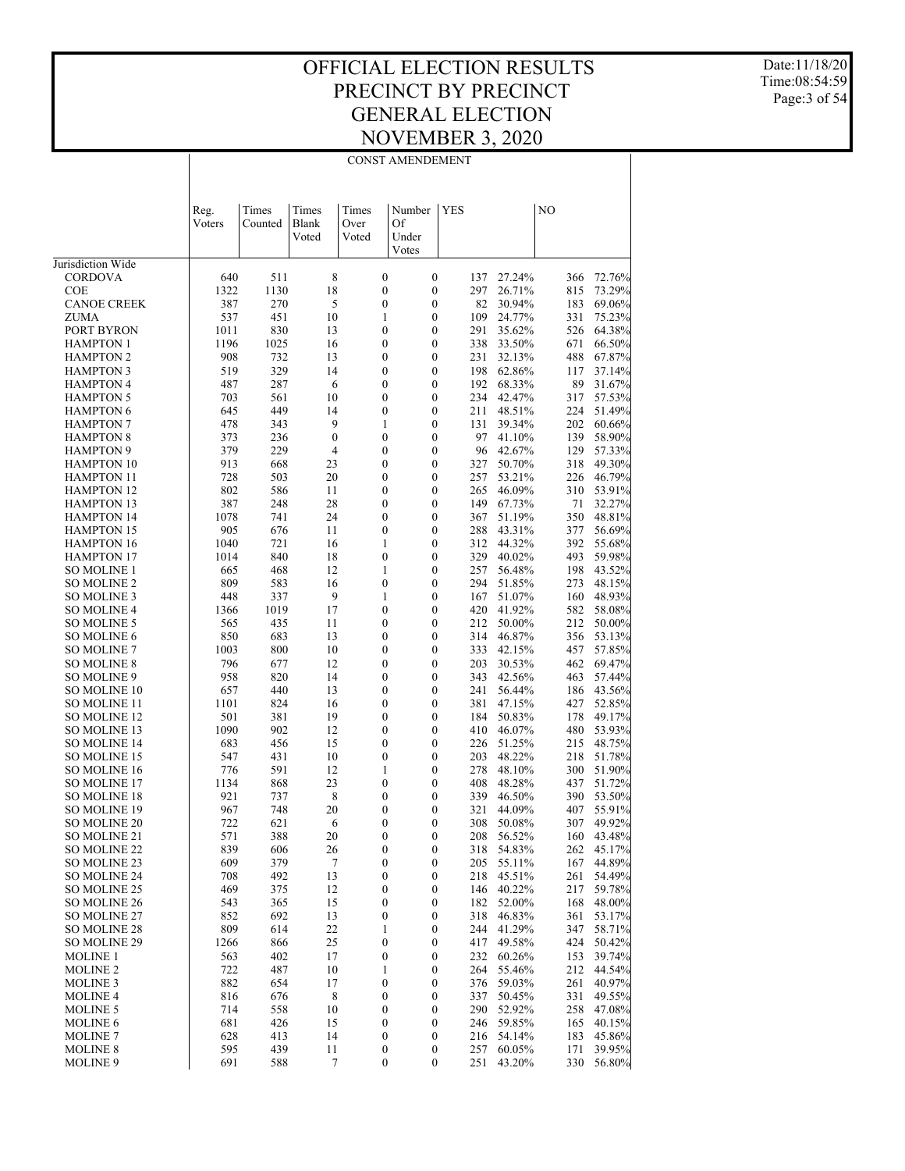Date:11/18/20 Time:08:54:59 Page:3 of 54

|                                        | <b>CONST AMENDEMENT</b> |             |                       |                                      |                                      |            |                  |            |                  |  |  |  |
|----------------------------------------|-------------------------|-------------|-----------------------|--------------------------------------|--------------------------------------|------------|------------------|------------|------------------|--|--|--|
|                                        |                         |             |                       |                                      |                                      |            |                  |            |                  |  |  |  |
|                                        |                         |             |                       |                                      |                                      |            |                  |            |                  |  |  |  |
|                                        | Reg.                    | Times       | Times                 | Times                                | Number                               | <b>YES</b> |                  | NO         |                  |  |  |  |
|                                        | Voters                  | Counted     | Blank                 | Over                                 | Of                                   |            |                  |            |                  |  |  |  |
|                                        |                         |             | Voted                 | Voted                                | Under                                |            |                  |            |                  |  |  |  |
| Jurisdiction Wide                      |                         |             |                       |                                      | Votes                                |            |                  |            |                  |  |  |  |
| <b>CORDOVA</b>                         | 640                     | 511         | 8                     | $\boldsymbol{0}$                     | $\boldsymbol{0}$                     | 137        | 27.24%           | 366        | 72.76%           |  |  |  |
| <b>COE</b>                             | 1322                    | 1130        | 18                    | $\boldsymbol{0}$                     | $\boldsymbol{0}$                     | 297        | 26.71%           | 815        | 73.29%           |  |  |  |
| <b>CANOE CREEK</b>                     | 387                     | 270         | 5                     | $\boldsymbol{0}$                     | $\boldsymbol{0}$                     | 82         | 30.94%           | 183        | 69.06%           |  |  |  |
| ZUMA                                   | 537                     | 451         | 10                    | 1                                    | $\boldsymbol{0}$                     | 109        | 24.77%           | 331        | 75.23%           |  |  |  |
| PORT BYRON<br><b>HAMPTON 1</b>         | 1011                    | 830         | 13                    | $\boldsymbol{0}$                     | $\boldsymbol{0}$                     | 291        | 35.62%           | 526        | 64.38%           |  |  |  |
| <b>HAMPTON 2</b>                       | 1196<br>908             | 1025<br>732 | 16<br>13              | $\boldsymbol{0}$<br>$\boldsymbol{0}$ | $\boldsymbol{0}$<br>$\boldsymbol{0}$ | 338<br>231 | 33.50%<br>32.13% | 671<br>488 | 66.50%<br>67.87% |  |  |  |
| <b>HAMPTON 3</b>                       | 519                     | 329         | 14                    | $\boldsymbol{0}$                     | $\boldsymbol{0}$                     | 198        | 62.86%           | 117        | 37.14%           |  |  |  |
| <b>HAMPTON 4</b>                       | 487                     | 287         | 6                     | $\boldsymbol{0}$                     | $\boldsymbol{0}$                     |            | 192 68.33%       | 89         | 31.67%           |  |  |  |
| <b>HAMPTON 5</b>                       | 703                     | 561         | 10                    | $\boldsymbol{0}$                     | $\boldsymbol{0}$                     | 234        | 42.47%           | 317        | 57.53%           |  |  |  |
| <b>HAMPTON 6</b>                       | 645                     | 449         | 14                    | $\boldsymbol{0}$                     | $\boldsymbol{0}$                     | 211        | 48.51%           | 224        | 51.49%           |  |  |  |
| <b>HAMPTON 7</b><br><b>HAMPTON 8</b>   | 478<br>373              | 343<br>236  | 9<br>$\boldsymbol{0}$ | 1<br>$\boldsymbol{0}$                | $\boldsymbol{0}$<br>$\boldsymbol{0}$ | 131<br>97  | 39.34%<br>41.10% | 202<br>139 | 60.66%<br>58.90% |  |  |  |
| <b>HAMPTON 9</b>                       | 379                     | 229         | $\overline{4}$        | $\boldsymbol{0}$                     | $\boldsymbol{0}$                     | 96         | 42.67%           | 129        | 57.33%           |  |  |  |
| <b>HAMPTON 10</b>                      | 913                     | 668         | 23                    | $\boldsymbol{0}$                     | $\boldsymbol{0}$                     | 327        | 50.70%           | 318        | 49.30%           |  |  |  |
| <b>HAMPTON 11</b>                      | 728                     | 503         | 20                    | $\boldsymbol{0}$                     | $\boldsymbol{0}$                     | 257        | 53.21%           | 226        | 46.79%           |  |  |  |
| <b>HAMPTON 12</b>                      | 802                     | 586         | 11                    | $\boldsymbol{0}$                     | $\boldsymbol{0}$                     | 265        | 46.09%           | 310        | 53.91%           |  |  |  |
| <b>HAMPTON 13</b>                      | 387                     | 248         | 28                    | $\boldsymbol{0}$                     | $\boldsymbol{0}$                     | 149        | 67.73%           | 71         | 32.27%           |  |  |  |
| <b>HAMPTON 14</b><br><b>HAMPTON 15</b> | 1078<br>905             | 741<br>676  | 24<br>11              | $\boldsymbol{0}$<br>$\boldsymbol{0}$ | $\boldsymbol{0}$<br>$\boldsymbol{0}$ | 367<br>288 | 51.19%<br>43.31% | 350<br>377 | 48.81%<br>56.69% |  |  |  |
| <b>HAMPTON 16</b>                      | 1040                    | 721         | 16                    | 1                                    | $\boldsymbol{0}$                     | 312        | 44.32%           | 392        | 55.68%           |  |  |  |
| <b>HAMPTON 17</b>                      | 1014                    | 840         | 18                    | $\boldsymbol{0}$                     | $\boldsymbol{0}$                     | 329        | 40.02%           | 493        | 59.98%           |  |  |  |
| <b>SO MOLINE 1</b>                     | 665                     | 468         | 12                    | 1                                    | $\boldsymbol{0}$                     | 257        | 56.48%           | 198        | 43.52%           |  |  |  |
| SO MOLINE 2                            | 809                     | 583         | 16                    | $\boldsymbol{0}$                     | $\boldsymbol{0}$                     | 294        | 51.85%           | 273        | 48.15%           |  |  |  |
| SO MOLINE 3                            | 448                     | 337         | 9                     | 1                                    | $\boldsymbol{0}$                     | 167        | 51.07%           | 160        | 48.93%           |  |  |  |
| <b>SO MOLINE 4</b><br>SO MOLINE 5      | 1366<br>565             | 1019<br>435 | 17<br>11              | $\boldsymbol{0}$<br>$\boldsymbol{0}$ | $\boldsymbol{0}$<br>$\boldsymbol{0}$ | 420<br>212 | 41.92%<br>50.00% | 582<br>212 | 58.08%<br>50.00% |  |  |  |
| SO MOLINE 6                            | 850                     | 683         | 13                    | $\boldsymbol{0}$                     | $\boldsymbol{0}$                     | 314        | 46.87%           | 356        | 53.13%           |  |  |  |
| <b>SO MOLINE 7</b>                     | 1003                    | 800         | 10                    | $\boldsymbol{0}$                     | $\boldsymbol{0}$                     | 333        | 42.15%           | 457        | 57.85%           |  |  |  |
| <b>SO MOLINE 8</b>                     | 796                     | 677         | 12                    | $\boldsymbol{0}$                     | $\boldsymbol{0}$                     | 203        | 30.53%           | 462        | 69.47%           |  |  |  |
| SO MOLINE 9                            | 958                     | 820         | 14                    | $\boldsymbol{0}$                     | $\boldsymbol{0}$                     | 343        | 42.56%           | 463        | 57.44%           |  |  |  |
| SO MOLINE 10<br>SO MOLINE 11           | 657                     | 440<br>824  | 13<br>16              | $\boldsymbol{0}$<br>$\boldsymbol{0}$ | $\boldsymbol{0}$<br>$\boldsymbol{0}$ | 241<br>381 | 56.44%<br>47.15% | 186        | 43.56%           |  |  |  |
| SO MOLINE 12                           | 1101<br>501             | 381         | 19                    | $\boldsymbol{0}$                     | $\boldsymbol{0}$                     | 184        | 50.83%           | 427<br>178 | 52.85%<br>49.17% |  |  |  |
| SO MOLINE 13                           | 1090                    | 902         | 12                    | $\boldsymbol{0}$                     | $\boldsymbol{0}$                     | 410        | 46.07%           | 480        | 53.93%           |  |  |  |
| SO MOLINE 14                           | 683                     | 456         | 15                    | $\boldsymbol{0}$                     | $\boldsymbol{0}$                     | 226        | 51.25%           | 215        | 48.75%           |  |  |  |
| SO MOLINE 15                           | 547                     | 431         | 10                    | $\boldsymbol{0}$                     | $\boldsymbol{0}$                     | 203        | 48.22%           | 218        | 51.78%           |  |  |  |
| SO MOLINE 16                           | 776                     | 591         | 12                    | 1                                    | $\boldsymbol{0}$                     | 278        | 48.10%           | 300        | 51.90%           |  |  |  |
| SO MOLINE 17<br><b>SO MOLINE 18</b>    | 1134<br>921             | 868<br>737  | 23<br>8               | $\boldsymbol{0}$<br>$\boldsymbol{0}$ | $\boldsymbol{0}$<br>$\boldsymbol{0}$ | 408<br>339 | 48.28%<br>46.50% | 437<br>390 | 51.72%<br>53.50% |  |  |  |
| SO MOLINE 19                           | 967                     | 748         | 20                    | $\boldsymbol{0}$                     | 0                                    | 321        | 44.09%           |            | 407 55.91%       |  |  |  |
| SO MOLINE 20                           | 722                     | 621         | 6                     | $\boldsymbol{0}$                     | $\boldsymbol{0}$                     | 308        | 50.08%           | 307        | 49.92%           |  |  |  |
| SO MOLINE 21                           | 571                     | 388         | 20                    | $\boldsymbol{0}$                     | $\boldsymbol{0}$                     | 208        | 56.52%           | 160        | 43.48%           |  |  |  |
| SO MOLINE 22                           | 839                     | 606         | 26                    | $\boldsymbol{0}$                     | $\boldsymbol{0}$                     | 318        | 54.83%           | 262        | 45.17%           |  |  |  |
| SO MOLINE 23                           | 609                     | 379         | $\tau$                | $\boldsymbol{0}$                     | 0                                    | 205        | 55.11%           | 167        | 44.89%           |  |  |  |
| SO MOLINE 24<br>SO MOLINE 25           | 708<br>469              | 492<br>375  | 13<br>12              | $\boldsymbol{0}$<br>$\boldsymbol{0}$ | $\boldsymbol{0}$<br>0                | 218<br>146 | 45.51%<br>40.22% | 261<br>217 | 54.49%<br>59.78% |  |  |  |
| SO MOLINE 26                           | 543                     | 365         | 15                    | $\boldsymbol{0}$                     | $\boldsymbol{0}$                     | 182        | 52.00%           | 168        | 48.00%           |  |  |  |
| SO MOLINE 27                           | 852                     | 692         | 13                    | $\boldsymbol{0}$                     | $\boldsymbol{0}$                     | 318        | 46.83%           | 361        | 53.17%           |  |  |  |
| SO MOLINE 28                           | 809                     | 614         | 22                    | 1                                    | $\boldsymbol{0}$                     | 244        | 41.29%           | 347        | 58.71%           |  |  |  |
| SO MOLINE 29                           | 1266                    | 866         | 25                    | $\boldsymbol{0}$                     | $\boldsymbol{0}$                     | 417        | 49.58%           | 424        | 50.42%           |  |  |  |
| <b>MOLINE 1</b>                        | 563                     | 402         | 17                    | $\boldsymbol{0}$                     | $\boldsymbol{0}$                     | 232        | 60.26%           | 153        | 39.74%           |  |  |  |
| <b>MOLINE 2</b><br><b>MOLINE 3</b>     | 722<br>882              | 487<br>654  | 10<br>17              | 1<br>$\boldsymbol{0}$                | $\boldsymbol{0}$<br>$\boldsymbol{0}$ | 264<br>376 | 55.46%<br>59.03% | 212<br>261 | 44.54%<br>40.97% |  |  |  |
| <b>MOLINE 4</b>                        | 816                     | 676         | 8                     | $\boldsymbol{0}$                     | $\boldsymbol{0}$                     | 337        | 50.45%           | 331        | 49.55%           |  |  |  |
| <b>MOLINE 5</b>                        | 714                     | 558         | 10                    | $\boldsymbol{0}$                     | $\boldsymbol{0}$                     | 290        | 52.92%           | 258        | 47.08%           |  |  |  |
| <b>MOLINE 6</b>                        | 681                     | 426         | 15                    | $\boldsymbol{0}$                     | $\boldsymbol{0}$                     | 246        | 59.85%           | 165        | 40.15%           |  |  |  |
| <b>MOLINE 7</b>                        | 628                     | 413         | 14                    | $\boldsymbol{0}$                     | $\boldsymbol{0}$                     | 216        | 54.14%           | 183        | 45.86%           |  |  |  |
| <b>MOLINE 8</b>                        | 595                     | 439         | 11                    | $\boldsymbol{0}$                     | $\boldsymbol{0}$                     | 257        | 60.05%           | 171        | 39.95%           |  |  |  |
| MOLINE 9                               | 691                     | 588         | 7                     | $\boldsymbol{0}$                     | $\boldsymbol{0}$                     | 251        | 43.20%           | 330        | 56.80%           |  |  |  |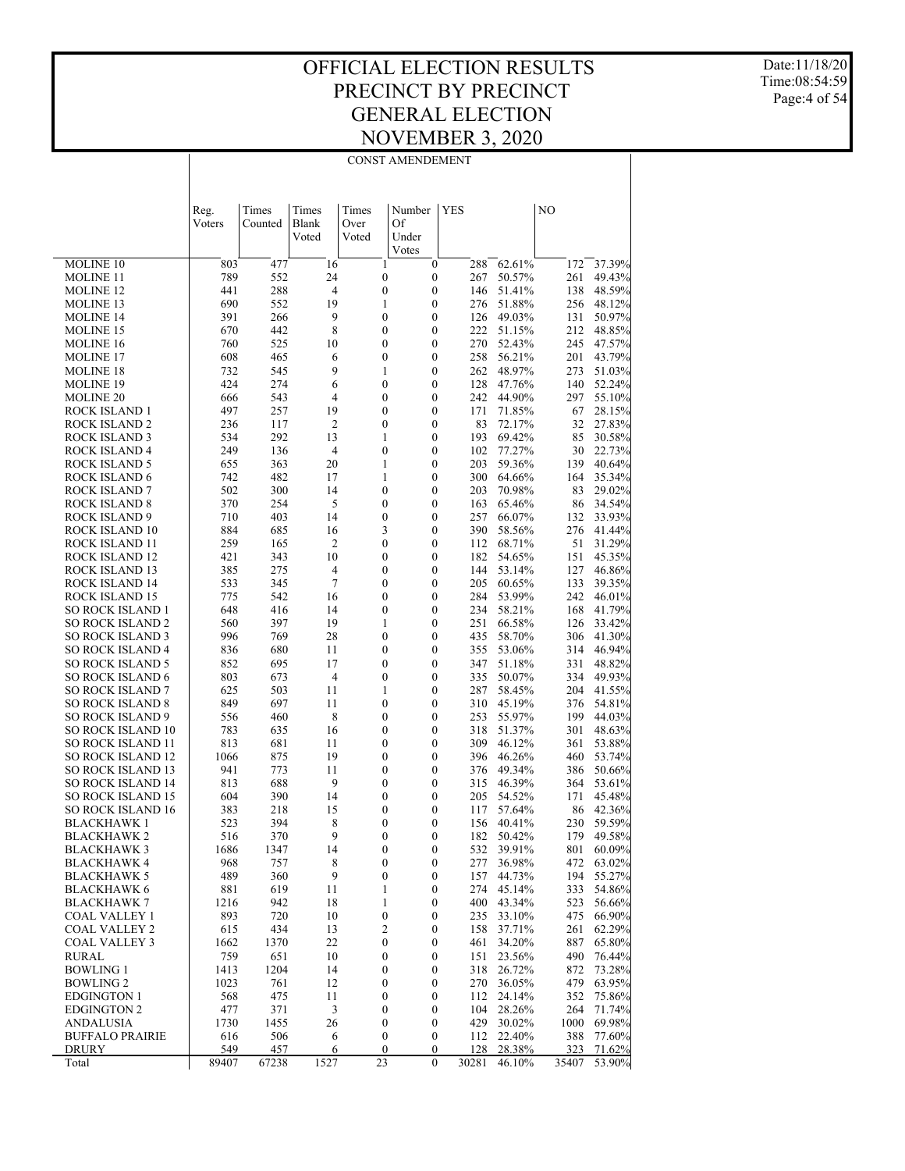#### OFFICIAL ELECTION RESULTS PRECINCT BY PRECINCT GENERAL ELECTION NOVEMBER 3, 2020 CONST AMENDEMENT

Date:11/18/20 Time:08:54:59 Page:4 of 54

 $\overline{\phantom{a}}$ 

| <b>YES</b><br>NO<br>Times<br>Times<br>Times<br>Number<br>Reg.<br>Voters<br>Counted<br><b>Blank</b><br>Over<br>Of<br>Voted<br>Voted<br>Under<br>Votes<br><b>MOLINE 10</b><br>16<br>$\mathbf{1}$<br>$\boldsymbol{0}$<br>62.61%<br>37.39%<br>803<br>477<br>288<br>172<br>789<br>552<br>24<br>$\boldsymbol{0}$<br>$\boldsymbol{0}$<br><b>MOLINE 11</b><br>267<br>50.57%<br>261<br>49.43%<br>4<br>$\boldsymbol{0}$<br><b>MOLINE 12</b><br>441<br>288<br>0<br>51.41%<br>138<br>48.59%<br>146<br>552<br>$\mathbf{1}$<br>$\boldsymbol{0}$<br><b>MOLINE 13</b><br>690<br>19<br>276<br>51.88%<br>256<br>48.12%<br>9<br>391<br>266<br>0<br>0<br>126<br>49.03%<br>131<br>50.97%<br><b>MOLINE 14</b><br>442<br>8<br>$\boldsymbol{0}$<br>$\boldsymbol{0}$<br>670<br>222<br>51.15%<br>212<br>48.85%<br><b>MOLINE 15</b><br>760<br>525<br>10<br>0<br>0<br>270<br>52.43%<br>245<br>47.57%<br>MOLINE 16<br>465<br>$\boldsymbol{0}$<br>$\boldsymbol{0}$<br>608<br>6<br>258<br>56.21%<br>201<br>43.79%<br><b>MOLINE 17</b><br>9<br>732<br>545<br>1<br>0<br>262<br>48.97%<br>273<br>51.03%<br>MOLINE 18<br>6<br>$\boldsymbol{0}$<br>424<br>274<br>$\boldsymbol{0}$<br>128<br>47.76%<br>140<br>52.24%<br>MOLINE 19<br>55.10%<br>666<br>543<br>4<br>$\boldsymbol{0}$<br>0<br>242<br>44.90%<br>297<br>MOLINE 20<br>257<br>$\boldsymbol{0}$<br>ROCK ISLAND 1<br>497<br>19<br>0<br>171<br>71.85%<br>67<br>28.15%<br>$\overline{\mathbf{c}}$<br>27.83%<br>236<br>117<br>$\boldsymbol{0}$<br>0<br>83<br>72.17%<br>32<br>ROCK ISLAND 2<br>292<br>$\boldsymbol{0}$<br>69.42%<br>534<br>13<br>1<br>193<br>85<br>30.58%<br>ROCK ISLAND 3<br>$\boldsymbol{0}$<br>249<br>136<br>4<br>0<br>102<br>77.27%<br>30<br>22.73%<br>ROCK ISLAND 4<br>363<br>20<br>$\boldsymbol{0}$<br>59.36%<br><b>ROCK ISLAND 5</b><br>1<br>203<br>40.64%<br>655<br>139<br>482<br>17<br>1<br>0<br>300<br>64.66%<br>164<br>35.34%<br>ROCK ISLAND 6<br>742<br>300<br>14<br>$\boldsymbol{0}$<br>$\boldsymbol{0}$<br>502<br>203<br>70.98%<br>83<br>29.02%<br><b>ROCK ISLAND 7</b><br>5<br>370<br>254<br>$\boldsymbol{0}$<br>0<br>65.46%<br>34.54%<br>ROCK ISLAND 8<br>163<br>86<br>403<br>$\boldsymbol{0}$<br>$\boldsymbol{0}$<br><b>ROCK ISLAND 9</b><br>710<br>14<br>257<br>66.07%<br>33.93%<br>132<br>3<br>884<br>685<br>16<br>0<br>390<br>58.56%<br>276<br>41.44%<br>ROCK ISLAND 10<br>165<br>$\overline{\mathbf{c}}$<br>$\boldsymbol{0}$<br>$\boldsymbol{0}$<br>31.29%<br>259<br>112<br>68.71%<br>51<br>ROCK ISLAND 11<br>343<br>10<br>0<br>0<br>182<br>54.65%<br>151<br>45.35%<br>ROCK ISLAND 12<br>421<br>275<br>$\boldsymbol{0}$<br>ROCK ISLAND 13<br>385<br>4<br>0<br>144<br>53.14%<br>127<br>46.86%<br>$\tau$<br>533<br>345<br>0<br>0<br>205<br>60.65%<br>133<br>39.35%<br>ROCK ISLAND 14<br>542<br>$\boldsymbol{0}$<br>775<br>16<br>0<br>284<br>53.99%<br>242<br>46.01%<br>ROCK ISLAND 15<br>648<br>416<br>14<br>$\boldsymbol{0}$<br>0<br>234<br>58.21%<br>168<br>41.79%<br>SO ROCK ISLAND 1<br>397<br>19<br>$\boldsymbol{0}$<br><b>SO ROCK ISLAND 2</b><br>560<br>1<br>251<br>66.58%<br>33.42%<br>126<br>769<br>28<br>SO ROCK ISLAND 3<br>996<br>0<br>0<br>435<br>58.70%<br>306<br>41.30%<br>680<br>11<br>$\boldsymbol{0}$<br><b>SO ROCK ISLAND 4</b><br>836<br>0<br>355<br>53.06%<br>314<br>46.94%<br>17<br>SO ROCK ISLAND 5<br>695<br>$\boldsymbol{0}$<br>0<br>347<br>51.18%<br>331<br>48.82%<br>852<br>673<br>$\overline{4}$<br>$\boldsymbol{0}$<br>$\boldsymbol{0}$<br><b>SO ROCK ISLAND 6</b><br>803<br>335<br>50.07%<br>334<br>49.93%<br>11<br>SO ROCK ISLAND 7<br>503<br>1<br>0<br>287<br>58.45%<br>204<br>41.55%<br>625<br>697<br>11<br>$\boldsymbol{0}$<br><b>SO ROCK ISLAND 8</b><br>849<br>$\boldsymbol{0}$<br>310<br>45.19%<br>376<br>54.81%<br>8<br>SO ROCK ISLAND 9<br>460<br>0<br>0<br>253<br>55.97%<br>199<br>44.03%<br>556<br>635<br>$\boldsymbol{0}$<br><b>SO ROCK ISLAND 10</b><br>783<br>16<br>0<br>318<br>51.37%<br>301<br>48.63%<br>SO ROCK ISLAND 11<br>813<br>681<br>11<br>0<br>0<br>309<br>46.12%<br>53.88%<br>361<br>875<br>19<br>$\boldsymbol{0}$<br><b>SO ROCK ISLAND 12</b><br>1066<br>0<br>396<br>46.26%<br>53.74%<br>460<br>SO ROCK ISLAND 13<br>941<br>773<br>11<br>$\boldsymbol{0}$<br>0<br>376<br>49.34%<br>50.66%<br>386<br>688<br>9<br>$\boldsymbol{0}$<br><b>SO ROCK ISLAND 14</b><br>813<br>0<br>315<br>46.39%<br>53.61%<br>364<br><b>SO ROCK ISLAND 15</b><br>390<br>14<br>0<br>0<br>205<br>54.52%<br>45.48%<br>604<br>171<br>15<br>$\boldsymbol{0}$<br>383<br>218<br>0<br>57.64%<br>86<br>42.36%<br>SO ROCK ISLAND 16<br>117<br>394<br>8<br>0<br>0<br>40.41%<br>230<br>59.59%<br><b>BLACKHAWK1</b><br>523<br>156<br>370<br>179 49.58%<br>9<br>0<br>182 50.42%<br><b>BLACKHAWK2</b><br>516<br>$\boldsymbol{0}$<br>$\boldsymbol{0}$<br>801<br>60.09%<br><b>BLACKHAWK3</b><br>1686<br>1347<br>14<br>0<br>532 39.91%<br>757<br>8<br>63.02%<br><b>BLACKHAWK 4</b><br>968<br>$\boldsymbol{0}$<br>0<br>277<br>36.98%<br>472<br>9<br>489<br>360<br>$\boldsymbol{0}$<br>157<br>44.73%<br>194<br>55.27%<br><b>BLACKHAWK 5</b><br>0<br>619<br>11<br>1<br>0<br>274 45.14%<br>54.86%<br><b>BLACKHAWK 6</b><br>881<br>333<br>1216<br>942<br>400 43.34%<br>BLACKHAWK 7<br>18<br>1<br>0<br>523<br>56.66%<br>720<br>893<br>10<br>$\boldsymbol{0}$<br>0<br>235<br>33.10%<br>475<br>66.90%<br><b>COAL VALLEY 1</b><br>$\overline{c}$<br>434<br>13<br>37.71%<br>261<br>62.29%<br>COAL VALLEY 2<br>615<br>0<br>158<br>22<br>1370<br>$\boldsymbol{0}$<br>0<br>34.20%<br>65.80%<br>COAL VALLEY 3<br>1662<br>461<br>887<br>759<br>651<br>$\boldsymbol{0}$<br>23.56%<br>76.44%<br>RURAL<br>10<br>0<br>151<br>490<br><b>BOWLING 1</b><br>1413<br>1204<br>14<br>$\boldsymbol{0}$<br>0<br>26.72%<br>73.28%<br>318<br>872<br><b>BOWLING 2</b><br>1023<br>761<br>12<br>$\boldsymbol{0}$<br>270<br>36.05%<br>479<br>63.95%<br>0<br>568<br>475<br>11<br>$\boldsymbol{0}$<br>0<br>112<br>24.14%<br>352<br>75.86%<br>EDGINGTON 1<br>477<br>371<br>3<br>$\boldsymbol{0}$<br>264<br>71.74%<br>EDGINGTON 2<br>0<br>104<br>28.26%<br>1455<br>26<br>$\boldsymbol{0}$<br>0<br>429<br>30.02%<br>1000<br>69.98%<br>ANDALUSIA<br>1730<br>506<br>$\boldsymbol{0}$<br>22.40%<br>388<br>77.60%<br><b>BUFFALO PRAIRIE</b><br>616<br>6<br>0<br>112<br>457<br>71.62%<br>549<br>6<br>$\boldsymbol{0}$<br>0<br>128<br>28.38%<br>323<br>DRURY<br>23<br>1527<br>$\overline{0}$<br>53.90%<br>Total<br>89407<br>67238<br>30281<br>46.10%<br>35407 |  |  |  |  |  |
|----------------------------------------------------------------------------------------------------------------------------------------------------------------------------------------------------------------------------------------------------------------------------------------------------------------------------------------------------------------------------------------------------------------------------------------------------------------------------------------------------------------------------------------------------------------------------------------------------------------------------------------------------------------------------------------------------------------------------------------------------------------------------------------------------------------------------------------------------------------------------------------------------------------------------------------------------------------------------------------------------------------------------------------------------------------------------------------------------------------------------------------------------------------------------------------------------------------------------------------------------------------------------------------------------------------------------------------------------------------------------------------------------------------------------------------------------------------------------------------------------------------------------------------------------------------------------------------------------------------------------------------------------------------------------------------------------------------------------------------------------------------------------------------------------------------------------------------------------------------------------------------------------------------------------------------------------------------------------------------------------------------------------------------------------------------------------------------------------------------------------------------------------------------------------------------------------------------------------------------------------------------------------------------------------------------------------------------------------------------------------------------------------------------------------------------------------------------------------------------------------------------------------------------------------------------------------------------------------------------------------------------------------------------------------------------------------------------------------------------------------------------------------------------------------------------------------------------------------------------------------------------------------------------------------------------------------------------------------------------------------------------------------------------------------------------------------------------------------------------------------------------------------------------------------------------------------------------------------------------------------------------------------------------------------------------------------------------------------------------------------------------------------------------------------------------------------------------------------------------------------------------------------------------------------------------------------------------------------------------------------------------------------------------------------------------------------------------------------------------------------------------------------------------------------------------------------------------------------------------------------------------------------------------------------------------------------------------------------------------------------------------------------------------------------------------------------------------------------------------------------------------------------------------------------------------------------------------------------------------------------------------------------------------------------------------------------------------------------------------------------------------------------------------------------------------------------------------------------------------------------------------------------------------------------------------------------------------------------------------------------------------------------------------------------------------------------------------------------------------------------------------------------------------------------------------------------------------------------------------------------------------------------------------------------------------------------------------------------------------------------------------------------------------------------------------------------------------------------------------------------------------------------------------------------------------------------------------------------------------------------------------------------------------------------------------------------------------------------------------------------------------------------------------------------------------------------------------------------------------------------------------------------------------------------------------------------------------------------------------------------------------------------------------------------------------------------------------------------------------------------------------------------------------------------------------------------------------------------------------------------------------------------------------------------------------------------------------------------------------------------------------------------------------------------------------------------------------------------------------------------------------------------------------------------------------------------------------------------------------------------------------------------------------------------------------------------------------------------------------------------------|--|--|--|--|--|
|                                                                                                                                                                                                                                                                                                                                                                                                                                                                                                                                                                                                                                                                                                                                                                                                                                                                                                                                                                                                                                                                                                                                                                                                                                                                                                                                                                                                                                                                                                                                                                                                                                                                                                                                                                                                                                                                                                                                                                                                                                                                                                                                                                                                                                                                                                                                                                                                                                                                                                                                                                                                                                                                                                                                                                                                                                                                                                                                                                                                                                                                                                                                                                                                                                                                                                                                                                                                                                                                                                                                                                                                                                                                                                                                                                                                                                                                                                                                                                                                                                                                                                                                                                                                                                                                                                                                                                                                                                                                                                                                                                                                                                                                                                                                                                                                                                                                                                                                                                                                                                                                                                                                                                                                                                                                                                                                                                                                                                                                                                                                                                                                                                                                                                                                                                                                                                                                                                                                                                                                                                                                                                                                                                                                                                                                                                                                                                                  |  |  |  |  |  |
|                                                                                                                                                                                                                                                                                                                                                                                                                                                                                                                                                                                                                                                                                                                                                                                                                                                                                                                                                                                                                                                                                                                                                                                                                                                                                                                                                                                                                                                                                                                                                                                                                                                                                                                                                                                                                                                                                                                                                                                                                                                                                                                                                                                                                                                                                                                                                                                                                                                                                                                                                                                                                                                                                                                                                                                                                                                                                                                                                                                                                                                                                                                                                                                                                                                                                                                                                                                                                                                                                                                                                                                                                                                                                                                                                                                                                                                                                                                                                                                                                                                                                                                                                                                                                                                                                                                                                                                                                                                                                                                                                                                                                                                                                                                                                                                                                                                                                                                                                                                                                                                                                                                                                                                                                                                                                                                                                                                                                                                                                                                                                                                                                                                                                                                                                                                                                                                                                                                                                                                                                                                                                                                                                                                                                                                                                                                                                                                  |  |  |  |  |  |
|                                                                                                                                                                                                                                                                                                                                                                                                                                                                                                                                                                                                                                                                                                                                                                                                                                                                                                                                                                                                                                                                                                                                                                                                                                                                                                                                                                                                                                                                                                                                                                                                                                                                                                                                                                                                                                                                                                                                                                                                                                                                                                                                                                                                                                                                                                                                                                                                                                                                                                                                                                                                                                                                                                                                                                                                                                                                                                                                                                                                                                                                                                                                                                                                                                                                                                                                                                                                                                                                                                                                                                                                                                                                                                                                                                                                                                                                                                                                                                                                                                                                                                                                                                                                                                                                                                                                                                                                                                                                                                                                                                                                                                                                                                                                                                                                                                                                                                                                                                                                                                                                                                                                                                                                                                                                                                                                                                                                                                                                                                                                                                                                                                                                                                                                                                                                                                                                                                                                                                                                                                                                                                                                                                                                                                                                                                                                                                                  |  |  |  |  |  |
|                                                                                                                                                                                                                                                                                                                                                                                                                                                                                                                                                                                                                                                                                                                                                                                                                                                                                                                                                                                                                                                                                                                                                                                                                                                                                                                                                                                                                                                                                                                                                                                                                                                                                                                                                                                                                                                                                                                                                                                                                                                                                                                                                                                                                                                                                                                                                                                                                                                                                                                                                                                                                                                                                                                                                                                                                                                                                                                                                                                                                                                                                                                                                                                                                                                                                                                                                                                                                                                                                                                                                                                                                                                                                                                                                                                                                                                                                                                                                                                                                                                                                                                                                                                                                                                                                                                                                                                                                                                                                                                                                                                                                                                                                                                                                                                                                                                                                                                                                                                                                                                                                                                                                                                                                                                                                                                                                                                                                                                                                                                                                                                                                                                                                                                                                                                                                                                                                                                                                                                                                                                                                                                                                                                                                                                                                                                                                                                  |  |  |  |  |  |
|                                                                                                                                                                                                                                                                                                                                                                                                                                                                                                                                                                                                                                                                                                                                                                                                                                                                                                                                                                                                                                                                                                                                                                                                                                                                                                                                                                                                                                                                                                                                                                                                                                                                                                                                                                                                                                                                                                                                                                                                                                                                                                                                                                                                                                                                                                                                                                                                                                                                                                                                                                                                                                                                                                                                                                                                                                                                                                                                                                                                                                                                                                                                                                                                                                                                                                                                                                                                                                                                                                                                                                                                                                                                                                                                                                                                                                                                                                                                                                                                                                                                                                                                                                                                                                                                                                                                                                                                                                                                                                                                                                                                                                                                                                                                                                                                                                                                                                                                                                                                                                                                                                                                                                                                                                                                                                                                                                                                                                                                                                                                                                                                                                                                                                                                                                                                                                                                                                                                                                                                                                                                                                                                                                                                                                                                                                                                                                                  |  |  |  |  |  |
|                                                                                                                                                                                                                                                                                                                                                                                                                                                                                                                                                                                                                                                                                                                                                                                                                                                                                                                                                                                                                                                                                                                                                                                                                                                                                                                                                                                                                                                                                                                                                                                                                                                                                                                                                                                                                                                                                                                                                                                                                                                                                                                                                                                                                                                                                                                                                                                                                                                                                                                                                                                                                                                                                                                                                                                                                                                                                                                                                                                                                                                                                                                                                                                                                                                                                                                                                                                                                                                                                                                                                                                                                                                                                                                                                                                                                                                                                                                                                                                                                                                                                                                                                                                                                                                                                                                                                                                                                                                                                                                                                                                                                                                                                                                                                                                                                                                                                                                                                                                                                                                                                                                                                                                                                                                                                                                                                                                                                                                                                                                                                                                                                                                                                                                                                                                                                                                                                                                                                                                                                                                                                                                                                                                                                                                                                                                                                                                  |  |  |  |  |  |
|                                                                                                                                                                                                                                                                                                                                                                                                                                                                                                                                                                                                                                                                                                                                                                                                                                                                                                                                                                                                                                                                                                                                                                                                                                                                                                                                                                                                                                                                                                                                                                                                                                                                                                                                                                                                                                                                                                                                                                                                                                                                                                                                                                                                                                                                                                                                                                                                                                                                                                                                                                                                                                                                                                                                                                                                                                                                                                                                                                                                                                                                                                                                                                                                                                                                                                                                                                                                                                                                                                                                                                                                                                                                                                                                                                                                                                                                                                                                                                                                                                                                                                                                                                                                                                                                                                                                                                                                                                                                                                                                                                                                                                                                                                                                                                                                                                                                                                                                                                                                                                                                                                                                                                                                                                                                                                                                                                                                                                                                                                                                                                                                                                                                                                                                                                                                                                                                                                                                                                                                                                                                                                                                                                                                                                                                                                                                                                                  |  |  |  |  |  |
|                                                                                                                                                                                                                                                                                                                                                                                                                                                                                                                                                                                                                                                                                                                                                                                                                                                                                                                                                                                                                                                                                                                                                                                                                                                                                                                                                                                                                                                                                                                                                                                                                                                                                                                                                                                                                                                                                                                                                                                                                                                                                                                                                                                                                                                                                                                                                                                                                                                                                                                                                                                                                                                                                                                                                                                                                                                                                                                                                                                                                                                                                                                                                                                                                                                                                                                                                                                                                                                                                                                                                                                                                                                                                                                                                                                                                                                                                                                                                                                                                                                                                                                                                                                                                                                                                                                                                                                                                                                                                                                                                                                                                                                                                                                                                                                                                                                                                                                                                                                                                                                                                                                                                                                                                                                                                                                                                                                                                                                                                                                                                                                                                                                                                                                                                                                                                                                                                                                                                                                                                                                                                                                                                                                                                                                                                                                                                                                  |  |  |  |  |  |
|                                                                                                                                                                                                                                                                                                                                                                                                                                                                                                                                                                                                                                                                                                                                                                                                                                                                                                                                                                                                                                                                                                                                                                                                                                                                                                                                                                                                                                                                                                                                                                                                                                                                                                                                                                                                                                                                                                                                                                                                                                                                                                                                                                                                                                                                                                                                                                                                                                                                                                                                                                                                                                                                                                                                                                                                                                                                                                                                                                                                                                                                                                                                                                                                                                                                                                                                                                                                                                                                                                                                                                                                                                                                                                                                                                                                                                                                                                                                                                                                                                                                                                                                                                                                                                                                                                                                                                                                                                                                                                                                                                                                                                                                                                                                                                                                                                                                                                                                                                                                                                                                                                                                                                                                                                                                                                                                                                                                                                                                                                                                                                                                                                                                                                                                                                                                                                                                                                                                                                                                                                                                                                                                                                                                                                                                                                                                                                                  |  |  |  |  |  |
|                                                                                                                                                                                                                                                                                                                                                                                                                                                                                                                                                                                                                                                                                                                                                                                                                                                                                                                                                                                                                                                                                                                                                                                                                                                                                                                                                                                                                                                                                                                                                                                                                                                                                                                                                                                                                                                                                                                                                                                                                                                                                                                                                                                                                                                                                                                                                                                                                                                                                                                                                                                                                                                                                                                                                                                                                                                                                                                                                                                                                                                                                                                                                                                                                                                                                                                                                                                                                                                                                                                                                                                                                                                                                                                                                                                                                                                                                                                                                                                                                                                                                                                                                                                                                                                                                                                                                                                                                                                                                                                                                                                                                                                                                                                                                                                                                                                                                                                                                                                                                                                                                                                                                                                                                                                                                                                                                                                                                                                                                                                                                                                                                                                                                                                                                                                                                                                                                                                                                                                                                                                                                                                                                                                                                                                                                                                                                                                  |  |  |  |  |  |
|                                                                                                                                                                                                                                                                                                                                                                                                                                                                                                                                                                                                                                                                                                                                                                                                                                                                                                                                                                                                                                                                                                                                                                                                                                                                                                                                                                                                                                                                                                                                                                                                                                                                                                                                                                                                                                                                                                                                                                                                                                                                                                                                                                                                                                                                                                                                                                                                                                                                                                                                                                                                                                                                                                                                                                                                                                                                                                                                                                                                                                                                                                                                                                                                                                                                                                                                                                                                                                                                                                                                                                                                                                                                                                                                                                                                                                                                                                                                                                                                                                                                                                                                                                                                                                                                                                                                                                                                                                                                                                                                                                                                                                                                                                                                                                                                                                                                                                                                                                                                                                                                                                                                                                                                                                                                                                                                                                                                                                                                                                                                                                                                                                                                                                                                                                                                                                                                                                                                                                                                                                                                                                                                                                                                                                                                                                                                                                                  |  |  |  |  |  |
|                                                                                                                                                                                                                                                                                                                                                                                                                                                                                                                                                                                                                                                                                                                                                                                                                                                                                                                                                                                                                                                                                                                                                                                                                                                                                                                                                                                                                                                                                                                                                                                                                                                                                                                                                                                                                                                                                                                                                                                                                                                                                                                                                                                                                                                                                                                                                                                                                                                                                                                                                                                                                                                                                                                                                                                                                                                                                                                                                                                                                                                                                                                                                                                                                                                                                                                                                                                                                                                                                                                                                                                                                                                                                                                                                                                                                                                                                                                                                                                                                                                                                                                                                                                                                                                                                                                                                                                                                                                                                                                                                                                                                                                                                                                                                                                                                                                                                                                                                                                                                                                                                                                                                                                                                                                                                                                                                                                                                                                                                                                                                                                                                                                                                                                                                                                                                                                                                                                                                                                                                                                                                                                                                                                                                                                                                                                                                                                  |  |  |  |  |  |
|                                                                                                                                                                                                                                                                                                                                                                                                                                                                                                                                                                                                                                                                                                                                                                                                                                                                                                                                                                                                                                                                                                                                                                                                                                                                                                                                                                                                                                                                                                                                                                                                                                                                                                                                                                                                                                                                                                                                                                                                                                                                                                                                                                                                                                                                                                                                                                                                                                                                                                                                                                                                                                                                                                                                                                                                                                                                                                                                                                                                                                                                                                                                                                                                                                                                                                                                                                                                                                                                                                                                                                                                                                                                                                                                                                                                                                                                                                                                                                                                                                                                                                                                                                                                                                                                                                                                                                                                                                                                                                                                                                                                                                                                                                                                                                                                                                                                                                                                                                                                                                                                                                                                                                                                                                                                                                                                                                                                                                                                                                                                                                                                                                                                                                                                                                                                                                                                                                                                                                                                                                                                                                                                                                                                                                                                                                                                                                                  |  |  |  |  |  |
|                                                                                                                                                                                                                                                                                                                                                                                                                                                                                                                                                                                                                                                                                                                                                                                                                                                                                                                                                                                                                                                                                                                                                                                                                                                                                                                                                                                                                                                                                                                                                                                                                                                                                                                                                                                                                                                                                                                                                                                                                                                                                                                                                                                                                                                                                                                                                                                                                                                                                                                                                                                                                                                                                                                                                                                                                                                                                                                                                                                                                                                                                                                                                                                                                                                                                                                                                                                                                                                                                                                                                                                                                                                                                                                                                                                                                                                                                                                                                                                                                                                                                                                                                                                                                                                                                                                                                                                                                                                                                                                                                                                                                                                                                                                                                                                                                                                                                                                                                                                                                                                                                                                                                                                                                                                                                                                                                                                                                                                                                                                                                                                                                                                                                                                                                                                                                                                                                                                                                                                                                                                                                                                                                                                                                                                                                                                                                                                  |  |  |  |  |  |
|                                                                                                                                                                                                                                                                                                                                                                                                                                                                                                                                                                                                                                                                                                                                                                                                                                                                                                                                                                                                                                                                                                                                                                                                                                                                                                                                                                                                                                                                                                                                                                                                                                                                                                                                                                                                                                                                                                                                                                                                                                                                                                                                                                                                                                                                                                                                                                                                                                                                                                                                                                                                                                                                                                                                                                                                                                                                                                                                                                                                                                                                                                                                                                                                                                                                                                                                                                                                                                                                                                                                                                                                                                                                                                                                                                                                                                                                                                                                                                                                                                                                                                                                                                                                                                                                                                                                                                                                                                                                                                                                                                                                                                                                                                                                                                                                                                                                                                                                                                                                                                                                                                                                                                                                                                                                                                                                                                                                                                                                                                                                                                                                                                                                                                                                                                                                                                                                                                                                                                                                                                                                                                                                                                                                                                                                                                                                                                                  |  |  |  |  |  |
|                                                                                                                                                                                                                                                                                                                                                                                                                                                                                                                                                                                                                                                                                                                                                                                                                                                                                                                                                                                                                                                                                                                                                                                                                                                                                                                                                                                                                                                                                                                                                                                                                                                                                                                                                                                                                                                                                                                                                                                                                                                                                                                                                                                                                                                                                                                                                                                                                                                                                                                                                                                                                                                                                                                                                                                                                                                                                                                                                                                                                                                                                                                                                                                                                                                                                                                                                                                                                                                                                                                                                                                                                                                                                                                                                                                                                                                                                                                                                                                                                                                                                                                                                                                                                                                                                                                                                                                                                                                                                                                                                                                                                                                                                                                                                                                                                                                                                                                                                                                                                                                                                                                                                                                                                                                                                                                                                                                                                                                                                                                                                                                                                                                                                                                                                                                                                                                                                                                                                                                                                                                                                                                                                                                                                                                                                                                                                                                  |  |  |  |  |  |
|                                                                                                                                                                                                                                                                                                                                                                                                                                                                                                                                                                                                                                                                                                                                                                                                                                                                                                                                                                                                                                                                                                                                                                                                                                                                                                                                                                                                                                                                                                                                                                                                                                                                                                                                                                                                                                                                                                                                                                                                                                                                                                                                                                                                                                                                                                                                                                                                                                                                                                                                                                                                                                                                                                                                                                                                                                                                                                                                                                                                                                                                                                                                                                                                                                                                                                                                                                                                                                                                                                                                                                                                                                                                                                                                                                                                                                                                                                                                                                                                                                                                                                                                                                                                                                                                                                                                                                                                                                                                                                                                                                                                                                                                                                                                                                                                                                                                                                                                                                                                                                                                                                                                                                                                                                                                                                                                                                                                                                                                                                                                                                                                                                                                                                                                                                                                                                                                                                                                                                                                                                                                                                                                                                                                                                                                                                                                                                                  |  |  |  |  |  |
|                                                                                                                                                                                                                                                                                                                                                                                                                                                                                                                                                                                                                                                                                                                                                                                                                                                                                                                                                                                                                                                                                                                                                                                                                                                                                                                                                                                                                                                                                                                                                                                                                                                                                                                                                                                                                                                                                                                                                                                                                                                                                                                                                                                                                                                                                                                                                                                                                                                                                                                                                                                                                                                                                                                                                                                                                                                                                                                                                                                                                                                                                                                                                                                                                                                                                                                                                                                                                                                                                                                                                                                                                                                                                                                                                                                                                                                                                                                                                                                                                                                                                                                                                                                                                                                                                                                                                                                                                                                                                                                                                                                                                                                                                                                                                                                                                                                                                                                                                                                                                                                                                                                                                                                                                                                                                                                                                                                                                                                                                                                                                                                                                                                                                                                                                                                                                                                                                                                                                                                                                                                                                                                                                                                                                                                                                                                                                                                  |  |  |  |  |  |
|                                                                                                                                                                                                                                                                                                                                                                                                                                                                                                                                                                                                                                                                                                                                                                                                                                                                                                                                                                                                                                                                                                                                                                                                                                                                                                                                                                                                                                                                                                                                                                                                                                                                                                                                                                                                                                                                                                                                                                                                                                                                                                                                                                                                                                                                                                                                                                                                                                                                                                                                                                                                                                                                                                                                                                                                                                                                                                                                                                                                                                                                                                                                                                                                                                                                                                                                                                                                                                                                                                                                                                                                                                                                                                                                                                                                                                                                                                                                                                                                                                                                                                                                                                                                                                                                                                                                                                                                                                                                                                                                                                                                                                                                                                                                                                                                                                                                                                                                                                                                                                                                                                                                                                                                                                                                                                                                                                                                                                                                                                                                                                                                                                                                                                                                                                                                                                                                                                                                                                                                                                                                                                                                                                                                                                                                                                                                                                                  |  |  |  |  |  |
|                                                                                                                                                                                                                                                                                                                                                                                                                                                                                                                                                                                                                                                                                                                                                                                                                                                                                                                                                                                                                                                                                                                                                                                                                                                                                                                                                                                                                                                                                                                                                                                                                                                                                                                                                                                                                                                                                                                                                                                                                                                                                                                                                                                                                                                                                                                                                                                                                                                                                                                                                                                                                                                                                                                                                                                                                                                                                                                                                                                                                                                                                                                                                                                                                                                                                                                                                                                                                                                                                                                                                                                                                                                                                                                                                                                                                                                                                                                                                                                                                                                                                                                                                                                                                                                                                                                                                                                                                                                                                                                                                                                                                                                                                                                                                                                                                                                                                                                                                                                                                                                                                                                                                                                                                                                                                                                                                                                                                                                                                                                                                                                                                                                                                                                                                                                                                                                                                                                                                                                                                                                                                                                                                                                                                                                                                                                                                                                  |  |  |  |  |  |
|                                                                                                                                                                                                                                                                                                                                                                                                                                                                                                                                                                                                                                                                                                                                                                                                                                                                                                                                                                                                                                                                                                                                                                                                                                                                                                                                                                                                                                                                                                                                                                                                                                                                                                                                                                                                                                                                                                                                                                                                                                                                                                                                                                                                                                                                                                                                                                                                                                                                                                                                                                                                                                                                                                                                                                                                                                                                                                                                                                                                                                                                                                                                                                                                                                                                                                                                                                                                                                                                                                                                                                                                                                                                                                                                                                                                                                                                                                                                                                                                                                                                                                                                                                                                                                                                                                                                                                                                                                                                                                                                                                                                                                                                                                                                                                                                                                                                                                                                                                                                                                                                                                                                                                                                                                                                                                                                                                                                                                                                                                                                                                                                                                                                                                                                                                                                                                                                                                                                                                                                                                                                                                                                                                                                                                                                                                                                                                                  |  |  |  |  |  |
|                                                                                                                                                                                                                                                                                                                                                                                                                                                                                                                                                                                                                                                                                                                                                                                                                                                                                                                                                                                                                                                                                                                                                                                                                                                                                                                                                                                                                                                                                                                                                                                                                                                                                                                                                                                                                                                                                                                                                                                                                                                                                                                                                                                                                                                                                                                                                                                                                                                                                                                                                                                                                                                                                                                                                                                                                                                                                                                                                                                                                                                                                                                                                                                                                                                                                                                                                                                                                                                                                                                                                                                                                                                                                                                                                                                                                                                                                                                                                                                                                                                                                                                                                                                                                                                                                                                                                                                                                                                                                                                                                                                                                                                                                                                                                                                                                                                                                                                                                                                                                                                                                                                                                                                                                                                                                                                                                                                                                                                                                                                                                                                                                                                                                                                                                                                                                                                                                                                                                                                                                                                                                                                                                                                                                                                                                                                                                                                  |  |  |  |  |  |
|                                                                                                                                                                                                                                                                                                                                                                                                                                                                                                                                                                                                                                                                                                                                                                                                                                                                                                                                                                                                                                                                                                                                                                                                                                                                                                                                                                                                                                                                                                                                                                                                                                                                                                                                                                                                                                                                                                                                                                                                                                                                                                                                                                                                                                                                                                                                                                                                                                                                                                                                                                                                                                                                                                                                                                                                                                                                                                                                                                                                                                                                                                                                                                                                                                                                                                                                                                                                                                                                                                                                                                                                                                                                                                                                                                                                                                                                                                                                                                                                                                                                                                                                                                                                                                                                                                                                                                                                                                                                                                                                                                                                                                                                                                                                                                                                                                                                                                                                                                                                                                                                                                                                                                                                                                                                                                                                                                                                                                                                                                                                                                                                                                                                                                                                                                                                                                                                                                                                                                                                                                                                                                                                                                                                                                                                                                                                                                                  |  |  |  |  |  |
|                                                                                                                                                                                                                                                                                                                                                                                                                                                                                                                                                                                                                                                                                                                                                                                                                                                                                                                                                                                                                                                                                                                                                                                                                                                                                                                                                                                                                                                                                                                                                                                                                                                                                                                                                                                                                                                                                                                                                                                                                                                                                                                                                                                                                                                                                                                                                                                                                                                                                                                                                                                                                                                                                                                                                                                                                                                                                                                                                                                                                                                                                                                                                                                                                                                                                                                                                                                                                                                                                                                                                                                                                                                                                                                                                                                                                                                                                                                                                                                                                                                                                                                                                                                                                                                                                                                                                                                                                                                                                                                                                                                                                                                                                                                                                                                                                                                                                                                                                                                                                                                                                                                                                                                                                                                                                                                                                                                                                                                                                                                                                                                                                                                                                                                                                                                                                                                                                                                                                                                                                                                                                                                                                                                                                                                                                                                                                                                  |  |  |  |  |  |
|                                                                                                                                                                                                                                                                                                                                                                                                                                                                                                                                                                                                                                                                                                                                                                                                                                                                                                                                                                                                                                                                                                                                                                                                                                                                                                                                                                                                                                                                                                                                                                                                                                                                                                                                                                                                                                                                                                                                                                                                                                                                                                                                                                                                                                                                                                                                                                                                                                                                                                                                                                                                                                                                                                                                                                                                                                                                                                                                                                                                                                                                                                                                                                                                                                                                                                                                                                                                                                                                                                                                                                                                                                                                                                                                                                                                                                                                                                                                                                                                                                                                                                                                                                                                                                                                                                                                                                                                                                                                                                                                                                                                                                                                                                                                                                                                                                                                                                                                                                                                                                                                                                                                                                                                                                                                                                                                                                                                                                                                                                                                                                                                                                                                                                                                                                                                                                                                                                                                                                                                                                                                                                                                                                                                                                                                                                                                                                                  |  |  |  |  |  |
|                                                                                                                                                                                                                                                                                                                                                                                                                                                                                                                                                                                                                                                                                                                                                                                                                                                                                                                                                                                                                                                                                                                                                                                                                                                                                                                                                                                                                                                                                                                                                                                                                                                                                                                                                                                                                                                                                                                                                                                                                                                                                                                                                                                                                                                                                                                                                                                                                                                                                                                                                                                                                                                                                                                                                                                                                                                                                                                                                                                                                                                                                                                                                                                                                                                                                                                                                                                                                                                                                                                                                                                                                                                                                                                                                                                                                                                                                                                                                                                                                                                                                                                                                                                                                                                                                                                                                                                                                                                                                                                                                                                                                                                                                                                                                                                                                                                                                                                                                                                                                                                                                                                                                                                                                                                                                                                                                                                                                                                                                                                                                                                                                                                                                                                                                                                                                                                                                                                                                                                                                                                                                                                                                                                                                                                                                                                                                                                  |  |  |  |  |  |
|                                                                                                                                                                                                                                                                                                                                                                                                                                                                                                                                                                                                                                                                                                                                                                                                                                                                                                                                                                                                                                                                                                                                                                                                                                                                                                                                                                                                                                                                                                                                                                                                                                                                                                                                                                                                                                                                                                                                                                                                                                                                                                                                                                                                                                                                                                                                                                                                                                                                                                                                                                                                                                                                                                                                                                                                                                                                                                                                                                                                                                                                                                                                                                                                                                                                                                                                                                                                                                                                                                                                                                                                                                                                                                                                                                                                                                                                                                                                                                                                                                                                                                                                                                                                                                                                                                                                                                                                                                                                                                                                                                                                                                                                                                                                                                                                                                                                                                                                                                                                                                                                                                                                                                                                                                                                                                                                                                                                                                                                                                                                                                                                                                                                                                                                                                                                                                                                                                                                                                                                                                                                                                                                                                                                                                                                                                                                                                                  |  |  |  |  |  |
|                                                                                                                                                                                                                                                                                                                                                                                                                                                                                                                                                                                                                                                                                                                                                                                                                                                                                                                                                                                                                                                                                                                                                                                                                                                                                                                                                                                                                                                                                                                                                                                                                                                                                                                                                                                                                                                                                                                                                                                                                                                                                                                                                                                                                                                                                                                                                                                                                                                                                                                                                                                                                                                                                                                                                                                                                                                                                                                                                                                                                                                                                                                                                                                                                                                                                                                                                                                                                                                                                                                                                                                                                                                                                                                                                                                                                                                                                                                                                                                                                                                                                                                                                                                                                                                                                                                                                                                                                                                                                                                                                                                                                                                                                                                                                                                                                                                                                                                                                                                                                                                                                                                                                                                                                                                                                                                                                                                                                                                                                                                                                                                                                                                                                                                                                                                                                                                                                                                                                                                                                                                                                                                                                                                                                                                                                                                                                                                  |  |  |  |  |  |
|                                                                                                                                                                                                                                                                                                                                                                                                                                                                                                                                                                                                                                                                                                                                                                                                                                                                                                                                                                                                                                                                                                                                                                                                                                                                                                                                                                                                                                                                                                                                                                                                                                                                                                                                                                                                                                                                                                                                                                                                                                                                                                                                                                                                                                                                                                                                                                                                                                                                                                                                                                                                                                                                                                                                                                                                                                                                                                                                                                                                                                                                                                                                                                                                                                                                                                                                                                                                                                                                                                                                                                                                                                                                                                                                                                                                                                                                                                                                                                                                                                                                                                                                                                                                                                                                                                                                                                                                                                                                                                                                                                                                                                                                                                                                                                                                                                                                                                                                                                                                                                                                                                                                                                                                                                                                                                                                                                                                                                                                                                                                                                                                                                                                                                                                                                                                                                                                                                                                                                                                                                                                                                                                                                                                                                                                                                                                                                                  |  |  |  |  |  |
|                                                                                                                                                                                                                                                                                                                                                                                                                                                                                                                                                                                                                                                                                                                                                                                                                                                                                                                                                                                                                                                                                                                                                                                                                                                                                                                                                                                                                                                                                                                                                                                                                                                                                                                                                                                                                                                                                                                                                                                                                                                                                                                                                                                                                                                                                                                                                                                                                                                                                                                                                                                                                                                                                                                                                                                                                                                                                                                                                                                                                                                                                                                                                                                                                                                                                                                                                                                                                                                                                                                                                                                                                                                                                                                                                                                                                                                                                                                                                                                                                                                                                                                                                                                                                                                                                                                                                                                                                                                                                                                                                                                                                                                                                                                                                                                                                                                                                                                                                                                                                                                                                                                                                                                                                                                                                                                                                                                                                                                                                                                                                                                                                                                                                                                                                                                                                                                                                                                                                                                                                                                                                                                                                                                                                                                                                                                                                                                  |  |  |  |  |  |
|                                                                                                                                                                                                                                                                                                                                                                                                                                                                                                                                                                                                                                                                                                                                                                                                                                                                                                                                                                                                                                                                                                                                                                                                                                                                                                                                                                                                                                                                                                                                                                                                                                                                                                                                                                                                                                                                                                                                                                                                                                                                                                                                                                                                                                                                                                                                                                                                                                                                                                                                                                                                                                                                                                                                                                                                                                                                                                                                                                                                                                                                                                                                                                                                                                                                                                                                                                                                                                                                                                                                                                                                                                                                                                                                                                                                                                                                                                                                                                                                                                                                                                                                                                                                                                                                                                                                                                                                                                                                                                                                                                                                                                                                                                                                                                                                                                                                                                                                                                                                                                                                                                                                                                                                                                                                                                                                                                                                                                                                                                                                                                                                                                                                                                                                                                                                                                                                                                                                                                                                                                                                                                                                                                                                                                                                                                                                                                                  |  |  |  |  |  |
|                                                                                                                                                                                                                                                                                                                                                                                                                                                                                                                                                                                                                                                                                                                                                                                                                                                                                                                                                                                                                                                                                                                                                                                                                                                                                                                                                                                                                                                                                                                                                                                                                                                                                                                                                                                                                                                                                                                                                                                                                                                                                                                                                                                                                                                                                                                                                                                                                                                                                                                                                                                                                                                                                                                                                                                                                                                                                                                                                                                                                                                                                                                                                                                                                                                                                                                                                                                                                                                                                                                                                                                                                                                                                                                                                                                                                                                                                                                                                                                                                                                                                                                                                                                                                                                                                                                                                                                                                                                                                                                                                                                                                                                                                                                                                                                                                                                                                                                                                                                                                                                                                                                                                                                                                                                                                                                                                                                                                                                                                                                                                                                                                                                                                                                                                                                                                                                                                                                                                                                                                                                                                                                                                                                                                                                                                                                                                                                  |  |  |  |  |  |
|                                                                                                                                                                                                                                                                                                                                                                                                                                                                                                                                                                                                                                                                                                                                                                                                                                                                                                                                                                                                                                                                                                                                                                                                                                                                                                                                                                                                                                                                                                                                                                                                                                                                                                                                                                                                                                                                                                                                                                                                                                                                                                                                                                                                                                                                                                                                                                                                                                                                                                                                                                                                                                                                                                                                                                                                                                                                                                                                                                                                                                                                                                                                                                                                                                                                                                                                                                                                                                                                                                                                                                                                                                                                                                                                                                                                                                                                                                                                                                                                                                                                                                                                                                                                                                                                                                                                                                                                                                                                                                                                                                                                                                                                                                                                                                                                                                                                                                                                                                                                                                                                                                                                                                                                                                                                                                                                                                                                                                                                                                                                                                                                                                                                                                                                                                                                                                                                                                                                                                                                                                                                                                                                                                                                                                                                                                                                                                                  |  |  |  |  |  |
|                                                                                                                                                                                                                                                                                                                                                                                                                                                                                                                                                                                                                                                                                                                                                                                                                                                                                                                                                                                                                                                                                                                                                                                                                                                                                                                                                                                                                                                                                                                                                                                                                                                                                                                                                                                                                                                                                                                                                                                                                                                                                                                                                                                                                                                                                                                                                                                                                                                                                                                                                                                                                                                                                                                                                                                                                                                                                                                                                                                                                                                                                                                                                                                                                                                                                                                                                                                                                                                                                                                                                                                                                                                                                                                                                                                                                                                                                                                                                                                                                                                                                                                                                                                                                                                                                                                                                                                                                                                                                                                                                                                                                                                                                                                                                                                                                                                                                                                                                                                                                                                                                                                                                                                                                                                                                                                                                                                                                                                                                                                                                                                                                                                                                                                                                                                                                                                                                                                                                                                                                                                                                                                                                                                                                                                                                                                                                                                  |  |  |  |  |  |
|                                                                                                                                                                                                                                                                                                                                                                                                                                                                                                                                                                                                                                                                                                                                                                                                                                                                                                                                                                                                                                                                                                                                                                                                                                                                                                                                                                                                                                                                                                                                                                                                                                                                                                                                                                                                                                                                                                                                                                                                                                                                                                                                                                                                                                                                                                                                                                                                                                                                                                                                                                                                                                                                                                                                                                                                                                                                                                                                                                                                                                                                                                                                                                                                                                                                                                                                                                                                                                                                                                                                                                                                                                                                                                                                                                                                                                                                                                                                                                                                                                                                                                                                                                                                                                                                                                                                                                                                                                                                                                                                                                                                                                                                                                                                                                                                                                                                                                                                                                                                                                                                                                                                                                                                                                                                                                                                                                                                                                                                                                                                                                                                                                                                                                                                                                                                                                                                                                                                                                                                                                                                                                                                                                                                                                                                                                                                                                                  |  |  |  |  |  |
|                                                                                                                                                                                                                                                                                                                                                                                                                                                                                                                                                                                                                                                                                                                                                                                                                                                                                                                                                                                                                                                                                                                                                                                                                                                                                                                                                                                                                                                                                                                                                                                                                                                                                                                                                                                                                                                                                                                                                                                                                                                                                                                                                                                                                                                                                                                                                                                                                                                                                                                                                                                                                                                                                                                                                                                                                                                                                                                                                                                                                                                                                                                                                                                                                                                                                                                                                                                                                                                                                                                                                                                                                                                                                                                                                                                                                                                                                                                                                                                                                                                                                                                                                                                                                                                                                                                                                                                                                                                                                                                                                                                                                                                                                                                                                                                                                                                                                                                                                                                                                                                                                                                                                                                                                                                                                                                                                                                                                                                                                                                                                                                                                                                                                                                                                                                                                                                                                                                                                                                                                                                                                                                                                                                                                                                                                                                                                                                  |  |  |  |  |  |
|                                                                                                                                                                                                                                                                                                                                                                                                                                                                                                                                                                                                                                                                                                                                                                                                                                                                                                                                                                                                                                                                                                                                                                                                                                                                                                                                                                                                                                                                                                                                                                                                                                                                                                                                                                                                                                                                                                                                                                                                                                                                                                                                                                                                                                                                                                                                                                                                                                                                                                                                                                                                                                                                                                                                                                                                                                                                                                                                                                                                                                                                                                                                                                                                                                                                                                                                                                                                                                                                                                                                                                                                                                                                                                                                                                                                                                                                                                                                                                                                                                                                                                                                                                                                                                                                                                                                                                                                                                                                                                                                                                                                                                                                                                                                                                                                                                                                                                                                                                                                                                                                                                                                                                                                                                                                                                                                                                                                                                                                                                                                                                                                                                                                                                                                                                                                                                                                                                                                                                                                                                                                                                                                                                                                                                                                                                                                                                                  |  |  |  |  |  |
|                                                                                                                                                                                                                                                                                                                                                                                                                                                                                                                                                                                                                                                                                                                                                                                                                                                                                                                                                                                                                                                                                                                                                                                                                                                                                                                                                                                                                                                                                                                                                                                                                                                                                                                                                                                                                                                                                                                                                                                                                                                                                                                                                                                                                                                                                                                                                                                                                                                                                                                                                                                                                                                                                                                                                                                                                                                                                                                                                                                                                                                                                                                                                                                                                                                                                                                                                                                                                                                                                                                                                                                                                                                                                                                                                                                                                                                                                                                                                                                                                                                                                                                                                                                                                                                                                                                                                                                                                                                                                                                                                                                                                                                                                                                                                                                                                                                                                                                                                                                                                                                                                                                                                                                                                                                                                                                                                                                                                                                                                                                                                                                                                                                                                                                                                                                                                                                                                                                                                                                                                                                                                                                                                                                                                                                                                                                                                                                  |  |  |  |  |  |
|                                                                                                                                                                                                                                                                                                                                                                                                                                                                                                                                                                                                                                                                                                                                                                                                                                                                                                                                                                                                                                                                                                                                                                                                                                                                                                                                                                                                                                                                                                                                                                                                                                                                                                                                                                                                                                                                                                                                                                                                                                                                                                                                                                                                                                                                                                                                                                                                                                                                                                                                                                                                                                                                                                                                                                                                                                                                                                                                                                                                                                                                                                                                                                                                                                                                                                                                                                                                                                                                                                                                                                                                                                                                                                                                                                                                                                                                                                                                                                                                                                                                                                                                                                                                                                                                                                                                                                                                                                                                                                                                                                                                                                                                                                                                                                                                                                                                                                                                                                                                                                                                                                                                                                                                                                                                                                                                                                                                                                                                                                                                                                                                                                                                                                                                                                                                                                                                                                                                                                                                                                                                                                                                                                                                                                                                                                                                                                                  |  |  |  |  |  |
|                                                                                                                                                                                                                                                                                                                                                                                                                                                                                                                                                                                                                                                                                                                                                                                                                                                                                                                                                                                                                                                                                                                                                                                                                                                                                                                                                                                                                                                                                                                                                                                                                                                                                                                                                                                                                                                                                                                                                                                                                                                                                                                                                                                                                                                                                                                                                                                                                                                                                                                                                                                                                                                                                                                                                                                                                                                                                                                                                                                                                                                                                                                                                                                                                                                                                                                                                                                                                                                                                                                                                                                                                                                                                                                                                                                                                                                                                                                                                                                                                                                                                                                                                                                                                                                                                                                                                                                                                                                                                                                                                                                                                                                                                                                                                                                                                                                                                                                                                                                                                                                                                                                                                                                                                                                                                                                                                                                                                                                                                                                                                                                                                                                                                                                                                                                                                                                                                                                                                                                                                                                                                                                                                                                                                                                                                                                                                                                  |  |  |  |  |  |
|                                                                                                                                                                                                                                                                                                                                                                                                                                                                                                                                                                                                                                                                                                                                                                                                                                                                                                                                                                                                                                                                                                                                                                                                                                                                                                                                                                                                                                                                                                                                                                                                                                                                                                                                                                                                                                                                                                                                                                                                                                                                                                                                                                                                                                                                                                                                                                                                                                                                                                                                                                                                                                                                                                                                                                                                                                                                                                                                                                                                                                                                                                                                                                                                                                                                                                                                                                                                                                                                                                                                                                                                                                                                                                                                                                                                                                                                                                                                                                                                                                                                                                                                                                                                                                                                                                                                                                                                                                                                                                                                                                                                                                                                                                                                                                                                                                                                                                                                                                                                                                                                                                                                                                                                                                                                                                                                                                                                                                                                                                                                                                                                                                                                                                                                                                                                                                                                                                                                                                                                                                                                                                                                                                                                                                                                                                                                                                                  |  |  |  |  |  |
|                                                                                                                                                                                                                                                                                                                                                                                                                                                                                                                                                                                                                                                                                                                                                                                                                                                                                                                                                                                                                                                                                                                                                                                                                                                                                                                                                                                                                                                                                                                                                                                                                                                                                                                                                                                                                                                                                                                                                                                                                                                                                                                                                                                                                                                                                                                                                                                                                                                                                                                                                                                                                                                                                                                                                                                                                                                                                                                                                                                                                                                                                                                                                                                                                                                                                                                                                                                                                                                                                                                                                                                                                                                                                                                                                                                                                                                                                                                                                                                                                                                                                                                                                                                                                                                                                                                                                                                                                                                                                                                                                                                                                                                                                                                                                                                                                                                                                                                                                                                                                                                                                                                                                                                                                                                                                                                                                                                                                                                                                                                                                                                                                                                                                                                                                                                                                                                                                                                                                                                                                                                                                                                                                                                                                                                                                                                                                                                  |  |  |  |  |  |
|                                                                                                                                                                                                                                                                                                                                                                                                                                                                                                                                                                                                                                                                                                                                                                                                                                                                                                                                                                                                                                                                                                                                                                                                                                                                                                                                                                                                                                                                                                                                                                                                                                                                                                                                                                                                                                                                                                                                                                                                                                                                                                                                                                                                                                                                                                                                                                                                                                                                                                                                                                                                                                                                                                                                                                                                                                                                                                                                                                                                                                                                                                                                                                                                                                                                                                                                                                                                                                                                                                                                                                                                                                                                                                                                                                                                                                                                                                                                                                                                                                                                                                                                                                                                                                                                                                                                                                                                                                                                                                                                                                                                                                                                                                                                                                                                                                                                                                                                                                                                                                                                                                                                                                                                                                                                                                                                                                                                                                                                                                                                                                                                                                                                                                                                                                                                                                                                                                                                                                                                                                                                                                                                                                                                                                                                                                                                                                                  |  |  |  |  |  |
|                                                                                                                                                                                                                                                                                                                                                                                                                                                                                                                                                                                                                                                                                                                                                                                                                                                                                                                                                                                                                                                                                                                                                                                                                                                                                                                                                                                                                                                                                                                                                                                                                                                                                                                                                                                                                                                                                                                                                                                                                                                                                                                                                                                                                                                                                                                                                                                                                                                                                                                                                                                                                                                                                                                                                                                                                                                                                                                                                                                                                                                                                                                                                                                                                                                                                                                                                                                                                                                                                                                                                                                                                                                                                                                                                                                                                                                                                                                                                                                                                                                                                                                                                                                                                                                                                                                                                                                                                                                                                                                                                                                                                                                                                                                                                                                                                                                                                                                                                                                                                                                                                                                                                                                                                                                                                                                                                                                                                                                                                                                                                                                                                                                                                                                                                                                                                                                                                                                                                                                                                                                                                                                                                                                                                                                                                                                                                                                  |  |  |  |  |  |
|                                                                                                                                                                                                                                                                                                                                                                                                                                                                                                                                                                                                                                                                                                                                                                                                                                                                                                                                                                                                                                                                                                                                                                                                                                                                                                                                                                                                                                                                                                                                                                                                                                                                                                                                                                                                                                                                                                                                                                                                                                                                                                                                                                                                                                                                                                                                                                                                                                                                                                                                                                                                                                                                                                                                                                                                                                                                                                                                                                                                                                                                                                                                                                                                                                                                                                                                                                                                                                                                                                                                                                                                                                                                                                                                                                                                                                                                                                                                                                                                                                                                                                                                                                                                                                                                                                                                                                                                                                                                                                                                                                                                                                                                                                                                                                                                                                                                                                                                                                                                                                                                                                                                                                                                                                                                                                                                                                                                                                                                                                                                                                                                                                                                                                                                                                                                                                                                                                                                                                                                                                                                                                                                                                                                                                                                                                                                                                                  |  |  |  |  |  |
|                                                                                                                                                                                                                                                                                                                                                                                                                                                                                                                                                                                                                                                                                                                                                                                                                                                                                                                                                                                                                                                                                                                                                                                                                                                                                                                                                                                                                                                                                                                                                                                                                                                                                                                                                                                                                                                                                                                                                                                                                                                                                                                                                                                                                                                                                                                                                                                                                                                                                                                                                                                                                                                                                                                                                                                                                                                                                                                                                                                                                                                                                                                                                                                                                                                                                                                                                                                                                                                                                                                                                                                                                                                                                                                                                                                                                                                                                                                                                                                                                                                                                                                                                                                                                                                                                                                                                                                                                                                                                                                                                                                                                                                                                                                                                                                                                                                                                                                                                                                                                                                                                                                                                                                                                                                                                                                                                                                                                                                                                                                                                                                                                                                                                                                                                                                                                                                                                                                                                                                                                                                                                                                                                                                                                                                                                                                                                                                  |  |  |  |  |  |
|                                                                                                                                                                                                                                                                                                                                                                                                                                                                                                                                                                                                                                                                                                                                                                                                                                                                                                                                                                                                                                                                                                                                                                                                                                                                                                                                                                                                                                                                                                                                                                                                                                                                                                                                                                                                                                                                                                                                                                                                                                                                                                                                                                                                                                                                                                                                                                                                                                                                                                                                                                                                                                                                                                                                                                                                                                                                                                                                                                                                                                                                                                                                                                                                                                                                                                                                                                                                                                                                                                                                                                                                                                                                                                                                                                                                                                                                                                                                                                                                                                                                                                                                                                                                                                                                                                                                                                                                                                                                                                                                                                                                                                                                                                                                                                                                                                                                                                                                                                                                                                                                                                                                                                                                                                                                                                                                                                                                                                                                                                                                                                                                                                                                                                                                                                                                                                                                                                                                                                                                                                                                                                                                                                                                                                                                                                                                                                                  |  |  |  |  |  |
|                                                                                                                                                                                                                                                                                                                                                                                                                                                                                                                                                                                                                                                                                                                                                                                                                                                                                                                                                                                                                                                                                                                                                                                                                                                                                                                                                                                                                                                                                                                                                                                                                                                                                                                                                                                                                                                                                                                                                                                                                                                                                                                                                                                                                                                                                                                                                                                                                                                                                                                                                                                                                                                                                                                                                                                                                                                                                                                                                                                                                                                                                                                                                                                                                                                                                                                                                                                                                                                                                                                                                                                                                                                                                                                                                                                                                                                                                                                                                                                                                                                                                                                                                                                                                                                                                                                                                                                                                                                                                                                                                                                                                                                                                                                                                                                                                                                                                                                                                                                                                                                                                                                                                                                                                                                                                                                                                                                                                                                                                                                                                                                                                                                                                                                                                                                                                                                                                                                                                                                                                                                                                                                                                                                                                                                                                                                                                                                  |  |  |  |  |  |
|                                                                                                                                                                                                                                                                                                                                                                                                                                                                                                                                                                                                                                                                                                                                                                                                                                                                                                                                                                                                                                                                                                                                                                                                                                                                                                                                                                                                                                                                                                                                                                                                                                                                                                                                                                                                                                                                                                                                                                                                                                                                                                                                                                                                                                                                                                                                                                                                                                                                                                                                                                                                                                                                                                                                                                                                                                                                                                                                                                                                                                                                                                                                                                                                                                                                                                                                                                                                                                                                                                                                                                                                                                                                                                                                                                                                                                                                                                                                                                                                                                                                                                                                                                                                                                                                                                                                                                                                                                                                                                                                                                                                                                                                                                                                                                                                                                                                                                                                                                                                                                                                                                                                                                                                                                                                                                                                                                                                                                                                                                                                                                                                                                                                                                                                                                                                                                                                                                                                                                                                                                                                                                                                                                                                                                                                                                                                                                                  |  |  |  |  |  |
|                                                                                                                                                                                                                                                                                                                                                                                                                                                                                                                                                                                                                                                                                                                                                                                                                                                                                                                                                                                                                                                                                                                                                                                                                                                                                                                                                                                                                                                                                                                                                                                                                                                                                                                                                                                                                                                                                                                                                                                                                                                                                                                                                                                                                                                                                                                                                                                                                                                                                                                                                                                                                                                                                                                                                                                                                                                                                                                                                                                                                                                                                                                                                                                                                                                                                                                                                                                                                                                                                                                                                                                                                                                                                                                                                                                                                                                                                                                                                                                                                                                                                                                                                                                                                                                                                                                                                                                                                                                                                                                                                                                                                                                                                                                                                                                                                                                                                                                                                                                                                                                                                                                                                                                                                                                                                                                                                                                                                                                                                                                                                                                                                                                                                                                                                                                                                                                                                                                                                                                                                                                                                                                                                                                                                                                                                                                                                                                  |  |  |  |  |  |
|                                                                                                                                                                                                                                                                                                                                                                                                                                                                                                                                                                                                                                                                                                                                                                                                                                                                                                                                                                                                                                                                                                                                                                                                                                                                                                                                                                                                                                                                                                                                                                                                                                                                                                                                                                                                                                                                                                                                                                                                                                                                                                                                                                                                                                                                                                                                                                                                                                                                                                                                                                                                                                                                                                                                                                                                                                                                                                                                                                                                                                                                                                                                                                                                                                                                                                                                                                                                                                                                                                                                                                                                                                                                                                                                                                                                                                                                                                                                                                                                                                                                                                                                                                                                                                                                                                                                                                                                                                                                                                                                                                                                                                                                                                                                                                                                                                                                                                                                                                                                                                                                                                                                                                                                                                                                                                                                                                                                                                                                                                                                                                                                                                                                                                                                                                                                                                                                                                                                                                                                                                                                                                                                                                                                                                                                                                                                                                                  |  |  |  |  |  |
|                                                                                                                                                                                                                                                                                                                                                                                                                                                                                                                                                                                                                                                                                                                                                                                                                                                                                                                                                                                                                                                                                                                                                                                                                                                                                                                                                                                                                                                                                                                                                                                                                                                                                                                                                                                                                                                                                                                                                                                                                                                                                                                                                                                                                                                                                                                                                                                                                                                                                                                                                                                                                                                                                                                                                                                                                                                                                                                                                                                                                                                                                                                                                                                                                                                                                                                                                                                                                                                                                                                                                                                                                                                                                                                                                                                                                                                                                                                                                                                                                                                                                                                                                                                                                                                                                                                                                                                                                                                                                                                                                                                                                                                                                                                                                                                                                                                                                                                                                                                                                                                                                                                                                                                                                                                                                                                                                                                                                                                                                                                                                                                                                                                                                                                                                                                                                                                                                                                                                                                                                                                                                                                                                                                                                                                                                                                                                                                  |  |  |  |  |  |
|                                                                                                                                                                                                                                                                                                                                                                                                                                                                                                                                                                                                                                                                                                                                                                                                                                                                                                                                                                                                                                                                                                                                                                                                                                                                                                                                                                                                                                                                                                                                                                                                                                                                                                                                                                                                                                                                                                                                                                                                                                                                                                                                                                                                                                                                                                                                                                                                                                                                                                                                                                                                                                                                                                                                                                                                                                                                                                                                                                                                                                                                                                                                                                                                                                                                                                                                                                                                                                                                                                                                                                                                                                                                                                                                                                                                                                                                                                                                                                                                                                                                                                                                                                                                                                                                                                                                                                                                                                                                                                                                                                                                                                                                                                                                                                                                                                                                                                                                                                                                                                                                                                                                                                                                                                                                                                                                                                                                                                                                                                                                                                                                                                                                                                                                                                                                                                                                                                                                                                                                                                                                                                                                                                                                                                                                                                                                                                                  |  |  |  |  |  |
|                                                                                                                                                                                                                                                                                                                                                                                                                                                                                                                                                                                                                                                                                                                                                                                                                                                                                                                                                                                                                                                                                                                                                                                                                                                                                                                                                                                                                                                                                                                                                                                                                                                                                                                                                                                                                                                                                                                                                                                                                                                                                                                                                                                                                                                                                                                                                                                                                                                                                                                                                                                                                                                                                                                                                                                                                                                                                                                                                                                                                                                                                                                                                                                                                                                                                                                                                                                                                                                                                                                                                                                                                                                                                                                                                                                                                                                                                                                                                                                                                                                                                                                                                                                                                                                                                                                                                                                                                                                                                                                                                                                                                                                                                                                                                                                                                                                                                                                                                                                                                                                                                                                                                                                                                                                                                                                                                                                                                                                                                                                                                                                                                                                                                                                                                                                                                                                                                                                                                                                                                                                                                                                                                                                                                                                                                                                                                                                  |  |  |  |  |  |
|                                                                                                                                                                                                                                                                                                                                                                                                                                                                                                                                                                                                                                                                                                                                                                                                                                                                                                                                                                                                                                                                                                                                                                                                                                                                                                                                                                                                                                                                                                                                                                                                                                                                                                                                                                                                                                                                                                                                                                                                                                                                                                                                                                                                                                                                                                                                                                                                                                                                                                                                                                                                                                                                                                                                                                                                                                                                                                                                                                                                                                                                                                                                                                                                                                                                                                                                                                                                                                                                                                                                                                                                                                                                                                                                                                                                                                                                                                                                                                                                                                                                                                                                                                                                                                                                                                                                                                                                                                                                                                                                                                                                                                                                                                                                                                                                                                                                                                                                                                                                                                                                                                                                                                                                                                                                                                                                                                                                                                                                                                                                                                                                                                                                                                                                                                                                                                                                                                                                                                                                                                                                                                                                                                                                                                                                                                                                                                                  |  |  |  |  |  |
|                                                                                                                                                                                                                                                                                                                                                                                                                                                                                                                                                                                                                                                                                                                                                                                                                                                                                                                                                                                                                                                                                                                                                                                                                                                                                                                                                                                                                                                                                                                                                                                                                                                                                                                                                                                                                                                                                                                                                                                                                                                                                                                                                                                                                                                                                                                                                                                                                                                                                                                                                                                                                                                                                                                                                                                                                                                                                                                                                                                                                                                                                                                                                                                                                                                                                                                                                                                                                                                                                                                                                                                                                                                                                                                                                                                                                                                                                                                                                                                                                                                                                                                                                                                                                                                                                                                                                                                                                                                                                                                                                                                                                                                                                                                                                                                                                                                                                                                                                                                                                                                                                                                                                                                                                                                                                                                                                                                                                                                                                                                                                                                                                                                                                                                                                                                                                                                                                                                                                                                                                                                                                                                                                                                                                                                                                                                                                                                  |  |  |  |  |  |
|                                                                                                                                                                                                                                                                                                                                                                                                                                                                                                                                                                                                                                                                                                                                                                                                                                                                                                                                                                                                                                                                                                                                                                                                                                                                                                                                                                                                                                                                                                                                                                                                                                                                                                                                                                                                                                                                                                                                                                                                                                                                                                                                                                                                                                                                                                                                                                                                                                                                                                                                                                                                                                                                                                                                                                                                                                                                                                                                                                                                                                                                                                                                                                                                                                                                                                                                                                                                                                                                                                                                                                                                                                                                                                                                                                                                                                                                                                                                                                                                                                                                                                                                                                                                                                                                                                                                                                                                                                                                                                                                                                                                                                                                                                                                                                                                                                                                                                                                                                                                                                                                                                                                                                                                                                                                                                                                                                                                                                                                                                                                                                                                                                                                                                                                                                                                                                                                                                                                                                                                                                                                                                                                                                                                                                                                                                                                                                                  |  |  |  |  |  |

 $\overline{\phantom{a}}$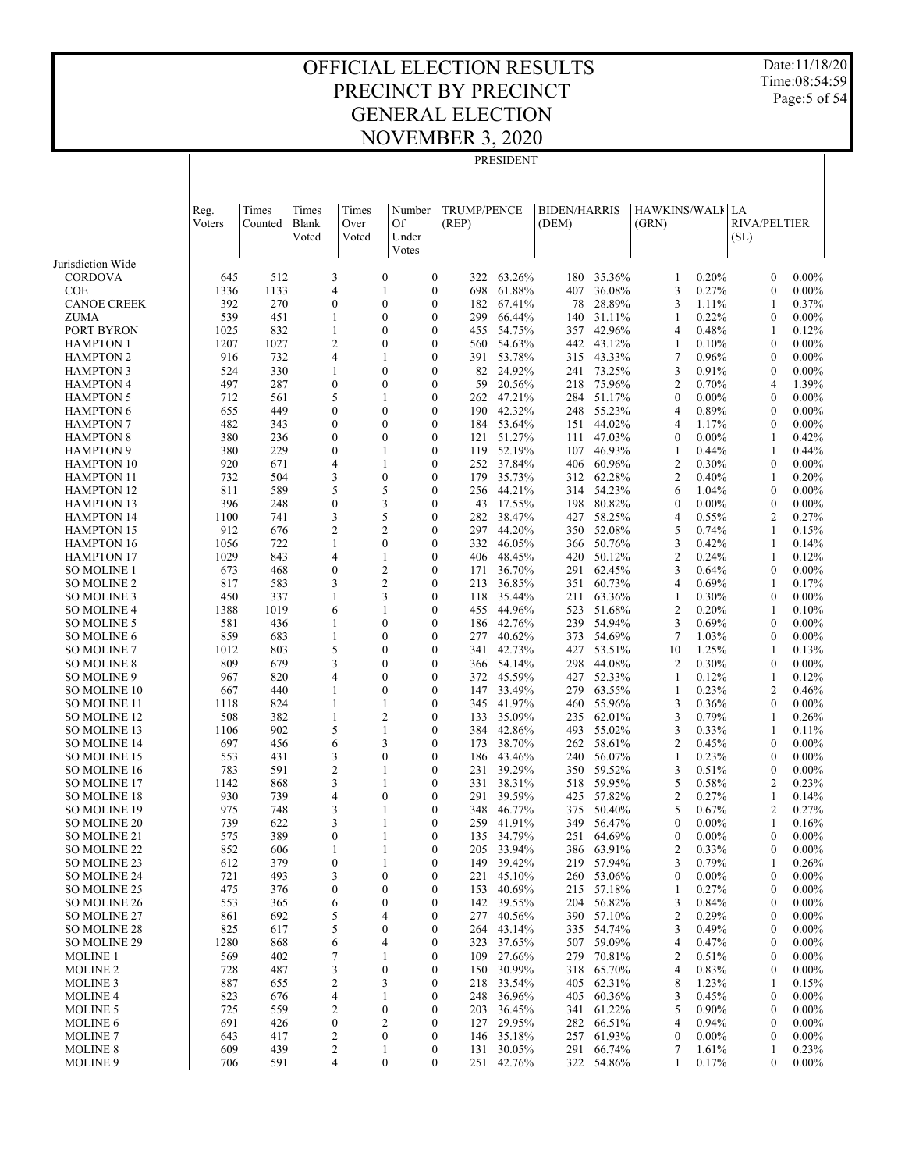Date:11/18/20 Time:08:54:59 Page:5 of 54

|                                        |                |                  |                                    |                        |                                |                                                    | PRESIDENT            |                              |                          |                          |                |                                      |                      |
|----------------------------------------|----------------|------------------|------------------------------------|------------------------|--------------------------------|----------------------------------------------------|----------------------|------------------------------|--------------------------|--------------------------|----------------|--------------------------------------|----------------------|
|                                        | Reg.<br>Voters | Times<br>Counted | Times<br>Blank<br>Voted            | Times<br>Over<br>Voted | Number<br>Of<br>Under<br>Votes | <b>TRUMP/PENCE</b><br>(REP)                        |                      | <b>BIDEN/HARRIS</b><br>(DEM) |                          | HAWKINS/WALI LA<br>(GRN) |                | <b>RIVA/PELTIER</b><br>(SL)          |                      |
| Jurisdiction Wide                      |                |                  |                                    |                        |                                |                                                    |                      |                              |                          |                          |                |                                      |                      |
| <b>CORDOVA</b>                         | 645            | 512              | 3                                  |                        | $\mathbf{0}$                   | $\boldsymbol{0}$<br>322                            | 63.26%               |                              | 180 35.36%               | 1                        | 0.20%          | $\boldsymbol{0}$                     | $0.00\%$             |
| <b>COE</b>                             | 1336           | 1133             | 4                                  |                        | 1                              | $\boldsymbol{0}$<br>698                            | 61.88%               | 407                          | 36.08%                   | 3                        | 0.27%          | $\boldsymbol{0}$                     | $0.00\%$             |
| <b>CANOE CREEK</b><br><b>ZUMA</b>      | 392<br>539     | 270<br>451       | $\overline{0}$<br>1                |                        | $\theta$<br>$\theta$           | $\mathbf{0}$<br>182<br>$\mathbf{0}$<br>299         | 67.41%<br>66.44%     | 78<br>140                    | 28.89%<br>31.11%         | 3<br>1                   | 1.11%<br>0.22% | 1<br>$\boldsymbol{0}$                | 0.37%<br>$0.00\%$    |
| PORT BYRON                             | 1025           | 832              | 1                                  |                        | $\theta$                       | $\mathbf{0}$<br>455                                | 54.75%               | 357                          | 42.96%                   | 4                        | 0.48%          | 1                                    | 0.12%                |
| <b>HAMPTON 1</b>                       | 1207           | 1027             | $\overline{c}$                     |                        | $\theta$                       | $\mathbf{0}$<br>560                                | 54.63%               | 442                          | 43.12%                   | 1                        | 0.10%          | $\boldsymbol{0}$                     | $0.00\%$             |
| <b>HAMPTON 2</b>                       | 916            | 732              | 4                                  |                        | 1                              | $\mathbf{0}$<br>391                                | 53.78%               | 315                          | 43.33%                   | 7                        | 0.96%          | $\mathbf{0}$                         | $0.00\%$             |
| <b>HAMPTON 3</b>                       | 524            | 330              | 1                                  |                        | $\theta$                       | $\mathbf{0}$<br>82                                 | 24.92%               | 241                          | 73.25%                   | 3                        | 0.91%          | $\boldsymbol{0}$                     | $0.00\%$             |
| <b>HAMPTON 4</b>                       | 497            | 287              | $\boldsymbol{0}$                   |                        | $\theta$                       | $\mathbf{0}$<br>59                                 | 20.56%               |                              | 218 75.96%               | $\overline{c}$           | 0.70%          | 4                                    | 1.39%                |
| <b>HAMPTON 5</b>                       | 712            | 561              | 5                                  |                        | $\mathbf{1}$                   | $\mathbf{0}$<br>262                                | 47.21%               | 284                          | 51.17%                   | $\boldsymbol{0}$         | $0.00\%$       | $\boldsymbol{0}$                     | $0.00\%$             |
| <b>HAMPTON 6</b><br><b>HAMPTON 7</b>   | 655<br>482     | 449<br>343       | $\overline{0}$<br>$\boldsymbol{0}$ |                        | $\theta$<br>$\theta$           | $\mathbf{0}$<br>190<br>$\mathbf{0}$<br>184         | 42.32%<br>53.64%     | 151                          | 248 55.23%<br>44.02%     | 4<br>4                   | 0.89%<br>1.17% | $\mathbf{0}$<br>$\boldsymbol{0}$     | $0.00\%$<br>$0.00\%$ |
| <b>HAMPTON 8</b>                       | 380            | 236              | $\overline{0}$                     |                        | $\theta$                       | $\mathbf{0}$<br>121                                | 51.27%               |                              | 111 47.03%               | $\mathbf{0}$             | $0.00\%$       | 1                                    | 0.42%                |
| <b>HAMPTON 9</b>                       | 380            | 229              | $\boldsymbol{0}$                   |                        | 1                              | $\mathbf{0}$<br>119                                | 52.19%               | 107                          | 46.93%                   | 1                        | 0.44%          | 1                                    | 0.44%                |
| <b>HAMPTON 10</b>                      | 920            | 671              | 4                                  |                        | 1                              | $\mathbf{0}$<br>252                                | 37.84%               | 406                          | 60.96%                   | $\overline{c}$           | 0.30%          | $\mathbf{0}$                         | $0.00\%$             |
| <b>HAMPTON 11</b>                      | 732            | 504              | 3                                  |                        | $\mathbf{0}$                   | $\mathbf{0}$<br>179                                | 35.73%               |                              | 312 62.28%               | $\mathfrak{2}$           | 0.40%          | 1                                    | 0.20%                |
| <b>HAMPTON 12</b>                      | 811            | 589              | 5                                  |                        | 5                              | $\mathbf{0}$<br>256                                | 44.21%               |                              | 314 54.23%               | 6                        | 1.04%          | $\mathbf{0}$                         | $0.00\%$             |
| <b>HAMPTON 13</b>                      | 396            | 248              | $\boldsymbol{0}$                   |                        | 3                              | $\mathbf{0}$<br>43                                 | 17.55%               | 198                          | 80.82%                   | $\boldsymbol{0}$         | $0.00\%$       | $\boldsymbol{0}$                     | $0.00\%$             |
| <b>HAMPTON 14</b><br><b>HAMPTON 15</b> | 1100<br>912    | 741<br>676       | 3<br>$\overline{c}$                |                        | 5<br>$\overline{c}$            | $\mathbf{0}$<br>282<br>$\mathbf{0}$<br>297         | 38.47%<br>44.20%     | 427<br>350                   | 58.25%<br>52.08%         | 4<br>5                   | 0.55%<br>0.74% | $\mathfrak{2}$<br>1                  | 0.27%<br>0.15%       |
| <b>HAMPTON 16</b>                      | 1056           | 722              | 1                                  |                        | $\theta$                       | $\mathbf{0}$<br>332                                | 46.05%               |                              | 366 50.76%               | 3                        | 0.42%          | 1                                    | 0.14%                |
| <b>HAMPTON 17</b>                      | 1029           | 843              | 4                                  |                        | 1                              | $\mathbf{0}$<br>406                                | 48.45%               | 420                          | 50.12%                   | $\overline{c}$           | 0.24%          | 1                                    | 0.12%                |
| <b>SO MOLINE 1</b>                     | 673            | 468              | $\boldsymbol{0}$                   |                        | $\overline{c}$                 | $\mathbf{0}$<br>171                                | 36.70%               | 291                          | 62.45%                   | 3                        | 0.64%          | $\mathbf{0}$                         | $0.00\%$             |
| <b>SO MOLINE 2</b>                     | 817            | 583              | 3                                  |                        | $\overline{c}$                 | $\mathbf{0}$<br>213                                | 36.85%               | 351                          | 60.73%                   | 4                        | 0.69%          | 1                                    | 0.17%                |
| SO MOLINE 3                            | 450            | 337              | 1                                  |                        | 3                              | $\mathbf{0}$<br>118                                | 35.44%               | 211                          | 63.36%                   | 1                        | 0.30%          | $\mathbf{0}$                         | $0.00\%$             |
| <b>SO MOLINE 4</b>                     | 1388           | 1019             | 6                                  |                        | $\theta$                       | $\mathbf{0}$<br>455<br>$\mathbf{0}$                | 44.96%<br>42.76%     | 523                          | 51.68%<br>239 54.94%     | $\overline{c}$<br>3      | 0.20%<br>0.69% | 1<br>$\mathbf{0}$                    | 0.10%<br>$0.00\%$    |
| SO MOLINE 5<br>SO MOLINE 6             | 581<br>859     | 436<br>683       | 1<br>1                             |                        | $\theta$                       | 186<br>$\mathbf{0}$<br>277                         | 40.62%               | 373                          | 54.69%                   | $\overline{7}$           | 1.03%          | $\boldsymbol{0}$                     | $0.00\%$             |
| <b>SO MOLINE 7</b>                     | 1012           | 803              | 5                                  |                        | $\theta$                       | $\mathbf{0}$<br>341                                | 42.73%               | 427                          | 53.51%                   | 10                       | 1.25%          | 1                                    | 0.13%                |
| <b>SO MOLINE 8</b>                     | 809            | 679              | 3                                  |                        | $\theta$                       | $\mathbf{0}$<br>366                                | 54.14%               | 298                          | 44.08%                   | $\overline{c}$           | 0.30%          | $\boldsymbol{0}$                     | $0.00\%$             |
| SO MOLINE 9                            | 967            | 820              | 4                                  |                        | $\theta$                       | $\mathbf{0}$<br>372                                | 45.59%               | 427                          | 52.33%                   | 1                        | 0.12%          | 1                                    | 0.12%                |
| SO MOLINE 10                           | 667            | 440              | 1                                  |                        | $\theta$                       | $\mathbf{0}$<br>147                                | 33.49%               | 279                          | 63.55%                   | 1                        | 0.23%          | $\mathfrak{2}$                       | 0.46%                |
| SO MOLINE 11                           | 1118           | 824              | 1                                  |                        |                                | $\mathbf{0}$<br>345                                | 41.97%               |                              | 460 55.96%               | 3                        | 0.36%          | $\mathbf{0}$                         | $0.00\%$             |
| SO MOLINE 12<br>SO MOLINE 13           | 508<br>1106    | 382<br>902       | $\mathbf{1}$<br>5                  |                        | $\overline{c}$<br>1            | $\mathbf{0}$<br>133<br>$\mathbf{0}$<br>384         | 35.09%<br>42.86%     | 235<br>493                   | 62.01%<br>55.02%         | 3<br>3                   | 0.79%<br>0.33% | 1<br>1                               | 0.26%<br>0.11%       |
| <b>SO MOLINE 14</b>                    | 697            | 456              | 6                                  |                        | 3                              | $\mathbf{0}$<br>173                                | 38.70%               |                              | 262 58.61%               | $\mathfrak{2}$           | 0.45%          | $\boldsymbol{0}$                     | $0.00\%$             |
| SO MOLINE 15                           | 553            | 431              | 3                                  |                        | $\theta$                       | $\mathbf{0}$<br>186                                | 43.46%               |                              | 240 56.07%               | 1                        | 0.23%          | $\mathbf{0}$                         | $0.00\%$             |
| SO MOLINE 16                           | 783            | 591              | $\overline{c}$                     |                        | 1                              | $\mathbf{0}$<br>231                                | 39.29%               |                              | 350 59.52%               | 3                        | 0.51%          | $\boldsymbol{0}$                     | $0.00\%$             |
| SO MOLINE 17                           | 1142           | 868              | 3                                  |                        |                                | $\mathbf{0}$<br>331                                | 38.31%               |                              | 518 59.95%               | 5                        | 0.58%          | $\overline{2}$                       | 0.23%                |
| <b>SO MOLINE 18</b>                    | 930<br>975     | 739<br>748       | 4<br>3                             |                        | $\theta$                       | $\mathbf{0}$<br>291<br>$\theta$                    | 39.59%<br>348 46.77% |                              | 425 57.82%<br>375 50.40% | $\overline{c}$<br>5      | 0.27%<br>0.67% | 1<br>$\mathfrak{2}$                  | 0.14%<br>0.27%       |
| <b>SO MOLINE 19</b><br>SO MOLINE 20    | 739            | 622              | 3                                  |                        |                                | $\boldsymbol{0}$<br>259                            | 41.91%               | 349                          | 56.47%                   | 0                        | $0.00\%$       | 1                                    | 0.16%                |
| SO MOLINE 21                           | 575            | 389              | $\boldsymbol{0}$                   |                        | 1                              | $\boldsymbol{0}$<br>135                            | 34.79%               | 251                          | 64.69%                   | $\boldsymbol{0}$         | $0.00\%$       | $\boldsymbol{0}$                     | $0.00\%$             |
| SO MOLINE 22                           | 852            | 606              | 1                                  |                        | 1                              | $\boldsymbol{0}$<br>205                            | 33.94%               | 386                          | 63.91%                   | $\overline{c}$           | 0.33%          | $\boldsymbol{0}$                     | $0.00\%$             |
| SO MOLINE 23                           | 612            | 379              | $\boldsymbol{0}$                   |                        | 1                              | $\boldsymbol{0}$<br>149                            | 39.42%               |                              | 219 57.94%               | 3                        | 0.79%          | 1                                    | 0.26%                |
| SO MOLINE 24                           | 721            | 493              | 3                                  |                        | $\boldsymbol{0}$               | $\boldsymbol{0}$<br>221                            | 45.10%               | 260                          | 53.06%                   | $\boldsymbol{0}$         | $0.00\%$       | $\boldsymbol{0}$                     | $0.00\%$             |
| SO MOLINE 25                           | 475            | 376              | 0                                  |                        | $\theta$<br>$\mathbf{0}$       | $\boldsymbol{0}$<br>153                            | 40.69%<br>39.55%     |                              | 215 57.18%<br>56.82%     | 1                        | 0.27%          | $\boldsymbol{0}$<br>$\boldsymbol{0}$ | $0.00\%$             |
| SO MOLINE 26<br>SO MOLINE 27           | 553<br>861     | 365<br>692       | 6<br>5                             |                        | 4                              | $\boldsymbol{0}$<br>142<br>$\boldsymbol{0}$<br>277 | 40.56%               | 204                          | 390 57.10%               | 3<br>$\overline{c}$      | 0.84%<br>0.29% | 0                                    | $0.00\%$<br>$0.00\%$ |
| SO MOLINE 28                           | 825            | 617              | 5                                  |                        | $\mathbf{0}$                   | $\boldsymbol{0}$<br>264                            | 43.14%               | 335                          | 54.74%                   | 3                        | 0.49%          | $\boldsymbol{0}$                     | $0.00\%$             |
| SO MOLINE 29                           | 1280           | 868              | 6                                  |                        | 4                              | $\boldsymbol{0}$<br>323                            | 37.65%               |                              | 507 59.09%               | 4                        | 0.47%          | 0                                    | $0.00\%$             |
| <b>MOLINE 1</b>                        | 569            | 402              | 7                                  |                        | 1                              | $\boldsymbol{0}$<br>109                            | 27.66%               | 279                          | 70.81%                   | $\overline{c}$           | 0.51%          | $\boldsymbol{0}$                     | $0.00\%$             |
| <b>MOLINE 2</b>                        | 728            | 487              | 3                                  |                        | $\mathbf{0}$                   | $\boldsymbol{0}$<br>150                            | 30.99%               | 318                          | 65.70%                   | 4                        | 0.83%          | $\boldsymbol{0}$                     | $0.00\%$             |
| <b>MOLINE 3</b>                        | 887            | 655              | 2                                  |                        | 3                              | $\boldsymbol{0}$<br>218                            | 33.54%               | 405                          | 62.31%                   | 8                        | 1.23%          | 1                                    | 0.15%                |
| <b>MOLINE 4</b>                        | 823<br>725     | 676<br>559       | 4<br>2                             |                        | 1<br>$\boldsymbol{0}$          | $\boldsymbol{0}$<br>248<br>$\boldsymbol{0}$<br>203 | 36.96%<br>36.45%     | 405                          | 60.36%<br>61.22%         | 3<br>5                   | 0.45%<br>0.90% | $\boldsymbol{0}$<br>$\boldsymbol{0}$ | $0.00\%$<br>$0.00\%$ |
| <b>MOLINE 5</b><br><b>MOLINE 6</b>     | 691            | 426              | $\boldsymbol{0}$                   |                        | 2                              | $\boldsymbol{0}$<br>127                            | 29.95%               | 341                          | 282 66.51%               | 4                        | 0.94%          | 0                                    | $0.00\%$             |
| <b>MOLINE 7</b>                        | 643            | 417              | 2                                  |                        | $\boldsymbol{0}$               | $\boldsymbol{0}$<br>146                            | 35.18%               | 257                          | 61.93%                   | $\boldsymbol{0}$         | $0.00\%$       | $\boldsymbol{0}$                     | $0.00\%$             |
| <b>MOLINE 8</b>                        | 609            | 439              | 2                                  |                        | 1                              | $\boldsymbol{0}$                                   | 131 30.05%           |                              | 291 66.74%               | 7                        | 1.61%          | 1                                    | 0.23%                |
| MOLINE 9                               | 706            | 591              | 4                                  |                        | $\boldsymbol{0}$               | $\boldsymbol{0}$<br>251                            | 42.76%               |                              | 322 54.86%               | 1                        | 0.17%          | $\boldsymbol{0}$                     | $0.00\%$             |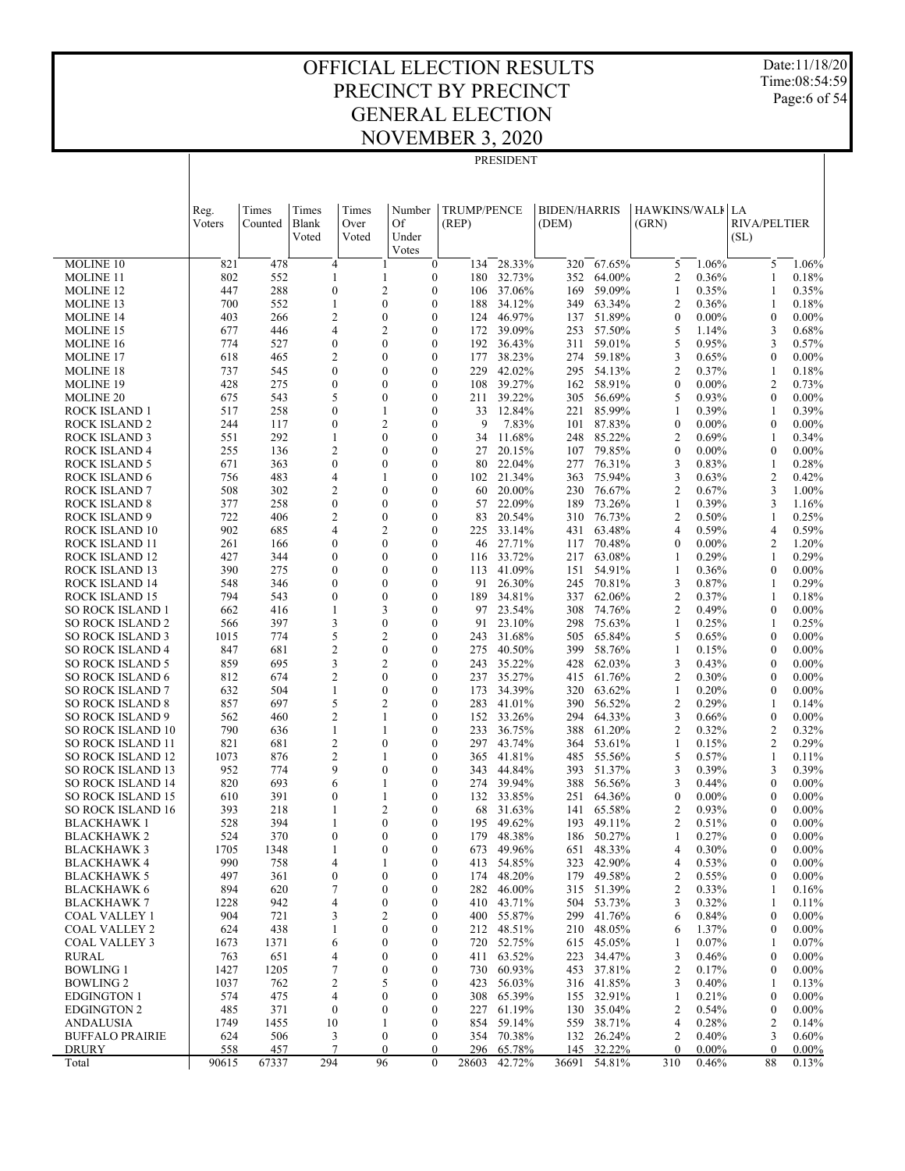PRESIDENT

Date:11/18/20 Time:08:54:59 Page:6 of 54

|                                                      | Reg.        | Times      | Times                            | Times | Number                                                       | <b>TRUMP/PENCE</b> |                  | <b>BIDEN/HARRIS</b> |                  | HAWKINS/WALI                       |                   | LA                             |                   |
|------------------------------------------------------|-------------|------------|----------------------------------|-------|--------------------------------------------------------------|--------------------|------------------|---------------------|------------------|------------------------------------|-------------------|--------------------------------|-------------------|
|                                                      | Voters      | Counted    | Blank                            | Over  | Of                                                           | (REP)              |                  | (DEM)               |                  | (GRN)                              |                   | <b>RIVA/PELTIER</b>            |                   |
|                                                      |             |            | Voted                            | Voted | Under                                                        |                    |                  |                     |                  |                                    |                   | (SL)                           |                   |
| MOLINE 10                                            | 821         | 478        | $\overline{4}$                   |       | Votes<br>$\mathbf{0}$<br>1                                   | 134                | 28.33%           | 320                 | 67.65%           | 5                                  | 1.06%             | 5                              | 1.06%             |
| <b>MOLINE 11</b>                                     | 802         | 552        | 1                                |       | $\boldsymbol{0}$<br>1                                        | 180                | 32.73%           | 352                 | 64.00%           | $\overline{c}$                     | 0.36%             | 1                              | 0.18%             |
| <b>MOLINE 12</b>                                     | 447         | 288        | $\boldsymbol{0}$                 |       | 2<br>$\mathbf{0}$                                            | 106                | 37.06%           | 169                 | 59.09%           | 1                                  | 0.35%             | 1                              | 0.35%             |
| <b>MOLINE 13</b>                                     | 700         | 552        | 1                                |       | $\mathbf{0}$<br>$\mathbf{0}$                                 | 188                | 34.12%           | 349                 | 63.34%           | $\overline{c}$                     | 0.36%             | 1                              | 0.18%             |
| <b>MOLINE 14</b>                                     | 403         | 266        | 2                                |       | $\mathbf{0}$<br>$\mathbf{0}$                                 | 124                | 46.97%           | 137                 | 51.89%           | $\mathbf{0}$                       | $0.00\%$          | $\mathbf{0}$                   | $0.00\%$          |
| <b>MOLINE 15</b>                                     | 677         | 446        | $\overline{4}$                   |       | $\mathfrak{2}$<br>$\mathbf{0}$                               | 172                | 39.09%           | 253                 | 57.50%           | 5                                  | 1.14%             | 3                              | 0.68%             |
| <b>MOLINE 16</b>                                     | 774         | 527        | $\boldsymbol{0}$                 |       | $\mathbf{0}$<br>$\mathbf{0}$                                 | 192                | 36.43%           | 311                 | 59.01%           | 5                                  | 0.95%             | 3                              | 0.57%             |
| <b>MOLINE 17</b>                                     | 618         | 465        | $\mathfrak{2}$<br>$\mathbf{0}$   |       | $\mathbf{0}$<br>$\boldsymbol{0}$<br>$\mathbf{0}$             | 177<br>229         | 38.23%           | 274                 | 59.18%           | 3                                  | 0.65%             | $\mathbf{0}$                   | $0.00\%$          |
| <b>MOLINE 18</b><br><b>MOLINE 19</b>                 | 737<br>428  | 545<br>275 | $\boldsymbol{0}$                 |       | $\mathbf{0}$<br>$\mathbf{0}$<br>$\mathbf{0}$                 | 108                | 42.02%<br>39.27% | 295<br>162          | 54.13%<br>58.91% | $\overline{c}$<br>$\boldsymbol{0}$ | 0.37%<br>$0.00\%$ | 1<br>$\overline{c}$            | 0.18%<br>0.73%    |
| <b>MOLINE 20</b>                                     | 675         | 543        | 5                                |       | $\mathbf{0}$<br>$\mathbf{0}$                                 | 211                | 39.22%           | 305                 | 56.69%           | 5                                  | 0.93%             | $\mathbf{0}$                   | $0.00\%$          |
| ROCK ISLAND 1                                        | 517         | 258        | $\mathbf{0}$                     |       | $\mathbf{0}$<br>1                                            | 33                 | 12.84%           | 221                 | 85.99%           | 1                                  | 0.39%             | 1                              | 0.39%             |
| <b>ROCK ISLAND 2</b>                                 | 244         | 117        | $\mathbf{0}$                     |       | 2<br>$\mathbf{0}$                                            | 9                  | 7.83%            | 101                 | 87.83%           | $\boldsymbol{0}$                   | $0.00\%$          | $\mathbf{0}$                   | $0.00\%$          |
| <b>ROCK ISLAND 3</b>                                 | 551         | 292        | 1                                |       | $\mathbf{0}$<br>$\mathbf{0}$                                 | 34                 | 11.68%           | 248                 | 85.22%           | $\overline{c}$                     | 0.69%             | 1                              | 0.34%             |
| <b>ROCK ISLAND 4</b>                                 | 255         | 136        | $\mathfrak{2}$                   |       | $\mathbf{0}$<br>$\mathbf{0}$                                 | 27                 | 20.15%           | 107                 | 79.85%           | $\mathbf{0}$                       | $0.00\%$          | $\mathbf{0}$                   | $0.00\%$          |
| <b>ROCK ISLAND 5</b>                                 | 671         | 363        | $\boldsymbol{0}$                 |       | $\mathbf{0}$<br>$\mathbf{0}$                                 | 80                 | 22.04%           | 277                 | 76.31%           | 3                                  | 0.83%             | 1                              | 0.28%             |
| <b>ROCK ISLAND 6</b>                                 | 756         | 483        | $\overline{4}$                   |       | $\mathbf{0}$<br>1                                            | 102                | 21.34%           | 363                 | 75.94%           | 3                                  | 0.63%             | $\overline{c}$                 | 0.42%             |
| <b>ROCK ISLAND 7</b>                                 | 508         | 302        | $\overline{c}$                   |       | $\mathbf{0}$<br>$\mathbf{0}$                                 | 60                 | 20.00%           | 230                 | 76.67%           | $\overline{c}$                     | 0.67%             | 3                              | 1.00%             |
| <b>ROCK ISLAND 8</b>                                 | 377         | 258        | $\boldsymbol{0}$                 |       | $\mathbf{0}$<br>$\mathbf{0}$                                 | 57                 | 22.09%           | 189                 | 73.26%           | 1                                  | 0.39%             | 3                              | 1.16%             |
| <b>ROCK ISLAND 9</b>                                 | 722         | 406        | $\overline{c}$                   |       | $\mathbf{0}$<br>$\mathbf{0}$                                 | 83                 | 20.54%           | 310                 | 76.73%           | $\overline{c}$                     | 0.50%             | 1                              | 0.25%             |
| ROCK ISLAND 10                                       | 902         | 685        | $\overline{4}$                   |       | $\mathfrak{2}$<br>$\mathbf{0}$                               | 225                | 33.14%           | 431                 | 63.48%           | $\overline{4}$                     | 0.59%             | 4                              | 0.59%             |
| ROCK ISLAND 11                                       | 261         | 166        | $\boldsymbol{0}$<br>$\mathbf{0}$ |       | $\mathbf{0}$<br>$\mathbf{0}$                                 | 46                 | 27.71%           | 117                 | 70.48%           | $\boldsymbol{0}$                   | $0.00\%$          | $\overline{2}$                 | 1.20%<br>0.29%    |
| ROCK ISLAND 12<br>ROCK ISLAND 13                     | 427<br>390  | 344<br>275 | $\mathbf{0}$                     |       | $\mathbf{0}$<br>$\mathbf{0}$<br>$\mathbf{0}$<br>$\mathbf{0}$ | 116<br>113         | 33.72%<br>41.09% | 217<br>151          | 63.08%<br>54.91% | 1<br>1                             | 0.29%<br>0.36%    | 1<br>$\mathbf{0}$              | $0.00\%$          |
| ROCK ISLAND 14                                       | 548         | 346        | $\mathbf{0}$                     |       | $\mathbf{0}$<br>$\mathbf{0}$                                 | 91                 | 26.30%           | 245                 | 70.81%           | 3                                  | 0.87%             | 1                              | 0.29%             |
| <b>ROCK ISLAND 15</b>                                | 794         | 543        | $\boldsymbol{0}$                 |       | $\mathbf{0}$<br>$\mathbf{0}$                                 | 189                | 34.81%           | 337                 | 62.06%           | $\overline{c}$                     | 0.37%             | 1                              | 0.18%             |
| <b>SO ROCK ISLAND 1</b>                              | 662         | 416        | 1                                |       | 3<br>$\mathbf{0}$                                            | 97                 | 23.54%           | 308                 | 74.76%           | $\overline{2}$                     | 0.49%             | $\mathbf{0}$                   | $0.00\%$          |
| <b>SO ROCK ISLAND 2</b>                              | 566         | 397        | 3                                |       | $\boldsymbol{0}$<br>$\mathbf{0}$                             | 91                 | 23.10%           | 298                 | 75.63%           | $\mathbf{1}$                       | 0.25%             | 1                              | 0.25%             |
| <b>SO ROCK ISLAND 3</b>                              | 1015        | 774        | 5                                |       | $\overline{c}$<br>$\mathbf{0}$                               | 243                | 31.68%           | 505                 | 65.84%           | 5                                  | 0.65%             | $\mathbf{0}$                   | $0.00\%$          |
| <b>SO ROCK ISLAND 4</b>                              | 847         | 681        | $\mathfrak{2}$                   |       | $\boldsymbol{0}$<br>$\mathbf{0}$                             | 275                | 40.50%           | 399                 | 58.76%           | 1                                  | 0.15%             | $\mathbf{0}$                   | $0.00\%$          |
| <b>SO ROCK ISLAND 5</b>                              | 859         | 695        | 3                                |       | 2<br>$\mathbf{0}$                                            | 243                | 35.22%           | 428                 | 62.03%           | 3                                  | 0.43%             | $\mathbf{0}$                   | $0.00\%$          |
| <b>SO ROCK ISLAND 6</b>                              | 812         | 674        | $\overline{c}$                   |       | $\mathbf{0}$<br>$\mathbf{0}$                                 | 237                | 35.27%           | 415                 | 61.76%           | $\overline{c}$                     | 0.30%             | $\mathbf{0}$                   | $0.00\%$          |
| <b>SO ROCK ISLAND 7</b>                              | 632         | 504        | 1                                |       | $\boldsymbol{0}$<br>$\mathbf{0}$                             | 173                | 34.39%           | 320                 | 63.62%           | 1                                  | 0.20%             | $\mathbf{0}$                   | $0.00\%$          |
| <b>SO ROCK ISLAND 8</b>                              | 857         | 697        | 5                                |       | $\overline{2}$<br>$\mathbf{0}$                               | 283                | 41.01%           | 390                 | 56.52%           | $\overline{c}$                     | 0.29%             | 1                              | 0.14%             |
| <b>SO ROCK ISLAND 9</b>                              | 562<br>790  | 460        | $\overline{\mathbf{c}}$          |       | $\mathbf{0}$<br>1<br>$\boldsymbol{0}$<br>1                   | 152                | 33.26%<br>36.75% | 294                 | 64.33%<br>61.20% | 3<br>$\overline{c}$                | 0.66%<br>0.32%    | $\mathbf{0}$<br>$\overline{2}$ | $0.00\%$<br>0.32% |
| <b>SO ROCK ISLAND 10</b><br><b>SO ROCK ISLAND 11</b> | 821         | 636<br>681 | 1<br>$\overline{c}$              |       | $\boldsymbol{0}$<br>$\mathbf{0}$                             | 233<br>297         | 43.74%           | 388<br>364          | 53.61%           | 1                                  | 0.15%             | $\overline{c}$                 | 0.29%             |
| <b>SO ROCK ISLAND 12</b>                             | 1073        | 876        | $\mathfrak{2}$                   |       | 1<br>$\bf{0}$                                                | 365                | 41.81%           | 485                 | 55.56%           | 5                                  | 0.57%             | 1                              | 0.11%             |
| <b>SO ROCK ISLAND 13</b>                             | 952         | 774        | 9                                |       | $\mathbf{0}$<br>$\mathbf{0}$                                 | 343                | 44.84%           | 393                 | 51.37%           | 3                                  | 0.39%             | 3                              | 0.39%             |
| <b>SO ROCK ISLAND 14</b>                             | 820         | 693        | 6                                |       | 1<br>$\mathbf{0}$                                            | 274                | 39.94%           | 388                 | 56.56%           | 3                                  | 0.44%             | $\boldsymbol{0}$               | $0.00\%$          |
| <b>SO ROCK ISLAND 15</b>                             | 610         | 391        | $\mathbf{0}$                     |       | 1<br>$\mathbf{0}$                                            | 132                | 33.85%           | 251                 | 64.36%           | $\mathbf{0}$                       | $0.00\%$          | $\mathbf{0}$                   | $0.00\%$          |
| <b>SO ROCK ISLAND 16</b>                             | 393         | 218        | 1                                |       | $\overline{c}$<br>$\mathbf{0}$                               | 68                 | 31.63%           | 141                 | 65.58%           | $\overline{c}$                     | 0.93%             | $\mathbf{0}$                   | $0.00\%$          |
| <b>BLACKHAWK1</b>                                    | 528         | 394        | 1                                |       | $\mathbf{0}$<br>$\mathbf{0}$                                 | 195                | 49.62%           | 193                 | 49.11%           | $\overline{2}$                     | 0.51%             | $\overline{0}$                 | $0.00\%$          |
| <b>BLACKHAWK2</b>                                    | 524         | 370        | $\mathbf{0}$                     |       | $\theta$<br>$\theta$                                         | 179                | 48.38%           | 186                 | 50.27%           | 1                                  | 0.27%             | $\overline{0}$                 | $0.00\%$          |
| <b>BLACKHAWK3</b>                                    | 1705        | 1348       | 1                                |       | $\boldsymbol{0}$<br>$\bf{0}$                                 |                    | 673 49.96%       | 651                 | 48.33%           | 4                                  | 0.30%             | $\boldsymbol{0}$               | $0.00\%$          |
| <b>BLACKHAWK4</b>                                    | 990         | 758        | 4                                |       | $\mathbf{0}$<br>1                                            | 413                | 54.85%           | 323                 | 42.90%           | 4                                  | 0.53%             | $\boldsymbol{0}$               | $0.00\%$          |
| <b>BLACKHAWK 5</b>                                   | 497         | 361        | $\boldsymbol{0}$                 |       | $\boldsymbol{0}$<br>$\mathbf{0}$                             | 174                | 48.20%           | 179                 | 49.58%           | 2                                  | 0.55%             | 0                              | $0.00\%$          |
| <b>BLACKHAWK 6</b><br><b>BLACKHAWK 7</b>             | 894<br>1228 | 620<br>942 | 7<br>4                           |       | $\boldsymbol{0}$<br>$\mathbf{0}$<br>$\mathbf{0}$             | 282<br>410         | 46.00%           | 315<br>504          | 51.39%           | $\overline{c}$<br>3                | 0.33%<br>0.32%    | 1                              | 0.16%<br>0.11%    |
| <b>COAL VALLEY 1</b>                                 | 904         | 721        | 3                                |       | $\boldsymbol{0}$<br>2<br>$\mathbf{0}$                        | 400                | 43.71%<br>55.87% | 299                 | 53.73%<br>41.76% | 6                                  | 0.84%             | 1<br>$\boldsymbol{0}$          | $0.00\%$          |
| <b>COAL VALLEY 2</b>                                 | 624         | 438        | 1                                |       | $\boldsymbol{0}$<br>$\mathbf{0}$                             | 212                | 48.51%           | 210                 | 48.05%           | 6                                  | 1.37%             | $\boldsymbol{0}$               | $0.00\%$          |
| <b>COAL VALLEY 3</b>                                 | 1673        | 1371       | 6                                |       | $\boldsymbol{0}$<br>$\mathbf{0}$                             | 720                | 52.75%           | 615                 | 45.05%           | 1                                  | 0.07%             | 1                              | 0.07%             |
| <b>RURAL</b>                                         | 763         | 651        | 4                                |       | $\boldsymbol{0}$<br>$\mathbf{0}$                             | 411                | 63.52%           | 223                 | 34.47%           | 3                                  | 0.46%             | $\boldsymbol{0}$               | $0.00\%$          |
| <b>BOWLING 1</b>                                     | 1427        | 1205       | 7                                |       | $\boldsymbol{0}$<br>$\mathbf{0}$                             | 730                | 60.93%           | 453                 | 37.81%           | $\overline{c}$                     | 0.17%             | $\mathbf{0}$                   | $0.00\%$          |
| <b>BOWLING 2</b>                                     | 1037        | 762        | 2                                |       | 5<br>$\mathbf{0}$                                            | 423                | 56.03%           | 316                 | 41.85%           | 3                                  | 0.40%             | 1                              | 0.13%             |
| <b>EDGINGTON 1</b>                                   | 574         | 475        | 4                                |       | $\boldsymbol{0}$<br>$\mathbf{0}$                             | 308                | 65.39%           | 155                 | 32.91%           | 1                                  | 0.21%             | $\boldsymbol{0}$               | $0.00\%$          |
| <b>EDGINGTON 2</b>                                   | 485         | 371        | $\boldsymbol{0}$                 |       | $\boldsymbol{0}$<br>$\mathbf{0}$                             | 227                | 61.19%           | 130                 | 35.04%           | $\overline{c}$                     | 0.54%             | $\boldsymbol{0}$               | $0.00\%$          |
| ANDALUSIA                                            | 1749        | 1455       | 10                               |       | $\mathbf{0}$<br>1                                            | 854                | 59.14%           | 559                 | 38.71%           | 4                                  | 0.28%             | 2                              | 0.14%             |
| <b>BUFFALO PRAIRIE</b>                               | 624         | 506        | 3                                |       | $\boldsymbol{0}$<br>$\bf{0}$                                 | 354                | 70.38%           |                     | 132 26.24%       | $\overline{c}$                     | 0.40%             | 3                              | 0.60%             |
| <b>DRURY</b>                                         | 558         | 457        | 7<br>294                         | 96    | $\bf{0}$<br>0<br>$\mathbf{0}$                                | 296                | 65.78%           | 145                 | 32.22%           | $\boldsymbol{0}$                   | $0.00\%$          | $\mathbf{0}$                   | $0.00\%$<br>0.13% |
| Total                                                | 90615       | 67337      |                                  |       |                                                              | 28603              | 42.72%           | 36691               | 54.81%           | 310                                | 0.46%             | 88                             |                   |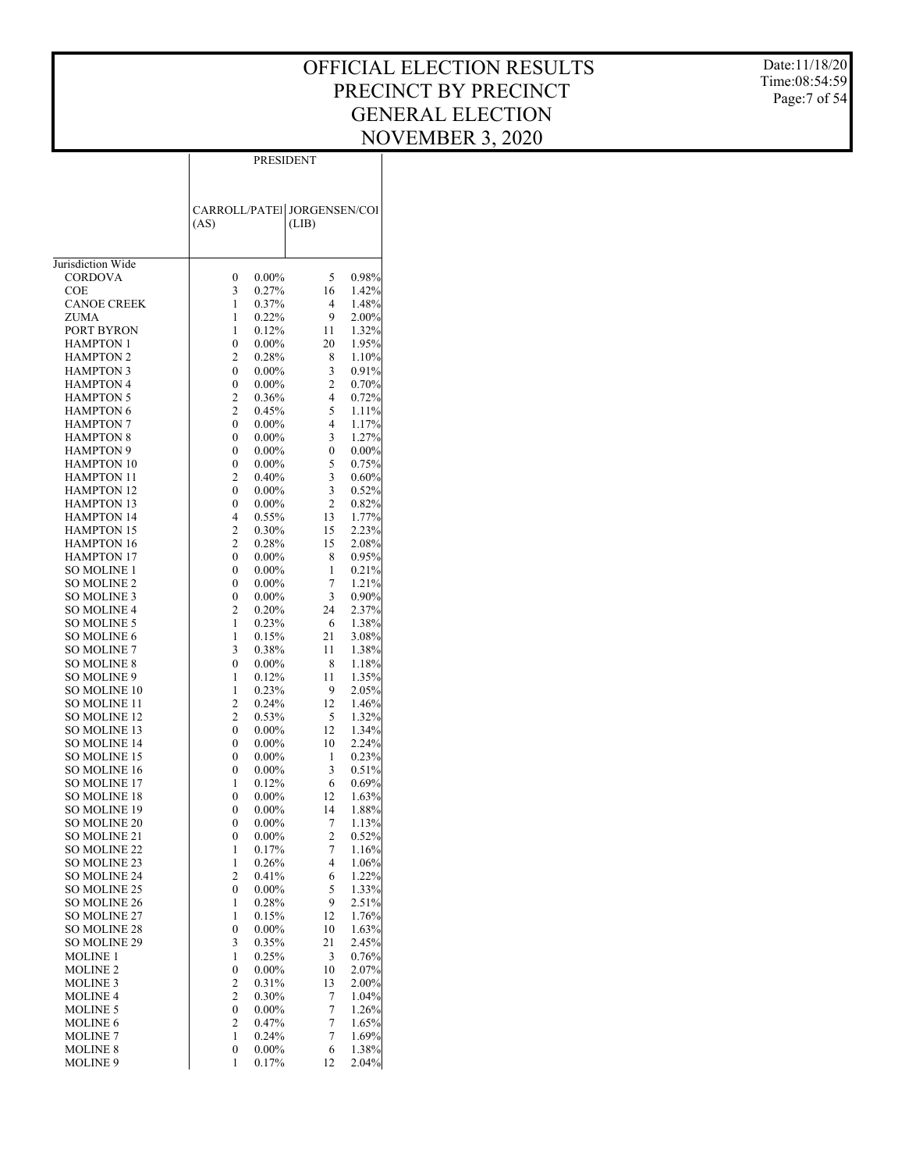Date:11/18/20 Time:08:54:59 Page:7 of 54

|                                        |                | PRESIDENT            |                                      |                |  |  |  |  |  |
|----------------------------------------|----------------|----------------------|--------------------------------------|----------------|--|--|--|--|--|
|                                        | (AS)           |                      | CARROLL/PATE  JORGENSEN/COI<br>(LIB) |                |  |  |  |  |  |
| Jurisdiction Wide                      |                |                      |                                      |                |  |  |  |  |  |
| <b>CORDOVA</b>                         | 0              | $0.00\%$             | 5                                    | 0.98%          |  |  |  |  |  |
| COE                                    | 3              | 0.27%                | 16                                   | 1.42%          |  |  |  |  |  |
| <b>CANOE CREEK</b>                     | 1              | 0.37%                | 4                                    | 1.48%          |  |  |  |  |  |
| ZUMA                                   | 1              | 0.22%                | 9                                    | 2.00%          |  |  |  |  |  |
| PORT BYRON<br><b>HAMPTON 1</b>         | 1<br>0         | 0.12%<br>$0.00\%$    | 11<br>20                             | 1.32%<br>1.95% |  |  |  |  |  |
| <b>HAMPTON 2</b>                       | 2              | 0.28%                | 8                                    | 1.10%          |  |  |  |  |  |
| <b>HAMPTON 3</b>                       | 0              | $0.00\%$             | 3                                    | 0.91%          |  |  |  |  |  |
| <b>HAMPTON 4</b>                       | 0              | $0.00\%$             | $\overline{c}$                       | 0.70%          |  |  |  |  |  |
| <b>HAMPTON 5</b>                       | 2              | 0.36%                | 4                                    | 0.72%          |  |  |  |  |  |
| <b>HAMPTON 6</b>                       | 2              | 0.45%                | 5                                    | 1.11%          |  |  |  |  |  |
| <b>HAMPTON 7</b>                       | 0              | $0.00\%$             | $\overline{4}$                       | 1.17%          |  |  |  |  |  |
| <b>HAMPTON 8</b>                       | 0              | $0.00\%$             | 3                                    | 1.27%          |  |  |  |  |  |
| <b>HAMPTON 9</b>                       | 0              | $0.00\%$             | $\boldsymbol{0}$                     | 0.00%          |  |  |  |  |  |
| <b>HAMPTON 10</b>                      | 0              | $0.00\%$             | 5                                    | 0.75%          |  |  |  |  |  |
| <b>HAMPTON 11</b>                      | 2              | 0.40%                | 3                                    | 0.60%          |  |  |  |  |  |
| <b>HAMPTON 12</b>                      | 0              | $0.00\%$<br>$0.00\%$ | 3<br>$\mathfrak{2}$                  | 0.52%          |  |  |  |  |  |
| <b>HAMPTON 13</b><br><b>HAMPTON 14</b> | 0<br>4         | 0.55%                | 13                                   | 0.82%<br>1.77% |  |  |  |  |  |
| <b>HAMPTON 15</b>                      | 2              | 0.30%                | 15                                   | 2.23%          |  |  |  |  |  |
| <b>HAMPTON 16</b>                      | 2              | 0.28%                | 15                                   | 2.08%          |  |  |  |  |  |
| <b>HAMPTON 17</b>                      | 0              | $0.00\%$             | 8                                    | 0.95%          |  |  |  |  |  |
| SO MOLINE 1                            | 0              | $0.00\%$             | 1                                    | 0.21%          |  |  |  |  |  |
| <b>SO MOLINE 2</b>                     | 0              | $0.00\%$             | 7                                    | 1.21%          |  |  |  |  |  |
| SO MOLINE 3                            | 0              | $0.00\%$             | 3                                    | 0.90%          |  |  |  |  |  |
| SO MOLINE 4                            | 2              | 0.20%                | 24                                   | 2.37%          |  |  |  |  |  |
| SO MOLINE 5                            | 1              | 0.23%                | 6                                    | 1.38%          |  |  |  |  |  |
| <b>SO MOLINE 6</b>                     | 1              | 0.15%                | 21                                   | 3.08%          |  |  |  |  |  |
| SO MOLINE 7                            | 3              | 0.38%                | 11                                   | 1.38%          |  |  |  |  |  |
| <b>SO MOLINE 8</b>                     | 0              | $0.00\%$             | 8                                    | 1.18%          |  |  |  |  |  |
| SO MOLINE 9<br>SO MOLINE 10            | 1<br>1         | 0.12%<br>0.23%       | 11<br>9                              | 1.35%<br>2.05% |  |  |  |  |  |
| SO MOLINE 11                           | $\overline{c}$ | 0.24%                | 12                                   | 1.46%          |  |  |  |  |  |
| <b>SO MOLINE 12</b>                    | 2              | 0.53%                | 5                                    | 1.32%          |  |  |  |  |  |
| SO MOLINE 13                           | 0              | $0.00\%$             | 12                                   | 1.34%          |  |  |  |  |  |
| <b>SO MOLINE 14</b>                    | 0              | $0.00\%$             | 10                                   | 2.24%          |  |  |  |  |  |
| SO MOLINE 15                           | 0              | $0.00\%$             | 1                                    | 0.23%          |  |  |  |  |  |
| <b>SO MOLINE 16</b>                    | 0              | $0.00\%$             | 3                                    | 0.51%          |  |  |  |  |  |
| SO MOLINE 17                           | 1              | 0.12%                | 6                                    | 0.69%          |  |  |  |  |  |
| <b>SO MOLINE 18</b>                    | 0              | $0.00\%$             | 12                                   | 1.63%          |  |  |  |  |  |
| SO MOLINE 19                           | 0              | $0.00\%$             | 14                                   | 1.88%          |  |  |  |  |  |
| SO MOLINE 20                           | 0              | $0.00\%$             | 7                                    | 1.13%          |  |  |  |  |  |
| SO MOLINE 21                           | 0              | $0.00\%$             | $\overline{c}$                       | 0.52%          |  |  |  |  |  |
| <b>SO MOLINE 22</b>                    | 1<br>1         | 0.17%                | 7<br>4                               | 1.16%          |  |  |  |  |  |
| SO MOLINE 23<br>SO MOLINE 24           | 2              | 0.26%<br>0.41%       | 6                                    | 1.06%<br>1.22% |  |  |  |  |  |
| SO MOLINE 25                           | 0              | $0.00\%$             | 5                                    | 1.33%          |  |  |  |  |  |
| SO MOLINE 26                           | 1              | 0.28%                | 9                                    | 2.51%          |  |  |  |  |  |
| SO MOLINE 27                           | 1              | 0.15%                | 12                                   | 1.76%          |  |  |  |  |  |
| <b>SO MOLINE 28</b>                    | 0              | $0.00\%$             | 10                                   | 1.63%          |  |  |  |  |  |
| SO MOLINE 29                           | 3              | 0.35%                | 21                                   | 2.45%          |  |  |  |  |  |
| <b>MOLINE 1</b>                        | 1              | 0.25%                | 3                                    | 0.76%          |  |  |  |  |  |
| <b>MOLINE 2</b>                        | 0              | $0.00\%$             | 10                                   | 2.07%          |  |  |  |  |  |
| <b>MOLINE 3</b>                        | 2              | 0.31%                | 13                                   | 2.00%          |  |  |  |  |  |
| <b>MOLINE 4</b>                        | 2              | 0.30%                | 7                                    | 1.04%          |  |  |  |  |  |
| <b>MOLINE 5</b>                        | 0              | $0.00\%$             | 7                                    | 1.26%          |  |  |  |  |  |
| <b>MOLINE 6</b>                        | 2              | 0.47%                | 7                                    | 1.65%          |  |  |  |  |  |
| <b>MOLINE 7</b><br><b>MOLINE 8</b>     | 1<br>0         | 0.24%<br>$0.00\%$    | $\boldsymbol{7}$<br>6                | 1.69%<br>1.38% |  |  |  |  |  |
| MOLINE 9                               | 1              | 0.17%                | 12                                   | 2.04%          |  |  |  |  |  |
|                                        |                |                      |                                      |                |  |  |  |  |  |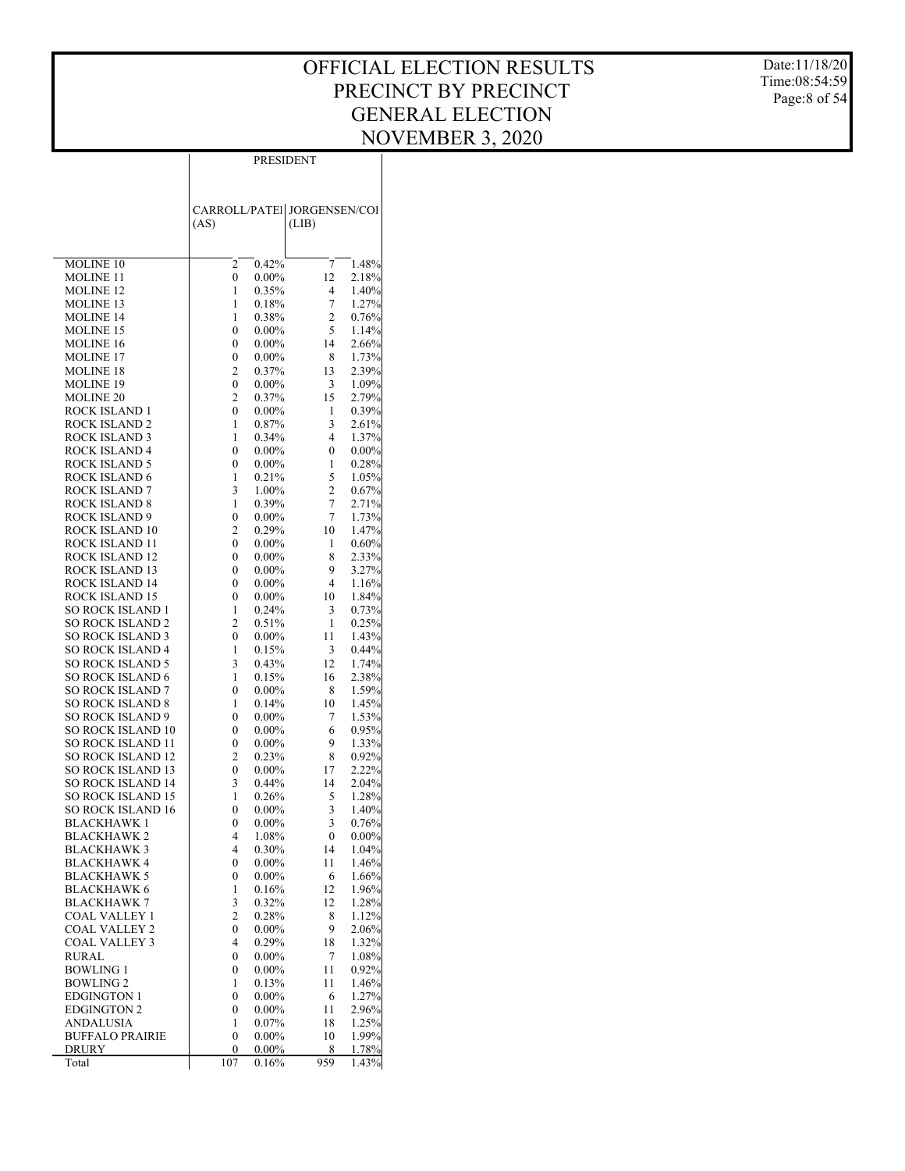Date:11/18/20 Time:08:54:59 Page:8 of 54

|                                          | PRESIDENT                   |                      |                      |                |  |  |  |  |  |
|------------------------------------------|-----------------------------|----------------------|----------------------|----------------|--|--|--|--|--|
|                                          |                             |                      |                      |                |  |  |  |  |  |
|                                          |                             |                      |                      |                |  |  |  |  |  |
|                                          | CARROLL/PATEI JORGENSEN/COI |                      |                      |                |  |  |  |  |  |
|                                          | (AS)                        |                      | (LIB)                |                |  |  |  |  |  |
|                                          |                             |                      |                      |                |  |  |  |  |  |
|                                          |                             |                      |                      |                |  |  |  |  |  |
| <b>MOLINE 10</b>                         | 2                           | 0.42%                | 7                    | 1.48%<br>2.18% |  |  |  |  |  |
| <b>MOLINE 11</b><br><b>MOLINE 12</b>     | 0<br>1                      | $0.00\%$<br>0.35%    | 12<br>4              | 1.40%          |  |  |  |  |  |
| <b>MOLINE 13</b>                         | 1                           | 0.18%                | 7                    | 1.27%          |  |  |  |  |  |
| <b>MOLINE 14</b>                         | 1                           | 0.38%                | 2                    | 0.76%          |  |  |  |  |  |
| <b>MOLINE 15</b>                         | 0                           | $0.00\%$             | 5                    | 1.14%          |  |  |  |  |  |
| <b>MOLINE 16</b>                         | 0                           | $0.00\%$             | 14                   | 2.66%          |  |  |  |  |  |
| <b>MOLINE 17</b>                         | 0                           | $0.00\%$             | 8                    | 1.73%          |  |  |  |  |  |
| <b>MOLINE 18</b>                         | 2                           | 0.37%                | 13                   | 2.39%          |  |  |  |  |  |
| <b>MOLINE 19</b>                         | 0                           | $0.00\%$             | 3                    | 1.09%          |  |  |  |  |  |
| <b>MOLINE 20</b>                         | 2                           | 0.37%                | 15                   | 2.79%          |  |  |  |  |  |
| ROCK ISLAND 1<br><b>ROCK ISLAND 2</b>    | 0<br>1                      | $0.00\%$<br>0.87%    | 1<br>3               | 0.39%<br>2.61% |  |  |  |  |  |
| ROCK ISLAND 3                            | 1                           | 0.34%                | 4                    | 1.37%          |  |  |  |  |  |
| ROCK ISLAND 4                            | 0                           | $0.00\%$             | $\boldsymbol{0}$     | 0.00%          |  |  |  |  |  |
| ROCK ISLAND 5                            | 0                           | $0.00\%$             | 1                    | 0.28%          |  |  |  |  |  |
| ROCK ISLAND 6                            | 1                           | 0.21%                | 5                    | 1.05%          |  |  |  |  |  |
| ROCK ISLAND 7                            | 3                           | 1.00%                | 2                    | 0.67%          |  |  |  |  |  |
| ROCK ISLAND 8                            | 1                           | 0.39%                | 7                    | 2.71%          |  |  |  |  |  |
| ROCK ISLAND 9                            | 0                           | $0.00\%$             | 7                    | 1.73%          |  |  |  |  |  |
| ROCK ISLAND 10                           | 2                           | 0.29%                | 10                   | 1.47%          |  |  |  |  |  |
| ROCK ISLAND 11                           | 0                           | $0.00\%$             | 1                    | 0.60%          |  |  |  |  |  |
| ROCK ISLAND 12                           | 0                           | $0.00\%$             | 8                    | 2.33%          |  |  |  |  |  |
| ROCK ISLAND 13<br>ROCK ISLAND 14         | 0                           | $0.00\%$             | 9                    | 3.27%          |  |  |  |  |  |
| ROCK ISLAND 15                           | 0<br>0                      | $0.00\%$<br>$0.00\%$ | $\overline{4}$<br>10 | 1.16%<br>1.84% |  |  |  |  |  |
| SO ROCK ISLAND 1                         | 1                           | 0.24%                | 3                    | 0.73%          |  |  |  |  |  |
| <b>SO ROCK ISLAND 2</b>                  | 2                           | 0.51%                | 1                    | 0.25%          |  |  |  |  |  |
| SO ROCK ISLAND 3                         | $\boldsymbol{0}$            | $0.00\%$             | 11                   | 1.43%          |  |  |  |  |  |
| <b>SO ROCK ISLAND 4</b>                  | 1                           | 0.15%                | 3                    | 0.44%          |  |  |  |  |  |
| <b>SO ROCK ISLAND 5</b>                  | 3                           | 0.43%                | 12                   | 1.74%          |  |  |  |  |  |
| SO ROCK ISLAND 6                         | 1                           | 0.15%                | 16                   | 2.38%          |  |  |  |  |  |
| <b>SO ROCK ISLAND 7</b>                  | 0                           | $0.00\%$             | 8                    | 1.59%          |  |  |  |  |  |
| <b>SO ROCK ISLAND 8</b>                  | 1                           | 0.14%                | 10                   | 1.45%          |  |  |  |  |  |
| <b>SO ROCK ISLAND 9</b>                  | 0                           | $0.00\%$             | 7                    | 1.53%          |  |  |  |  |  |
| SO ROCK ISLAND 10<br>SO ROCK ISLAND 11   | 0                           | $0.00\%$<br>$0.00\%$ | 6<br>9               | 0.95%          |  |  |  |  |  |
| <b>SO ROCK ISLAND 12</b>                 | 0<br>$\overline{c}$         | 0.23%                | 8                    | 1.33%<br>0.92% |  |  |  |  |  |
| <b>SO ROCK ISLAND 13</b>                 | $\boldsymbol{0}$            | $0.00\%$             | 17                   | 2.22%          |  |  |  |  |  |
| <b>SO ROCK ISLAND 14</b>                 | 3                           | 0.44%                | 14                   | 2.04%          |  |  |  |  |  |
| SO ROCK ISLAND 15                        | 1                           | 0.26%                | 5                    | 1.28%          |  |  |  |  |  |
| SO ROCK ISLAND 16                        | 0                           | $0.00\%$             | 3                    | 1.40%          |  |  |  |  |  |
| BLACKHAWK 1                              | 0                           | $0.00\%$             | 3                    | 0.76%          |  |  |  |  |  |
| <b>BLACKHAWK2</b>                        | 4                           | 1.08%                | 0                    | $0.00\%$       |  |  |  |  |  |
| <b>BLACKHAWK 3</b>                       | 4                           | 0.30%                | 14                   | 1.04%          |  |  |  |  |  |
| BLACKHAWK 4                              | 0                           | $0.00\%$             | 11                   | 1.46%          |  |  |  |  |  |
| <b>BLACKHAWK 5</b>                       | 0                           | $0.00\%$             | 6                    | 1.66%          |  |  |  |  |  |
| <b>BLACKHAWK 6</b><br><b>BLACKHAWK 7</b> | 1<br>3                      | 0.16%<br>0.32%       | 12<br>12             | 1.96%<br>1.28% |  |  |  |  |  |
| COAL VALLEY 1                            | $\mathbf{2}$                | 0.28%                | 8                    | 1.12%          |  |  |  |  |  |
| COAL VALLEY 2                            | 0                           | $0.00\%$             | 9                    | 2.06%          |  |  |  |  |  |
| COAL VALLEY 3                            | 4                           | 0.29%                | 18                   | 1.32%          |  |  |  |  |  |
| RURAL                                    | 0                           | $0.00\%$             | 7                    | 1.08%          |  |  |  |  |  |
| <b>BOWLING 1</b>                         | 0                           | $0.00\%$             | 11                   | 0.92%          |  |  |  |  |  |
| <b>BOWLING 2</b>                         | 1                           | 0.13%                | 11                   | 1.46%          |  |  |  |  |  |
| <b>EDGINGTON 1</b>                       | 0                           | $0.00\%$             | 6                    | 1.27%          |  |  |  |  |  |
| <b>EDGINGTON 2</b>                       | 0                           | $0.00\%$             | 11                   | 2.96%          |  |  |  |  |  |
| ANDALUSIA                                | 1                           | 0.07%                | 18                   | 1.25%          |  |  |  |  |  |
| <b>BUFFALO PRAIRIE</b>                   | 0                           | $0.00\%$             | 10                   | 1.99%          |  |  |  |  |  |
| DRURY<br>Total                           | 0<br>107                    | $0.00\%$<br>0.16%    | 8<br>959             | 1.78%<br>1.43% |  |  |  |  |  |
|                                          |                             |                      |                      |                |  |  |  |  |  |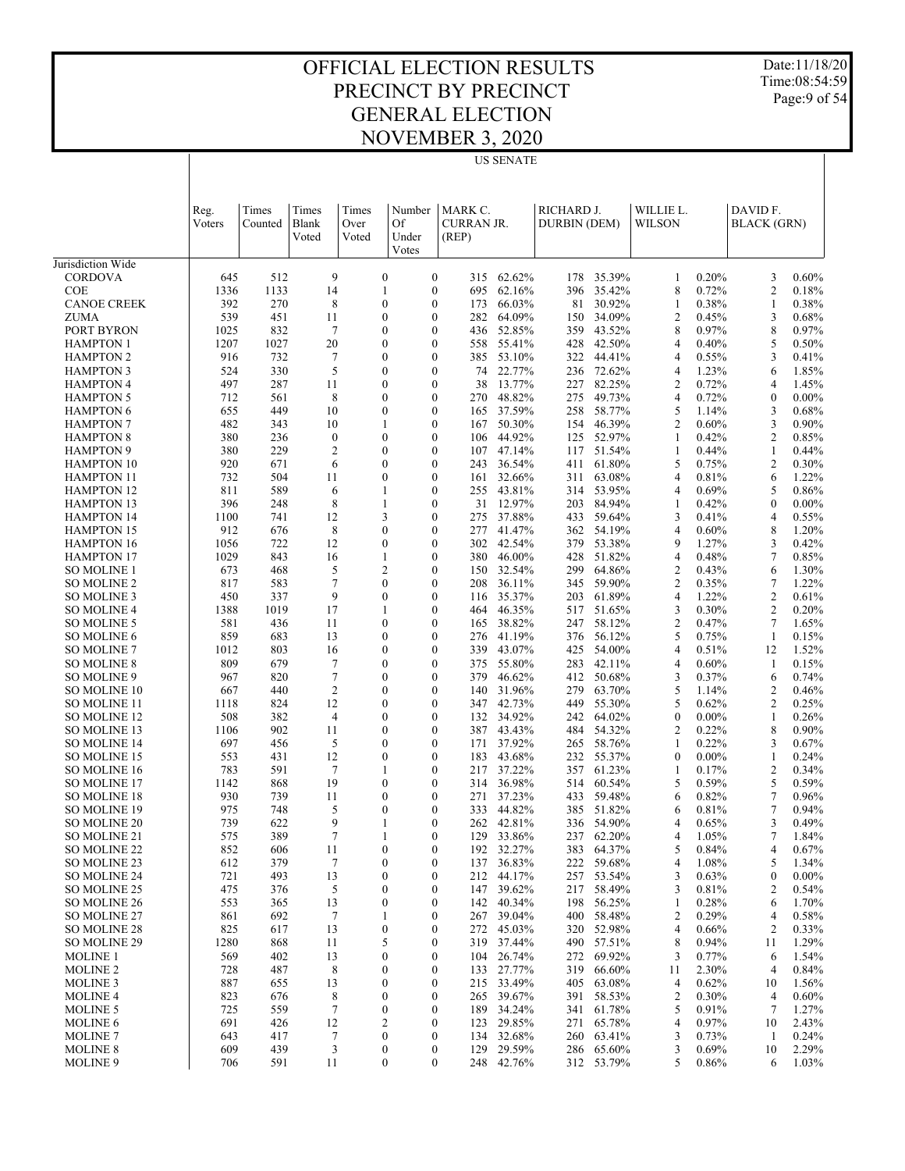Date:11/18/20 Time:08:54:59 Page:9 of 54

|                                            |                |                  |                         |                        |                                |                                                    | <b>US SENATE</b> |                            |                  |                     |                |                                           |                |
|--------------------------------------------|----------------|------------------|-------------------------|------------------------|--------------------------------|----------------------------------------------------|------------------|----------------------------|------------------|---------------------|----------------|-------------------------------------------|----------------|
|                                            | Reg.<br>Voters | Times<br>Counted | Times<br>Blank<br>Voted | Times<br>Over<br>Voted | Number<br>Of<br>Under<br>Votes | MARK C.<br><b>CURRAN JR.</b><br>(REP)              |                  | RICHARD J.<br>DURBIN (DEM) |                  | WILLIE L.<br>WILSON |                | DAVID F.<br><b>BLACK</b> (GRN)            |                |
| Jurisdiction Wide                          |                |                  |                         |                        |                                |                                                    |                  |                            |                  |                     |                |                                           |                |
| <b>CORDOVA</b><br><b>COE</b>               | 645<br>1336    | 512<br>1133      | 9<br>14                 |                        | $\boldsymbol{0}$<br>1          | $\boldsymbol{0}$<br>315<br>$\boldsymbol{0}$<br>695 | 62.62%<br>62.16% | 178<br>396                 | 35.39%<br>35.42% | 1<br>8              | 0.20%<br>0.72% | 3<br>$\mathfrak{2}$                       | 0.60%<br>0.18% |
| <b>CANOE CREEK</b>                         | 392            | 270              | 8                       |                        | $\mathbf{0}$                   | $\boldsymbol{0}$<br>173                            | 66.03%           | 81                         | 30.92%           | 1                   | 0.38%          | 1                                         | 0.38%          |
| ZUMA                                       | 539            | 451              | 11                      |                        | $\mathbf{0}$                   | $\boldsymbol{0}$<br>282                            | 64.09%           | 150                        | 34.09%           | 2                   | 0.45%          | 3                                         | 0.68%          |
| PORT BYRON                                 | 1025           | 832              | 7                       |                        | $\mathbf{0}$                   | $\boldsymbol{0}$<br>436                            | 52.85%           | 359                        | 43.52%           | 8                   | 0.97%          | 8                                         | 0.97%          |
| <b>HAMPTON 1</b>                           | 1207           | 1027             | 20                      |                        | 0                              | $\boldsymbol{0}$<br>558                            | 55.41%           | 428                        | 42.50%           | 4                   | 0.40%          | 5                                         | 0.50%          |
| <b>HAMPTON 2</b>                           | 916            | 732              | 7                       |                        | $\mathbf{0}$                   | $\boldsymbol{0}$<br>385                            | 53.10%           | 322                        | 44.41%           | $\overline{4}$      | 0.55%          | 3                                         | 0.41%          |
| <b>HAMPTON 3</b>                           | 524            | 330              | 5                       |                        | 0                              | $\boldsymbol{0}$<br>74                             | 22.77%           | 236                        | 72.62%           | 4                   | 1.23%          | 6                                         | 1.85%          |
| <b>HAMPTON 4</b>                           | 497            | 287              | 11                      |                        | $\mathbf{0}$                   | $\boldsymbol{0}$<br>38                             | 13.77%           | 227                        | 82.25%           | 2                   | 0.72%          | 4                                         | 1.45%          |
| <b>HAMPTON 5</b>                           | 712            | 561              | 8                       |                        | 0                              | $\boldsymbol{0}$<br>270                            | 48.82%           | 275                        | 49.73%           | 4                   | 0.72%          | $\boldsymbol{0}$                          | $0.00\%$       |
| <b>HAMPTON 6</b>                           | 655            | 449              | 10                      |                        | $\mathbf{0}$                   | $\boldsymbol{0}$<br>165                            | 37.59%           | 258                        | 58.77%           | 5                   | 1.14%          | 3                                         | 0.68%          |
| <b>HAMPTON 7</b><br><b>HAMPTON 8</b>       | 482<br>380     | 343<br>236       | 10<br>$\boldsymbol{0}$  |                        | 1<br>$\mathbf{0}$              | $\boldsymbol{0}$<br>167<br>$\boldsymbol{0}$<br>106 | 50.30%<br>44.92% | 154<br>125                 | 46.39%<br>52.97% | 2<br>1              | 0.60%<br>0.42% | 3<br>$\overline{\mathbf{c}}$              | 0.90%<br>0.85% |
| <b>HAMPTON 9</b>                           | 380            | 229              | $\overline{2}$          |                        | 0                              | $\boldsymbol{0}$<br>107                            | 47.14%           | 117                        | 51.54%           | 1                   | 0.44%          | 1                                         | 0.44%          |
| <b>HAMPTON 10</b>                          | 920            | 671              | 6                       |                        | $\mathbf{0}$                   | $\boldsymbol{0}$<br>243                            | 36.54%           | 411                        | 61.80%           | 5                   | 0.75%          | 2                                         | 0.30%          |
| <b>HAMPTON 11</b>                          | 732            | 504              | 11                      |                        | 0                              | $\boldsymbol{0}$<br>161                            | 32.66%           | 311                        | 63.08%           | 4                   | 0.81%          | 6                                         | 1.22%          |
| <b>HAMPTON 12</b>                          | 811            | 589              | 6                       |                        | 1                              | $\boldsymbol{0}$<br>255                            | 43.81%           | 314                        | 53.95%           | $\overline{4}$      | 0.69%          | 5                                         | 0.86%          |
| <b>HAMPTON 13</b>                          | 396            | 248              | 8                       |                        | 1                              | $\boldsymbol{0}$<br>31                             | 12.97%           | 203                        | 84.94%           | 1                   | 0.42%          | $\mathbf{0}$                              | $0.00\%$       |
| <b>HAMPTON 14</b>                          | 1100           | 741              | 12                      |                        | 3                              | $\boldsymbol{0}$<br>275                            | 37.88%           | 433                        | 59.64%           | 3                   | 0.41%          | 4                                         | 0.55%          |
| <b>HAMPTON 15</b>                          | 912            | 676              | 8                       |                        | 0                              | $\boldsymbol{0}$<br>277                            | 41.47%           | 362                        | 54.19%           | 4                   | 0.60%          | 8                                         | 1.20%          |
| <b>HAMPTON 16</b>                          | 1056           | 722              | 12                      |                        | $\mathbf{0}$                   | $\boldsymbol{0}$<br>302                            | 42.54%           | 379                        | 53.38%           | 9                   | 1.27%          | 3                                         | 0.42%          |
| <b>HAMPTON 17</b>                          | 1029           | 843              | 16                      |                        | 1                              | $\boldsymbol{0}$<br>380                            | 46.00%           | 428                        | 51.82%           | 4                   | 0.48%          | 7                                         | 0.85%          |
| SO MOLINE 1                                | 673            | 468              | 5                       |                        | $\overline{2}$                 | $\boldsymbol{0}$<br>150                            | 32.54%           | 299                        | 64.86%           | 2                   | 0.43%          | 6                                         | 1.30%          |
| SO MOLINE 2                                | 817            | 583              | 7<br>9                  |                        | 0<br>$\mathbf{0}$              | $\boldsymbol{0}$<br>208                            | 36.11%           | 345                        | 59.90%           | 2                   | 0.35%          | 7                                         | 1.22%          |
| <b>SO MOLINE 3</b><br><b>SO MOLINE 4</b>   | 450<br>1388    | 337<br>1019      | 17                      |                        | 1                              | $\boldsymbol{0}$<br>116<br>$\boldsymbol{0}$<br>464 | 35.37%<br>46.35% | 203<br>517                 | 61.89%<br>51.65% | 4<br>3              | 1.22%<br>0.30% | $\mathfrak{2}$<br>$\overline{\mathbf{c}}$ | 0.61%<br>0.20% |
| <b>SO MOLINE 5</b>                         | 581            | 436              | 11                      |                        | $\mathbf{0}$                   | $\boldsymbol{0}$<br>165                            | 38.82%           | 247                        | 58.12%           | 2                   | 0.47%          | 7                                         | 1.65%          |
| <b>SO MOLINE 6</b>                         | 859            | 683              | 13                      |                        | 0                              | $\boldsymbol{0}$<br>276                            | 41.19%           | 376                        | 56.12%           | 5                   | 0.75%          | 1                                         | 0.15%          |
| <b>SO MOLINE 7</b>                         | 1012           | 803              | 16                      |                        | $\mathbf{0}$                   | $\boldsymbol{0}$<br>339                            | 43.07%           | 425                        | 54.00%           | 4                   | 0.51%          | 12                                        | 1.52%          |
| <b>SO MOLINE 8</b>                         | 809            | 679              | 7                       |                        | 0                              | $\boldsymbol{0}$<br>375                            | 55.80%           | 283                        | 42.11%           | 4                   | 0.60%          | 1                                         | 0.15%          |
| SO MOLINE 9                                | 967            | 820              | 7                       |                        | $\mathbf{0}$                   | $\boldsymbol{0}$<br>379                            | 46.62%           | 412                        | 50.68%           | 3                   | 0.37%          | 6                                         | 0.74%          |
| <b>SO MOLINE 10</b>                        | 667            | 440              | $\overline{c}$          |                        | 0                              | $\boldsymbol{0}$<br>140                            | 31.96%           | 279                        | 63.70%           | 5                   | 1.14%          | 2                                         | 0.46%          |
| SO MOLINE 11                               | 1118           | 824              | 12                      |                        | $\mathbf{0}$                   | $\boldsymbol{0}$<br>347                            | 42.73%           | 449                        | 55.30%           | 5                   | 0.62%          | $\overline{\mathbf{c}}$                   | 0.25%          |
| SO MOLINE 12                               | 508            | 382              | $\overline{4}$          |                        | 0                              | $\boldsymbol{0}$<br>132                            | 34.92%           | 242                        | 64.02%           | $\mathbf{0}$        | $0.00\%$       | 1                                         | 0.26%          |
| SO MOLINE 13                               | 1106           | 902              | 11                      |                        | $\mathbf{0}$                   | $\boldsymbol{0}$<br>387                            | 43.43%           | 484                        | 54.32%           | 2                   | 0.22%          | 8                                         | 0.90%          |
| <b>SO MOLINE 14</b>                        | 697            | 456              | 5                       |                        | 0                              | $\boldsymbol{0}$<br>171                            | 37.92%           | 265                        | 58.76%           | 1                   | 0.22%          | 3                                         | 0.67%          |
| SO MOLINE 15                               | 553            | 431              | 12                      |                        | $\mathbf{0}$                   | $\boldsymbol{0}$<br>183                            | 43.68%           | 232                        | 55.37%           | $\mathbf{0}$        | $0.00\%$       | 1                                         | 0.24%          |
| <b>SO MOLINE 16</b>                        | 783            | 591              | 7                       |                        | 1                              | $\boldsymbol{0}$<br>217                            | 37.22%           | 357                        | 61.23%<br>60.54% | 1                   | 0.17%          | 2                                         | 0.34%          |
| <b>SO MOLINE 17</b><br><b>SO MOLINE 18</b> | 1142<br>930    | 868<br>739       | 19<br>11                |                        | $\mathbf{0}$<br>0              | $\boldsymbol{0}$<br>314<br>$\mathbf{0}$<br>271     | 36.98%<br>37.23% | 514<br>433                 | 59.48%           | 5<br>6              | 0.59%<br>0.82% | 5<br>7                                    | 0.59%<br>0.96% |
| SO MOLINE 19                               | 975            | 748              | 5                       |                        | $\theta$                       | $\mathbf{0}$<br>333                                | 44.82%           | 385                        | 51.82%           | 6                   | 0.81%          | 7                                         | 0.94%          |
| <b>SO MOLINE 20</b>                        | 739            | 622              | 9                       |                        | 1                              | 0                                                  | 262 42.81%       | 336                        | 54.90%           | 4                   | 0.65%          | 3                                         | 0.49%          |
| SO MOLINE 21                               | 575            | 389              | $\tau$                  |                        | 1                              | $\boldsymbol{0}$<br>129                            | 33.86%           | 237                        | 62.20%           | 4                   | 1.05%          | 7                                         | 1.84%          |
| SO MOLINE 22                               | 852            | 606              | 11                      |                        | $\boldsymbol{0}$               | $\boldsymbol{0}$<br>192                            | 32.27%           | 383                        | 64.37%           | 5                   | 0.84%          | 4                                         | 0.67%          |
| SO MOLINE 23                               | 612            | 379              | 7                       |                        | 0                              | $\boldsymbol{0}$<br>137                            | 36.83%           | 222                        | 59.68%           | 4                   | 1.08%          | 5                                         | 1.34%          |
| SO MOLINE 24                               | 721            | 493              | 13                      |                        | 0                              | $\boldsymbol{0}$<br>212                            | 44.17%           | 257                        | 53.54%           | 3                   | 0.63%          | $\boldsymbol{0}$                          | $0.00\%$       |
| SO MOLINE 25                               | 475            | 376              | 5                       |                        | 0                              | $\boldsymbol{0}$<br>147                            | 39.62%           | 217                        | 58.49%           | 3                   | 0.81%          | 2                                         | 0.54%          |
| SO MOLINE 26                               | 553            | 365              | 13                      |                        | 0                              | $\boldsymbol{0}$<br>142                            | 40.34%           | 198                        | 56.25%           | 1                   | 0.28%          | 6                                         | 1.70%          |
| SO MOLINE 27                               | 861            | 692              | $\tau$                  |                        | 1                              | $\boldsymbol{0}$<br>267                            | 39.04%           | 400                        | 58.48%           | 2                   | 0.29%          | 4                                         | 0.58%          |
| SO MOLINE 28                               | 825            | 617              | 13                      |                        | $\boldsymbol{0}$               | $\boldsymbol{0}$                                   | 272 45.03%       | 320                        | 52.98%           | 4                   | 0.66%          | 2                                         | 0.33%          |
| SO MOLINE 29                               | 1280           | 868              | 11                      |                        | 5                              | $\boldsymbol{0}$<br>319                            | 37.44%           | 490                        | 57.51%           | 8                   | 0.94%          | 11                                        | 1.29%          |
| <b>MOLINE 1</b>                            | 569            | 402              | 13                      |                        | 0                              | $\boldsymbol{0}$<br>104                            | 26.74%           | 272                        | 69.92%           | 3                   | 0.77%          | 6                                         | 1.54%          |
| <b>MOLINE 2</b><br><b>MOLINE 3</b>         | 728<br>887     | 487<br>655       | 8<br>13                 |                        | 0<br>0                         | $\boldsymbol{0}$<br>133<br>$\boldsymbol{0}$<br>215 | 27.77%<br>33.49% | 319<br>405                 | 66.60%<br>63.08% | 11<br>4             | 2.30%<br>0.62% | 4<br>10                                   | 0.84%<br>1.56% |
| <b>MOLINE 4</b>                            | 823            | 676              | 8                       |                        | $\boldsymbol{0}$               | $\boldsymbol{0}$<br>265                            | 39.67%           | 391                        | 58.53%           | 2                   | 0.30%          | 4                                         | 0.60%          |
| <b>MOLINE 5</b>                            | 725            | 559              | 7                       |                        | $\boldsymbol{0}$               | $\boldsymbol{0}$<br>189                            | 34.24%           | 341                        | 61.78%           | 5                   | 0.91%          | 7                                         | 1.27%          |
| <b>MOLINE 6</b>                            | 691            | 426              | 12                      |                        | 2                              | $\boldsymbol{0}$<br>123                            | 29.85%           | 271                        | 65.78%           | 4                   | 0.97%          | 10                                        | 2.43%          |
| <b>MOLINE 7</b>                            | 643            | 417              | 7                       |                        | 0                              | $\boldsymbol{0}$                                   | 134 32.68%       | 260                        | 63.41%           | 3                   | 0.73%          | 1                                         | 0.24%          |
| <b>MOLINE 8</b>                            | 609            | 439              | 3                       |                        | 0                              | $\boldsymbol{0}$<br>129                            | 29.59%           | 286                        | 65.60%           | 3                   | 0.69%          | 10                                        | 2.29%          |
| MOLINE 9                                   | 706            | 591              | 11                      |                        | 0                              | $\boldsymbol{0}$                                   | 248 42.76%       |                            | 312 53.79%       | 5                   | 0.86%          | 6                                         | 1.03%          |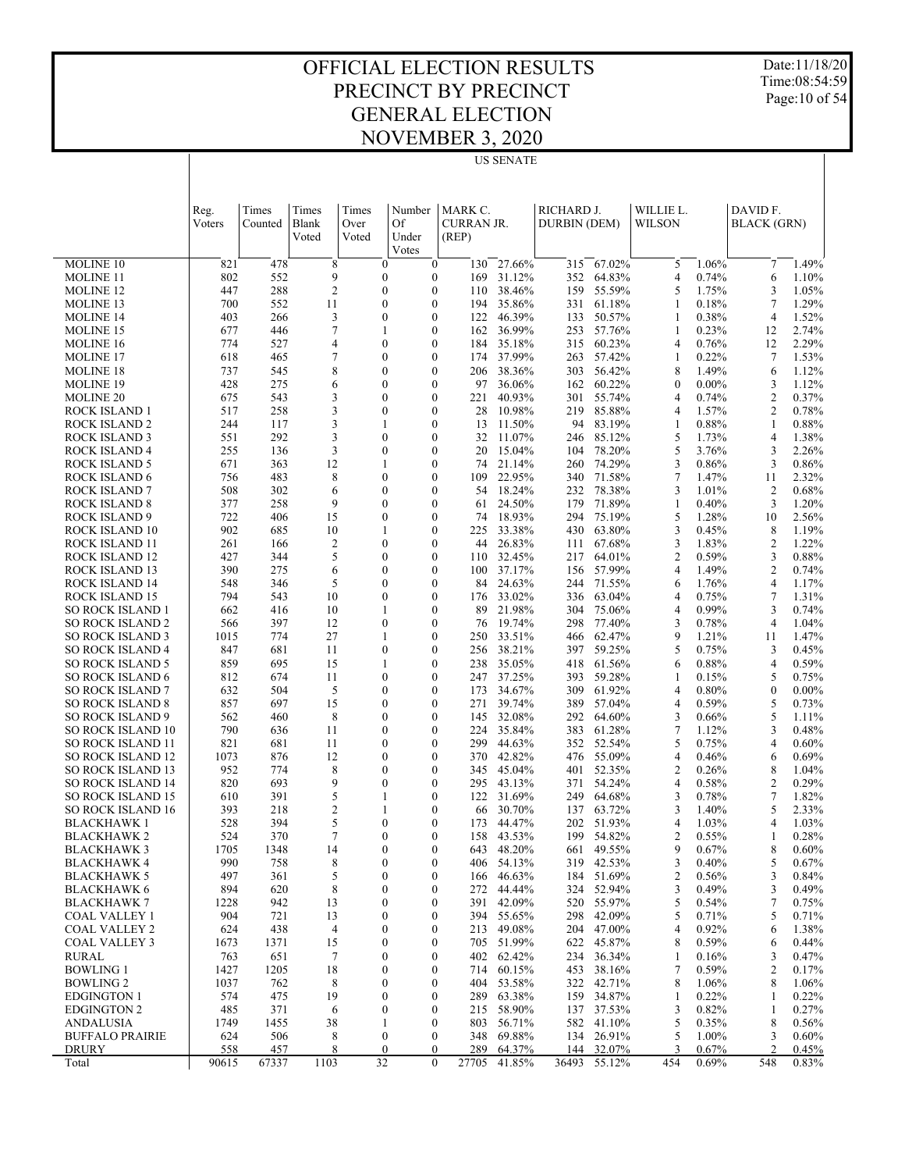Date:11/18/20 Time:08:54:59 Page:10 of 54

|            | <b>US SENATE</b> |                                  |                                      |                                |                   |                  |                     |                  |                       |                |                         |                |
|------------|------------------|----------------------------------|--------------------------------------|--------------------------------|-------------------|------------------|---------------------|------------------|-----------------------|----------------|-------------------------|----------------|
|            |                  |                                  |                                      |                                |                   |                  |                     |                  |                       |                |                         |                |
| Reg.       | Times            | Times                            | Times                                | Number                         | MARK C.           |                  | RICHARD J.          |                  | WILLIE L.             |                | DAVID F.                |                |
| Voters     | Counted          | Blank                            | Over                                 | Of                             | <b>CURRAN JR.</b> |                  | <b>DURBIN (DEM)</b> |                  | <b>WILSON</b>         |                | <b>BLACK</b> (GRN)      |                |
|            |                  | Voted                            | Voted                                | Under                          | (REP)             |                  |                     |                  |                       |                |                         |                |
|            |                  |                                  |                                      | Votes                          |                   |                  |                     |                  |                       |                |                         |                |
| 821        | 478              | 8                                | $\boldsymbol{0}$                     | $\boldsymbol{0}$               | 130               | 27.66%           | 315                 | 67.02%           | 5                     | 1.06%          | $\tau$                  | 1.49%          |
| 802        | 552              | 9                                | $\boldsymbol{0}$                     | $\boldsymbol{0}$               | 169               | 31.12%           | 352                 | 64.83%           | $\overline{4}$        | 0.74%          | 6                       | 1.10%          |
| 447        | 288              | $\overline{2}$                   | $\boldsymbol{0}$                     | $\boldsymbol{0}$               | 110               | 38.46%           | 159                 | 55.59%           | 5                     | 1.75%          | 3                       | 1.05%          |
| 700        | 552              | 11                               | $\boldsymbol{0}$                     | $\boldsymbol{0}$               | 194               | 35.86%           | 331                 | 61.18%           | 1                     | 0.18%          | 7                       | 1.29%          |
| 403        | 266              | 3                                | $\mathbf{0}$                         | $\mathbf{0}$                   | 122               | 46.39%           | 133                 | 50.57%           | 1                     | 0.38%          | 4                       | 1.52%          |
| 677        | 446<br>527       | $\overline{7}$                   | 1<br>$\overline{0}$                  | $\mathbf{0}$                   | 162               | 36.99%<br>35.18% | 253                 | 57.76%<br>60.23% | 1                     | 0.23%<br>0.76% | 12                      | 2.74%<br>2.29% |
| 774<br>618 | 465              | $\overline{4}$<br>$\overline{7}$ |                                      | $\mathbf{0}$                   | 184               | 37.99%           | 315                 | 57.42%           | $\overline{4}$        | 0.22%          | 12                      | 1.53%          |
|            |                  | 8                                | $\boldsymbol{0}$                     | $\mathbf{0}$<br>$\overline{0}$ | 174<br>206        | 38.36%           | 263                 | 56.42%           | 1<br>8                | 1.49%          | $\tau$                  | 1.12%          |
| 737<br>428 | 545<br>275       | 6                                | $\boldsymbol{0}$<br>$\boldsymbol{0}$ | $\boldsymbol{0}$               | 97                | 36.06%           | 303<br>162          | 60.22%           |                       | $0.00\%$       | 6<br>3                  | 1.12%          |
| 675        | 543              | 3                                | $\boldsymbol{0}$                     | $\overline{0}$                 | 221               | 40.93%           | 301                 | 55.74%           | $\boldsymbol{0}$<br>4 | 0.74%          | $\overline{c}$          | 0.37%          |
| 517        | 258              | 3                                | $\boldsymbol{0}$                     | 0                              | 28                | 10.98%           | 219                 | 85.88%           | $\overline{4}$        | 1.57%          | $\overline{c}$          | 0.78%          |
| 244        | 117              | 3                                | 1                                    | $\overline{0}$                 | 13                | 11.50%           | 94                  | 83.19%           | 1                     | 0.88%          | 1                       | 0.88%          |
| 551        | 292              | 3                                | $\boldsymbol{0}$                     | $\boldsymbol{0}$               | 32                | 11.07%           | 246                 | 85.12%           | 5                     | 1.73%          | 4                       | 1.38%          |
| 255        | 136              | 3                                | $\boldsymbol{0}$                     | $\boldsymbol{0}$               | 20                | 15.04%           | 104                 | 78.20%           | 5                     | 3.76%          | 3                       | 2.26%          |
| 671        | 363              | 12                               | 1                                    | $\boldsymbol{0}$               | 74                | 21.14%           | 260                 | 74.29%           | 3                     | 0.86%          | 3                       | 0.86%          |
| 756        | 483              | 8                                | $\boldsymbol{0}$                     | $\boldsymbol{0}$               | 109               | 22.95%           | 340                 | 71.58%           | 7                     | 1.47%          | 11                      | 2.32%          |
| 508        | 302              | 6                                | $\boldsymbol{0}$                     | $\mathbf{0}$                   | 54                | 18.24%           | 232                 | 78.38%           | 3                     | 1.01%          | $\overline{c}$          | 0.68%          |
| 377        | 258              | 9                                | $\mathbf{0}$                         | $\mathbf{0}$                   | 61                | 24.50%           | 179                 | 71.89%           | $\mathbf{1}$          | 0.40%          | 3                       | 1.20%          |
| 722        | 406              | 15                               | $\mathbf{0}$                         | $\mathbf{0}$                   | 74                | 18.93%           | 294                 | 75.19%           | 5                     | 1.28%          | 10                      | 2.56%          |
| 902        | 685              | 10                               | 1                                    | $\mathbf{0}$                   | 225               | 33.38%           | 430                 | 63.80%           | 3                     | 0.45%          | 8                       | 1.19%          |
| 261        | 166              | $\overline{c}$                   | $\boldsymbol{0}$                     | $\boldsymbol{0}$               | 44                | 26.83%           | 111                 | 67.68%           | 3                     | 1.83%          | $\overline{\mathbf{c}}$ | 1.22%          |
| 427        | 344              | 5                                | $\boldsymbol{0}$                     | $\mathbf{0}$                   | 110               | 32.45%           | 217                 | 64.01%           | $\overline{c}$        | 0.59%          | 3                       | 0.88%          |
| 390        | 275              | 6                                | $\boldsymbol{0}$                     | $\boldsymbol{0}$               | 100               | 37.17%           | 156                 | 57.99%           | $\overline{4}$        | 1.49%          | $\overline{c}$          | 0.74%          |
| 548        | 346              | 5                                | $\boldsymbol{0}$                     | $\mathbf{0}$                   | 84                | 24.63%           | 244                 | 71.55%           | 6                     | 1.76%          | $\overline{4}$          | 1.17%          |
| 794        | 543              | 10                               | $\boldsymbol{0}$                     | $\boldsymbol{0}$               | 176               | 33.02%           | 336                 | 63.04%           | 4                     | 0.75%          | 7                       | 1.31%          |
| 662        | 416              | 10                               | 1                                    | $\boldsymbol{0}$               | 89                | 21.98%           | 304                 | 75.06%           | $\overline{4}$        | 0.99%          | 3                       | 0.74%          |
| 566        | 397              | 12                               | $\boldsymbol{0}$                     | $\boldsymbol{0}$               | 76                | 19.74%           | 298                 | 77.40%           | 3                     | 0.78%          | $\overline{4}$          | 1.04%          |
| 1015       | 774              | 27                               | 1                                    | $\boldsymbol{0}$               | 250               | 33.51%           | 466                 | 62.47%           | 9                     | 1.21%          | 11                      | 1.47%          |
| 847        | 681              | 11                               | $\boldsymbol{0}$                     | $\mathbf{0}$                   | 256               | 38.21%           | 397                 | 59.25%           | 5                     | 0.75%          | 3                       | 0.45%          |
| 859        | 695              | 15                               | 1                                    | $\mathbf{0}$                   | 238               | 35.05%           | 418                 | 61.56%           | 6                     | 0.88%          | $\overline{4}$          | 0.59%          |
| 812        | 674              | 11                               | $\mathbf{0}$                         | $\boldsymbol{0}$               | 247               | 37.25%           | 393                 | 59.28%           | $\mathbf{1}$          | 0.15%          | 5                       | 0.75%          |
| 632        | 504              | 5                                | $\mathbf{0}$                         | $\mathbf{0}$                   | 173               | 34.67%           | 309                 | 61.92%           | $\overline{4}$        | 0.80%          | $\boldsymbol{0}$        | $0.00\%$       |
| 857        | 697              | 15                               | $\mathbf{0}$                         | $\boldsymbol{0}$               | 271               | 39.74%           | 389                 | 57.04%           | 4                     | 0.59%          | 5                       | 0.73%          |
| 562        | 460              | 8                                | $\boldsymbol{0}$                     | $\mathbf{0}$                   | 145               | 32.08%           | 292                 | 64.60%           | 3                     | 0.66%          | 5                       | 1.11%          |
| 790        | 636              | 11                               | $\boldsymbol{0}$                     | $\boldsymbol{0}$               | 224               | 35.84%           | 383                 | 61.28%           | 7                     | 1.12%          | 3                       | 0.48%          |
| 821        | 681              | 11                               | $\boldsymbol{0}$                     | $\mathbf{0}$                   | 299               | 44.63%           | 352                 | 52.54%           | 5                     | 0.75%          | $\overline{4}$          | 0.60%          |
| 1073       | 876              | 12                               | $\boldsymbol{0}$                     | $\boldsymbol{0}$               | 370               | 42.82%           | 476                 | 55.09%           | 4                     | 0.46%          | 6                       | 0.69%          |
| 952        | 774              | 8                                | $\boldsymbol{0}$                     | $\boldsymbol{0}$               | 345               | 45.04%           | 401                 | 52.35%           | $\mathfrak{2}$        | 0.26%          | 8                       | 1.04%          |
| 820        | 693              | 9                                | $\boldsymbol{0}$                     | $\boldsymbol{0}$               | 295               | 43.13%           | 371                 | 54.24%           | 4                     | 0.58%          | 2                       | 0.29%          |
| 610        | 391              | 5                                | $\mathbf{1}$                         | $\boldsymbol{0}$               | 122               | 31.69%           | 249                 | 64.68%           | 3                     | 0.78%          | 7                       | 1.82%          |
| 393        | 218              | $\overline{2}$                   | 1                                    | $\mathbf{0}$                   | 66                | 30.70%           | 137                 | 63.72%           | 3                     | 1.40%          | 5                       | 2.33%          |

 394 5 0 0 173 44.47% 202 51.93% 4 1.03% 4 1.03% 370 7 0 0 158 43.53% 199 54.82% 2 0.55% 1 0.28% 1348 14 0 0 643 48.20% 661 49.55% 9 0.67% 8 0.60% 758 8 0 0 406 54.13% 319 42.53% 3 0.40% 5 0.67% 361 5 0 0 166 46.63% 184 51.69% 2 0.56% 3 0.84% 620 8 0 0 272 44.44% 324 52.94% 3 0.49% 3 0.49% 942 13 0 0 391 42.09% 520 55.97% 5 0.54% 7 0.75% 721 13 0 0 394 55.65% 298 42.09% 5 0.71% 5 0.71% 438 4 0 0 213 49.08% 204 47.00% 4 0.92% 6 1.38% 1371 15 0 0 705 51.99% 622 45.87% 8 0.59% 6 0.44% 651 7 0 0 402 62.42% 234 36.34% 1 0.16% 3 0.47% 1205 18 0 0 714 60.15% 453 38.16% 7 0.59% 2 0.17% 762 8 0 0 404 53.58% 322 42.71% 8 1.06% 8 1.06% 475 19 0 0 289 63.38% 159 34.87% 1 0.22% 1 0.22% 371 6 0 0 215 58.90% 137 37.53% 3 0.82% 1 0.27%

| <b>ANDALUSIA</b>       | 1749  | .455  | 38  |  | 803   | 56.71% | 582   | 10%<br>41 |     | 0.35%    |     | 0.56% |
|------------------------|-------|-------|-----|--|-------|--------|-------|-----------|-----|----------|-----|-------|
| <b>BUFFALO PRAIRIE</b> |       | 506   |     |  | 348   | 69.88% | 134   | 26.91%    |     | .00%     |     | 0.60% |
| DRURY                  | 558   | 457   |     |  | 289   | 64.37% | 144   | 32.07%    |     | $0.67\%$ |     | 0.45% |
| Total                  | 90615 | 67337 | 103 |  | 27705 | 41.85% | 36493 | 55.12%    | 454 | $0.69\%$ | 548 | 0.83% |

 MOLINE 10 MOLINE 11 MOLINE 12 MOLINE 13 MOLINE 14 MOLINE 15 MOLINE 16 MOLINE 17 MOLINE 18 MOLINE 19 MOLINE 20 ROCK ISLAND 1 ROCK ISLAND 2 ROCK ISLAND 3 ROCK ISLAND 4 ROCK ISLAND 5 ROCK ISLAND 6 ROCK ISLAND 7 ROCK ISLAND 8 ROCK ISLAND 9 ROCK ISLAND 10 ROCK ISLAND 11 ROCK ISLAND 12 ROCK ISLAND 13 ROCK ISLAND 14 ROCK ISLAND 15 SO ROCK ISLAND 1 SO ROCK ISLAND 2 SO ROCK ISLAND 3 SO ROCK ISLAND 4 SO ROCK ISLAND 5 SO ROCK ISLAND 6 SO ROCK ISLAND 7 SO ROCK ISLAND 8 SO ROCK ISLAND 9 SO ROCK ISLAND 10 SO ROCK ISLAND 11 SO ROCK ISLAND 12 SO ROCK ISLAND 13 SO ROCK ISLAND 14 SO ROCK ISLAND 15 SO ROCK ISLAND 16 BLACKHAWK 1 BLACKHAWK 2 BLACKHAWK 3 BLACKHAWK 4 BLACKHAWK 5 BLACKHAWK 6 BLACKHAWK 7 COAL VALLEY 1 COAL VALLEY 2 COAL VALLEY 3 RURAL BOWLING 1 BOWLING 2 EDGINGTON 1 EDGINGTON 2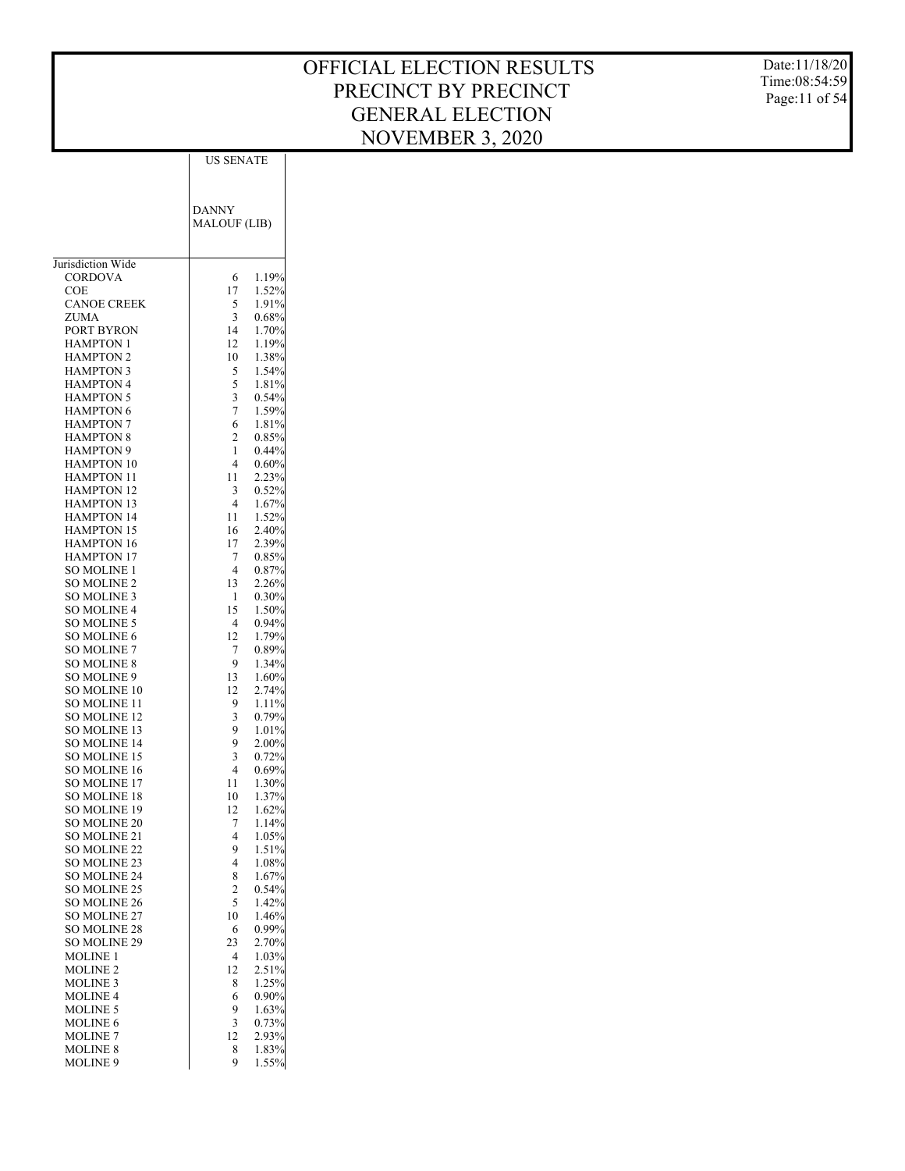Date:11/18/20 Time:08:54:59 Page:11 of 54

|                                      | US SENATE                  |
|--------------------------------------|----------------------------|
|                                      |                            |
|                                      |                            |
|                                      | <b>DANNY</b>               |
|                                      | <b>MALOUF (LIB)</b>        |
|                                      |                            |
|                                      |                            |
| Jurisdiction Wide                    |                            |
| CORDOVA                              | 1.19%<br>6                 |
| COE                                  | 17<br>1.52%                |
| <b>CANOE CREEK</b>                   | 5<br>1.91%                 |
| ZUMA                                 | 3<br>0.68%                 |
| PORT BYRON                           | 1.70%<br>14                |
| HAMPTON 1                            | 12<br>1.19%                |
| <b>HAMPTON 2</b><br><b>HAMPTON 3</b> | 10<br>1.38%<br>1.54%       |
| <b>HAMPTON 4</b>                     | 5<br>5<br>1.81%            |
| <b>HAMPTON 5</b>                     | 0.54%<br>3                 |
| <b>HAMPTON 6</b>                     | 7<br>1.59%                 |
| <b>HAMPTON 7</b>                     | 1.81%<br>6                 |
| <b>HAMPTON 8</b>                     | $\overline{c}$<br>0.85%    |
| <b>HAMPTON 9</b>                     | 0.44%<br>1                 |
| <b>HAMPTON 10</b>                    | 4<br>0.60%                 |
| HAMPTON 11                           | 11<br>2.23%                |
| <b>HAMPTON 12</b>                    | 3<br>0.52%                 |
| <b>HAMPTON 13</b>                    | 4<br>1.67%                 |
| HAMPTON 14                           | 11<br>1.52%                |
| <b>HAMPTON 15</b>                    | 16<br>2.40%                |
| HAMPTON 16<br><b>HAMPTON 17</b>      | 2.39%<br>17<br>0.85%<br>7  |
| <b>SO MOLINE 1</b>                   | 4<br>0.87%                 |
| <b>SO MOLINE 2</b>                   | 13<br>2.26%                |
| SO MOLINE 3                          | $0.30\%$<br>1              |
| <b>SO MOLINE 4</b>                   | 15<br>1.50%                |
| SO MOLINE 5                          | 4<br>0.94%                 |
| <b>SO MOLINE 6</b>                   | 12<br>1.79%                |
| SO MOLINE 7                          | 7<br>0.89%                 |
| <b>SO MOLINE 8</b>                   | 1.34%<br>9                 |
| SO MOLINE 9<br><b>SO MOLINE 10</b>   | 13<br>1.60%<br>12<br>2.74% |
| SO MOLINE 11                         | 9<br>1.11%                 |
| <b>SO MOLINE 12</b>                  | 3<br>0.79%                 |
| SO MOLINE 13                         | 9<br>1.01%                 |
| <b>SO MOLINE 14</b>                  | 9<br>2.00%                 |
| SO MOLINE 15                         | 3<br>0.72%                 |
| <b>SO MOLINE 16</b>                  | 4<br>0.69%                 |
| <b>SO MOLINE 17</b>                  | 1.30%<br>11                |
| <b>SO MOLINE 18</b>                  | 10<br>1.37%                |
| <b>SO MOLINE 19</b><br>SO MOLINE 20  | 12<br>1.62%<br>7<br>1.14%  |
| SO MOLINE 21                         | 4<br>1.05%                 |
| SO MOLINE 22                         | 9<br>1.51%                 |
| SO MOLINE 23                         | 4<br>1.08%                 |
| <b>SO MOLINE 24</b>                  | 8<br>1.67%                 |
| SO MOLINE 25                         | $\overline{2}$<br>0.54%    |
| SO MOLINE 26                         | 5<br>1.42%                 |
| SO MOLINE 27                         | 10<br>1.46%                |
| SO MOLINE 28                         | 0.99%<br>6                 |
| SO MOLINE 29                         | 2.70%<br>23                |
| <b>MOLINE 1</b>                      | 1.03%<br>4<br>12<br>2.51%  |
| <b>MOLINE 2</b><br><b>MOLINE 3</b>   | 1.25%<br>8                 |
| MOLINE 4                             | 6<br>$0.90\%$              |
| <b>MOLINE 5</b>                      | 9<br>1.63%                 |
| <b>MOLINE 6</b>                      | 3<br>0.73%                 |
| <b>MOLINE 7</b>                      | 12<br>2.93%                |
| <b>MOLINE 8</b>                      | 8<br>1.83%                 |
| MOLINE 9                             | 9<br>1.55%                 |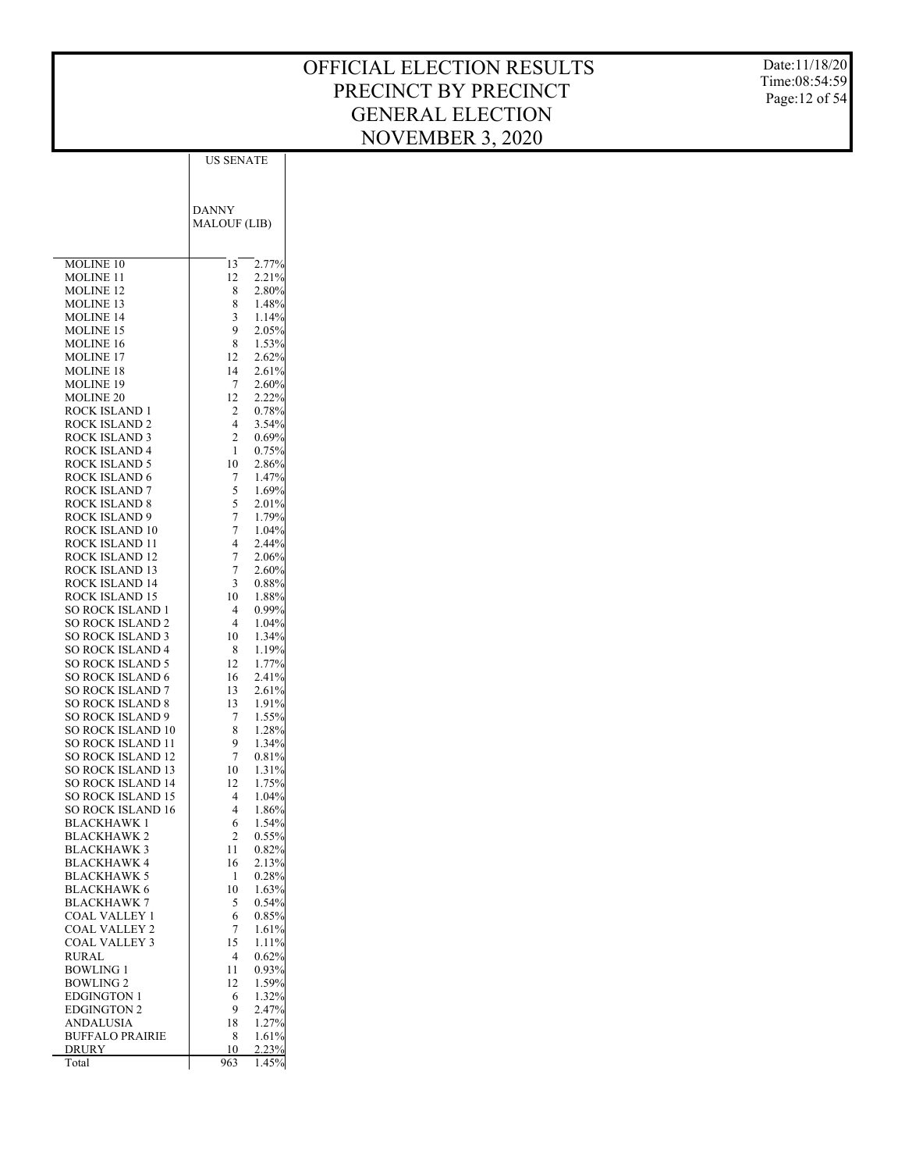Date:11/18/20 Time:08:54:59 Page:12 of 54

| DANNY<br><b>MALOUF (LIB)</b><br>2.77%<br><b>MOLINE 10</b><br>13<br>12<br>2.21%<br>MOLINE 11<br>MOLINE 12<br>8<br>2.80%<br>8<br>1.48%<br>MOLINE 13<br>MOLINE 14<br>3<br>1.14%<br>9<br>2.05%<br><b>MOLINE 15</b><br>1.53%<br><b>MOLINE 16</b><br>8<br><b>MOLINE 17</b><br>12<br>2.62%<br><b>MOLINE 18</b><br>14<br>2.61%<br>7<br>2.60%<br>MOLINE 19<br><b>MOLINE 20</b><br>12<br>2.22%<br>ROCK ISLAND 1<br>2<br>0.78%<br>ROCK ISLAND 2<br>4<br>3.54%<br>$\overline{2}$<br>ROCK ISLAND 3<br>0.69%<br><b>ROCK ISLAND 4</b><br>1<br>0.75%<br><b>ROCK ISLAND 5</b><br>10<br>2.86%<br>ROCK ISLAND 6<br>7<br>1.47%<br>5<br>ROCK ISLAND 7<br>1.69%<br>5<br>ROCK ISLAND 8<br>2.01%<br>7<br>ROCK ISLAND 9<br>1.79%<br>ROCK ISLAND 10<br>7<br>1.04%<br>ROCK ISLAND 11<br>4<br>2.44%<br>ROCK ISLAND 12<br>7<br>2.06%<br>ROCK ISLAND 13<br>7<br>2.60%<br>ROCK ISLAND 14<br>3<br>0.88%<br>ROCK ISLAND 15<br>10<br>1.88%<br>SO ROCK ISLAND 1<br>0.99%<br>4<br><b>SO ROCK ISLAND 2</b><br>4<br>1.04%<br><b>SO ROCK ISLAND 3</b><br>10<br>1.34%<br><b>SO ROCK ISLAND 4</b><br>8<br>1.19%<br><b>SO ROCK ISLAND 5</b><br>12<br>1.77%<br><b>SO ROCK ISLAND 6</b><br>16<br>2.41%<br><b>SO ROCK ISLAND 7</b><br>13<br>2.61%<br>SO ROCK ISLAND 8<br>13<br>1.91%<br><b>SO ROCK ISLAND 9</b><br>7<br>1.55%<br><b>SO ROCK ISLAND 10</b><br>8<br>1.28%<br>SO ROCK ISLAND 11<br>9<br>1.34%<br>SO ROCK ISLAND 12<br>7<br>0.81%<br><b>SO ROCK ISLAND 13</b><br>10<br>1.31%<br>SO ROCK ISLAND 14<br>12<br>1.75%<br><b>SO ROCK ISLAND 15</b><br>4<br>1.04%<br>SO ROCK ISLAND 16<br>4<br>1.86%<br><b>BLACKHAWK1</b><br>6<br>1.54%<br>2<br>0.55%<br><b>BLACKHAWK 2</b><br><b>BLACKHAWK 3</b><br>11<br>0.82%<br>BLACKHAWK 4<br>16<br>2.13%<br><b>BLACKHAWK 5</b><br>0.28%<br>1<br><b>BLACKHAWK 6</b><br>10<br>1.63%<br><b>BLACKHAWK 7</b><br>5<br>0.54%<br>COAL VALLEY 1<br>6<br>0.85%<br>COAL VALLEY 2<br>7<br>1.61%<br>COAL VALLEY 3<br>15<br>1.11%<br>RURAL<br>4<br>0.62%<br><b>BOWLING 1</b><br>11<br>0.93%<br>1.59%<br><b>BOWLING 2</b><br>12<br>1.32%<br><b>EDGINGTON 1</b><br>6<br><b>EDGINGTON 2</b><br>9<br>2.47%<br>ANDALUSIA<br>18<br>1.27%<br><b>BUFFALO PRAIRIE</b><br>8<br>1.61%<br>2.23%<br>DRURY<br>10<br>Total | US SENATE       |
|---------------------------------------------------------------------------------------------------------------------------------------------------------------------------------------------------------------------------------------------------------------------------------------------------------------------------------------------------------------------------------------------------------------------------------------------------------------------------------------------------------------------------------------------------------------------------------------------------------------------------------------------------------------------------------------------------------------------------------------------------------------------------------------------------------------------------------------------------------------------------------------------------------------------------------------------------------------------------------------------------------------------------------------------------------------------------------------------------------------------------------------------------------------------------------------------------------------------------------------------------------------------------------------------------------------------------------------------------------------------------------------------------------------------------------------------------------------------------------------------------------------------------------------------------------------------------------------------------------------------------------------------------------------------------------------------------------------------------------------------------------------------------------------------------------------------------------------------------------------------------------------------------------------------------------------------------------------------------------------------------------------------------------------------------------------------------------------------------------------------------------------------------------------------------------------------|-----------------|
|                                                                                                                                                                                                                                                                                                                                                                                                                                                                                                                                                                                                                                                                                                                                                                                                                                                                                                                                                                                                                                                                                                                                                                                                                                                                                                                                                                                                                                                                                                                                                                                                                                                                                                                                                                                                                                                                                                                                                                                                                                                                                                                                                                                             |                 |
|                                                                                                                                                                                                                                                                                                                                                                                                                                                                                                                                                                                                                                                                                                                                                                                                                                                                                                                                                                                                                                                                                                                                                                                                                                                                                                                                                                                                                                                                                                                                                                                                                                                                                                                                                                                                                                                                                                                                                                                                                                                                                                                                                                                             |                 |
|                                                                                                                                                                                                                                                                                                                                                                                                                                                                                                                                                                                                                                                                                                                                                                                                                                                                                                                                                                                                                                                                                                                                                                                                                                                                                                                                                                                                                                                                                                                                                                                                                                                                                                                                                                                                                                                                                                                                                                                                                                                                                                                                                                                             |                 |
|                                                                                                                                                                                                                                                                                                                                                                                                                                                                                                                                                                                                                                                                                                                                                                                                                                                                                                                                                                                                                                                                                                                                                                                                                                                                                                                                                                                                                                                                                                                                                                                                                                                                                                                                                                                                                                                                                                                                                                                                                                                                                                                                                                                             |                 |
|                                                                                                                                                                                                                                                                                                                                                                                                                                                                                                                                                                                                                                                                                                                                                                                                                                                                                                                                                                                                                                                                                                                                                                                                                                                                                                                                                                                                                                                                                                                                                                                                                                                                                                                                                                                                                                                                                                                                                                                                                                                                                                                                                                                             |                 |
|                                                                                                                                                                                                                                                                                                                                                                                                                                                                                                                                                                                                                                                                                                                                                                                                                                                                                                                                                                                                                                                                                                                                                                                                                                                                                                                                                                                                                                                                                                                                                                                                                                                                                                                                                                                                                                                                                                                                                                                                                                                                                                                                                                                             |                 |
|                                                                                                                                                                                                                                                                                                                                                                                                                                                                                                                                                                                                                                                                                                                                                                                                                                                                                                                                                                                                                                                                                                                                                                                                                                                                                                                                                                                                                                                                                                                                                                                                                                                                                                                                                                                                                                                                                                                                                                                                                                                                                                                                                                                             |                 |
|                                                                                                                                                                                                                                                                                                                                                                                                                                                                                                                                                                                                                                                                                                                                                                                                                                                                                                                                                                                                                                                                                                                                                                                                                                                                                                                                                                                                                                                                                                                                                                                                                                                                                                                                                                                                                                                                                                                                                                                                                                                                                                                                                                                             |                 |
|                                                                                                                                                                                                                                                                                                                                                                                                                                                                                                                                                                                                                                                                                                                                                                                                                                                                                                                                                                                                                                                                                                                                                                                                                                                                                                                                                                                                                                                                                                                                                                                                                                                                                                                                                                                                                                                                                                                                                                                                                                                                                                                                                                                             |                 |
|                                                                                                                                                                                                                                                                                                                                                                                                                                                                                                                                                                                                                                                                                                                                                                                                                                                                                                                                                                                                                                                                                                                                                                                                                                                                                                                                                                                                                                                                                                                                                                                                                                                                                                                                                                                                                                                                                                                                                                                                                                                                                                                                                                                             |                 |
|                                                                                                                                                                                                                                                                                                                                                                                                                                                                                                                                                                                                                                                                                                                                                                                                                                                                                                                                                                                                                                                                                                                                                                                                                                                                                                                                                                                                                                                                                                                                                                                                                                                                                                                                                                                                                                                                                                                                                                                                                                                                                                                                                                                             |                 |
|                                                                                                                                                                                                                                                                                                                                                                                                                                                                                                                                                                                                                                                                                                                                                                                                                                                                                                                                                                                                                                                                                                                                                                                                                                                                                                                                                                                                                                                                                                                                                                                                                                                                                                                                                                                                                                                                                                                                                                                                                                                                                                                                                                                             |                 |
|                                                                                                                                                                                                                                                                                                                                                                                                                                                                                                                                                                                                                                                                                                                                                                                                                                                                                                                                                                                                                                                                                                                                                                                                                                                                                                                                                                                                                                                                                                                                                                                                                                                                                                                                                                                                                                                                                                                                                                                                                                                                                                                                                                                             |                 |
|                                                                                                                                                                                                                                                                                                                                                                                                                                                                                                                                                                                                                                                                                                                                                                                                                                                                                                                                                                                                                                                                                                                                                                                                                                                                                                                                                                                                                                                                                                                                                                                                                                                                                                                                                                                                                                                                                                                                                                                                                                                                                                                                                                                             |                 |
|                                                                                                                                                                                                                                                                                                                                                                                                                                                                                                                                                                                                                                                                                                                                                                                                                                                                                                                                                                                                                                                                                                                                                                                                                                                                                                                                                                                                                                                                                                                                                                                                                                                                                                                                                                                                                                                                                                                                                                                                                                                                                                                                                                                             |                 |
|                                                                                                                                                                                                                                                                                                                                                                                                                                                                                                                                                                                                                                                                                                                                                                                                                                                                                                                                                                                                                                                                                                                                                                                                                                                                                                                                                                                                                                                                                                                                                                                                                                                                                                                                                                                                                                                                                                                                                                                                                                                                                                                                                                                             |                 |
|                                                                                                                                                                                                                                                                                                                                                                                                                                                                                                                                                                                                                                                                                                                                                                                                                                                                                                                                                                                                                                                                                                                                                                                                                                                                                                                                                                                                                                                                                                                                                                                                                                                                                                                                                                                                                                                                                                                                                                                                                                                                                                                                                                                             |                 |
|                                                                                                                                                                                                                                                                                                                                                                                                                                                                                                                                                                                                                                                                                                                                                                                                                                                                                                                                                                                                                                                                                                                                                                                                                                                                                                                                                                                                                                                                                                                                                                                                                                                                                                                                                                                                                                                                                                                                                                                                                                                                                                                                                                                             |                 |
|                                                                                                                                                                                                                                                                                                                                                                                                                                                                                                                                                                                                                                                                                                                                                                                                                                                                                                                                                                                                                                                                                                                                                                                                                                                                                                                                                                                                                                                                                                                                                                                                                                                                                                                                                                                                                                                                                                                                                                                                                                                                                                                                                                                             |                 |
|                                                                                                                                                                                                                                                                                                                                                                                                                                                                                                                                                                                                                                                                                                                                                                                                                                                                                                                                                                                                                                                                                                                                                                                                                                                                                                                                                                                                                                                                                                                                                                                                                                                                                                                                                                                                                                                                                                                                                                                                                                                                                                                                                                                             |                 |
|                                                                                                                                                                                                                                                                                                                                                                                                                                                                                                                                                                                                                                                                                                                                                                                                                                                                                                                                                                                                                                                                                                                                                                                                                                                                                                                                                                                                                                                                                                                                                                                                                                                                                                                                                                                                                                                                                                                                                                                                                                                                                                                                                                                             |                 |
|                                                                                                                                                                                                                                                                                                                                                                                                                                                                                                                                                                                                                                                                                                                                                                                                                                                                                                                                                                                                                                                                                                                                                                                                                                                                                                                                                                                                                                                                                                                                                                                                                                                                                                                                                                                                                                                                                                                                                                                                                                                                                                                                                                                             |                 |
|                                                                                                                                                                                                                                                                                                                                                                                                                                                                                                                                                                                                                                                                                                                                                                                                                                                                                                                                                                                                                                                                                                                                                                                                                                                                                                                                                                                                                                                                                                                                                                                                                                                                                                                                                                                                                                                                                                                                                                                                                                                                                                                                                                                             |                 |
|                                                                                                                                                                                                                                                                                                                                                                                                                                                                                                                                                                                                                                                                                                                                                                                                                                                                                                                                                                                                                                                                                                                                                                                                                                                                                                                                                                                                                                                                                                                                                                                                                                                                                                                                                                                                                                                                                                                                                                                                                                                                                                                                                                                             |                 |
|                                                                                                                                                                                                                                                                                                                                                                                                                                                                                                                                                                                                                                                                                                                                                                                                                                                                                                                                                                                                                                                                                                                                                                                                                                                                                                                                                                                                                                                                                                                                                                                                                                                                                                                                                                                                                                                                                                                                                                                                                                                                                                                                                                                             |                 |
|                                                                                                                                                                                                                                                                                                                                                                                                                                                                                                                                                                                                                                                                                                                                                                                                                                                                                                                                                                                                                                                                                                                                                                                                                                                                                                                                                                                                                                                                                                                                                                                                                                                                                                                                                                                                                                                                                                                                                                                                                                                                                                                                                                                             |                 |
|                                                                                                                                                                                                                                                                                                                                                                                                                                                                                                                                                                                                                                                                                                                                                                                                                                                                                                                                                                                                                                                                                                                                                                                                                                                                                                                                                                                                                                                                                                                                                                                                                                                                                                                                                                                                                                                                                                                                                                                                                                                                                                                                                                                             |                 |
|                                                                                                                                                                                                                                                                                                                                                                                                                                                                                                                                                                                                                                                                                                                                                                                                                                                                                                                                                                                                                                                                                                                                                                                                                                                                                                                                                                                                                                                                                                                                                                                                                                                                                                                                                                                                                                                                                                                                                                                                                                                                                                                                                                                             |                 |
|                                                                                                                                                                                                                                                                                                                                                                                                                                                                                                                                                                                                                                                                                                                                                                                                                                                                                                                                                                                                                                                                                                                                                                                                                                                                                                                                                                                                                                                                                                                                                                                                                                                                                                                                                                                                                                                                                                                                                                                                                                                                                                                                                                                             |                 |
|                                                                                                                                                                                                                                                                                                                                                                                                                                                                                                                                                                                                                                                                                                                                                                                                                                                                                                                                                                                                                                                                                                                                                                                                                                                                                                                                                                                                                                                                                                                                                                                                                                                                                                                                                                                                                                                                                                                                                                                                                                                                                                                                                                                             |                 |
|                                                                                                                                                                                                                                                                                                                                                                                                                                                                                                                                                                                                                                                                                                                                                                                                                                                                                                                                                                                                                                                                                                                                                                                                                                                                                                                                                                                                                                                                                                                                                                                                                                                                                                                                                                                                                                                                                                                                                                                                                                                                                                                                                                                             |                 |
|                                                                                                                                                                                                                                                                                                                                                                                                                                                                                                                                                                                                                                                                                                                                                                                                                                                                                                                                                                                                                                                                                                                                                                                                                                                                                                                                                                                                                                                                                                                                                                                                                                                                                                                                                                                                                                                                                                                                                                                                                                                                                                                                                                                             |                 |
|                                                                                                                                                                                                                                                                                                                                                                                                                                                                                                                                                                                                                                                                                                                                                                                                                                                                                                                                                                                                                                                                                                                                                                                                                                                                                                                                                                                                                                                                                                                                                                                                                                                                                                                                                                                                                                                                                                                                                                                                                                                                                                                                                                                             |                 |
|                                                                                                                                                                                                                                                                                                                                                                                                                                                                                                                                                                                                                                                                                                                                                                                                                                                                                                                                                                                                                                                                                                                                                                                                                                                                                                                                                                                                                                                                                                                                                                                                                                                                                                                                                                                                                                                                                                                                                                                                                                                                                                                                                                                             |                 |
|                                                                                                                                                                                                                                                                                                                                                                                                                                                                                                                                                                                                                                                                                                                                                                                                                                                                                                                                                                                                                                                                                                                                                                                                                                                                                                                                                                                                                                                                                                                                                                                                                                                                                                                                                                                                                                                                                                                                                                                                                                                                                                                                                                                             |                 |
|                                                                                                                                                                                                                                                                                                                                                                                                                                                                                                                                                                                                                                                                                                                                                                                                                                                                                                                                                                                                                                                                                                                                                                                                                                                                                                                                                                                                                                                                                                                                                                                                                                                                                                                                                                                                                                                                                                                                                                                                                                                                                                                                                                                             |                 |
|                                                                                                                                                                                                                                                                                                                                                                                                                                                                                                                                                                                                                                                                                                                                                                                                                                                                                                                                                                                                                                                                                                                                                                                                                                                                                                                                                                                                                                                                                                                                                                                                                                                                                                                                                                                                                                                                                                                                                                                                                                                                                                                                                                                             |                 |
|                                                                                                                                                                                                                                                                                                                                                                                                                                                                                                                                                                                                                                                                                                                                                                                                                                                                                                                                                                                                                                                                                                                                                                                                                                                                                                                                                                                                                                                                                                                                                                                                                                                                                                                                                                                                                                                                                                                                                                                                                                                                                                                                                                                             |                 |
|                                                                                                                                                                                                                                                                                                                                                                                                                                                                                                                                                                                                                                                                                                                                                                                                                                                                                                                                                                                                                                                                                                                                                                                                                                                                                                                                                                                                                                                                                                                                                                                                                                                                                                                                                                                                                                                                                                                                                                                                                                                                                                                                                                                             |                 |
|                                                                                                                                                                                                                                                                                                                                                                                                                                                                                                                                                                                                                                                                                                                                                                                                                                                                                                                                                                                                                                                                                                                                                                                                                                                                                                                                                                                                                                                                                                                                                                                                                                                                                                                                                                                                                                                                                                                                                                                                                                                                                                                                                                                             |                 |
|                                                                                                                                                                                                                                                                                                                                                                                                                                                                                                                                                                                                                                                                                                                                                                                                                                                                                                                                                                                                                                                                                                                                                                                                                                                                                                                                                                                                                                                                                                                                                                                                                                                                                                                                                                                                                                                                                                                                                                                                                                                                                                                                                                                             |                 |
|                                                                                                                                                                                                                                                                                                                                                                                                                                                                                                                                                                                                                                                                                                                                                                                                                                                                                                                                                                                                                                                                                                                                                                                                                                                                                                                                                                                                                                                                                                                                                                                                                                                                                                                                                                                                                                                                                                                                                                                                                                                                                                                                                                                             |                 |
|                                                                                                                                                                                                                                                                                                                                                                                                                                                                                                                                                                                                                                                                                                                                                                                                                                                                                                                                                                                                                                                                                                                                                                                                                                                                                                                                                                                                                                                                                                                                                                                                                                                                                                                                                                                                                                                                                                                                                                                                                                                                                                                                                                                             |                 |
|                                                                                                                                                                                                                                                                                                                                                                                                                                                                                                                                                                                                                                                                                                                                                                                                                                                                                                                                                                                                                                                                                                                                                                                                                                                                                                                                                                                                                                                                                                                                                                                                                                                                                                                                                                                                                                                                                                                                                                                                                                                                                                                                                                                             |                 |
|                                                                                                                                                                                                                                                                                                                                                                                                                                                                                                                                                                                                                                                                                                                                                                                                                                                                                                                                                                                                                                                                                                                                                                                                                                                                                                                                                                                                                                                                                                                                                                                                                                                                                                                                                                                                                                                                                                                                                                                                                                                                                                                                                                                             |                 |
|                                                                                                                                                                                                                                                                                                                                                                                                                                                                                                                                                                                                                                                                                                                                                                                                                                                                                                                                                                                                                                                                                                                                                                                                                                                                                                                                                                                                                                                                                                                                                                                                                                                                                                                                                                                                                                                                                                                                                                                                                                                                                                                                                                                             |                 |
|                                                                                                                                                                                                                                                                                                                                                                                                                                                                                                                                                                                                                                                                                                                                                                                                                                                                                                                                                                                                                                                                                                                                                                                                                                                                                                                                                                                                                                                                                                                                                                                                                                                                                                                                                                                                                                                                                                                                                                                                                                                                                                                                                                                             |                 |
|                                                                                                                                                                                                                                                                                                                                                                                                                                                                                                                                                                                                                                                                                                                                                                                                                                                                                                                                                                                                                                                                                                                                                                                                                                                                                                                                                                                                                                                                                                                                                                                                                                                                                                                                                                                                                                                                                                                                                                                                                                                                                                                                                                                             |                 |
|                                                                                                                                                                                                                                                                                                                                                                                                                                                                                                                                                                                                                                                                                                                                                                                                                                                                                                                                                                                                                                                                                                                                                                                                                                                                                                                                                                                                                                                                                                                                                                                                                                                                                                                                                                                                                                                                                                                                                                                                                                                                                                                                                                                             |                 |
|                                                                                                                                                                                                                                                                                                                                                                                                                                                                                                                                                                                                                                                                                                                                                                                                                                                                                                                                                                                                                                                                                                                                                                                                                                                                                                                                                                                                                                                                                                                                                                                                                                                                                                                                                                                                                                                                                                                                                                                                                                                                                                                                                                                             |                 |
|                                                                                                                                                                                                                                                                                                                                                                                                                                                                                                                                                                                                                                                                                                                                                                                                                                                                                                                                                                                                                                                                                                                                                                                                                                                                                                                                                                                                                                                                                                                                                                                                                                                                                                                                                                                                                                                                                                                                                                                                                                                                                                                                                                                             |                 |
|                                                                                                                                                                                                                                                                                                                                                                                                                                                                                                                                                                                                                                                                                                                                                                                                                                                                                                                                                                                                                                                                                                                                                                                                                                                                                                                                                                                                                                                                                                                                                                                                                                                                                                                                                                                                                                                                                                                                                                                                                                                                                                                                                                                             |                 |
|                                                                                                                                                                                                                                                                                                                                                                                                                                                                                                                                                                                                                                                                                                                                                                                                                                                                                                                                                                                                                                                                                                                                                                                                                                                                                                                                                                                                                                                                                                                                                                                                                                                                                                                                                                                                                                                                                                                                                                                                                                                                                                                                                                                             |                 |
|                                                                                                                                                                                                                                                                                                                                                                                                                                                                                                                                                                                                                                                                                                                                                                                                                                                                                                                                                                                                                                                                                                                                                                                                                                                                                                                                                                                                                                                                                                                                                                                                                                                                                                                                                                                                                                                                                                                                                                                                                                                                                                                                                                                             |                 |
|                                                                                                                                                                                                                                                                                                                                                                                                                                                                                                                                                                                                                                                                                                                                                                                                                                                                                                                                                                                                                                                                                                                                                                                                                                                                                                                                                                                                                                                                                                                                                                                                                                                                                                                                                                                                                                                                                                                                                                                                                                                                                                                                                                                             |                 |
|                                                                                                                                                                                                                                                                                                                                                                                                                                                                                                                                                                                                                                                                                                                                                                                                                                                                                                                                                                                                                                                                                                                                                                                                                                                                                                                                                                                                                                                                                                                                                                                                                                                                                                                                                                                                                                                                                                                                                                                                                                                                                                                                                                                             |                 |
|                                                                                                                                                                                                                                                                                                                                                                                                                                                                                                                                                                                                                                                                                                                                                                                                                                                                                                                                                                                                                                                                                                                                                                                                                                                                                                                                                                                                                                                                                                                                                                                                                                                                                                                                                                                                                                                                                                                                                                                                                                                                                                                                                                                             |                 |
|                                                                                                                                                                                                                                                                                                                                                                                                                                                                                                                                                                                                                                                                                                                                                                                                                                                                                                                                                                                                                                                                                                                                                                                                                                                                                                                                                                                                                                                                                                                                                                                                                                                                                                                                                                                                                                                                                                                                                                                                                                                                                                                                                                                             |                 |
|                                                                                                                                                                                                                                                                                                                                                                                                                                                                                                                                                                                                                                                                                                                                                                                                                                                                                                                                                                                                                                                                                                                                                                                                                                                                                                                                                                                                                                                                                                                                                                                                                                                                                                                                                                                                                                                                                                                                                                                                                                                                                                                                                                                             |                 |
|                                                                                                                                                                                                                                                                                                                                                                                                                                                                                                                                                                                                                                                                                                                                                                                                                                                                                                                                                                                                                                                                                                                                                                                                                                                                                                                                                                                                                                                                                                                                                                                                                                                                                                                                                                                                                                                                                                                                                                                                                                                                                                                                                                                             |                 |
|                                                                                                                                                                                                                                                                                                                                                                                                                                                                                                                                                                                                                                                                                                                                                                                                                                                                                                                                                                                                                                                                                                                                                                                                                                                                                                                                                                                                                                                                                                                                                                                                                                                                                                                                                                                                                                                                                                                                                                                                                                                                                                                                                                                             |                 |
|                                                                                                                                                                                                                                                                                                                                                                                                                                                                                                                                                                                                                                                                                                                                                                                                                                                                                                                                                                                                                                                                                                                                                                                                                                                                                                                                                                                                                                                                                                                                                                                                                                                                                                                                                                                                                                                                                                                                                                                                                                                                                                                                                                                             | 963<br>$1.45\%$ |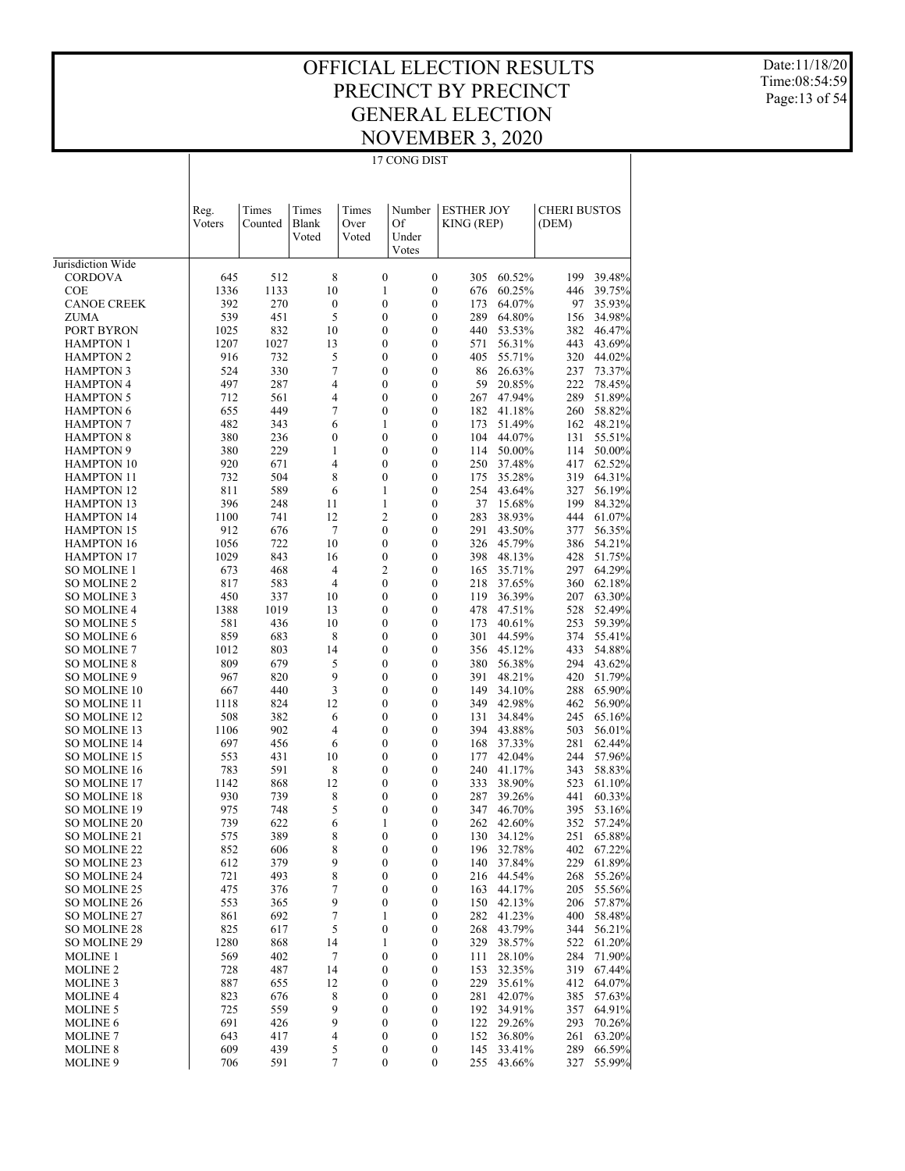Date:11/18/20 Time:08:54:59 Page:13 of 54

| -<br>G<br>I<br>v<br>. . |  |
|-------------------------|--|

|                                        | Reg.<br>Voters | Times<br>Counted | Times<br>Blank<br>Voted | Times<br>Over<br>Voted           | Number<br>Of<br>Under<br>Votes | <b>ESTHER JOY</b><br>KING (REP) |                  | <b>CHERI BUSTOS</b><br>(DEM) |                  |
|----------------------------------------|----------------|------------------|-------------------------|----------------------------------|--------------------------------|---------------------------------|------------------|------------------------------|------------------|
| Jurisdiction Wide                      |                |                  |                         |                                  |                                |                                 |                  |                              |                  |
| <b>CORDOVA</b>                         | 645            | 512              | 8                       | 0                                | $\boldsymbol{0}$               | 305                             | 60.52%           | 199                          | 39.48%           |
| <b>COE</b>                             | 1336           | 1133             | 10                      | $\mathbf{1}$                     | $\mathbf{0}$                   | 676                             | 60.25%           | 446                          | 39.75%           |
| <b>CANOE CREEK</b>                     | 392            | 270              | $\mathbf{0}$            | $\overline{0}$                   | $\mathbf{0}$                   | 173                             | 64.07%           | 97                           | 35.93%           |
| <b>ZUMA</b>                            | 539            | 451              | 5                       | $\overline{0}$                   | $\mathbf{0}$                   | 289                             | 64.80%           | 156                          | 34.98%           |
| PORT BYRON                             | 1025           | 832              | 10                      | $\overline{0}$                   | $\mathbf{0}$                   | 440                             | 53.53%           | 382                          | 46.47%           |
| <b>HAMPTON 1</b>                       | 1207           | 1027             | 13                      | $\overline{0}$                   | $\mathbf{0}$                   | 571                             | 56.31%           | 443                          | 43.69%           |
| <b>HAMPTON 2</b>                       | 916            | 732              | 5                       | 0                                | $\mathbf{0}$                   | 405                             | 55.71%           | 320                          | 44.02%           |
| <b>HAMPTON 3</b>                       | 524            | 330              | 7                       | $\overline{0}$                   | $\mathbf{0}$                   | 86                              | 26.63%           | 237                          | 73.37%           |
| <b>HAMPTON 4</b>                       | 497            | 287              | 4                       | $\overline{0}$                   | $\mathbf{0}$                   | 59                              | 20.85%           | 222                          | 78.45%           |
| <b>HAMPTON 5</b>                       | 712            | 561              | 4                       | $\overline{0}$                   | $\mathbf{0}$                   | 267                             | 47.94%           | 289                          | 51.89%           |
| <b>HAMPTON 6</b>                       | 655            | 449              | 7                       | $\overline{0}$                   | $\mathbf{0}$                   | 182                             | 41.18%           | 260                          | 58.82%           |
| <b>HAMPTON 7</b>                       | 482            | 343              | 6                       | 1                                | $\mathbf{0}$                   | 173                             | 51.49%           | 162                          | 48.21%           |
| <b>HAMPTON 8</b>                       | 380            | 236              | $\mathbf{0}$            | $\overline{0}$                   | $\mathbf{0}$                   | 104                             | 44.07%           | 131                          | 55.51%           |
| <b>HAMPTON 9</b>                       | 380            | 229              | 1<br>$\overline{4}$     | $\overline{0}$<br>$\overline{0}$ | $\mathbf{0}$<br>$\mathbf{0}$   | 114<br>250                      | 50.00%           | 114                          | 50.00%           |
| <b>HAMPTON 10</b><br><b>HAMPTON 11</b> | 920<br>732     | 671<br>504       | 8                       | $\overline{0}$                   | $\mathbf{0}$                   | 175                             | 37.48%<br>35.28% | 417<br>319                   | 62.52%<br>64.31% |
| <b>HAMPTON 12</b>                      | 811            | 589              | 6                       | 1                                | $\mathbf{0}$                   | 254                             | 43.64%           | 327                          | 56.19%           |
| <b>HAMPTON 13</b>                      | 396            | 248              | 11                      | $\mathbf{1}$                     | $\mathbf{0}$                   | 37                              | 15.68%           | 199                          | 84.32%           |
| <b>HAMPTON 14</b>                      | 1100           | 741              | 12                      | 2                                | $\mathbf{0}$                   | 283                             | 38.93%           | 444                          | 61.07%           |
| <b>HAMPTON 15</b>                      | 912            | 676              | 7                       | $\overline{0}$                   | $\mathbf{0}$                   | 291                             | 43.50%           | 377                          | 56.35%           |
| <b>HAMPTON 16</b>                      | 1056           | 722              | 10                      | $\overline{0}$                   | $\mathbf{0}$                   | 326                             | 45.79%           | 386                          | 54.21%           |
| <b>HAMPTON 17</b>                      | 1029           | 843              | 16                      | $\boldsymbol{0}$                 | $\mathbf{0}$                   | 398                             | 48.13%           | 428                          | 51.75%           |
| <b>SO MOLINE 1</b>                     | 673            | 468              | $\overline{4}$          | $\overline{2}$                   | $\mathbf{0}$                   | 165                             | 35.71%           | 297                          | 64.29%           |
| <b>SO MOLINE 2</b>                     | 817            | 583              | $\overline{4}$          | $\overline{0}$                   | $\mathbf{0}$                   | 218                             | 37.65%           | 360                          | 62.18%           |
| <b>SO MOLINE 3</b>                     | 450            | 337              | 10                      | $\overline{0}$                   | $\mathbf{0}$                   | 119                             | 36.39%           | 207                          | 63.30%           |
| <b>SO MOLINE 4</b>                     | 1388           | 1019             | 13                      | $\overline{0}$                   | $\mathbf{0}$                   | 478                             | 47.51%           | 528                          | 52.49%           |
| <b>SO MOLINE 5</b>                     | 581            | 436              | 10                      | 0                                | $\mathbf{0}$                   | 173                             | 40.61%           | 253                          | 59.39%           |
| <b>SO MOLINE 6</b>                     | 859            | 683              | 8                       | $\overline{0}$                   | $\mathbf{0}$                   | 301                             | 44.59%           | 374                          | 55.41%           |
| <b>SO MOLINE 7</b>                     | 1012           | 803              | 14                      | 0                                | $\mathbf{0}$                   | 356                             | 45.12%           | 433                          | 54.88%           |
| <b>SO MOLINE 8</b>                     | 809            | 679              | 5                       | $\mathbf{0}$                     | $\mathbf{0}$                   | 380                             | 56.38%           | 294                          | 43.62%           |
| SO MOLINE 9                            | 967            | 820              | 9                       | 0                                | $\mathbf{0}$                   | 391                             | 48.21%           | 420                          | 51.79%           |
| SO MOLINE 10                           | 667            | 440              | 3                       | $\mathbf{0}$                     | $\mathbf{0}$                   | 149                             | 34.10%           | 288                          | 65.90%           |
| <b>SO MOLINE 11</b>                    | 1118           | 824              | 12                      | 0                                | $\mathbf{0}$                   | 349                             | 42.98%           | 462                          | 56.90%           |
| <b>SO MOLINE 12</b>                    | 508            | 382              | 6                       | $\mathbf{0}$                     | $\mathbf{0}$                   | 131                             | 34.84%           | 245                          | 65.16%           |
| SO MOLINE 13                           | 1106           | 902              | $\overline{4}$          | 0                                | $\mathbf{0}$                   | 394                             | 43.88%           | 503                          | 56.01%           |
| <b>SO MOLINE 14</b>                    | 697            | 456              | 6                       | $\mathbf{0}$                     | $\mathbf{0}$                   | 168                             | 37.33%           | 281                          | 62.44%           |
| <b>SO MOLINE 15</b>                    | 553            | 431              | 10                      | 0                                | $\mathbf{0}$                   | 177                             | 42.04%           | 244                          | 57.96%           |
| SO MOLINE 16                           | 783            | 591              | 8                       | $\mathbf{0}$                     | $\mathbf{0}$                   | 240                             | 41.17%           | 343                          | 58.83%           |
| <b>SO MOLINE 17</b>                    | 1142           | 868              | 12                      | 0<br>0                           | $\mathbf{0}$<br>$\mathbf{0}$   | 333                             | 38.90%           | 523                          | 61.10%           |
| <b>SO MOLINE 18</b><br>SO MOLINE 19    | 930<br>975     | 739<br>748       | 8<br>5                  | 0                                | $\mathbf{0}$                   | 287<br>347                      | 39.26%<br>46.70% | 441<br>395                   | 60.33%<br>53.16% |
| <b>SO MOLINE 20</b>                    | 739            | 622              | 6                       | 1                                | $\mathbf{0}$                   | 262                             | 42.60%           | 352                          | 57.24%           |
| SO MOLINE 21                           | 575            | 389              | 8                       | $\mathbf{0}$                     | $\mathbf{0}$                   | 130                             | 34.12%           | 251                          | 65.88%           |
| SO MOLINE 22                           | 852            | 606              | 8                       | 0                                | $\boldsymbol{0}$               |                                 | 196 32.78%       |                              | 402 67.22%       |
| SO MOLINE 23                           | 612            | 379              | 9                       | 0                                | $\boldsymbol{0}$               |                                 | 140 37.84%       |                              | 229 61.89%       |
| SO MOLINE 24                           | 721            | 493              | $\,$ 8 $\,$             | 0                                | 0                              | 216                             | 44.54%           | 268                          | 55.26%           |
| SO MOLINE 25                           | 475            | 376              | 7                       | 0                                | $\boldsymbol{0}$               | 163                             | 44.17%           | 205                          | 55.56%           |
| SO MOLINE 26                           | 553            | 365              | 9                       | 0                                | $\boldsymbol{0}$               | 150                             | 42.13%           | 206                          | 57.87%           |
| SO MOLINE 27                           | 861            | 692              | 7                       | 1                                | $\boldsymbol{0}$               | 282                             | 41.23%           | 400                          | 58.48%           |
| SO MOLINE 28                           | 825            | 617              | 5                       | 0                                | 0                              | 268                             | 43.79%           | 344                          | 56.21%           |
| SO MOLINE 29                           | 1280           | 868              | 14                      | 1                                | $\boldsymbol{0}$               | 329                             | 38.57%           | 522                          | 61.20%           |
| <b>MOLINE 1</b>                        | 569            | 402              | 7                       | 0                                | $\boldsymbol{0}$               | 111                             | 28.10%           | 284                          | 71.90%           |
| <b>MOLINE 2</b>                        | 728            | 487              | 14                      | 0                                | $\boldsymbol{0}$               | 153                             | 32.35%           | 319                          | 67.44%           |
| <b>MOLINE 3</b>                        | 887            | 655              | 12                      | 0                                | 0                              | 229                             | 35.61%           | 412                          | 64.07%           |
| <b>MOLINE 4</b>                        | 823            | 676              | 8                       | 0                                | $\boldsymbol{0}$               | 281                             | 42.07%           | 385                          | 57.63%           |
| <b>MOLINE 5</b>                        | 725            | 559              | 9                       | 0                                | $\boldsymbol{0}$               | 192                             | 34.91%           | 357                          | 64.91%           |
| MOLINE 6                               | 691            | 426              | 9                       | 0                                | $\boldsymbol{0}$               | 122                             | 29.26%           | 293                          | 70.26%           |
| <b>MOLINE 7</b>                        | 643            | 417              | 4                       | 0                                | $\boldsymbol{0}$               | 152                             | 36.80%           | 261                          | 63.20%           |
| <b>MOLINE 8</b>                        | 609            | 439              | 5                       | 0                                | $\boldsymbol{0}$               | 145                             | 33.41%           | 289                          | 66.59%           |
| <b>MOLINE 9</b>                        | 706            | 591              | 7                       | 0                                | $\boldsymbol{0}$               | 255                             | 43.66%           | 327                          | 55.99%           |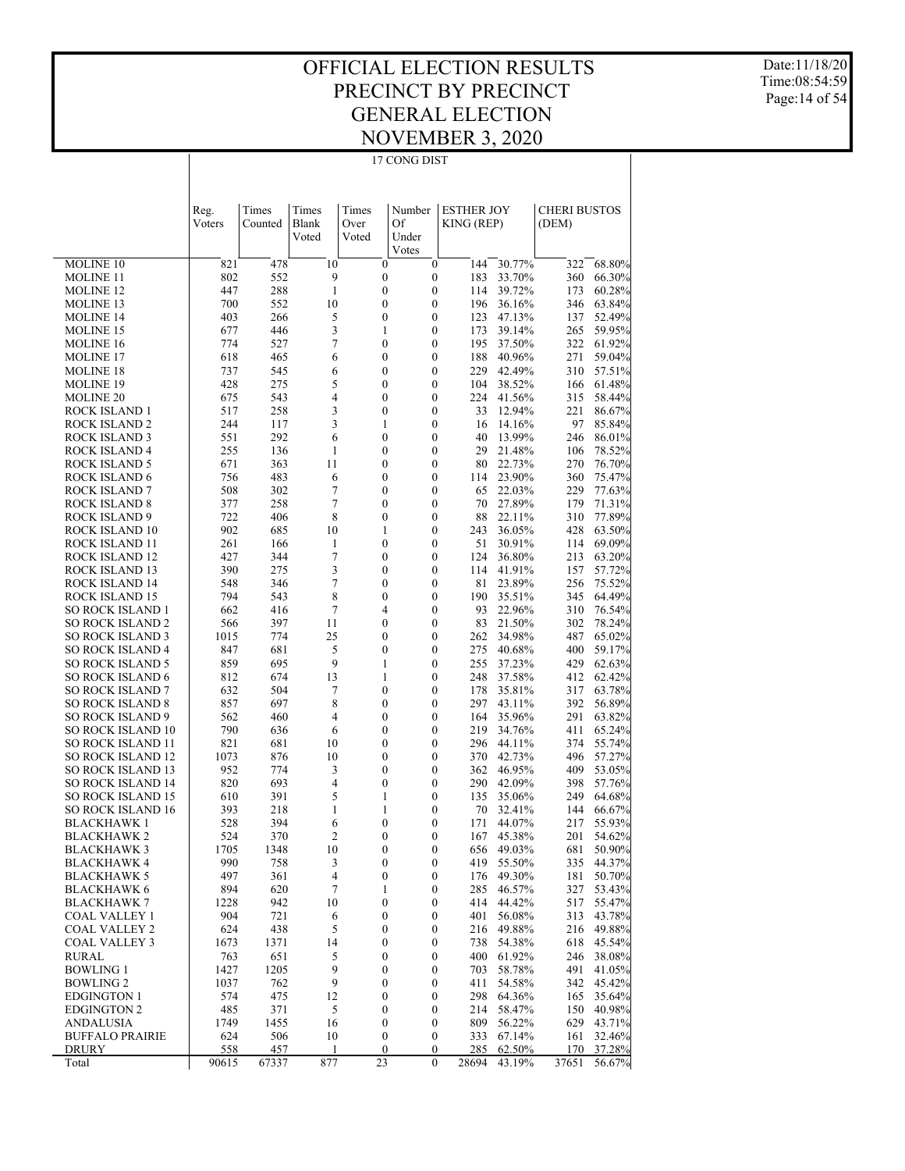17 CONG DIST

Date:11/18/20 Time:08:54:59 Page:14 of 54

|                                                    | Reg.<br>Voters | Times<br>Counted | Times<br>Blank<br>Voted | Times<br>Over<br>Voted               | Number<br>Of<br>Under<br>Votes       | <b>ESTHER JOY</b><br>KING (REP) |                  | <b>CHERI BUSTOS</b><br>(DEM) |                  |
|----------------------------------------------------|----------------|------------------|-------------------------|--------------------------------------|--------------------------------------|---------------------------------|------------------|------------------------------|------------------|
| MOLINE 10                                          | 821            | 478              | 10                      | $\boldsymbol{0}$                     | $\boldsymbol{0}$                     | 144                             | 30.77%           | 322                          | 68.80%           |
| <b>MOLINE 11</b>                                   | 802            | 552              | 9                       | $\boldsymbol{0}$                     | $\boldsymbol{0}$                     | 183                             | 33.70%           | 360                          | 66.30%           |
| <b>MOLINE 12</b>                                   | 447            | 288              | $\mathbf{1}$            | $\boldsymbol{0}$                     | $\boldsymbol{0}$                     | 114                             | 39.72%           | 173                          | 60.28%           |
| <b>MOLINE 13</b>                                   | 700            | 552              | 10                      | $\boldsymbol{0}$                     | $\boldsymbol{0}$                     | 196                             | 36.16%           | 346                          | 63.84%           |
| <b>MOLINE 14</b>                                   | 403            | 266              | 5                       | $\boldsymbol{0}$                     | $\boldsymbol{0}$                     | 123                             | 47.13%           | 137                          | 52.49%           |
| MOLINE 15                                          | 677            | 446              | 3                       | 1                                    | $\boldsymbol{0}$                     | 173                             | 39.14%           | 265                          | 59.95%           |
| <b>MOLINE 16</b>                                   | 774            | 527              | $\overline{7}$          | $\boldsymbol{0}$                     | $\boldsymbol{0}$                     | 195                             | 37.50%           | 322                          | 61.92%           |
| <b>MOLINE 17</b>                                   | 618            | 465              | 6                       | $\boldsymbol{0}$                     | $\boldsymbol{0}$                     | 188                             | 40.96%           | 271                          | 59.04%           |
| MOLINE 18                                          | 737            | 545              | 6                       | $\boldsymbol{0}$                     | $\boldsymbol{0}$                     | 229                             | 42.49%           | 310                          | 57.51%           |
| <b>MOLINE 19</b>                                   | 428            | 275              | 5                       | $\boldsymbol{0}$                     | $\boldsymbol{0}$                     | 104                             | 38.52%           | 166                          | 61.48%           |
| <b>MOLINE 20</b>                                   | 675            | 543              | $\overline{4}$          | $\boldsymbol{0}$                     | $\boldsymbol{0}$                     | 224                             | 41.56%           | 315                          | 58.44%           |
| ROCK ISLAND 1                                      | 517            | 258              | 3                       | $\boldsymbol{0}$                     | $\boldsymbol{0}$                     | 33                              | 12.94%           | 221                          | 86.67%           |
| ROCK ISLAND 2                                      | 244            | 117              | 3                       | $\mathbf{1}$                         | $\boldsymbol{0}$                     | 16                              | 14.16%           | 97                           | 85.84%           |
| ROCK ISLAND 3                                      | 551            | 292              | 6                       | $\boldsymbol{0}$                     | $\boldsymbol{0}$                     | 40                              | 13.99%           | 246                          | 86.01%           |
| ROCK ISLAND 4                                      | 255            | 136              | 1                       | $\boldsymbol{0}$                     | $\boldsymbol{0}$                     | 29                              | 21.48%           | 106                          | 78.52%           |
| <b>ROCK ISLAND 5</b>                               | 671            | 363              | 11                      | $\boldsymbol{0}$                     | $\boldsymbol{0}$                     | 80                              | 22.73%           | 270                          | 76.70%           |
| ROCK ISLAND 6                                      | 756            | 483              | 6                       | $\boldsymbol{0}$                     | $\boldsymbol{0}$                     | 114                             | 23.90%           | 360                          | 75.47%           |
| <b>ROCK ISLAND 7</b>                               | 508            | 302              | $\overline{7}$          | 0                                    | $\boldsymbol{0}$                     | 65                              | 22.03%           | 229                          | 77.63%           |
| <b>ROCK ISLAND 8</b>                               | 377            | 258              | 7                       | $\boldsymbol{0}$                     | $\boldsymbol{0}$                     | 70                              | 27.89%           | 179                          | 71.31%           |
| ROCK ISLAND 9                                      | 722            | 406              | 8                       | $\boldsymbol{0}$                     | $\boldsymbol{0}$                     | 88                              | 22.11%           | 310                          | 77.89%           |
| ROCK ISLAND 10                                     | 902            | 685              | 10                      | 1                                    | $\boldsymbol{0}$                     | 243                             | 36.05%           | 428                          | 63.50%           |
| ROCK ISLAND 11                                     | 261            | 166              | 1                       | $\boldsymbol{0}$                     | $\boldsymbol{0}$                     | 51                              | 30.91%           | 114                          | 69.09%           |
| ROCK ISLAND 12                                     | 427            | 344              | $\overline{7}$          | $\boldsymbol{0}$                     | $\boldsymbol{0}$                     | 124                             | 36.80%           | 213                          | 63.20%           |
| ROCK ISLAND 13                                     | 390            | 275              | 3                       | $\boldsymbol{0}$                     | $\boldsymbol{0}$                     | 114                             | 41.91%           | 157                          | 57.72%           |
| ROCK ISLAND 14                                     | 548            | 346              | $\overline{7}$          | $\boldsymbol{0}$                     | $\boldsymbol{0}$                     | 81                              | 23.89%           | 256                          | 75.52%           |
| ROCK ISLAND 15                                     | 794            | 543              | 8                       | $\boldsymbol{0}$                     | $\boldsymbol{0}$                     | 190                             | 35.51%           | 345                          | 64.49%           |
| <b>SO ROCK ISLAND 1</b>                            | 662            | 416              | 7                       | 4                                    | $\boldsymbol{0}$                     | 93                              | 22.96%           | 310                          | 76.54%           |
| <b>SO ROCK ISLAND 2</b>                            | 566            | 397              | 11                      | $\boldsymbol{0}$                     | $\boldsymbol{0}$                     | 83                              | 21.50%           | 302                          | 78.24%           |
| <b>SO ROCK ISLAND 3</b>                            | 1015<br>847    | 774<br>681       | 25<br>5                 | $\boldsymbol{0}$<br>$\boldsymbol{0}$ | $\boldsymbol{0}$<br>$\boldsymbol{0}$ | 262<br>275                      | 34.98%           | 487<br>400                   | 65.02%           |
| <b>SO ROCK ISLAND 4</b><br><b>SO ROCK ISLAND 5</b> | 859            | 695              | 9                       | $\mathbf{1}$                         | $\boldsymbol{0}$                     | 255                             | 40.68%<br>37.23% | 429                          | 59.17%<br>62.63% |
| <b>SO ROCK ISLAND 6</b>                            | 812            | 674              | 13                      | 1                                    | $\boldsymbol{0}$                     | 248                             | 37.58%           | 412                          | 62.42%           |
| <b>SO ROCK ISLAND 7</b>                            | 632            | 504              | 7                       | $\boldsymbol{0}$                     | $\boldsymbol{0}$                     | 178                             | 35.81%           | 317                          | 63.78%           |
| <b>SO ROCK ISLAND 8</b>                            | 857            | 697              | 8                       | $\boldsymbol{0}$                     | $\boldsymbol{0}$                     | 297                             | 43.11%           | 392                          | 56.89%           |
| <b>SO ROCK ISLAND 9</b>                            | 562            | 460              | $\overline{4}$          | $\boldsymbol{0}$                     | $\boldsymbol{0}$                     | 164                             | 35.96%           | 291                          | 63.82%           |
| <b>SO ROCK ISLAND 10</b>                           | 790            | 636              | 6                       | $\boldsymbol{0}$                     | $\boldsymbol{0}$                     | 219                             | 34.76%           | 411                          | 65.24%           |
| <b>SO ROCK ISLAND 11</b>                           | 821            | 681              | 10                      | $\boldsymbol{0}$                     | $\boldsymbol{0}$                     | 296                             | 44.11%           | 374                          | 55.74%           |
| <b>SO ROCK ISLAND 12</b>                           | 1073           | 876              | 10                      | 0                                    | $\boldsymbol{0}$                     | 370                             | 42.73%           | 496                          | 57.27%           |
| <b>SO ROCK ISLAND 13</b>                           | 952            | 774              | 3                       | $\boldsymbol{0}$                     | $\boldsymbol{0}$                     | 362                             | 46.95%           | 409                          | 53.05%           |
| <b>SO ROCK ISLAND 14</b>                           | 820            | 693              | $\overline{4}$          | $\boldsymbol{0}$                     | $\boldsymbol{0}$                     | 290                             | 42.09%           | 398                          | 57.76%           |
| <b>SO ROCK ISLAND 15</b>                           | 610            | 391              | 5                       | $\mathbf{1}$                         | $\boldsymbol{0}$                     | 135                             | 35.06%           | 249                          | 64.68%           |
| <b>SO ROCK ISLAND 16</b>                           | 393            | 218              | 1                       | 1                                    | $\boldsymbol{0}$                     | 70                              | 32.41%           | 144                          | 66.67%           |
| <b>BLACKHAWK1</b>                                  | 528            | 394              | 6                       | $\boldsymbol{0}$                     | $\boldsymbol{0}$                     | 171                             | 44.07%           | 217                          | 55.93%           |
| <b>BLACKHAWK 2</b>                                 | 524            | 370              | $\overline{c}$          | $\boldsymbol{0}$                     | $\boldsymbol{0}$                     | 167                             | 45.38%           | 201                          | 54.62%           |
| <b>BLACKHAWK3</b>                                  | 1705           | 1348             | 10                      | $\boldsymbol{0}$                     | $\boldsymbol{0}$                     | 656                             | 49.03%           | 681                          | 50.90%           |
| <b>BLACKHAWK 4</b>                                 | 990            | 758              | 3                       | $\boldsymbol{0}$                     | $\boldsymbol{0}$                     |                                 | 419 55.50%       |                              | 335 44.37%       |
| <b>BLACKHAWK 5</b>                                 | 497            | 361              | 4                       | $\boldsymbol{0}$                     | $\boldsymbol{0}$                     | 176                             | 49.30%           | 181                          | 50.70%           |
| <b>BLACKHAWK 6</b>                                 | 894            | 620              | 7                       | 1                                    | $\boldsymbol{0}$                     | 285                             | 46.57%           | 327                          | 53.43%           |
| <b>BLACKHAWK 7</b>                                 | 1228           | 942              | 10                      | $\boldsymbol{0}$                     | $\boldsymbol{0}$                     | 414                             | 44.42%           | 517                          | 55.47%           |
| COAL VALLEY 1                                      | 904            | 721              | 6                       | $\boldsymbol{0}$                     | $\boldsymbol{0}$                     | 401                             | 56.08%           | 313                          | 43.78%           |
| <b>COAL VALLEY 2</b>                               | 624            | 438              | 5                       | $\boldsymbol{0}$                     | $\boldsymbol{0}$                     | 216                             | 49.88%           | 216                          | 49.88%           |
| <b>COAL VALLEY 3</b>                               | 1673           | 1371             | 14                      | 0                                    | $\boldsymbol{0}$                     | 738                             | 54.38%           | 618                          | 45.54%           |
| RURAL                                              | 763            | 651              | $\sqrt{5}$              | $\boldsymbol{0}$                     | $\boldsymbol{0}$                     | 400                             | 61.92%           | 246                          | 38.08%           |
| <b>BOWLING 1</b>                                   | 1427           | 1205             | 9                       | 0                                    | $\boldsymbol{0}$                     | 703                             | 58.78%           | 491                          | 41.05%           |
| <b>BOWLING 2</b>                                   | 1037           | 762              | $\overline{9}$          | $\boldsymbol{0}$                     | $\boldsymbol{0}$                     | 411                             | 54.58%           | 342                          | 45.42%           |
| <b>EDGINGTON 1</b>                                 | 574            | 475              | 12                      | 0                                    | $\boldsymbol{0}$                     | 298                             | 64.36%           | 165                          | 35.64%           |
| <b>EDGINGTON 2</b><br><b>ANDALUSIA</b>             | 485<br>1749    | 371              | 5                       | $\boldsymbol{0}$                     | $\boldsymbol{0}$                     | 214                             | 58.47%           | 150                          | 40.98%           |
| <b>BUFFALO PRAIRIE</b>                             | 624            | 1455<br>506      | 16<br>10                | $\boldsymbol{0}$<br>$\boldsymbol{0}$ | $\boldsymbol{0}$<br>$\boldsymbol{0}$ | 809<br>333                      | 56.22%<br>67.14% | 629<br>161                   | 43.71%<br>32.46% |
| DRURY                                              | 558            | 457              | 1                       | $\boldsymbol{0}$                     | $\boldsymbol{0}$                     | 285                             | 62.50%           | 170                          | 37.28%           |
| Total                                              | 90615          | 67337            | 877                     | 23                                   | $\mathbf{0}$                         | 28694                           | 43.19%           | 37651                        | 56.67%           |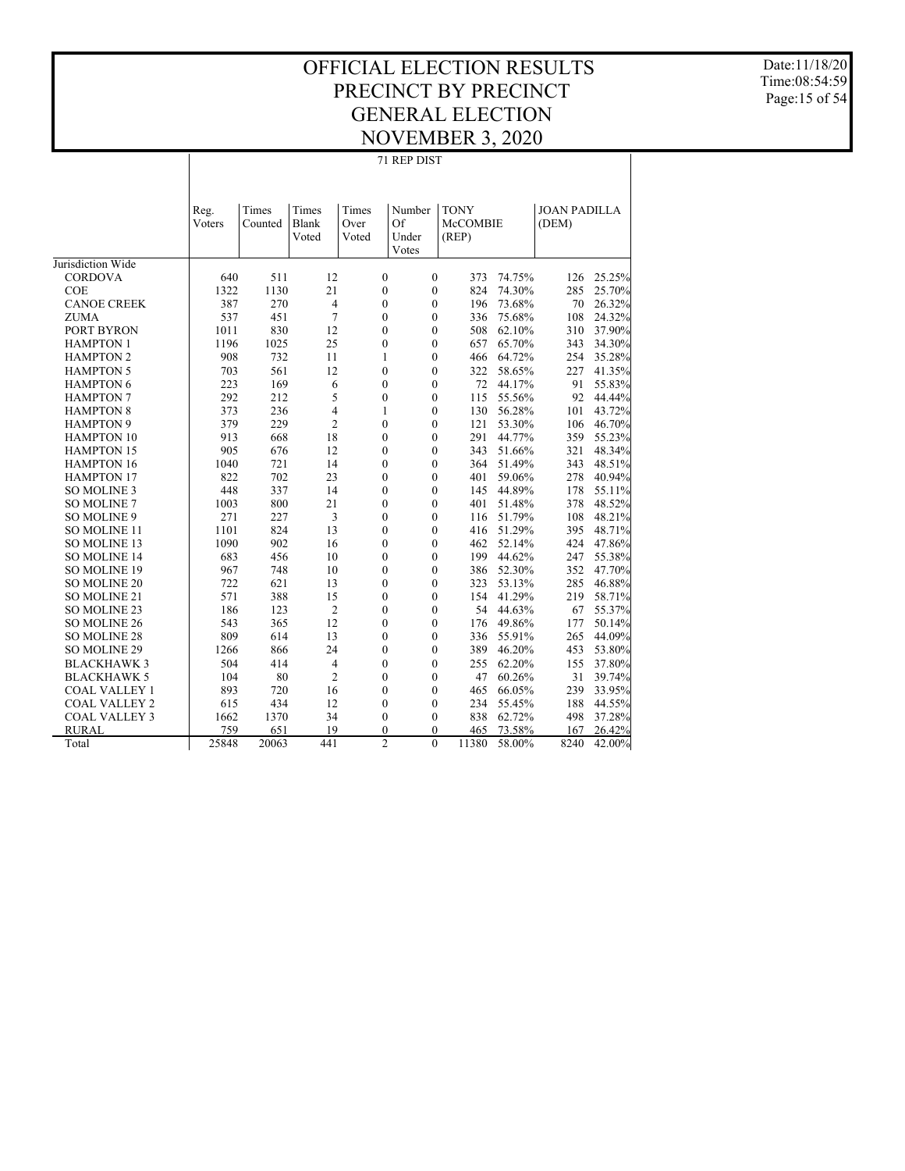71 REP DIST

Date:11/18/20 Time:08:54:59 Page:15 of 54

|                      | 71 REP DIST |         |                |                  |                  |             |        |                     |        |  |  |  |
|----------------------|-------------|---------|----------------|------------------|------------------|-------------|--------|---------------------|--------|--|--|--|
|                      |             |         |                |                  |                  |             |        |                     |        |  |  |  |
|                      |             |         |                |                  |                  |             |        |                     |        |  |  |  |
|                      | Reg.        | Times   | Times          | Times            | Number           | <b>TONY</b> |        | <b>JOAN PADILLA</b> |        |  |  |  |
|                      | Voters      | Counted | Blank          | Over             | Of               | McCOMBIE    |        | (DEM)               |        |  |  |  |
|                      |             |         | Voted          | Voted            | Under            | (REP)       |        |                     |        |  |  |  |
|                      |             |         |                |                  | Votes            |             |        |                     |        |  |  |  |
| Jurisdiction Wide    |             |         |                |                  |                  |             |        |                     |        |  |  |  |
| <b>CORDOVA</b>       | 640         | 511     | 12             | $\mathbf{0}$     | $\mathbf{0}$     | 373         | 74.75% | 126                 | 25.25% |  |  |  |
| <b>COE</b>           | 1322        | 1130    | 21             | $\boldsymbol{0}$ | $\boldsymbol{0}$ | 824         | 74.30% | 285                 | 25.70% |  |  |  |
| <b>CANOE CREEK</b>   | 387         | 270     | 4              | $\mathbf{0}$     | $\mathbf{0}$     | 196         | 73.68% | 70                  | 26.32% |  |  |  |
| <b>ZUMA</b>          | 537         | 451     | 7              | $\mathbf{0}$     | $\boldsymbol{0}$ | 336         | 75.68% | 108                 | 24.32% |  |  |  |
| PORT BYRON           | 1011        | 830     | 12             | $\overline{0}$   | $\mathbf{0}$     | 508         | 62.10% | 310                 | 37.90% |  |  |  |
| <b>HAMPTON 1</b>     | 1196        | 1025    | 25             | $\mathbf{0}$     | $\mathbf{0}$     | 657         | 65.70% | 343                 | 34.30% |  |  |  |
| <b>HAMPTON 2</b>     | 908         | 732     | 11             | 1                | $\mathbf{0}$     | 466         | 64.72% | 254                 | 35.28% |  |  |  |
| <b>HAMPTON 5</b>     | 703         | 561     | 12             | $\boldsymbol{0}$ | $\boldsymbol{0}$ | 322         | 58.65% | 227                 | 41.35% |  |  |  |
| <b>HAMPTON 6</b>     | 223         | 169     | 6              | $\mathbf{0}$     | $\boldsymbol{0}$ | 72          | 44.17% | 91                  | 55.83% |  |  |  |
| <b>HAMPTON 7</b>     | 292         | 212     | 5              | $\mathbf{0}$     | $\boldsymbol{0}$ | 115         | 55.56% | 92                  | 44.44% |  |  |  |
| <b>HAMPTON 8</b>     | 373         | 236     | 4              | 1                | $\boldsymbol{0}$ | 130         | 56.28% | 101                 | 43.72% |  |  |  |
| <b>HAMPTON 9</b>     | 379         | 229     | $\overline{2}$ | $\mathbf{0}$     | $\mathbf{0}$     | 121         | 53.30% | 106                 | 46.70% |  |  |  |
| HAMPTON 10           | 913         | 668     | 18             | $\overline{0}$   | $\boldsymbol{0}$ | 291         | 44.77% | 359                 | 55.23% |  |  |  |
| <b>HAMPTON 15</b>    | 905         | 676     | 12             | $\overline{0}$   | $\mathbf{0}$     | 343         | 51.66% | 321                 | 48.34% |  |  |  |
| <b>HAMPTON 16</b>    | 1040        | 721     | 14             | $\mathbf{0}$     | $\boldsymbol{0}$ | 364         | 51.49% | 343                 | 48.51% |  |  |  |
| <b>HAMPTON 17</b>    | 822         | 702     | 23             | $\mathbf{0}$     | $\mathbf{0}$     | 401         | 59.06% | 278                 | 40.94% |  |  |  |
| SO MOLINE 3          | 448         | 337     | 14             | $\boldsymbol{0}$ | $\boldsymbol{0}$ | 145         | 44.89% | 178                 | 55.11% |  |  |  |
| <b>SO MOLINE 7</b>   | 1003        | 800     | 21             | $\mathbf{0}$     | $\mathbf{0}$     | 401         | 51.48% | 378                 | 48.52% |  |  |  |
| SO MOLINE 9          | 271         | 227     | 3              | $\mathbf{0}$     | $\mathbf{0}$     | 116         | 51.79% | 108                 | 48.21% |  |  |  |
| SO MOLINE 11         | 1101        | 824     | 13             | $\overline{0}$   | $\mathbf{0}$     | 416         | 51.29% | 395                 | 48.71% |  |  |  |
| SO MOLINE 13         | 1090        | 902     | 16             | $\boldsymbol{0}$ | $\boldsymbol{0}$ | 462         | 52.14% | 424                 | 47.86% |  |  |  |
| <b>SO MOLINE 14</b>  | 683         | 456     | 10             | $\overline{0}$   | $\mathbf{0}$     | 199         | 44.62% | 247                 | 55.38% |  |  |  |
| SO MOLINE 19         | 967         | 748     | 10             | $\boldsymbol{0}$ | $\boldsymbol{0}$ | 386         | 52.30% | 352                 | 47.70% |  |  |  |
| SO MOLINE 20         | 722         | 621     | 13             | $\mathbf{0}$     | $\mathbf{0}$     | 323         | 53.13% | 285                 | 46.88% |  |  |  |
| SO MOLINE 21         | 571         | 388     | 15             | $\mathbf{0}$     | $\mathbf{0}$     | 154         | 41.29% | 219                 | 58.71% |  |  |  |
| SO MOLINE 23         | 186         | 123     | $\overline{2}$ | $\boldsymbol{0}$ | $\boldsymbol{0}$ | 54          | 44.63% | 67                  | 55.37% |  |  |  |
| <b>SO MOLINE 26</b>  | 543         | 365     | 12             | $\mathbf{0}$     | $\mathbf{0}$     | 176         | 49.86% | 177                 | 50.14% |  |  |  |
| <b>SO MOLINE 28</b>  | 809         | 614     | 13             | $\mathbf{0}$     | $\boldsymbol{0}$ | 336         | 55.91% | 265                 | 44.09% |  |  |  |
| SO MOLINE 29         | 1266        | 866     | 24             | $\mathbf{0}$     | $\mathbf{0}$     | 389         | 46.20% | 453                 | 53.80% |  |  |  |
| <b>BLACKHAWK3</b>    | 504         | 414     | 4              | $\mathbf{0}$     | $\mathbf{0}$     | 255         | 62.20% | 155                 | 37.80% |  |  |  |
| <b>BLACKHAWK 5</b>   | 104         | 80      | 2              | $\mathbf{0}$     | $\mathbf{0}$     | 47          | 60.26% | 31                  | 39.74% |  |  |  |
| <b>COAL VALLEY 1</b> | 893         | 720     | 16             | $\mathbf{0}$     | $\mathbf{0}$     | 465         | 66.05% | 239                 |        |  |  |  |
|                      |             |         |                |                  |                  |             |        |                     | 33.95% |  |  |  |
| <b>COAL VALLEY 2</b> | 615         | 434     | 12             | $\mathbf{0}$     | $\mathbf{0}$     | 234         | 55.45% | 188                 | 44.55% |  |  |  |
| <b>COAL VALLEY 3</b> | 1662        | 1370    | 34             | $\boldsymbol{0}$ | $\boldsymbol{0}$ | 838         | 62.72% | 498                 | 37.28% |  |  |  |
| <b>RURAL</b>         | 759         | 651     | 19             | $\mathbf{0}$     | $\mathbf{0}$     | 465         | 73.58% | 167                 | 26.42% |  |  |  |
| Total                | 25848       | 20063   | 441            | $\overline{2}$   | $\mathbf{0}$     | 11380       | 58.00% | 8240                | 42.00% |  |  |  |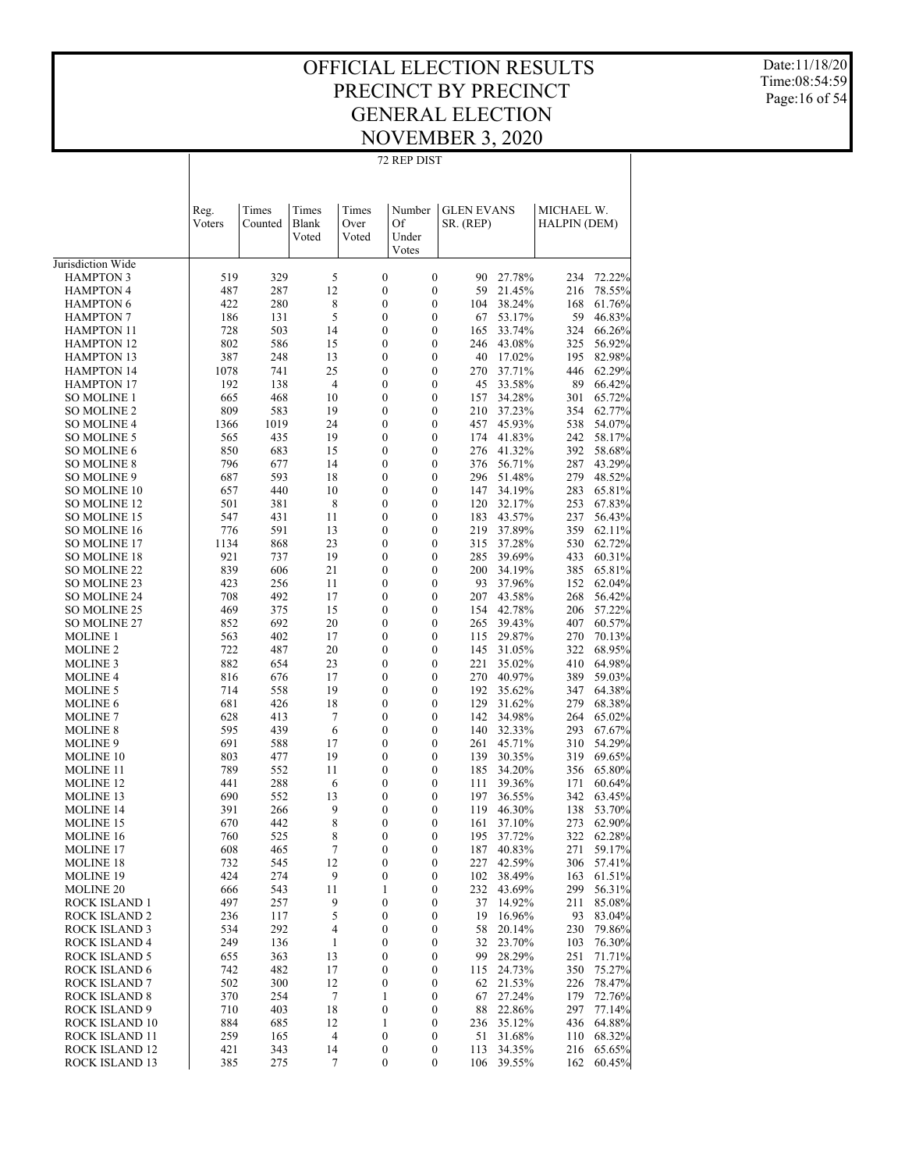72 REP DIST

Date:11/18/20 Time:08:54:59 Page:16 of 54

|                                        | Reg.<br>Voters | Times<br>Counted | Times<br>Blank       | Times<br>Over                        | Number<br>Of          | <b>GLEN EVANS</b><br>SR. (REP) |                      | MICHAEL W.<br>HALPIN (DEM) |                  |
|----------------------------------------|----------------|------------------|----------------------|--------------------------------------|-----------------------|--------------------------------|----------------------|----------------------------|------------------|
|                                        |                |                  | Voted                | Voted                                | Under<br>Votes        |                                |                      |                            |                  |
| Jurisdiction Wide                      |                |                  |                      |                                      |                       |                                |                      |                            |                  |
| <b>HAMPTON 3</b>                       | 519            | 329              | 5                    | $\boldsymbol{0}$                     | 0                     | 90                             | 27.78%               | 234                        | 72.22%           |
| <b>HAMPTON 4</b>                       | 487            | 287              | 12                   | $\boldsymbol{0}$                     | 0                     | 59                             | 21.45%               | 216                        | 78.55%           |
| <b>HAMPTON 6</b>                       | 422            | 280              | 8                    | $\boldsymbol{0}$                     | 0                     | 104                            | 38.24%               | 168                        | 61.76%           |
| <b>HAMPTON 7</b>                       | 186            | 131              | 5                    | $\boldsymbol{0}$                     | 0                     | 67                             | 53.17%               | 59                         | 46.83%           |
| <b>HAMPTON 11</b>                      | 728            | 503              | 14                   | $\boldsymbol{0}$                     | 0                     | 165                            | 33.74%               | 324                        | 66.26%           |
| <b>HAMPTON 12</b>                      | 802            | 586              | 15                   | $\boldsymbol{0}$                     | 0                     | 246                            | 43.08%               | 325                        | 56.92%           |
| <b>HAMPTON 13</b>                      | 387            | 248              | 13                   | $\boldsymbol{0}$                     | 0                     | 40                             | 17.02%               | 195                        | 82.98%           |
| <b>HAMPTON 14</b><br><b>HAMPTON 17</b> | 1078<br>192    | 741<br>138       | 25<br>$\overline{4}$ | $\boldsymbol{0}$<br>$\boldsymbol{0}$ | 0<br>0                | 270<br>45                      | 37.71%<br>33.58%     | 446<br>89                  | 62.29%           |
| <b>SO MOLINE 1</b>                     | 665            | 468              | 10                   | $\boldsymbol{0}$                     | $\boldsymbol{0}$      | 157                            | 34.28%               | 301                        | 66.42%<br>65.72% |
| <b>SO MOLINE 2</b>                     | 809            | 583              | 19                   | $\boldsymbol{0}$                     | 0                     | 210                            | 37.23%               | 354                        | 62.77%           |
| <b>SO MOLINE 4</b>                     | 1366           | 1019             | 24                   | $\boldsymbol{0}$                     | 0                     | 457                            | 45.93%               | 538                        | 54.07%           |
| <b>SO MOLINE 5</b>                     | 565            | 435              | 19                   | $\boldsymbol{0}$                     | 0                     | 174                            | 41.83%               | 242                        | 58.17%           |
| <b>SO MOLINE 6</b>                     | 850            | 683              | 15                   | $\boldsymbol{0}$                     | $\boldsymbol{0}$      | 276                            | 41.32%               | 392                        | 58.68%           |
| <b>SO MOLINE 8</b>                     | 796            | 677              | 14                   | $\boldsymbol{0}$                     | 0                     | 376                            | 56.71%               | 287                        | 43.29%           |
| <b>SO MOLINE 9</b>                     | 687            | 593              | 18                   | $\boldsymbol{0}$                     | $\boldsymbol{0}$      | 296                            | 51.48%               | 279                        | 48.52%           |
| <b>SO MOLINE 10</b>                    | 657            | 440              | 10                   | $\boldsymbol{0}$                     | 0                     | 147                            | 34.19%               | 283                        | 65.81%           |
| <b>SO MOLINE 12</b>                    | 501            | 381              | 8                    | $\boldsymbol{0}$                     | $\boldsymbol{0}$      | 120                            | 32.17%               | 253                        | 67.83%           |
| <b>SO MOLINE 15</b>                    | 547            | 431              | 11                   | $\boldsymbol{0}$                     | 0                     | 183                            | 43.57%               | 237                        | 56.43%           |
| <b>SO MOLINE 16</b>                    | 776            | 591              | 13                   | $\boldsymbol{0}$                     | $\boldsymbol{0}$      | 219                            | 37.89%               | 359                        | 62.11%           |
| <b>SO MOLINE 17</b>                    | 1134           | 868              | 23                   | $\boldsymbol{0}$                     | 0                     | 315                            | 37.28%               | 530                        | 62.72%           |
| <b>SO MOLINE 18</b>                    | 921            | 737              | 19                   | $\boldsymbol{0}$                     | $\boldsymbol{0}$      | 285                            | 39.69%               | 433                        | 60.31%           |
| <b>SO MOLINE 22</b>                    | 839            | 606              | 21                   | $\boldsymbol{0}$                     | 0                     | 200                            | 34.19%               | 385                        | 65.81%           |
| SO MOLINE 23                           | 423            | 256              | 11                   | $\boldsymbol{0}$                     | 0                     | 93                             | 37.96%               | 152                        | 62.04%           |
| <b>SO MOLINE 24</b>                    | 708            | 492              | 17                   | $\boldsymbol{0}$                     | 0                     | 207                            | 43.58%               | 268                        | 56.42%           |
| SO MOLINE 25                           | 469            | 375              | 15                   | $\boldsymbol{0}$<br>$\boldsymbol{0}$ | $\boldsymbol{0}$      | 154                            | 42.78%               | 206                        | 57.22%           |
| SO MOLINE 27<br><b>MOLINE 1</b>        | 852<br>563     | 692<br>402       | 20<br>17             | $\boldsymbol{0}$                     | 0<br>$\boldsymbol{0}$ | 265<br>115                     | 39.43%<br>29.87%     | 407<br>270                 | 60.57%<br>70.13% |
| <b>MOLINE 2</b>                        | 722            | 487              | 20                   | $\boldsymbol{0}$                     | 0                     | 145                            | 31.05%               | 322                        | 68.95%           |
| <b>MOLINE 3</b>                        | 882            | 654              | 23                   | $\boldsymbol{0}$                     | $\boldsymbol{0}$      | 221                            | 35.02%               | 410                        | 64.98%           |
| <b>MOLINE 4</b>                        | 816            | 676              | 17                   | $\boldsymbol{0}$                     | 0                     | 270                            | 40.97%               | 389                        | 59.03%           |
| <b>MOLINE 5</b>                        | 714            | 558              | 19                   | $\boldsymbol{0}$                     | $\boldsymbol{0}$      | 192                            | 35.62%               | 347                        | 64.38%           |
| <b>MOLINE 6</b>                        | 681            | 426              | 18                   | $\boldsymbol{0}$                     | 0                     | 129                            | 31.62%               | 279                        | 68.38%           |
| <b>MOLINE 7</b>                        | 628            | 413              | 7                    | $\boldsymbol{0}$                     | $\boldsymbol{0}$      | 142                            | 34.98%               | 264                        | 65.02%           |
| <b>MOLINE 8</b>                        | 595            | 439              | 6                    | $\boldsymbol{0}$                     | 0                     | 140                            | 32.33%               | 293                        | 67.67%           |
| MOLINE 9                               | 691            | 588              | 17                   | $\boldsymbol{0}$                     | 0                     | 261                            | 45.71%               | 310                        | 54.29%           |
| <b>MOLINE 10</b>                       | 803            | 477              | 19                   | $\boldsymbol{0}$                     | 0                     | 139                            | 30.35%               | 319                        | 69.65%           |
| <b>MOLINE 11</b>                       | 789            | 552              | 11                   | $\boldsymbol{0}$                     | $\boldsymbol{0}$      | 185                            | 34.20%               | 356                        | 65.80%           |
| <b>MOLINE 12</b>                       | 441            | 288              | 6                    | $\boldsymbol{0}$                     | 0                     | 111                            | 39.36%               | 171                        | 60.64%           |
| MOLINE 13                              | 690            | 552              | 13                   | $\boldsymbol{0}$                     | $\boldsymbol{0}$      | 197                            | 36.55%               | 342                        | 63.45%           |
| <b>MOLINE 14</b>                       | 391            | 266              | 9                    | $\boldsymbol{0}$                     | 0                     | 119                            | 46.30%               | 138                        | 53.70%           |
| <b>MOLINE 15</b>                       | 670            | 442              | 8                    | $\boldsymbol{0}$                     | 0                     | 161                            | 37.10%               | 273                        | 62.90%           |
| <b>MOLINE 16</b>                       | 760<br>608     | 525              | 8<br>7               | $\boldsymbol{0}$<br>0                | 0<br>$\boldsymbol{0}$ | 195                            | 37.72%               | 322<br>271                 | 62.28%<br>59.17% |
| MOLINE 17<br><b>MOLINE 18</b>          | 732            | 465<br>545       | 12                   | $\boldsymbol{0}$                     | 0                     | 227                            | 187 40.83%<br>42.59% |                            | 306 57.41%       |
| <b>MOLINE 19</b>                       | 424            | 274              | 9                    | $\boldsymbol{0}$                     | 0                     | 102                            | 38.49%               | 163                        | 61.51%           |
| MOLINE 20                              | 666            | 543              | 11                   | 1                                    | 0                     | 232                            | 43.69%               | 299                        | 56.31%           |
| ROCK ISLAND 1                          | 497            | 257              | 9                    | $\boldsymbol{0}$                     | 0                     | 37                             | 14.92%               | 211                        | 85.08%           |
| <b>ROCK ISLAND 2</b>                   | 236            | 117              | 5                    | $\boldsymbol{0}$                     | 0                     | 19                             | 16.96%               | 93                         | 83.04%           |
| <b>ROCK ISLAND 3</b>                   | 534            | 292              | 4                    | $\boldsymbol{0}$                     | 0                     | 58                             | 20.14%               | 230                        | 79.86%           |
| ROCK ISLAND 4                          | 249            | 136              | 1                    | $\boldsymbol{0}$                     | 0                     | 32                             | 23.70%               | 103                        | 76.30%           |
| <b>ROCK ISLAND 5</b>                   | 655            | 363              | 13                   | $\boldsymbol{0}$                     | 0                     | 99                             | 28.29%               | 251                        | 71.71%           |
| ROCK ISLAND 6                          | 742            | 482              | 17                   | $\boldsymbol{0}$                     | 0                     | 115                            | 24.73%               | 350                        | 75.27%           |
| <b>ROCK ISLAND 7</b>                   | 502            | 300              | 12                   | $\boldsymbol{0}$                     | 0                     | 62                             | 21.53%               | 226                        | 78.47%           |
| <b>ROCK ISLAND 8</b>                   | 370            | 254              | 7                    | 1                                    | 0                     | 67                             | 27.24%               | 179                        | 72.76%           |
| ROCK ISLAND 9                          | 710            | 403              | 18                   | $\boldsymbol{0}$                     | 0                     | 88                             | 22.86%               | 297                        | 77.14%           |
| ROCK ISLAND 10                         | 884            | 685              | 12                   | 1                                    | 0                     | 236                            | 35.12%               | 436                        | 64.88%           |
| <b>ROCK ISLAND 11</b>                  | 259            | 165              | 4                    | $\boldsymbol{0}$                     | 0                     | 51                             | 31.68%               | 110                        | 68.32%           |
| ROCK ISLAND 12                         | 421            | 343              | 14                   | $\boldsymbol{0}$                     | 0                     | 113                            | 34.35%               | 216                        | 65.65%           |
| ROCK ISLAND 13                         | 385            | 275              | 7                    | $\boldsymbol{0}$                     | 0                     | 106                            | 39.55%               | 162                        | 60.45%           |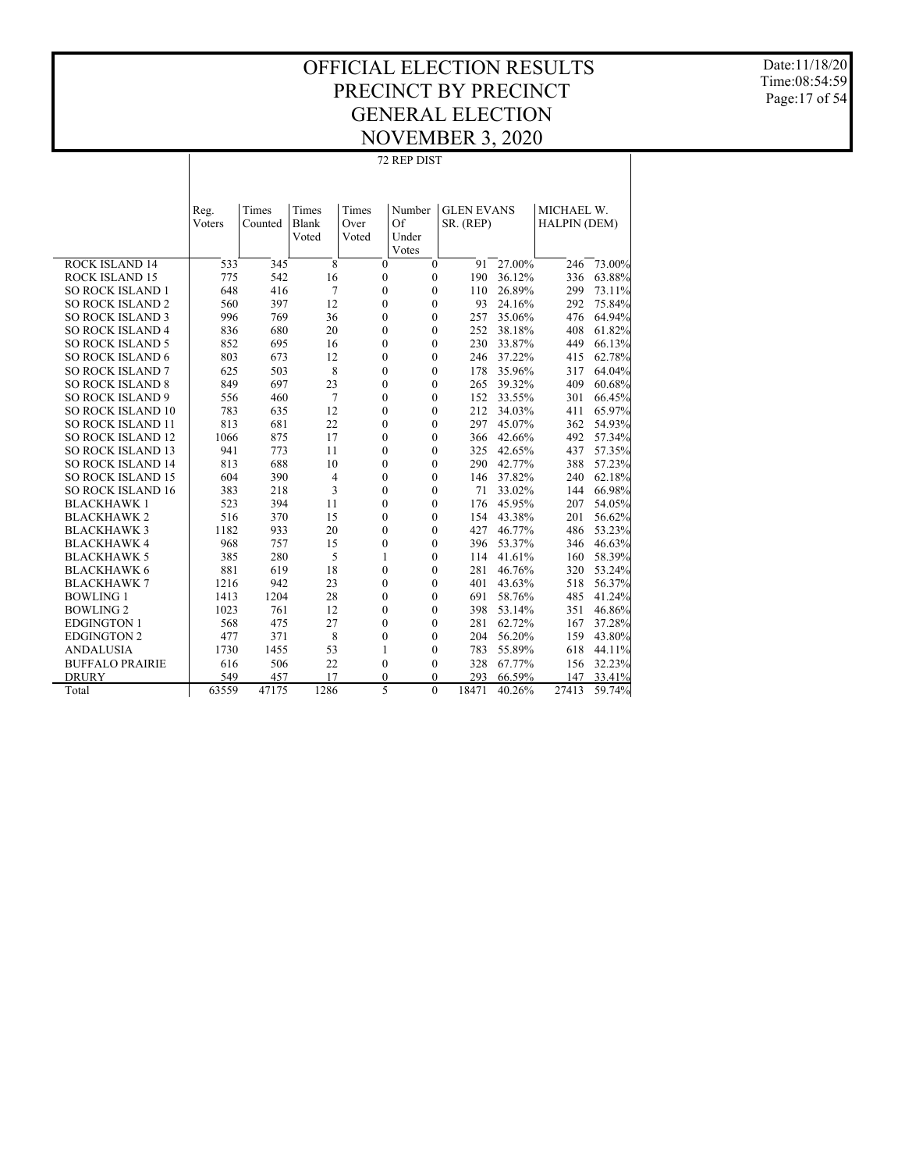Date:11/18/20 Time:08:54:59 Page:17 of 54

|                          | Reg.<br>Voters | Times<br>Counted | Times<br>Blank<br>Voted | Times<br>Over<br>Voted | Number<br>Of<br>Under<br>Votes |              | <b>GLEN EVANS</b><br>SR. (REP) |        | MICHAEL W.<br><b>HALPIN (DEM)</b> |        |
|--------------------------|----------------|------------------|-------------------------|------------------------|--------------------------------|--------------|--------------------------------|--------|-----------------------------------|--------|
| <b>ROCK ISLAND 14</b>    | 533            | 345              | 8                       |                        | $\mathbf{0}$                   | $\mathbf{0}$ | 91                             | 27.00% | 246                               | 73.00% |
| <b>ROCK ISLAND 15</b>    | 775            | 542              | 16                      |                        | $\mathbf{0}$                   | $\mathbf{0}$ | 190                            | 36.12% | 336                               | 63.88% |
| <b>SO ROCK ISLAND 1</b>  | 648            | 416              | 7                       |                        | $\theta$                       | $\mathbf{0}$ | 110                            | 26.89% | 299                               | 73.11% |
| <b>SO ROCK ISLAND 2</b>  | 560            | 397              | 12                      |                        | $\mathbf{0}$                   | $\mathbf{0}$ | 93                             | 24.16% | 292                               | 75.84% |
| <b>SO ROCK ISLAND 3</b>  | 996            | 769              | 36                      |                        | $\mathbf{0}$                   | $\mathbf{0}$ | 257                            | 35.06% | 476                               | 64.94% |
| <b>SO ROCK ISLAND 4</b>  | 836            | 680              | 20                      |                        | $\theta$                       | $\mathbf{0}$ | 252                            | 38.18% | 408                               | 61.82% |
| <b>SO ROCK ISLAND 5</b>  | 852            | 695              | 16                      |                        | $\theta$                       | $\mathbf{0}$ | 230                            | 33.87% | 449                               | 66.13% |
| <b>SO ROCK ISLAND 6</b>  | 803            | 673              | 12                      |                        | $\mathbf{0}$                   | $\theta$     | 246                            | 37.22% | 415                               | 62.78% |
| <b>SO ROCK ISLAND 7</b>  | 625            | 503              | 8                       |                        | $\theta$                       | $\theta$     | 178                            | 35.96% | 317                               | 64.04% |
| <b>SO ROCK ISLAND 8</b>  | 849            | 697              | 23                      |                        | $\mathbf{0}$                   | $\mathbf{0}$ | 265                            | 39.32% | 409                               | 60.68% |
| <b>SO ROCK ISLAND 9</b>  | 556            | 460              | 7                       |                        | $\mathbf{0}$                   | $\mathbf{0}$ | 152                            | 33.55% | 301                               | 66.45% |
| SO ROCK ISLAND 10        | 783            | 635              | 12                      |                        | $\mathbf{0}$                   | $\mathbf{0}$ | 212                            | 34.03% | 411                               | 65.97% |
| <b>SO ROCK ISLAND 11</b> | 813            | 681              | 22                      |                        | $\mathbf{0}$                   | $\mathbf{0}$ | 297                            | 45.07% | 362                               | 54.93% |
| <b>SO ROCK ISLAND 12</b> | 1066           | 875              | 17                      |                        | $\mathbf{0}$                   | $\mathbf{0}$ | 366                            | 42.66% | 492                               | 57.34% |
| <b>SO ROCK ISLAND 13</b> | 941            | 773              | 11                      |                        | $\mathbf{0}$                   | $\mathbf{0}$ | 325                            | 42.65% | 437                               | 57.35% |
| <b>SO ROCK ISLAND 14</b> | 813            | 688              | 10                      |                        | $\mathbf{0}$                   | $\mathbf{0}$ | 290                            | 42.77% | 388                               | 57.23% |
| <b>SO ROCK ISLAND 15</b> | 604            | 390              | $\overline{4}$          |                        | $\mathbf{0}$                   | $\mathbf{0}$ | 146                            | 37.82% | 240                               | 62.18% |
| SO ROCK ISLAND 16        | 383            | 218              | 3                       |                        | $\mathbf{0}$                   | $\mathbf{0}$ | 71                             | 33.02% | 144                               | 66.98% |
| <b>BLACKHAWK1</b>        | 523            | 394              | 11                      |                        | $\theta$                       | $\mathbf{0}$ | 176                            | 45.95% | 207                               | 54.05% |
| <b>BLACKHAWK2</b>        | 516            | 370              | 15                      |                        | $\theta$                       | $\mathbf{0}$ | 154                            | 43.38% | 201                               | 56.62% |
| <b>BLACKHAWK3</b>        | 1182           | 933              | 20                      |                        | $\theta$                       | $\theta$     | 427                            | 46.77% | 486                               | 53.23% |
| <b>BLACKHAWK4</b>        | 968            | 757              | 15                      |                        | $\mathbf{0}$                   | $\mathbf{0}$ | 396                            | 53.37% | 346                               | 46.63% |
| <b>BLACKHAWK 5</b>       | 385            | 280              | 5                       |                        | 1                              | $\mathbf{0}$ | 114                            | 41.61% | 160                               | 58.39% |
| <b>BLACKHAWK 6</b>       | 881            | 619              | 18                      |                        | $\mathbf{0}$                   | $\mathbf{0}$ | 281                            | 46.76% | 320                               | 53.24% |
| <b>BLACKHAWK 7</b>       | 1216           | 942              | 23                      |                        | $\mathbf{0}$                   | $\mathbf{0}$ | 401                            | 43.63% | 518                               | 56.37% |
| <b>BOWLING 1</b>         | 1413           | 1204             | 28                      |                        | $\mathbf{0}$                   | $\mathbf{0}$ | 691                            | 58.76% | 485                               | 41.24% |
| <b>BOWLING 2</b>         | 1023           | 761              | 12                      |                        | $\mathbf{0}$                   | $\mathbf{0}$ | 398                            | 53.14% | 351                               | 46.86% |
| <b>EDGINGTON 1</b>       | 568            | 475              | 27                      |                        | $\mathbf{0}$                   | $\mathbf{0}$ | 281                            | 62.72% | 167                               | 37.28% |
| <b>EDGINGTON 2</b>       | 477            | 371              | 8                       |                        | $\mathbf{0}$                   | $\mathbf{0}$ | 204                            | 56.20% | 159                               | 43.80% |
| <b>ANDALUSIA</b>         | 1730           | 1455             | 53                      |                        | 1                              | $\mathbf{0}$ | 783                            | 55.89% | 618                               | 44.11% |
| <b>BUFFALO PRAIRIE</b>   | 616            | 506              | 22                      |                        | $\mathbf{0}$                   | $\mathbf{0}$ | 328                            | 67.77% | 156                               | 32.23% |
| <b>DRURY</b>             | 549            | 457              | 17                      |                        | $\mathbf{0}$                   | $\Omega$     | 293                            | 66.59% | 147                               | 33.41% |
| Total                    | 63559          | 47175            | 1286                    |                        | 5                              | $\theta$     | 18471                          | 40.26% | 27413                             | 59.74% |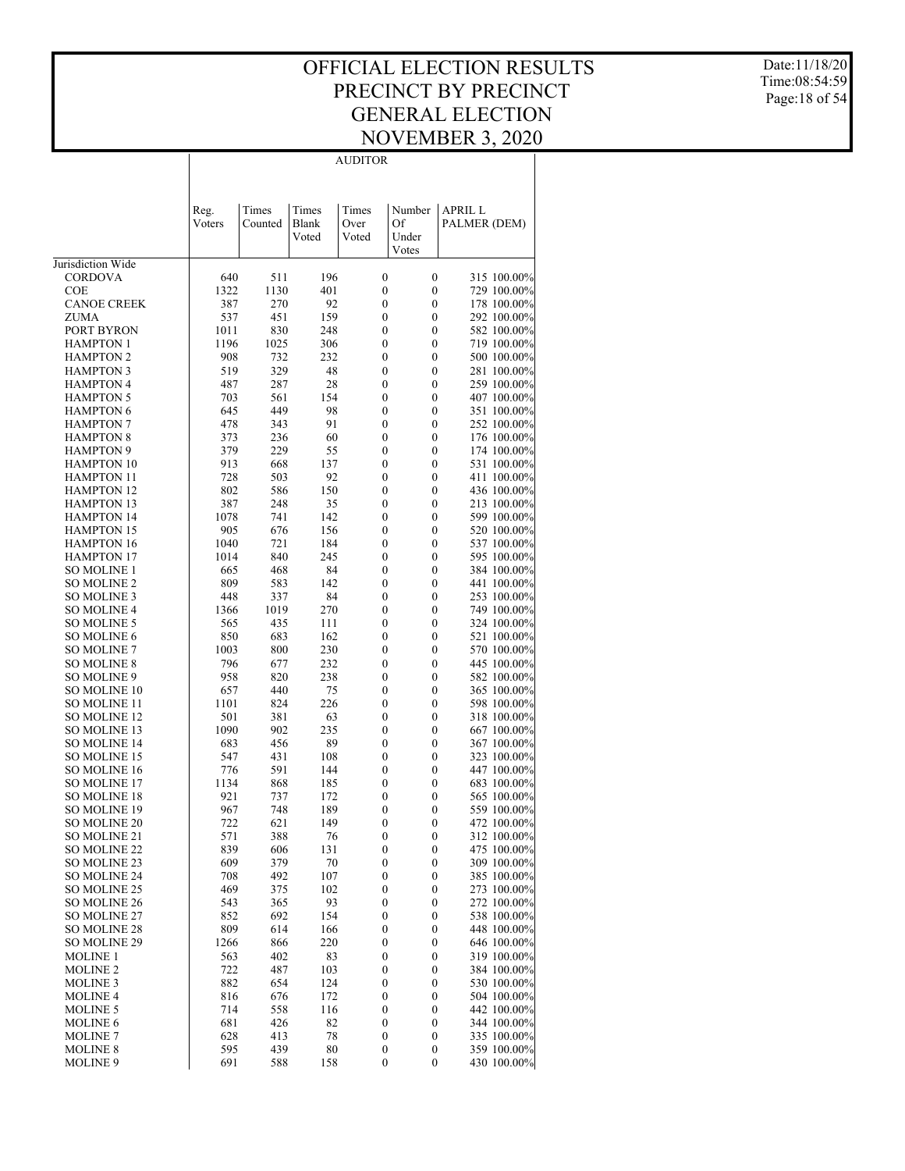$\overline{1}$ 

AUDITOR

 $\overline{\phantom{a}}$ 

Date:11/18/20 Time:08:54:59 Page:18 of 54

|                                          | Reg.<br>Voters | Times<br>Counted | Times<br><b>Blank</b><br>Voted | Times<br>Over<br>Voted               | Number<br>Of<br>Under | <b>APRIL L</b><br>PALMER (DEM) |                            |
|------------------------------------------|----------------|------------------|--------------------------------|--------------------------------------|-----------------------|--------------------------------|----------------------------|
|                                          |                |                  |                                |                                      | Votes                 |                                |                            |
| Jurisdiction Wide                        |                |                  |                                |                                      |                       |                                |                            |
| <b>CORDOVA</b>                           | 640            | 511              | 196                            | $\boldsymbol{0}$                     | $\boldsymbol{0}$      |                                | 315 100.00%                |
| <b>COE</b>                               | 1322           | 1130             | 401                            | $\mathbf{0}$                         | 0                     |                                | 729 100.00%<br>178 100.00% |
| <b>CANOE CREEK</b><br><b>ZUMA</b>        | 387<br>537     | 270<br>451       | 92<br>159                      | $\mathbf{0}$<br>$\mathbf{0}$         | 0<br>0                |                                | 292 100.00%                |
| PORT BYRON                               | 1011           | 830              | 248                            | $\boldsymbol{0}$                     | 0                     |                                | 582 100.00%                |
| <b>HAMPTON 1</b>                         | 1196           | 1025             | 306                            | $\boldsymbol{0}$                     | 0                     |                                | 719 100.00%                |
| <b>HAMPTON 2</b>                         | 908            | 732              | 232                            | $\boldsymbol{0}$                     | 0                     |                                | 500 100.00%                |
| <b>HAMPTON 3</b>                         | 519            | 329              | 48                             | $\boldsymbol{0}$                     | 0                     |                                | 281 100.00%                |
| <b>HAMPTON 4</b>                         | 487            | 287              | 28                             | $\boldsymbol{0}$                     | 0                     |                                | 259 100.00%                |
| <b>HAMPTON 5</b>                         | 703            | 561              | 154                            | $\boldsymbol{0}$                     | 0                     |                                | 407 100.00%                |
| <b>HAMPTON 6</b>                         | 645            | 449              | 98                             | $\boldsymbol{0}$                     | 0                     |                                | 351 100.00%                |
| <b>HAMPTON 7</b>                         | 478            | 343              | 91                             | $\boldsymbol{0}$                     | 0                     |                                | 252 100.00%                |
| <b>HAMPTON 8</b>                         | 373            | 236              | 60                             | $\boldsymbol{0}$                     | $\boldsymbol{0}$      |                                | 176 100.00%                |
| <b>HAMPTON 9</b><br><b>HAMPTON 10</b>    | 379<br>913     | 229<br>668       | 55                             | $\boldsymbol{0}$<br>$\boldsymbol{0}$ | 0<br>0                |                                | 174 100.00%<br>531 100.00% |
| <b>HAMPTON 11</b>                        | 728            | 503              | 137<br>92                      | $\boldsymbol{0}$                     | 0                     |                                | 411 100.00%                |
| <b>HAMPTON 12</b>                        | 802            | 586              | 150                            | $\boldsymbol{0}$                     | 0                     |                                | 436 100.00%                |
| <b>HAMPTON 13</b>                        | 387            | 248              | 35                             | $\boldsymbol{0}$                     | 0                     |                                | 213 100.00%                |
| <b>HAMPTON 14</b>                        | 1078           | 741              | 142                            | $\boldsymbol{0}$                     | 0                     |                                | 599 100.00%                |
| <b>HAMPTON 15</b>                        | 905            | 676              | 156                            | $\boldsymbol{0}$                     | 0                     |                                | 520 100.00%                |
| <b>HAMPTON 16</b>                        | 1040           | 721              | 184                            | $\boldsymbol{0}$                     | 0                     |                                | 537 100.00%                |
| <b>HAMPTON 17</b>                        | 1014           | 840              | 245                            | $\boldsymbol{0}$                     | 0                     |                                | 595 100.00%                |
| <b>SO MOLINE 1</b>                       | 665            | 468              | 84                             | $\boldsymbol{0}$                     | 0                     |                                | 384 100.00%                |
| <b>SO MOLINE 2</b>                       | 809            | 583              | 142                            | $\boldsymbol{0}$                     | 0                     |                                | 441 100.00%                |
| <b>SO MOLINE 3</b>                       | 448            | 337              | 84                             | $\boldsymbol{0}$                     | 0                     |                                | 253 100.00%                |
| <b>SO MOLINE 4</b>                       | 1366           | 1019             | 270                            | $\boldsymbol{0}$                     | 0                     |                                | 749 100.00%                |
| <b>SO MOLINE 5</b><br><b>SO MOLINE 6</b> | 565<br>850     | 435<br>683       | 111<br>162                     | $\boldsymbol{0}$<br>$\boldsymbol{0}$ | 0<br>0                |                                | 324 100.00%<br>521 100.00% |
| <b>SO MOLINE 7</b>                       | 1003           | 800              | 230                            | $\boldsymbol{0}$                     | 0                     |                                | 570 100.00%                |
| <b>SO MOLINE 8</b>                       | 796            | 677              | 232                            | $\boldsymbol{0}$                     | 0                     |                                | 445 100.00%                |
| SO MOLINE 9                              | 958            | 820              | 238                            | $\boldsymbol{0}$                     | 0                     |                                | 582 100.00%                |
| <b>SO MOLINE 10</b>                      | 657            | 440              | 75                             | $\boldsymbol{0}$                     | 0                     |                                | 365 100.00%                |
| SO MOLINE 11                             | 1101           | 824              | 226                            | $\boldsymbol{0}$                     | 0                     |                                | 598 100.00%                |
| <b>SO MOLINE 12</b>                      | 501            | 381              | 63                             | $\boldsymbol{0}$                     | 0                     |                                | 318 100.00%                |
| SO MOLINE 13                             | 1090           | 902              | 235                            | $\boldsymbol{0}$                     | 0                     |                                | 667 100.00%                |
| <b>SO MOLINE 14</b>                      | 683            | 456              | 89                             | $\boldsymbol{0}$                     | 0                     |                                | 367 100.00%                |
| <b>SO MOLINE 15</b>                      | 547            | 431              | 108                            | $\boldsymbol{0}$                     | 0                     |                                | 323 100.00%                |
| <b>SO MOLINE 16</b><br>SO MOLINE 17      | 776<br>1134    | 591<br>868       | 144<br>185                     | $\boldsymbol{0}$<br>$\boldsymbol{0}$ | 0<br>0                |                                | 447 100.00%<br>683 100.00% |
| <b>SO MOLINE 18</b>                      | 921            | 737              | 172                            | $\boldsymbol{0}$                     | 0                     |                                | 565 100.00%                |
| SO MOLINE 19                             | 967            | 748              | 189                            | $\boldsymbol{0}$                     | 0                     |                                | 559 100.00%                |
| <b>SO MOLINE 20</b>                      | 722            | 621              | 149                            | $\boldsymbol{0}$                     | 0                     |                                | 472 100.00%                |
| SO MOLINE 21                             | 571            | 388              | 76                             | $\boldsymbol{0}$                     | 0                     |                                | 312 100.00%                |
| SO MOLINE 22                             | 839            | 606              | 131                            | $\boldsymbol{0}$                     | $\boldsymbol{0}$      |                                | 475 100.00%                |
| SO MOLINE 23                             | 609            | 379              | 70                             | $\boldsymbol{0}$                     | $\boldsymbol{0}$      |                                | 309 100.00%                |
| SO MOLINE 24                             | 708            | 492              | 107                            | $\boldsymbol{0}$                     | $\boldsymbol{0}$      |                                | 385 100.00%                |
| SO MOLINE 25                             | 469            | 375              | 102                            | $\boldsymbol{0}$                     | 0                     |                                | 273 100.00%                |
| SO MOLINE 26                             | 543            | 365              | 93                             | $\boldsymbol{0}$                     | 0                     |                                | 272 100.00%                |
| SO MOLINE 27                             | 852            | 692              | 154                            | $\boldsymbol{0}$                     | 0                     |                                | 538 100.00%<br>448 100.00% |
| <b>SO MOLINE 28</b><br>SO MOLINE 29      | 809<br>1266    | 614<br>866       | 166<br>220                     | $\boldsymbol{0}$<br>$\boldsymbol{0}$ | $\boldsymbol{0}$<br>0 |                                | 646 100.00%                |
| <b>MOLINE 1</b>                          | 563            | 402              | 83                             | $\boldsymbol{0}$                     | 0                     |                                | 319 100.00%                |
| <b>MOLINE 2</b>                          | 722            | 487              | 103                            | $\boldsymbol{0}$                     | 0                     |                                | 384 100.00%                |
| <b>MOLINE 3</b>                          | 882            | 654              | 124                            | $\boldsymbol{0}$                     | $\boldsymbol{0}$      |                                | 530 100.00%                |
| <b>MOLINE 4</b>                          | 816            | 676              | 172                            | $\boldsymbol{0}$                     | 0                     |                                | 504 100.00%                |
| <b>MOLINE 5</b>                          | 714            | 558              | 116                            | $\boldsymbol{0}$                     | $\boldsymbol{0}$      |                                | 442 100.00%                |
| <b>MOLINE 6</b>                          | 681            | 426              | 82                             | $\boldsymbol{0}$                     | 0                     |                                | 344 100.00%                |
| <b>MOLINE 7</b>                          | 628            | 413              | 78                             | $\boldsymbol{0}$                     | $\boldsymbol{0}$      |                                | 335 100.00%                |
| <b>MOLINE 8</b>                          | 595            | 439              | 80                             | $\boldsymbol{0}$                     | 0                     |                                | 359 100.00%                |
| MOLINE 9                                 | 691            | 588              | 158                            | $\boldsymbol{0}$                     | 0                     |                                | 430 100.00%                |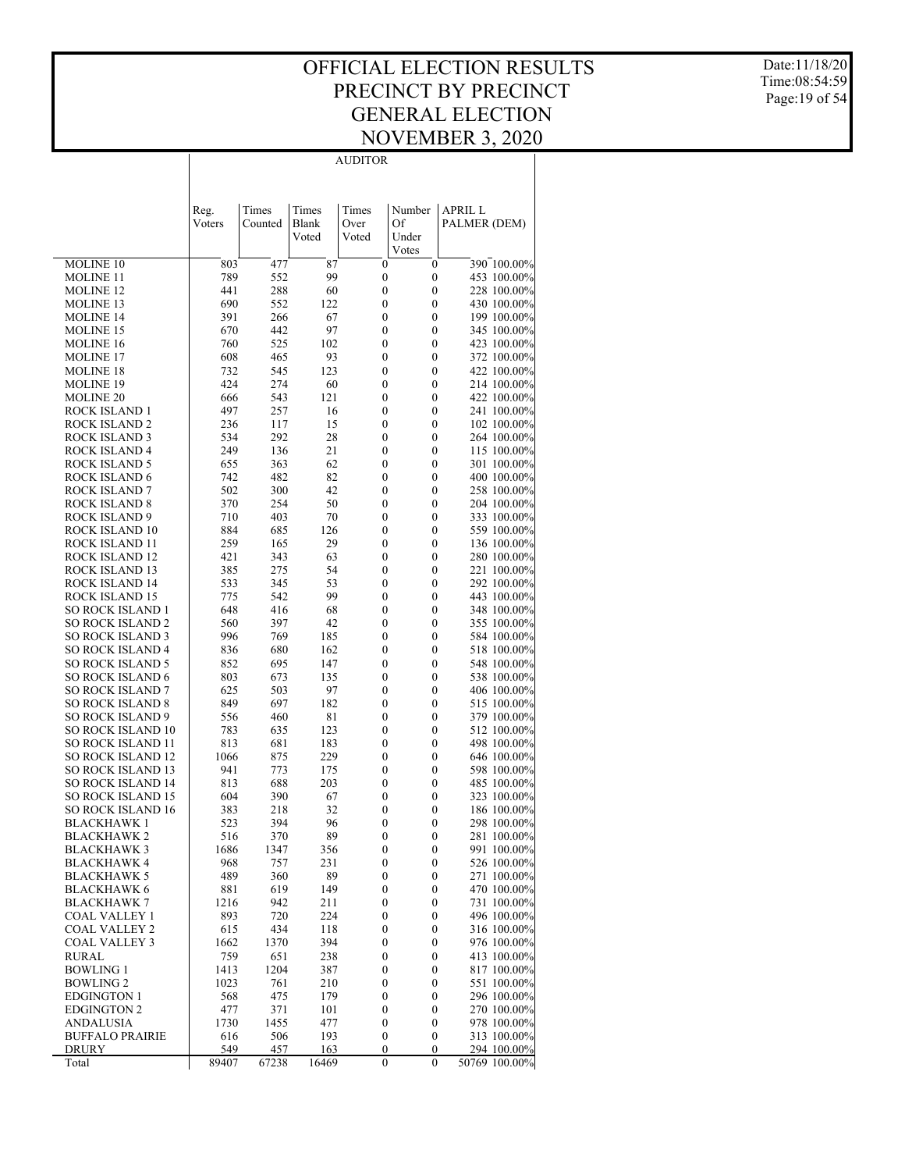AUDITOR

Date:11/18/20 Time:08:54:59 Page:19 of 54

|                                                      | Reg.        | Times       | Times          | Times                                | Number                               | <b>APRIL L</b>             |
|------------------------------------------------------|-------------|-------------|----------------|--------------------------------------|--------------------------------------|----------------------------|
|                                                      | Voters      | Counted     | Blank<br>Voted | Over<br>Voted                        | Of<br>Under                          | PALMER (DEM)               |
|                                                      |             |             |                |                                      | Votes                                |                            |
| MOLINE 10                                            | 803         | 477         | 87             | $\boldsymbol{0}$                     | $\boldsymbol{0}$                     | 390 100.00%                |
| <b>MOLINE 11</b>                                     | 789         | 552         | 99             | $\boldsymbol{0}$                     | $\boldsymbol{0}$                     | 453 100.00%                |
| <b>MOLINE 12</b>                                     | 441         | 288         | 60             | $\boldsymbol{0}$                     | $\boldsymbol{0}$                     | 228 100.00%                |
| <b>MOLINE 13</b>                                     | 690         | 552         | 122            | $\boldsymbol{0}$                     | $\boldsymbol{0}$                     | 430 100.00%                |
| <b>MOLINE 14</b><br><b>MOLINE 15</b>                 | 391<br>670  | 266<br>442  | 67<br>97       | $\boldsymbol{0}$<br>$\boldsymbol{0}$ | $\boldsymbol{0}$<br>0                | 199 100.00%<br>345 100.00% |
| <b>MOLINE 16</b>                                     | 760         | 525         | 102            | $\boldsymbol{0}$                     | $\boldsymbol{0}$                     | 423 100.00%                |
| <b>MOLINE 17</b>                                     | 608         | 465         | 93             | $\boldsymbol{0}$                     | 0                                    | 372 100.00%                |
| <b>MOLINE 18</b>                                     | 732         | 545         | 123            | $\boldsymbol{0}$                     | $\boldsymbol{0}$                     | 422 100.00%                |
| <b>MOLINE 19</b>                                     | 424         | 274         | 60             | $\boldsymbol{0}$                     | $\boldsymbol{0}$                     | 214 100.00%                |
| <b>MOLINE 20</b>                                     | 666         | 543         | 121            | $\boldsymbol{0}$                     | $\boldsymbol{0}$                     | 422 100.00%                |
| ROCK ISLAND 1                                        | 497         | 257         | 16             | $\boldsymbol{0}$                     | 0                                    | 241 100.00%                |
| <b>ROCK ISLAND 2</b>                                 | 236         | 117         | 15             | $\boldsymbol{0}$                     | $\boldsymbol{0}$                     | 102 100.00%                |
| <b>ROCK ISLAND 3</b><br>ROCK ISLAND 4                | 534<br>249  | 292<br>136  | 28<br>21       | $\boldsymbol{0}$<br>$\boldsymbol{0}$ | $\boldsymbol{0}$<br>$\boldsymbol{0}$ | 264 100.00%<br>115 100.00% |
| <b>ROCK ISLAND 5</b>                                 | 655         | 363         | 62             | $\boldsymbol{0}$                     | $\boldsymbol{0}$                     | 301 100.00%                |
| <b>ROCK ISLAND 6</b>                                 | 742         | 482         | 82             | $\boldsymbol{0}$                     | $\boldsymbol{0}$                     | 400 100.00%                |
| <b>ROCK ISLAND 7</b>                                 | 502         | 300         | 42             | $\boldsymbol{0}$                     | $\boldsymbol{0}$                     | 258 100.00%                |
| <b>ROCK ISLAND 8</b>                                 | 370         | 254         | 50             | $\boldsymbol{0}$                     | $\boldsymbol{0}$                     | 204 100.00%                |
| ROCK ISLAND 9                                        | 710         | 403         | 70             | $\boldsymbol{0}$                     | 0                                    | 333 100.00%                |
| ROCK ISLAND 10                                       | 884         | 685         | 126            | $\boldsymbol{0}$                     | $\boldsymbol{0}$                     | 559 100.00%                |
| ROCK ISLAND 11                                       | 259         | 165         | 29             | $\boldsymbol{0}$                     | $\boldsymbol{0}$                     | 136 100.00%                |
| <b>ROCK ISLAND 12</b><br>ROCK ISLAND 13              | 421<br>385  | 343<br>275  | 63<br>54       | $\boldsymbol{0}$<br>$\boldsymbol{0}$ | $\boldsymbol{0}$<br>0                | 280 100.00%<br>221 100.00% |
| <b>ROCK ISLAND 14</b>                                | 533         | 345         | 53             | $\boldsymbol{0}$                     | $\boldsymbol{0}$                     | 292 100.00%                |
| ROCK ISLAND 15                                       | 775         | 542         | 99             | $\boldsymbol{0}$                     | 0                                    | 443 100.00%                |
| <b>SO ROCK ISLAND 1</b>                              | 648         | 416         | 68             | $\boldsymbol{0}$                     | $\boldsymbol{0}$                     | 348 100.00%                |
| <b>SO ROCK ISLAND 2</b>                              | 560         | 397         | 42             | $\boldsymbol{0}$                     | 0                                    | 355 100.00%                |
| <b>SO ROCK ISLAND 3</b>                              | 996         | 769         | 185            | $\boldsymbol{0}$                     | $\boldsymbol{0}$                     | 584 100.00%                |
| <b>SO ROCK ISLAND 4</b>                              | 836         | 680         | 162            | $\boldsymbol{0}$                     | $\boldsymbol{0}$                     | 518 100.00%                |
| SO ROCK ISLAND 5<br>SO ROCK ISLAND 6                 | 852<br>803  | 695<br>673  | 147<br>135     | $\boldsymbol{0}$<br>$\boldsymbol{0}$ | $\boldsymbol{0}$<br>0                | 548 100.00%<br>538 100.00% |
| <b>SO ROCK ISLAND 7</b>                              | 625         | 503         | 97             | $\boldsymbol{0}$                     | $\boldsymbol{0}$                     | 406 100.00%                |
| <b>SO ROCK ISLAND 8</b>                              | 849         | 697         | 182            | $\boldsymbol{0}$                     | $\boldsymbol{0}$                     | 515 100.00%                |
| SO ROCK ISLAND 9                                     | 556         | 460         | 81             | $\boldsymbol{0}$                     | $\boldsymbol{0}$                     | 379 100.00%                |
| <b>SO ROCK ISLAND 10</b>                             | 783         | 635         | 123            | $\boldsymbol{0}$                     | 0                                    | 512 100.00%                |
| <b>SO ROCK ISLAND 11</b>                             | 813         | 681         | 183            | $\boldsymbol{0}$                     | $\boldsymbol{0}$                     | 498 100.00%                |
| <b>SO ROCK ISLAND 12</b>                             | 1066        | 875         | 229            | $\boldsymbol{0}$                     | $\boldsymbol{0}$                     | 646 100.00%                |
| <b>SO ROCK ISLAND 13</b>                             | 941         | 773         | 175            | $\boldsymbol{0}$                     | $\boldsymbol{0}$                     | 598 100.00%                |
| <b>SO ROCK ISLAND 14</b><br><b>SO ROCK ISLAND 15</b> | 813<br>604  | 688<br>390  | 203<br>67      | 0<br>$\boldsymbol{0}$                | $\boldsymbol{0}$<br>$\boldsymbol{0}$ | 485 100.00%<br>323 100.00% |
| <b>SO ROCK ISLAND 16</b>                             | 383         | 218         | 32             | 0                                    | 0                                    | 186 100.00%                |
| BLACKHAWK 1                                          | 523         | 394         | 96             | $\boldsymbol{0}$                     | $\boldsymbol{0}$                     | 298 100.00%                |
| <b>BLACKHAWK2</b>                                    | 516         | 370         | 89             | $\theta$                             | 0                                    | 281 100.00%                |
| <b>BLACKHAWK 3</b>                                   | 1686        | 1347        | 356            | $\boldsymbol{0}$                     | $\boldsymbol{0}$                     | 991 100.00%                |
| BLACKHAWK 4                                          | 968         | 757         | 231            | 0                                    | 0                                    | 526 100.00%                |
| <b>BLACKHAWK 5</b>                                   | 489         | 360         | 89             | $\boldsymbol{0}$                     | $\boldsymbol{0}$                     | 271 100.00%                |
| <b>BLACKHAWK 6</b>                                   | 881         | 619         | 149            | 0                                    | 0                                    | 470 100.00%                |
| <b>BLACKHAWK 7</b><br>COAL VALLEY 1                  | 1216<br>893 | 942<br>720  | 211<br>224     | $\boldsymbol{0}$<br>0                | $\boldsymbol{0}$<br>0                | 731 100.00%<br>496 100.00% |
| <b>COAL VALLEY 2</b>                                 | 615         | 434         | 118            | $\boldsymbol{0}$                     | $\boldsymbol{0}$                     | 316 100.00%                |
| <b>COAL VALLEY 3</b>                                 | 1662        | 1370        | 394            | 0                                    | 0                                    | 976 100.00%                |
| <b>RURAL</b>                                         | 759         | 651         | 238            | $\boldsymbol{0}$                     | $\boldsymbol{0}$                     | 413 100.00%                |
| <b>BOWLING 1</b>                                     | 1413        | 1204        | 387            | 0                                    | 0                                    | 817 100.00%                |
| <b>BOWLING 2</b>                                     | 1023        | 761         | 210            | $\boldsymbol{0}$                     | $\boldsymbol{0}$                     | 551 100.00%                |
| <b>EDGINGTON 1</b>                                   | 568         | 475         | 179            | 0                                    | 0                                    | 296 100.00%                |
| <b>EDGINGTON 2</b>                                   | 477         | 371         | 101            | $\boldsymbol{0}$                     | 0                                    | 270 100.00%                |
| <b>ANDALUSIA</b><br><b>BUFFALO PRAIRIE</b>           | 1730<br>616 | 1455<br>506 | 477            | 0<br>$\boldsymbol{0}$                | 0                                    | 978 100.00%                |
| DRURY                                                | 549         | 457         | 193<br>163     | $\boldsymbol{0}$                     | $\boldsymbol{0}$<br>0                | 313 100.00%<br>294 100.00% |
| Total                                                | 89407       | 67238       | 16469          | $\boldsymbol{0}$                     | $\boldsymbol{0}$                     | 50769 100.00%              |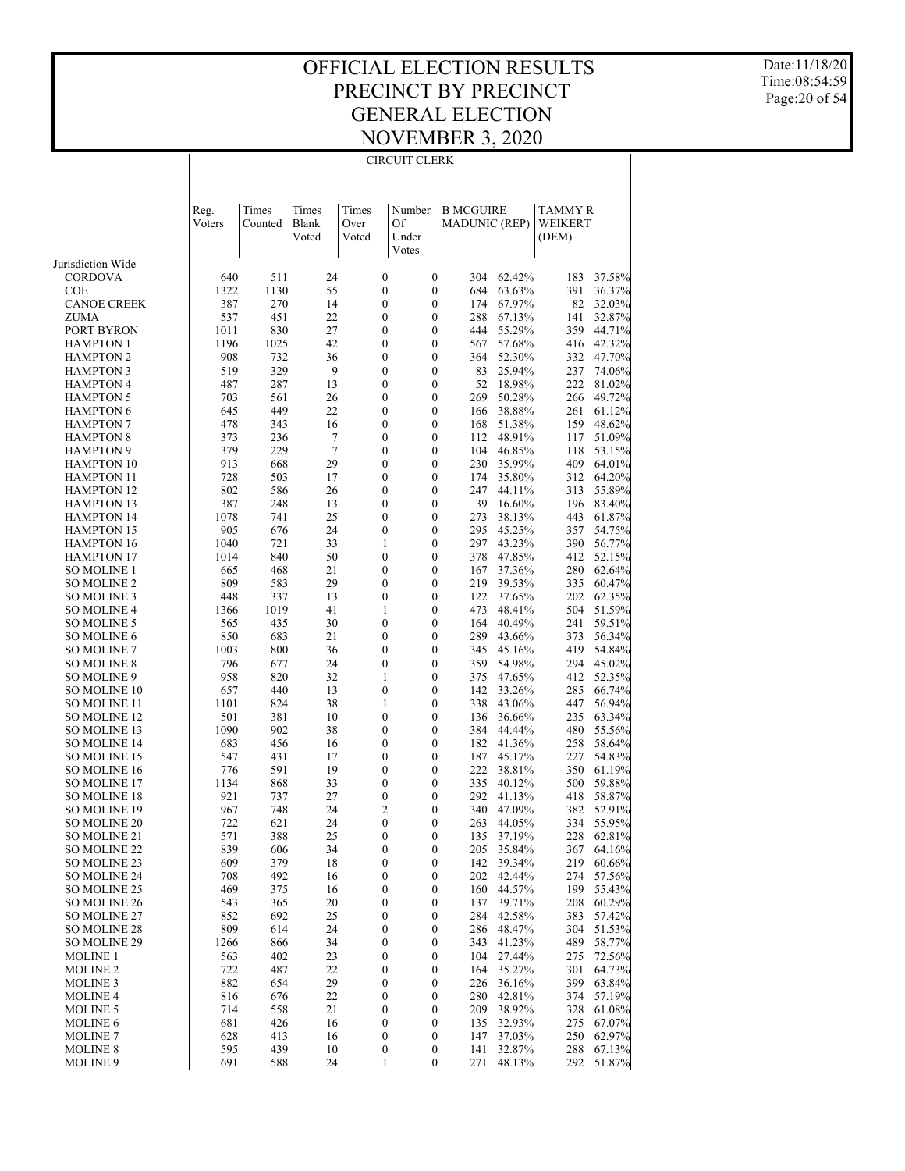#### OFFICIAL ELECTION RESULTS PRECINCT BY PRECINCT GENERAL ELECTION NOVEMBER 3, 2020 CIRCUIT CLERK

Date:11/18/20 Time:08:54:59 Page:20 of 54

|                                        | Reg.<br>Voters | Times<br>Counted | Times<br>Blank | Times<br>Over                        | Number<br>Of                         | <b>B MCGUIRE</b><br><b>MADUNIC (REP)</b> |                  | TAMMY R<br>WEIKERT |                  |
|----------------------------------------|----------------|------------------|----------------|--------------------------------------|--------------------------------------|------------------------------------------|------------------|--------------------|------------------|
|                                        |                |                  | Voted          | Voted                                | Under<br>Votes                       |                                          |                  | (DEM)              |                  |
| Jurisdiction Wide                      |                |                  |                |                                      |                                      |                                          |                  |                    |                  |
| <b>CORDOVA</b>                         | 640            | 511              | 24             | $\boldsymbol{0}$                     | $\mathbf{0}$                         | 304                                      | 62.42%           | 183                | 37.58%           |
| <b>COE</b>                             | 1322           | 1130             | 55             | $\mathbf{0}$                         | $\mathbf{0}$                         | 684                                      | 63.63%           | 391                | 36.37%           |
| <b>CANOE CREEK</b>                     | 387            | 270              | 14             | $\boldsymbol{0}$                     | $\boldsymbol{0}$                     | 174                                      | 67.97%           | 82                 | 32.03%           |
| ZUMA                                   | 537            | 451              | 22             | $\mathbf{0}$                         | $\boldsymbol{0}$                     | 288                                      | 67.13%           | 141                | 32.87%           |
| PORT BYRON                             | 1011           | 830              | 27             | $\boldsymbol{0}$                     | $\boldsymbol{0}$                     | 444                                      | 55.29%           | 359                | 44.71%           |
| <b>HAMPTON 1</b><br><b>HAMPTON 2</b>   | 1196<br>908    | 1025<br>732      | 42<br>36       | $\mathbf{0}$<br>$\mathbf{0}$         | $\boldsymbol{0}$<br>$\boldsymbol{0}$ | 567<br>364                               | 57.68%<br>52.30% | 416<br>332         | 42.32%<br>47.70% |
| <b>HAMPTON 3</b>                       | 519            | 329              | 9              | $\mathbf{0}$                         | $\mathbf{0}$                         | 83                                       | 25.94%           | 237                | 74.06%           |
| <b>HAMPTON 4</b>                       | 487            | 287              | 13             | $\mathbf{0}$                         | $\boldsymbol{0}$                     | 52                                       | 18.98%           | 222                | 81.02%           |
| <b>HAMPTON 5</b>                       | 703            | 561              | 26             | $\mathbf{0}$                         | $\boldsymbol{0}$                     | 269                                      | 50.28%           | 266                | 49.72%           |
| <b>HAMPTON 6</b>                       | 645            | 449              | 22             | $\mathbf{0}$                         | $\boldsymbol{0}$                     | 166                                      | 38.88%           | 261                | 61.12%           |
| HAMPTON 7                              | 478            | 343              | 16             | $\mathbf{0}$                         | $\mathbf{0}$                         | 168                                      | 51.38%           | 159                | 48.62%           |
| <b>HAMPTON 8</b>                       | 373            | 236              | 7              | $\mathbf{0}$                         | $\boldsymbol{0}$                     | 112                                      | 48.91%           | 117                | 51.09%           |
| <b>HAMPTON 9</b>                       | 379            | 229              | 7              | $\mathbf{0}$                         | $\mathbf{0}$                         | 104                                      | 46.85%           | 118                | 53.15%           |
| <b>HAMPTON 10</b>                      | 913            | 668              | 29             | $\mathbf{0}$                         | $\boldsymbol{0}$                     | 230                                      | 35.99%           | 409                | 64.01%           |
| <b>HAMPTON 11</b><br><b>HAMPTON 12</b> | 728<br>802     | 503<br>586       | 17<br>26       | $\mathbf{0}$<br>$\boldsymbol{0}$     | $\mathbf{0}$<br>$\boldsymbol{0}$     | 174<br>247                               | 35.80%<br>44.11% | 312<br>313         | 64.20%<br>55.89% |
| <b>HAMPTON 13</b>                      | 387            | 248              | 13             | $\mathbf{0}$                         | $\boldsymbol{0}$                     | 39                                       | 16.60%           | 196                | 83.40%           |
| <b>HAMPTON 14</b>                      | 1078           | 741              | 25             | $\mathbf{0}$                         | $\boldsymbol{0}$                     | 273                                      | 38.13%           | 443                | 61.87%           |
| <b>HAMPTON 15</b>                      | 905            | 676              | 24             | $\boldsymbol{0}$                     | $\boldsymbol{0}$                     | 295                                      | 45.25%           | 357                | 54.75%           |
| <b>HAMPTON 16</b>                      | 1040           | 721              | 33             | $\mathbf{1}$                         | $\boldsymbol{0}$                     | 297                                      | 43.23%           | 390                | 56.77%           |
| <b>HAMPTON 17</b>                      | 1014           | 840              | 50             | $\mathbf{0}$                         | $\boldsymbol{0}$                     | 378                                      | 47.85%           | 412                | 52.15%           |
| SO MOLINE 1                            | 665            | 468              | 21             | $\mathbf{0}$                         | $\boldsymbol{0}$                     | 167                                      | 37.36%           | 280                | 62.64%           |
| <b>SO MOLINE 2</b>                     | 809            | 583              | 29             | $\mathbf{0}$                         | $\mathbf{0}$                         | 219                                      | 39.53%           | 335                | 60.47%           |
| SO MOLINE 3                            | 448            | 337              | 13             | $\boldsymbol{0}$                     | $\boldsymbol{0}$                     | 122                                      | 37.65%           | 202                | 62.35%           |
| <b>SO MOLINE 4</b>                     | 1366           | 1019             | 41<br>30       | 1<br>$\mathbf{0}$                    | $\boldsymbol{0}$<br>$\boldsymbol{0}$ | 473<br>164                               | 48.41%<br>40.49% | 504<br>241         | 51.59%<br>59.51% |
| SO MOLINE 5<br><b>SO MOLINE 6</b>      | 565<br>850     | 435<br>683       | 21             | $\mathbf{0}$                         | $\boldsymbol{0}$                     | 289                                      | 43.66%           | 373                | 56.34%           |
| <b>SO MOLINE 7</b>                     | 1003           | 800              | 36             | $\boldsymbol{0}$                     | $\boldsymbol{0}$                     | 345                                      | 45.16%           | 419                | 54.84%           |
| <b>SO MOLINE 8</b>                     | 796            | 677              | 24             | $\boldsymbol{0}$                     | $\boldsymbol{0}$                     | 359                                      | 54.98%           | 294                | 45.02%           |
| SO MOLINE 9                            | 958            | 820              | 32             | 1                                    | $\boldsymbol{0}$                     | 375                                      | 47.65%           | 412                | 52.35%           |
| SO MOLINE 10                           | 657            | 440              | 13             | $\boldsymbol{0}$                     | $\boldsymbol{0}$                     | 142                                      | 33.26%           | 285                | 66.74%           |
| SO MOLINE 11                           | 1101           | 824              | 38             | $\mathbf{1}$                         | $\boldsymbol{0}$                     | 338                                      | 43.06%           | 447                | 56.94%           |
| SO MOLINE 12                           | 501            | 381              | 10             | $\mathbf{0}$                         | $\boldsymbol{0}$                     | 136                                      | 36.66%           | 235                | 63.34%           |
| SO MOLINE 13                           | 1090           | 902              | 38             | $\mathbf{0}$                         | $\boldsymbol{0}$                     | 384                                      | 44.44%           | 480                | 55.56%           |
| SO MOLINE 14<br>SO MOLINE 15           | 683<br>547     | 456<br>431       | 16<br>17       | $\mathbf{0}$<br>$\boldsymbol{0}$     | $\boldsymbol{0}$<br>$\boldsymbol{0}$ | 182<br>187                               | 41.36%<br>45.17% | 258<br>227         | 58.64%<br>54.83% |
| SO MOLINE 16                           | 776            | 591              | 19             | $\mathbf{0}$                         | $\boldsymbol{0}$                     | 222                                      | 38.81%           | 350                | 61.19%           |
| SO MOLINE 17                           | 1134           | 868              | 33             | $\boldsymbol{0}$                     | $\boldsymbol{0}$                     | 335                                      | 40.12%           | 500                | 59.88%           |
| SO MOLINE 18                           | 921            | 737              | 27             | $\boldsymbol{0}$                     | $\boldsymbol{0}$                     | 292                                      | 41.13%           | 418                | 58.87%           |
| SO MOLINE 19                           | 967            | 748              | 24             | $\overline{c}$                       | $\boldsymbol{0}$                     | 340                                      | 47.09%           | 382                | 52.91%           |
| SO MOLINE 20                           | 722            | 621              | 24             | $\mathbf{0}$                         | $\boldsymbol{0}$                     | 263                                      | 44.05%           | 334                | 55.95%           |
| SO MOLINE 21                           | 571            | 388              | 25             | $\theta$                             | $\theta$                             | 135                                      | 37.19%           | 228                | 62.81%           |
| SO MOLINE 22                           | 839            | 606              | 34             | $\boldsymbol{0}$                     | $\boldsymbol{0}$                     |                                          | 205 35.84%       |                    | 367 64.16%       |
| SO MOLINE 23                           | 609            | 379<br>492       | 18             | $\boldsymbol{0}$                     | $\boldsymbol{0}$                     | 142<br>202                               | 39.34%<br>42.44% | 219                | 60.66%           |
| SO MOLINE 24<br>SO MOLINE 25           | 708<br>469     | 375              | 16<br>16       | $\boldsymbol{0}$<br>$\boldsymbol{0}$ | $\boldsymbol{0}$<br>$\boldsymbol{0}$ | 160                                      | 44.57%           | 274<br>199         | 57.56%<br>55.43% |
| <b>SO MOLINE 26</b>                    | 543            | 365              | 20             | $\boldsymbol{0}$                     | $\boldsymbol{0}$                     | 137                                      | 39.71%           | 208                | 60.29%           |
| SO MOLINE 27                           | 852            | 692              | 25             | $\boldsymbol{0}$                     | $\boldsymbol{0}$                     | 284                                      | 42.58%           | 383                | 57.42%           |
| <b>SO MOLINE 28</b>                    | 809            | 614              | 24             | $\boldsymbol{0}$                     | $\boldsymbol{0}$                     | 286                                      | 48.47%           | 304                | 51.53%           |
| SO MOLINE 29                           | 1266           | 866              | 34             | $\boldsymbol{0}$                     | $\boldsymbol{0}$                     | 343                                      | 41.23%           | 489                | 58.77%           |
| <b>MOLINE 1</b>                        | 563            | 402              | 23             | $\boldsymbol{0}$                     | $\boldsymbol{0}$                     | 104                                      | 27.44%           | 275                | 72.56%           |
| <b>MOLINE 2</b>                        | 722            | 487              | 22             | $\boldsymbol{0}$                     | $\boldsymbol{0}$                     | 164                                      | 35.27%           | 301                | 64.73%           |
| <b>MOLINE 3</b>                        | 882            | 654              | 29             | $\boldsymbol{0}$                     | $\boldsymbol{0}$                     | 226                                      | 36.16%           | 399                | 63.84%           |
| <b>MOLINE 4</b><br><b>MOLINE 5</b>     | 816<br>714     | 676              | 22<br>21       | $\boldsymbol{0}$<br>$\boldsymbol{0}$ | $\boldsymbol{0}$<br>$\boldsymbol{0}$ | 280<br>209                               | 42.81%<br>38.92% | 374                | 57.19%           |
| <b>MOLINE 6</b>                        | 681            | 558<br>426       | 16             | $\boldsymbol{0}$                     | $\boldsymbol{0}$                     | 135                                      | 32.93%           | 328<br>275         | 61.08%<br>67.07% |
| <b>MOLINE 7</b>                        | 628            | 413              | 16             | $\boldsymbol{0}$                     | $\boldsymbol{0}$                     | 147                                      | 37.03%           | 250                | 62.97%           |
| <b>MOLINE 8</b>                        | 595            | 439              | 10             | $\boldsymbol{0}$                     | $\boldsymbol{0}$                     | 141                                      | 32.87%           | 288                | 67.13%           |
| <b>MOLINE 9</b>                        | 691            | 588              | 24             | 1                                    | $\boldsymbol{0}$                     | 271                                      | 48.13%           | 292                | 51.87%           |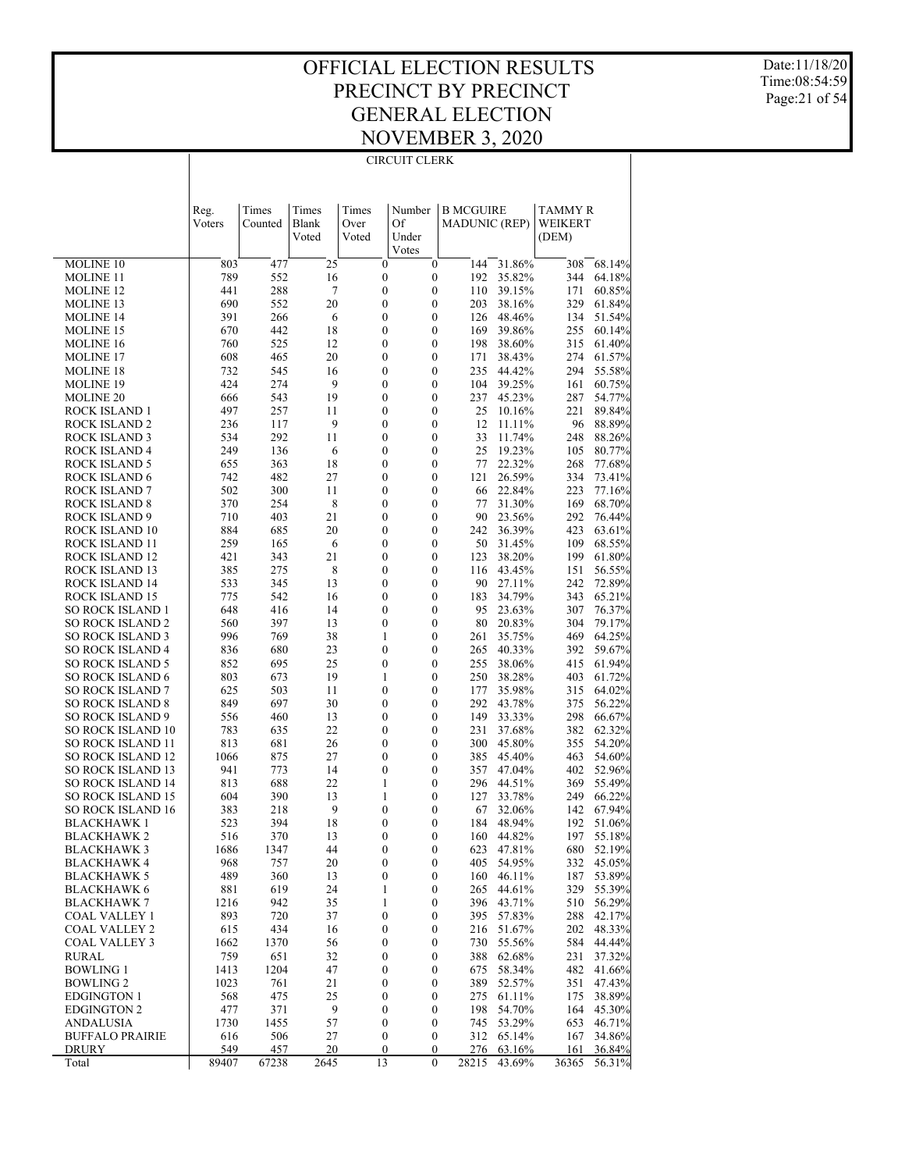#### OFFICIAL ELECTION RESULTS PRECINCT BY PRECINCT GENERAL ELECTION NOVEMBER 3, 2020 CIRCUIT CLERK

Date:11/18/20 Time:08:54:59 Page:21 of 54

|                                                      | Reg.        | Times      | Times        | Times                                | Number                               | <b>B MCGUIRE</b>     |                  | TAMMY R    |                  |
|------------------------------------------------------|-------------|------------|--------------|--------------------------------------|--------------------------------------|----------------------|------------------|------------|------------------|
|                                                      | Voters      | Counted    | <b>Blank</b> | Over                                 | Of                                   | <b>MADUNIC (REP)</b> |                  | WEIKERT    |                  |
|                                                      |             |            | Voted        | Voted                                | Under<br>Votes                       |                      |                  | (DEM)      |                  |
| <b>MOLINE 10</b>                                     | 803         | 477        | 25           | $\boldsymbol{0}$                     | $\mathbf{0}$                         | 144                  | 31.86%           | 308        | 68.14%           |
| <b>MOLINE 11</b>                                     | 789         | 552        | 16           | $\boldsymbol{0}$                     | $\boldsymbol{0}$                     | 192                  | 35.82%           | 344        | 64.18%           |
| <b>MOLINE 12</b>                                     | 441         | 288        | 7            | $\boldsymbol{0}$                     | $\mathbf{0}$                         | 110                  | 39.15%           | 171        | 60.85%           |
| MOLINE 13                                            | 690<br>391  | 552<br>266 | 20<br>6      | 0<br>0                               | $\mathbf{0}$<br>$\mathbf{0}$         | 203<br>126           | 38.16%<br>48.46% | 329<br>134 | 61.84%<br>51.54% |
| <b>MOLINE 14</b><br>MOLINE 15                        | 670         | 442        | 18           | 0                                    | $\overline{0}$                       | 169                  | 39.86%           | 255        | 60.14%           |
| MOLINE 16                                            | 760         | 525        | 12           | 0                                    | $\mathbf{0}$                         | 198                  | 38.60%           | 315        | 61.40%           |
| <b>MOLINE 17</b>                                     | 608         | 465        | 20           | 0                                    | $\mathbf{0}$                         | 171                  | 38.43%           | 274        | 61.57%           |
| MOLINE 18                                            | 732         | 545        | 16           | 0                                    | $\boldsymbol{0}$                     | 235                  | 44.42%           | 294        | 55.58%           |
| MOLINE 19                                            | 424         | 274        | 9            | 0                                    | $\boldsymbol{0}$                     | 104                  | 39.25%           | 161        | 60.75%           |
| <b>MOLINE 20</b><br>ROCK ISLAND 1                    | 666<br>497  | 543<br>257 | 19<br>11     | 0<br>0                               | $\boldsymbol{0}$<br>$\boldsymbol{0}$ | 237<br>25            | 45.23%<br>10.16% | 287<br>221 | 54.77%<br>89.84% |
| <b>ROCK ISLAND 2</b>                                 | 236         | 117        | 9            | 0                                    | $\boldsymbol{0}$                     | 12                   | 11.11%           | 96         | 88.89%           |
| ROCK ISLAND 3                                        | 534         | 292        | 11           | 0                                    | $\boldsymbol{0}$                     | 33                   | 11.74%           | 248        | 88.26%           |
| <b>ROCK ISLAND 4</b>                                 | 249         | 136        | 6            | 0                                    | $\mathbf{0}$                         | 25                   | 19.23%           | 105        | 80.77%           |
| ROCK ISLAND 5                                        | 655         | 363        | 18           | 0                                    | $\overline{0}$                       | 77                   | 22.32%           | 268        | 77.68%           |
| ROCK ISLAND 6                                        | 742         | 482        | 27           | 0                                    | $\boldsymbol{0}$                     | 121                  | 26.59%           | 334        | 73.41%           |
| <b>ROCK ISLAND 7</b>                                 | 502         | 300        | 11           | 0                                    | $\overline{0}$<br>$\mathbf{0}$       | 66                   | 22.84%<br>31.30% | 223        | 77.16%           |
| <b>ROCK ISLAND 8</b><br>ROCK ISLAND 9                | 370<br>710  | 254<br>403 | 8<br>21      | 0<br>0                               | $\overline{0}$                       | 77<br>90             | 23.56%           | 169<br>292 | 68.70%<br>76.44% |
| ROCK ISLAND 10                                       | 884         | 685        | 20           | 0                                    | $\boldsymbol{0}$                     | 242                  | 36.39%           | 423        | 63.61%           |
| ROCK ISLAND 11                                       | 259         | 165        | 6            | 0                                    | $\boldsymbol{0}$                     | 50                   | 31.45%           | 109        | 68.55%           |
| ROCK ISLAND 12                                       | 421         | 343        | 21           | 0                                    | $\mathbf{0}$                         | 123                  | 38.20%           | 199        | 61.80%           |
| ROCK ISLAND 13                                       | 385         | 275        | 8            | 0                                    | $\mathbf{0}$                         | 116                  | 43.45%           | 151        | 56.55%           |
| ROCK ISLAND 14                                       | 533         | 345        | 13           | 0                                    | $\mathbf{0}$                         | 90                   | 27.11%           | 242        | 72.89%           |
| ROCK ISLAND 15<br><b>SO ROCK ISLAND 1</b>            | 775<br>648  | 542<br>416 | 16<br>14     | 0<br>0                               | $\overline{0}$<br>$\mathbf{0}$       | 183<br>95            | 34.79%<br>23.63% | 343<br>307 | 65.21%<br>76.37% |
| <b>SO ROCK ISLAND 2</b>                              | 560         | 397        | 13           | 0                                    | $\boldsymbol{0}$                     | 80                   | 20.83%           | 304        | 79.17%           |
| <b>SO ROCK ISLAND 3</b>                              | 996         | 769        | 38           | 1                                    | $\boldsymbol{0}$                     | 261                  | 35.75%           | 469        | 64.25%           |
| <b>SO ROCK ISLAND 4</b>                              | 836         | 680        | 23           | $\boldsymbol{0}$                     | $\boldsymbol{0}$                     | 265                  | 40.33%           | 392        | 59.67%           |
| <b>SO ROCK ISLAND 5</b>                              | 852         | 695        | 25           | $\boldsymbol{0}$                     | $\mathbf{0}$                         | 255                  | 38.06%           | 415        | 61.94%           |
| <b>SO ROCK ISLAND 6</b>                              | 803         | 673        | 19           | 1                                    | $\overline{0}$                       | 250                  | 38.28%           | 403        | 61.72%           |
| <b>SO ROCK ISLAND 7</b><br><b>SO ROCK ISLAND 8</b>   | 625<br>849  | 503<br>697 | 11<br>30     | $\boldsymbol{0}$<br>0                | $\boldsymbol{0}$<br>$\overline{0}$   | 177<br>292           | 35.98%<br>43.78% | 315<br>375 | 64.02%<br>56.22% |
| <b>SO ROCK ISLAND 9</b>                              | 556         | 460        | 13           | 0                                    | $\mathbf{0}$                         | 149                  | 33.33%           | 298        | 66.67%           |
| <b>SO ROCK ISLAND 10</b>                             | 783         | 635        | 22           | 0                                    | $\overline{0}$                       | 231                  | 37.68%           | 382        | 62.32%           |
| <b>SO ROCK ISLAND 11</b>                             | 813         | 681        | 26           | 0                                    | $\boldsymbol{0}$                     | 300                  | 45.80%           | 355        | 54.20%           |
| <b>SO ROCK ISLAND 12</b>                             | 1066        | 875        | 27           | 0                                    | $\boldsymbol{0}$                     | 385                  | 45.40%           | 463        | 54.60%           |
| <b>SO ROCK ISLAND 13</b>                             | 941         | 773        | 14           | 0                                    | $\mathbf{0}$                         | 357                  | 47.04%           | 402        | 52.96%           |
| <b>SO ROCK ISLAND 14</b><br><b>SO ROCK ISLAND 15</b> | 813<br>604  | 688<br>390 | 22<br>13     | 1<br>1                               | $\boldsymbol{0}$<br>$\boldsymbol{0}$ | 296<br>127           | 44.51%<br>33.78% | 369<br>249 | 55.49%<br>66.22% |
| <b>SO ROCK ISLAND 16</b>                             | 383         | 218        | 9            | $\boldsymbol{0}$                     | $\overline{0}$                       | 67                   | 32.06%           | 142        | 67.94%           |
| <b>BLACKHAWK1</b>                                    | 523         | 394        | 18           | 0                                    | $\mathbf{0}$                         | 184                  | 48.94%           | 192        | 51.06%           |
| <b>BLACKHAWK 2</b>                                   | 516         | 370        | 13           | $\mathbf{0}$                         | $\overline{0}$                       | 160                  | 44.82%           | 197        | 55.18%           |
| <b>BLACKHAWK3</b>                                    | 1686        | 1347       | 44           | $\boldsymbol{0}$                     | $\boldsymbol{0}$                     |                      | 623 47.81%       | 680        | 52.19%           |
| <b>BLACKHAWK 4</b>                                   | 968         | 757        | 20           | $\boldsymbol{0}$                     | $\boldsymbol{0}$                     | 405                  | 54.95%           | 332        | 45.05%           |
| <b>BLACKHAWK 5</b>                                   | 489         | 360        | 13           | $\boldsymbol{0}$                     | $\boldsymbol{0}$                     | 160                  | 46.11%           | 187        | 53.89%           |
| <b>BLACKHAWK 6</b><br><b>BLACKHAWK 7</b>             | 881<br>1216 | 619<br>942 | 24<br>35     | 1<br>1                               | $\boldsymbol{0}$<br>$\boldsymbol{0}$ | 265<br>396           | 44.61%<br>43.71% | 329<br>510 | 55.39%<br>56.29% |
| COAL VALLEY 1                                        | 893         | 720        | 37           | $\boldsymbol{0}$                     | $\boldsymbol{0}$                     | 395                  | 57.83%           | 288        | 42.17%           |
| <b>COAL VALLEY 2</b>                                 | 615         | 434        | 16           | $\boldsymbol{0}$                     | $\boldsymbol{0}$                     | 216                  | 51.67%           | 202        | 48.33%           |
| <b>COAL VALLEY 3</b>                                 | 1662        | 1370       | 56           | $\boldsymbol{0}$                     | $\boldsymbol{0}$                     | 730                  | 55.56%           | 584        | 44.44%           |
| <b>RURAL</b>                                         | 759         | 651        | 32           | $\boldsymbol{0}$                     | $\boldsymbol{0}$                     | 388                  | 62.68%           | 231        | 37.32%           |
| <b>BOWLING 1</b>                                     | 1413        | 1204       | 47           | $\boldsymbol{0}$                     | $\boldsymbol{0}$                     | 675                  | 58.34%           | 482        | 41.66%           |
| <b>BOWLING 2</b><br><b>EDGINGTON 1</b>               | 1023<br>568 | 761<br>475 | 21<br>25     | $\boldsymbol{0}$<br>$\boldsymbol{0}$ | $\boldsymbol{0}$<br>$\boldsymbol{0}$ | 389<br>275           | 52.57%<br>61.11% | 351<br>175 | 47.43%<br>38.89% |
| <b>EDGINGTON 2</b>                                   | 477         | 371        | 9            | $\boldsymbol{0}$                     | $\boldsymbol{0}$                     | 198                  | 54.70%           | 164        | 45.30%           |
| <b>ANDALUSIA</b>                                     | 1730        | 1455       | 57           | $\boldsymbol{0}$                     | $\boldsymbol{0}$                     | 745                  | 53.29%           | 653        | 46.71%           |
| <b>BUFFALO PRAIRIE</b>                               | 616         | 506        | 27           | $\boldsymbol{0}$                     | $\boldsymbol{0}$                     | 312                  | 65.14%           | 167        | 34.86%           |
| <b>DRURY</b>                                         | 549         | 457        | 20           | $\boldsymbol{0}$                     | $\boldsymbol{0}$                     | 276                  | 63.16%           | 161        | 36.84%           |
| Total                                                | 89407       | 67238      | 2645         | 13                                   | $\mathbf{0}$                         | 28215                | 43.69%           | 36365      | 56.31%           |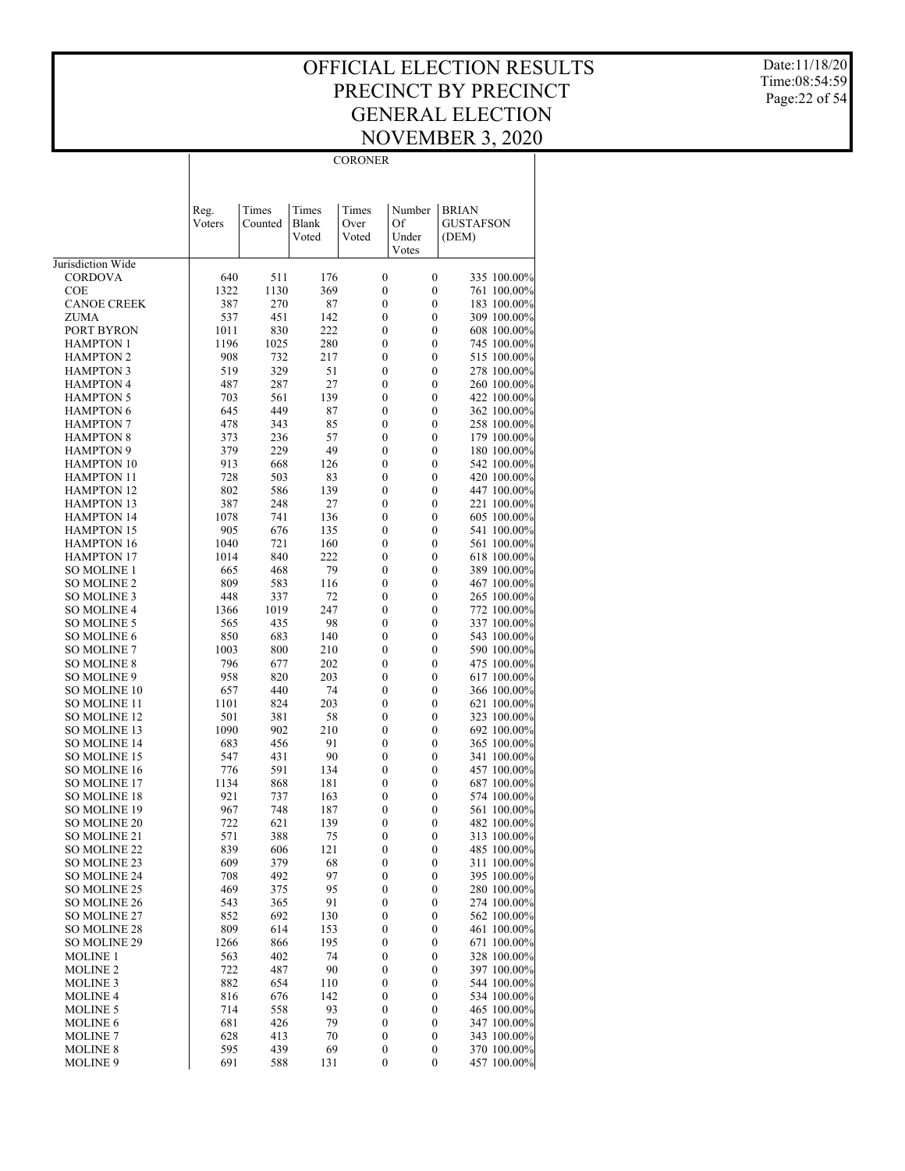**CORONER** 

Date:11/18/20 Time:08:54:59 Page:22 of 54

|                                       |                |                  |                         | <b>CORONER</b>                       |                                      |                                           |
|---------------------------------------|----------------|------------------|-------------------------|--------------------------------------|--------------------------------------|-------------------------------------------|
|                                       |                |                  |                         |                                      |                                      |                                           |
|                                       | Reg.<br>Voters | Times<br>Counted | Times<br>Blank<br>Voted | Times<br>Over<br>Voted               | Number<br>Of<br>Under<br>Votes       | <b>BRIAN</b><br><b>GUSTAFSON</b><br>(DEM) |
| Jurisdiction Wide                     |                |                  |                         |                                      |                                      |                                           |
| CORDOVA                               | 640            | 511              | 176                     | $\boldsymbol{0}$                     | $\boldsymbol{0}$                     | 335 100.00%                               |
| COE                                   | 1322           | 1130             | 369                     | $\boldsymbol{0}$                     | $\boldsymbol{0}$                     | 761 100.00%                               |
| <b>CANOE CREEK</b>                    | 387            | 270              | 87                      | $\boldsymbol{0}$                     | $\boldsymbol{0}$                     | 183 100.00%                               |
| <b>ZUMA</b>                           | 537            | 451              | 142                     | 0                                    | $\boldsymbol{0}$                     | 309 100.00%                               |
| PORT BYRON<br><b>HAMPTON 1</b>        | 1011<br>1196   | 830<br>1025      | 222<br>280              | $\boldsymbol{0}$<br>0                | $\boldsymbol{0}$<br>$\boldsymbol{0}$ | 608 100.00%<br>745 100.00%                |
| <b>HAMPTON 2</b>                      | 908            | 732              | 217                     | $\boldsymbol{0}$                     | $\boldsymbol{0}$                     | 515 100.00%                               |
| <b>HAMPTON 3</b>                      | 519            | 329              | 51                      | 0                                    | $\boldsymbol{0}$                     | 278 100.00%                               |
| <b>HAMPTON 4</b>                      | 487            | 287              | 27                      | $\boldsymbol{0}$                     | $\boldsymbol{0}$                     | 260 100.00%                               |
| <b>HAMPTON 5</b>                      | 703            | 561              | 139                     | 0                                    | $\boldsymbol{0}$                     | 422 100.00%                               |
| <b>HAMPTON 6</b>                      | 645            | 449              | 87                      | $\boldsymbol{0}$                     | $\boldsymbol{0}$                     | 362 100.00%                               |
| <b>HAMPTON 7</b>                      | 478            | 343              | 85                      | $\boldsymbol{0}$                     | 0                                    | 258 100.00%                               |
| <b>HAMPTON 8</b>                      | 373            | 236              | 57                      | $\boldsymbol{0}$                     | $\boldsymbol{0}$                     | 179 100.00%                               |
| <b>HAMPTON 9</b><br><b>HAMPTON 10</b> | 379<br>913     | 229<br>668       | 49<br>126               | $\boldsymbol{0}$<br>$\boldsymbol{0}$ | $\boldsymbol{0}$<br>$\boldsymbol{0}$ | 180 100.00%<br>542 100.00%                |
| <b>HAMPTON 11</b>                     | 728            | 503              | 83                      | $\boldsymbol{0}$                     | $\boldsymbol{0}$                     | 420 100.00%                               |
| <b>HAMPTON 12</b>                     | 802            | 586              | 139                     | $\boldsymbol{0}$                     | $\boldsymbol{0}$                     | 447 100.00%                               |
| <b>HAMPTON 13</b>                     | 387            | 248              | 27                      | 0                                    | $\boldsymbol{0}$                     | 221 100.00%                               |
| <b>HAMPTON 14</b>                     | 1078           | 741              | 136                     | $\boldsymbol{0}$                     | $\boldsymbol{0}$                     | 605 100.00%                               |
| <b>HAMPTON 15</b>                     | 905            | 676              | 135                     | 0                                    | $\boldsymbol{0}$                     | 541 100.00%                               |
| <b>HAMPTON 16</b>                     | 1040           | 721              | 160                     | $\boldsymbol{0}$                     | $\boldsymbol{0}$                     | 561 100.00%                               |
| <b>HAMPTON 17</b>                     | 1014           | 840              | 222                     | 0                                    | $\boldsymbol{0}$                     | 618 100.00%                               |
| SO MOLINE 1<br><b>SO MOLINE 2</b>     | 665<br>809     | 468              | 79<br>116               | $\boldsymbol{0}$<br>$\boldsymbol{0}$ | $\boldsymbol{0}$<br>$\boldsymbol{0}$ | 389 100.00%                               |
| <b>SO MOLINE 3</b>                    | 448            | 583<br>337       | 72                      | $\boldsymbol{0}$                     | $\boldsymbol{0}$                     | 467 100.00%<br>265 100.00%                |
| <b>SO MOLINE 4</b>                    | 1366           | 1019             | 247                     | 0                                    | $\boldsymbol{0}$                     | 772 100.00%                               |
| <b>SO MOLINE 5</b>                    | 565            | 435              | 98                      | $\boldsymbol{0}$                     | $\boldsymbol{0}$                     | 337 100.00%                               |
| <b>SO MOLINE 6</b>                    | 850            | 683              | 140                     | $\boldsymbol{0}$                     | $\boldsymbol{0}$                     | 543 100.00%                               |
| <b>SO MOLINE 7</b>                    | 1003           | 800              | 210                     | $\boldsymbol{0}$                     | $\boldsymbol{0}$                     | 590 100.00%                               |
| <b>SO MOLINE 8</b>                    | 796            | 677              | 202                     | 0                                    | $\boldsymbol{0}$                     | 475 100.00%                               |
| SO MOLINE 9                           | 958            | 820              | 203                     | $\boldsymbol{0}$                     | $\boldsymbol{0}$                     | 617 100.00%                               |
| SO MOLINE 10<br>SO MOLINE 11          | 657<br>1101    | 440<br>824       | 74<br>203               | $\boldsymbol{0}$<br>$\boldsymbol{0}$ | $\boldsymbol{0}$<br>$\boldsymbol{0}$ | 366 100.00%<br>621 100.00%                |
| SO MOLINE 12                          | 501            | 381              | 58                      | $\boldsymbol{0}$                     | $\boldsymbol{0}$                     | 323 100.00%                               |
| SO MOLINE 13                          | 1090           | 902              | 210                     | $\boldsymbol{0}$                     | $\boldsymbol{0}$                     | 692 100.00%                               |
| <b>SO MOLINE 14</b>                   | 683            | 456              | 91                      | $\boldsymbol{0}$                     | $\boldsymbol{0}$                     | 365 100.00%                               |
| SO MOLINE 15                          | 547            | 431              | 90                      | $\boldsymbol{0}$                     | $\boldsymbol{0}$                     | 341 100.00%                               |
| <b>SO MOLINE 16</b>                   | 776            | 591              | 134                     | $\boldsymbol{0}$                     | $\boldsymbol{0}$                     | 457 100.00%                               |
| <b>SO MOLINE 17</b>                   | 1134           | 868              | 181                     | $\boldsymbol{0}$                     | $\boldsymbol{0}$                     | 687 100.00%                               |
| <b>SO MOLINE 18</b><br>SO MOLINE 19   | 921<br>967     | 737<br>748       | 163<br>187              | 0<br>0                               | 0<br>$\mathbf{0}$                    | 574 100.00%<br>561 100.00%                |
| SO MOLINE 20                          | 722            | 621              | 139                     | $\boldsymbol{0}$                     | 0                                    | 482 100.00%                               |
| SO MOLINE 21                          | 571            | 388              | 75                      | $\boldsymbol{0}$                     | $\boldsymbol{0}$                     | 313 100.00%                               |
| SO MOLINE 22                          | 839            | 606              | 121                     | $\boldsymbol{0}$                     | $\boldsymbol{0}$                     | 485 100.00%                               |
| SO MOLINE 23                          | 609            | 379              | 68                      | $\boldsymbol{0}$                     | $\boldsymbol{0}$                     | 311 100.00%                               |
| SO MOLINE 24                          | 708            | 492              | 97                      | $\boldsymbol{0}$                     | $\boldsymbol{0}$                     | 395 100.00%                               |
| SO MOLINE 25                          | 469            | 375              | 95                      | $\boldsymbol{0}$                     | $\boldsymbol{0}$                     | 280 100.00%                               |
| <b>SO MOLINE 26</b><br>SO MOLINE 27   | 543<br>852     | 365<br>692       | 91<br>130               | $\boldsymbol{0}$<br>$\boldsymbol{0}$ | $\boldsymbol{0}$<br>$\boldsymbol{0}$ | 274 100.00%<br>562 100.00%                |
| SO MOLINE 28                          | 809            | 614              | 153                     | $\boldsymbol{0}$                     | $\boldsymbol{0}$                     | 461 100.00%                               |
| <b>SO MOLINE 29</b>                   | 1266           | 866              | 195                     | $\boldsymbol{0}$                     | $\boldsymbol{0}$                     | 671 100.00%                               |
| MOLINE 1                              | 563            | 402              | 74                      | $\boldsymbol{0}$                     | $\boldsymbol{0}$                     | 328 100.00%                               |
| <b>MOLINE 2</b>                       | 722            | 487              | 90                      | $\boldsymbol{0}$                     | $\boldsymbol{0}$                     | 397 100.00%                               |
| <b>MOLINE 3</b>                       | 882            | 654              | 110                     | $\boldsymbol{0}$                     | $\boldsymbol{0}$                     | 544 100.00%                               |
| <b>MOLINE 4</b>                       | 816            | 676              | 142                     | $\boldsymbol{0}$                     | $\boldsymbol{0}$                     | 534 100.00%                               |
| <b>MOLINE 5</b>                       | 714            | 558              | 93<br>79                | $\boldsymbol{0}$                     | $\boldsymbol{0}$                     | 465 100.00%                               |
| <b>MOLINE 6</b><br><b>MOLINE 7</b>    | 681<br>628     | 426<br>413       | 70                      | $\boldsymbol{0}$<br>$\boldsymbol{0}$ | $\boldsymbol{0}$<br>$\boldsymbol{0}$ | 347 100.00%<br>343 100.00%                |
| <b>MOLINE 8</b>                       | 595            | 439              | 69                      | $\boldsymbol{0}$                     | $\boldsymbol{0}$                     | 370 100.00%                               |
| <b>MOLINE 9</b>                       | 691            | 588              | 131                     | 0                                    | $\boldsymbol{0}$                     | 457 100.00%                               |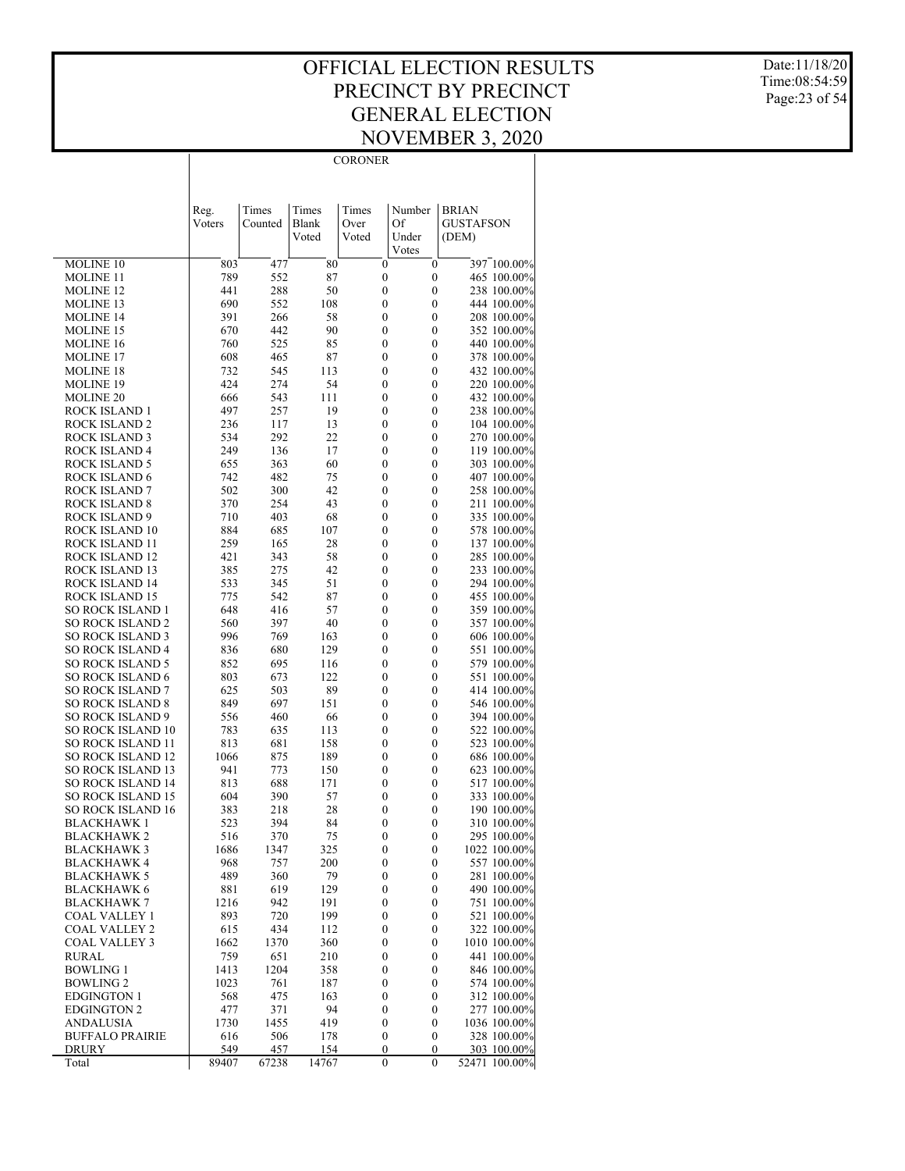**CORONER** 

Date:11/18/20 Time:08:54:59 Page:23 of 54

|                                                      | Reg.        | Times       | Times      | Times                                | Number                               | <b>BRIAN</b>                |
|------------------------------------------------------|-------------|-------------|------------|--------------------------------------|--------------------------------------|-----------------------------|
|                                                      | Voters      | Counted     | Blank      | Over                                 | Of                                   | <b>GUSTAFSON</b>            |
|                                                      |             |             | Voted      | Voted                                | Under                                | (DEM)                       |
| <b>MOLINE 10</b>                                     | 803         | 477         | 80         | $\boldsymbol{0}$                     | Votes<br>$\boldsymbol{0}$            | 397 100.00%                 |
| <b>MOLINE 11</b>                                     | 789         | 552         | 87         | $\boldsymbol{0}$                     | $\boldsymbol{0}$                     | 465 100.00%                 |
| <b>MOLINE 12</b>                                     | 441         | 288         | 50         | $\boldsymbol{0}$                     | $\boldsymbol{0}$                     | 238 100.00%                 |
| MOLINE 13                                            | 690         | 552         | 108        | $\boldsymbol{0}$                     | 0                                    | 444 100.00%                 |
| <b>MOLINE 14</b>                                     | 391         | 266         | 58         | $\boldsymbol{0}$                     | $\boldsymbol{0}$                     | 208 100.00%                 |
| <b>MOLINE 15</b><br><b>MOLINE 16</b>                 | 670<br>760  | 442<br>525  | 90<br>85   | $\boldsymbol{0}$<br>$\boldsymbol{0}$ | 0<br>$\boldsymbol{0}$                | 352 100.00%<br>440 100.00%  |
| <b>MOLINE 17</b>                                     | 608         | 465         | 87         | $\boldsymbol{0}$                     | 0                                    | 378 100.00%                 |
| <b>MOLINE 18</b>                                     | 732         | 545         | 113        | $\boldsymbol{0}$                     | $\boldsymbol{0}$                     | 432 100.00%                 |
| MOLINE 19                                            | 424         | 274         | 54         | $\boldsymbol{0}$                     | 0                                    | 220 100.00%                 |
| <b>MOLINE 20</b>                                     | 666         | 543         | 111        | $\boldsymbol{0}$                     | $\boldsymbol{0}$                     | 432 100.00%                 |
| ROCK ISLAND 1<br>ROCK ISLAND 2                       | 497<br>236  | 257<br>117  | 19<br>13   | $\boldsymbol{0}$<br>$\boldsymbol{0}$ | 0<br>$\boldsymbol{0}$                | 238 100.00%<br>104 100.00%  |
| ROCK ISLAND 3                                        | 534         | 292         | 22         | $\boldsymbol{0}$                     | 0                                    | 270 100.00%                 |
| ROCK ISLAND 4                                        | 249         | 136         | 17         | $\boldsymbol{0}$                     | $\boldsymbol{0}$                     | 119 100.00%                 |
| ROCK ISLAND 5                                        | 655         | 363         | 60         | $\boldsymbol{0}$                     | 0                                    | 303 100.00%                 |
| ROCK ISLAND 6                                        | 742         | 482         | 75         | $\boldsymbol{0}$                     | $\boldsymbol{0}$                     | 407 100.00%                 |
| ROCK ISLAND 7                                        | 502         | 300         | 42         | $\boldsymbol{0}$                     | 0                                    | 258 100.00%                 |
| ROCK ISLAND 8<br>ROCK ISLAND 9                       | 370<br>710  | 254<br>403  | 43<br>68   | $\boldsymbol{0}$<br>$\boldsymbol{0}$ | $\boldsymbol{0}$<br>0                | 211 100.00%<br>335 100.00%  |
| ROCK ISLAND 10                                       | 884         | 685         | 107        | $\boldsymbol{0}$                     | $\boldsymbol{0}$                     | 578 100.00%                 |
| ROCK ISLAND 11                                       | 259         | 165         | 28         | $\boldsymbol{0}$                     | 0                                    | 137 100.00%                 |
| ROCK ISLAND 12                                       | 421         | 343         | 58         | $\boldsymbol{0}$                     | $\boldsymbol{0}$                     | 285 100.00%                 |
| ROCK ISLAND 13                                       | 385         | 275         | 42         | $\boldsymbol{0}$                     | 0                                    | 233 100.00%                 |
| ROCK ISLAND 14<br>ROCK ISLAND 15                     | 533<br>775  | 345<br>542  | 51<br>87   | $\boldsymbol{0}$<br>$\boldsymbol{0}$ | $\boldsymbol{0}$<br>0                | 294 100.00%<br>455 100.00%  |
| SO ROCK ISLAND 1                                     | 648         | 416         | 57         | $\boldsymbol{0}$                     | $\boldsymbol{0}$                     | 359 100.00%                 |
| <b>SO ROCK ISLAND 2</b>                              | 560         | 397         | 40         | $\boldsymbol{0}$                     | 0                                    | 357 100.00%                 |
| <b>SO ROCK ISLAND 3</b>                              | 996         | 769         | 163        | $\boldsymbol{0}$                     | $\boldsymbol{0}$                     | 606 100.00%                 |
| <b>SO ROCK ISLAND 4</b>                              | 836         | 680         | 129        | $\boldsymbol{0}$                     | 0                                    | 551 100.00%                 |
| <b>SO ROCK ISLAND 5</b>                              | 852         | 695         | 116        | $\boldsymbol{0}$                     | $\boldsymbol{0}$                     | 579 100.00%                 |
| <b>SO ROCK ISLAND 6</b><br><b>SO ROCK ISLAND 7</b>   | 803<br>625  | 673<br>503  | 122<br>89  | $\boldsymbol{0}$<br>$\boldsymbol{0}$ | 0<br>$\boldsymbol{0}$                | 551 100.00%<br>414 100.00%  |
| <b>SO ROCK ISLAND 8</b>                              | 849         | 697         | 151        | $\boldsymbol{0}$                     | 0                                    | 546 100.00%                 |
| <b>SO ROCK ISLAND 9</b>                              | 556         | 460         | 66         | $\boldsymbol{0}$                     | $\boldsymbol{0}$                     | 394 100.00%                 |
| <b>SO ROCK ISLAND 10</b>                             | 783         | 635         | 113        | $\boldsymbol{0}$                     | 0                                    | 522 100.00%                 |
| SO ROCK ISLAND 11                                    | 813         | 681         | 158        | $\boldsymbol{0}$                     | $\boldsymbol{0}$                     | 523 100.00%                 |
| <b>SO ROCK ISLAND 12</b><br><b>SO ROCK ISLAND 13</b> | 1066<br>941 | 875<br>773  | 189<br>150 | $\boldsymbol{0}$<br>$\boldsymbol{0}$ | 0<br>$\boldsymbol{0}$                | 686 100.00%<br>623 100.00%  |
| <b>SO ROCK ISLAND 14</b>                             | 813         | 688         | 171        | $\boldsymbol{0}$                     | 0                                    | 517 100.00%                 |
| <b>SO ROCK ISLAND 15</b>                             | 604         | 390         | 57         | $\boldsymbol{0}$                     | $\boldsymbol{0}$                     | 333 100.00%                 |
| <b>SO ROCK ISLAND 16</b>                             | 383         | 218         | 28         | $\boldsymbol{0}$                     | 0                                    | 190 100.00%                 |
| <b>BLACKHAWK</b> 1                                   | 523         | 394         | 84         | $\boldsymbol{0}$                     | 0                                    | 310 100.00%                 |
| <b>BLACKHAWK 2</b>                                   | 516         | 370         | 75         | $\mathbf{0}$                         | 0                                    | 295 100.00%                 |
| BLACKHAWK 3<br><b>BLACKHAWK 4</b>                    | 1686<br>968 | 1347<br>757 | 325<br>200 | 0<br>$\boldsymbol{0}$                | $\boldsymbol{0}$<br>$\boldsymbol{0}$ | 1022 100.00%<br>557 100.00% |
| <b>BLACKHAWK 5</b>                                   | 489         | 360         | 79         | $\boldsymbol{0}$                     | $\boldsymbol{0}$                     | 281 100.00%                 |
| <b>BLACKHAWK 6</b>                                   | 881         | 619         | 129        | $\boldsymbol{0}$                     | $\boldsymbol{0}$                     | 490 100.00%                 |
| <b>BLACKHAWK 7</b>                                   | 1216        | 942         | 191        | $\boldsymbol{0}$                     | $\boldsymbol{0}$                     | 751 100.00%                 |
| COAL VALLEY 1                                        | 893         | 720         | 199        | $\boldsymbol{0}$                     | $\boldsymbol{0}$                     | 521 100.00%                 |
| <b>COAL VALLEY 2</b><br><b>COAL VALLEY 3</b>         | 615<br>1662 | 434<br>1370 | 112<br>360 | $\boldsymbol{0}$<br>$\boldsymbol{0}$ | $\boldsymbol{0}$<br>$\boldsymbol{0}$ | 322 100.00%<br>1010 100.00% |
| <b>RURAL</b>                                         | 759         | 651         | 210        | $\boldsymbol{0}$                     | $\boldsymbol{0}$                     | 441 100.00%                 |
| <b>BOWLING 1</b>                                     | 1413        | 1204        | 358        | $\boldsymbol{0}$                     | $\boldsymbol{0}$                     | 846 100.00%                 |
| <b>BOWLING 2</b>                                     | 1023        | 761         | 187        | $\boldsymbol{0}$                     | $\boldsymbol{0}$                     | 574 100.00%                 |
| <b>EDGINGTON 1</b>                                   | 568         | 475         | 163        | $\boldsymbol{0}$                     | $\boldsymbol{0}$                     | 312 100.00%                 |
| <b>EDGINGTON 2</b>                                   | 477         | 371         | 94         | $\boldsymbol{0}$                     | $\boldsymbol{0}$                     | 277 100.00%                 |
| <b>ANDALUSIA</b><br><b>BUFFALO PRAIRIE</b>           | 1730<br>616 | 1455<br>506 | 419<br>178 | $\boldsymbol{0}$<br>$\boldsymbol{0}$ | $\boldsymbol{0}$<br>$\boldsymbol{0}$ | 1036 100.00%<br>328 100.00% |
| <b>DRURY</b>                                         | 549         | 457         | 154        | $\boldsymbol{0}$                     | $\boldsymbol{0}$                     | 303 100.00%                 |
| Total                                                | 89407       | 67238       | 14767      | $\boldsymbol{0}$                     | $\mathbf{0}$                         | 52471 100.00%               |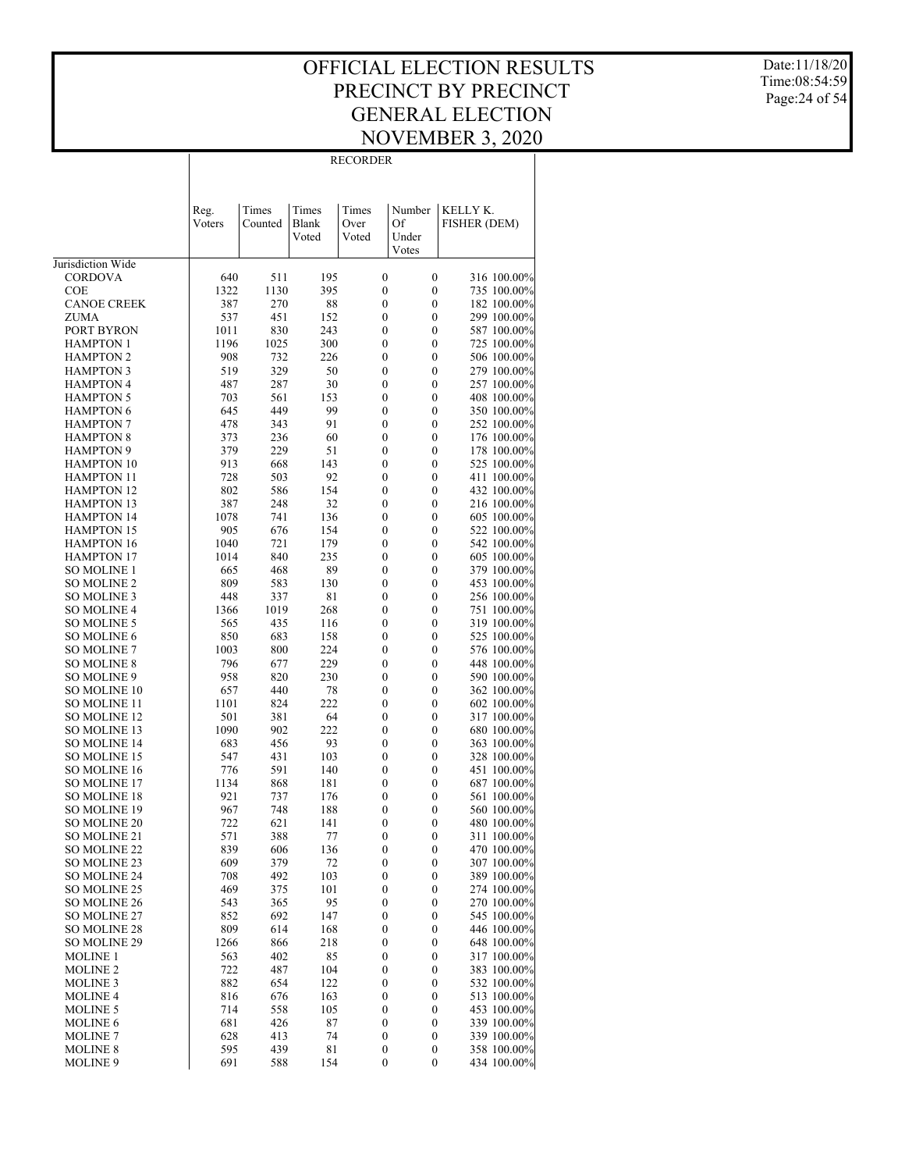$\overline{\phantom{a}}$ 

Date:11/18/20 Time:08:54:59 Page:24 of 54

|                                       | Reg.        | Times       | Times          | Times            | Number           | KELLY K.                   |
|---------------------------------------|-------------|-------------|----------------|------------------|------------------|----------------------------|
|                                       | Voters      | Counted     | Blank<br>Voted | Over<br>Voted    | Of<br>Under      | <b>FISHER (DEM)</b>        |
|                                       |             |             |                |                  | Votes            |                            |
| Jurisdiction Wide                     |             |             |                |                  |                  |                            |
| <b>CORDOVA</b>                        | 640         | 511         | 195            | 0                | 0                | 316 100.00%                |
| <b>COE</b>                            | 1322        | 1130        | 395            | 0                | 0                | 735 100.00%                |
| <b>CANOE CREEK</b><br>ZUMA            | 387<br>537  | 270<br>451  | 88<br>152      | 0<br>0           | 0<br>0           | 182 100.00%<br>299 100.00% |
| PORT BYRON                            | 1011        | 830         | 243            | 0                | 0                | 587 100.00%                |
| <b>HAMPTON 1</b>                      | 1196        | 1025        | 300            | 0                | 0                | 725 100.00%                |
| <b>HAMPTON 2</b>                      | 908         | 732         | 226            | 0                | 0                | 506 100.00%                |
| <b>HAMPTON 3</b>                      | 519         | 329         | 50             | 0                | 0                | 279 100.00%                |
| <b>HAMPTON 4</b>                      | 487         | 287         | 30             | 0                | 0                | 257 100.00%                |
| <b>HAMPTON 5</b>                      | 703         | 561         | 153            | 0                | 0                | 408 100.00%                |
| <b>HAMPTON 6</b>                      | 645         | 449         | 99             | 0                | 0                | 350 100.00%                |
| <b>HAMPTON 7</b>                      | 478         | 343         | 91             | 0                | 0                | 252 100.00%                |
| <b>HAMPTON 8</b>                      | 373         | 236         | 60             | 0                | $\boldsymbol{0}$ | 176 100.00%                |
| <b>HAMPTON 9</b><br><b>HAMPTON 10</b> | 379<br>913  | 229<br>668  | 51<br>143      | 0<br>0           | 0<br>0           | 178 100.00%<br>525 100.00% |
| <b>HAMPTON 11</b>                     | 728         | 503         | 92             | 0                | 0                | 411 100.00%                |
| <b>HAMPTON 12</b>                     | 802         | 586         | 154            | 0                | 0                | 432 100.00%                |
| <b>HAMPTON 13</b>                     | 387         | 248         | 32             | 0                | 0                | 216 100.00%                |
| <b>HAMPTON 14</b>                     | 1078        | 741         | 136            | 0                | 0                | 605 100.00%                |
| <b>HAMPTON 15</b>                     | 905         | 676         | 154            | 0                | 0                | 522 100.00%                |
| <b>HAMPTON 16</b>                     | 1040        | 721         | 179            | 0                | 0                | 542 100.00%                |
| <b>HAMPTON 17</b>                     | 1014        | 840         | 235            | 0                | 0                | 605 100.00%                |
| <b>SO MOLINE 1</b>                    | 665         | 468         | 89             | 0                | 0                | 379 100.00%                |
| <b>SO MOLINE 2</b>                    | 809         | 583         | 130            | 0                | 0                | 453 100.00%                |
| SO MOLINE 3<br><b>SO MOLINE 4</b>     | 448<br>1366 | 337<br>1019 | 81<br>268      | 0<br>0           | 0<br>0           | 256 100.00%                |
| SO MOLINE 5                           | 565         | 435         | 116            | 0                | 0                | 751 100.00%<br>319 100.00% |
| <b>SO MOLINE 6</b>                    | 850         | 683         | 158            | 0                | 0                | 525 100.00%                |
| <b>SO MOLINE 7</b>                    | 1003        | 800         | 224            | 0                | 0                | 576 100.00%                |
| <b>SO MOLINE 8</b>                    | 796         | 677         | 229            | 0                | 0                | 448 100.00%                |
| SO MOLINE 9                           | 958         | 820         | 230            | 0                | 0                | 590 100.00%                |
| <b>SO MOLINE 10</b>                   | 657         | 440         | 78             | 0                | 0                | 362 100.00%                |
| <b>SO MOLINE 11</b>                   | 1101        | 824         | 222            | 0                | 0                | 602 100.00%                |
| <b>SO MOLINE 12</b>                   | 501         | 381         | 64             | 0                | 0                | 317 100.00%                |
| SO MOLINE 13                          | 1090        | 902         | 222            | 0                | 0                | 680 100.00%                |
| <b>SO MOLINE 14</b><br>SO MOLINE 15   | 683<br>547  | 456<br>431  | 93<br>103      | 0<br>0           | 0<br>0           | 363 100.00%<br>328 100.00% |
| <b>SO MOLINE 16</b>                   | 776         | 591         | 140            | 0                | 0                | 451 100.00%                |
| <b>SO MOLINE 17</b>                   | 1134        | 868         | 181            | 0                | 0                | 687 100.00%                |
| <b>SO MOLINE 18</b>                   | 921         | 737         | 176            | 0                | 0                | 561 100.00%                |
| <b>SO MOLINE 19</b>                   | 967         | 748         | 188            | 0                | 0                | 560 100.00%                |
| <b>SO MOLINE 20</b>                   | 722         | 621         | 141            | 0                | 0                | 480 100.00%                |
| SO MOLINE 21                          | 571         | 388         | 77             | 0                | $\boldsymbol{0}$ | 311 100.00%                |
| SO MOLINE 22                          | 839         | 606         | 136            | $\boldsymbol{0}$ | 0                | 470 100.00%                |
| SO MOLINE 23<br>SO MOLINE 24          | 609<br>708  | 379<br>492  | 72<br>103      | 0<br>0           | 0<br>0           | 307 100.00%<br>389 100.00% |
| SO MOLINE 25                          | 469         | 375         | 101            | 0                | 0                | 274 100.00%                |
| SO MOLINE 26                          | 543         | 365         | 95             | 0                | 0                | 270 100.00%                |
| <b>SO MOLINE 27</b>                   | 852         | 692         | 147            | 0                | 0                | 545 100.00%                |
| SO MOLINE 28                          | 809         | 614         | 168            | 0                | 0                | 446 100.00%                |
| <b>SO MOLINE 29</b>                   | 1266        | 866         | 218            | 0                | 0                | 648 100.00%                |
| <b>MOLINE 1</b>                       | 563         | 402         | 85             | 0                | 0                | 317 100.00%                |
| <b>MOLINE 2</b>                       | 722         | 487         | 104            | 0                | 0                | 383 100.00%                |
| <b>MOLINE 3</b>                       | 882         | 654         | 122            | 0                | 0                | 532 100.00%                |
| MOLINE 4<br><b>MOLINE 5</b>           | 816<br>714  | 676<br>558  | 163<br>105     | 0<br>0           | 0<br>0           | 513 100.00%<br>453 100.00% |
| MOLINE 6                              | 681         | 426         | 87             | 0                | 0                | 339 100.00%                |
| <b>MOLINE 7</b>                       | 628         | 413         | 74             | 0                | 0                | 339 100.00%                |
| <b>MOLINE 8</b>                       | 595         | 439         | 81             | 0                | 0                | 358 100.00%                |
| <b>MOLINE 9</b>                       | 691         | 588         | 154            | 0                | 0                | 434 100.00%                |

 $\overline{\phantom{a}}$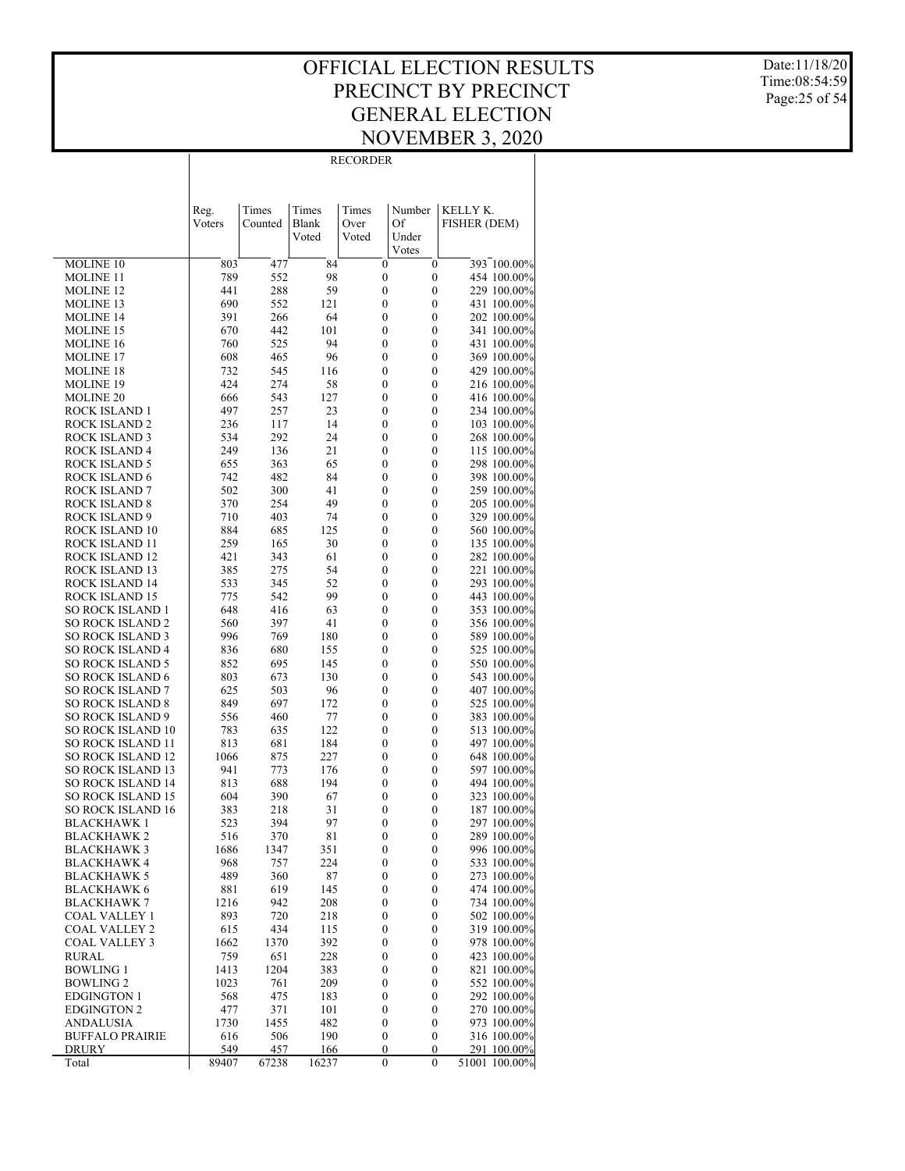Date:11/18/20 Time:08:54:59 Page:25 of 54

|                                                      | Reg.        | Times       | Times      | Times                                | Number                               | KELLY K.                   |
|------------------------------------------------------|-------------|-------------|------------|--------------------------------------|--------------------------------------|----------------------------|
|                                                      | Voters      | Counted     | Blank      | Over<br>Voted                        | Of                                   | FISHER (DEM)               |
|                                                      |             |             | Voted      |                                      | Under<br>Votes                       |                            |
| MOLINE 10                                            | 803         | 477         | 84         | $\boldsymbol{0}$                     | $\boldsymbol{0}$                     | 393 100.00%                |
| <b>MOLINE 11</b>                                     | 789         | 552         | 98         | $\boldsymbol{0}$                     | $\boldsymbol{0}$                     | 454 100.00%                |
| <b>MOLINE 12</b>                                     | 441         | 288         | 59         | $\boldsymbol{0}$                     | $\boldsymbol{0}$                     | 229 100.00%                |
| MOLINE 13                                            | 690         | 552         | 121        | $\boldsymbol{0}$                     | $\boldsymbol{0}$                     | 431 100.00%                |
| <b>MOLINE 14</b>                                     | 391         | 266         | 64         | $\boldsymbol{0}$                     | $\boldsymbol{0}$                     | 202 100.00%                |
| MOLINE 15                                            | 670<br>760  | 442<br>525  | 101<br>94  | $\boldsymbol{0}$<br>$\boldsymbol{0}$ | $\boldsymbol{0}$<br>$\boldsymbol{0}$ | 341 100.00%<br>431 100.00% |
| <b>MOLINE 16</b><br>MOLINE 17                        | 608         | 465         | 96         | $\boldsymbol{0}$                     | $\boldsymbol{0}$                     | 369 100.00%                |
| <b>MOLINE 18</b>                                     | 732         | 545         | 116        | $\boldsymbol{0}$                     | $\boldsymbol{0}$                     | 429 100.00%                |
| <b>MOLINE 19</b>                                     | 424         | 274         | 58         | $\boldsymbol{0}$                     | $\boldsymbol{0}$                     | 216 100.00%                |
| <b>MOLINE 20</b>                                     | 666         | 543         | 127        | $\boldsymbol{0}$                     | $\boldsymbol{0}$                     | 416 100.00%                |
| <b>ROCK ISLAND 1</b>                                 | 497         | 257         | 23         | $\boldsymbol{0}$                     | $\boldsymbol{0}$                     | 234 100.00%                |
| <b>ROCK ISLAND 2</b>                                 | 236         | 117         | 14         | $\boldsymbol{0}$                     | $\boldsymbol{0}$                     | 103 100.00%                |
| <b>ROCK ISLAND 3</b>                                 | 534         | 292         | 24         | $\boldsymbol{0}$                     | $\boldsymbol{0}$                     | 268 100.00%                |
| ROCK ISLAND 4                                        | 249         | 136         | 21         | $\boldsymbol{0}$                     | $\boldsymbol{0}$                     | 115 100.00%                |
| <b>ROCK ISLAND 5</b>                                 | 655         | 363         | 65         | $\boldsymbol{0}$                     | $\boldsymbol{0}$                     | 298 100.00%                |
| <b>ROCK ISLAND 6</b><br><b>ROCK ISLAND 7</b>         | 742<br>502  | 482<br>300  | 84<br>41   | $\boldsymbol{0}$<br>$\boldsymbol{0}$ | $\boldsymbol{0}$<br>$\boldsymbol{0}$ | 398 100.00%<br>259 100.00% |
| <b>ROCK ISLAND 8</b>                                 | 370         | 254         | 49         | $\boldsymbol{0}$                     | $\boldsymbol{0}$                     | 205 100.00%                |
| ROCK ISLAND 9                                        | 710         | 403         | 74         | $\boldsymbol{0}$                     | $\boldsymbol{0}$                     | 329 100.00%                |
| ROCK ISLAND 10                                       | 884         | 685         | 125        | $\boldsymbol{0}$                     | $\boldsymbol{0}$                     | 560 100.00%                |
| ROCK ISLAND 11                                       | 259         | 165         | 30         | $\boldsymbol{0}$                     | $\boldsymbol{0}$                     | 135 100.00%                |
| ROCK ISLAND 12                                       | 421         | 343         | 61         | $\boldsymbol{0}$                     | $\boldsymbol{0}$                     | 282 100.00%                |
| ROCK ISLAND 13                                       | 385         | 275         | 54         | $\boldsymbol{0}$                     | $\boldsymbol{0}$                     | 221 100.00%                |
| ROCK ISLAND 14                                       | 533         | 345         | 52         | $\boldsymbol{0}$                     | $\boldsymbol{0}$                     | 293 100.00%                |
| ROCK ISLAND 15                                       | 775         | 542         | 99         | $\boldsymbol{0}$                     | $\boldsymbol{0}$                     | 443 100.00%                |
| <b>SO ROCK ISLAND 1</b><br><b>SO ROCK ISLAND 2</b>   | 648<br>560  | 416<br>397  | 63<br>41   | $\boldsymbol{0}$<br>$\boldsymbol{0}$ | $\boldsymbol{0}$<br>$\boldsymbol{0}$ | 353 100.00%<br>356 100.00% |
| <b>SO ROCK ISLAND 3</b>                              | 996         | 769         | 180        | $\boldsymbol{0}$                     | $\boldsymbol{0}$                     | 589 100.00%                |
| <b>SO ROCK ISLAND 4</b>                              | 836         | 680         | 155        | $\boldsymbol{0}$                     | $\boldsymbol{0}$                     | 525 100.00%                |
| <b>SO ROCK ISLAND 5</b>                              | 852         | 695         | 145        | $\boldsymbol{0}$                     | $\boldsymbol{0}$                     | 550 100.00%                |
| <b>SO ROCK ISLAND 6</b>                              | 803         | 673         | 130        | $\boldsymbol{0}$                     | $\boldsymbol{0}$                     | 543 100.00%                |
| <b>SO ROCK ISLAND 7</b>                              | 625         | 503         | 96         | $\boldsymbol{0}$                     | $\boldsymbol{0}$                     | 407 100.00%                |
| <b>SO ROCK ISLAND 8</b>                              | 849         | 697         | 172        | $\boldsymbol{0}$                     | $\boldsymbol{0}$                     | 525 100.00%                |
| <b>SO ROCK ISLAND 9</b>                              | 556         | 460         | 77         | $\boldsymbol{0}$                     | $\boldsymbol{0}$                     | 383 100.00%                |
| <b>SO ROCK ISLAND 10</b>                             | 783         | 635<br>681  | 122<br>184 | $\boldsymbol{0}$<br>$\boldsymbol{0}$ | $\boldsymbol{0}$<br>$\boldsymbol{0}$ | 513 100.00%                |
| <b>SO ROCK ISLAND 11</b><br><b>SO ROCK ISLAND 12</b> | 813<br>1066 | 875         | 227        | $\boldsymbol{0}$                     | $\boldsymbol{0}$                     | 497 100.00%<br>648 100.00% |
| <b>SO ROCK ISLAND 13</b>                             | 941         | 773         | 176        | $\boldsymbol{0}$                     | $\boldsymbol{0}$                     | 597 100.00%                |
| <b>SO ROCK ISLAND 14</b>                             | 813         | 688         | 194        | $\boldsymbol{0}$                     | $\boldsymbol{0}$                     | 494 100.00%                |
| <b>SO ROCK ISLAND 15</b>                             | 604         | 390         | 67         | $\boldsymbol{0}$                     | $\boldsymbol{0}$                     | 323 100.00%                |
| <b>SO ROCK ISLAND 16</b>                             | 383         | 218         | 31         | $\boldsymbol{0}$                     | $\boldsymbol{0}$                     | 187 100.00%                |
| <b>BLACKHAWK1</b>                                    | 523         | 394         | 97         | $\boldsymbol{0}$                     | $\boldsymbol{0}$                     | 297 100.00%                |
| <b>BLACKHAWK2</b>                                    | 516         | 370         | 81         | $\mathbf{0}$                         | 0                                    | 289 100.00%                |
| <b>BLACKHAWK3</b>                                    | 1686        | 1347        | 351        | $\boldsymbol{0}$                     | 0                                    | 996 100.00%                |
| <b>BLACKHAWK 4</b>                                   | 968         | 757         | 224        | 0                                    | $\boldsymbol{0}$                     | 533 100.00%                |
| <b>BLACKHAWK 5</b><br><b>BLACKHAWK 6</b>             | 489<br>881  | 360<br>619  | 87<br>145  | $\boldsymbol{0}$<br>$\boldsymbol{0}$ | $\boldsymbol{0}$<br>$\boldsymbol{0}$ | 273 100.00%<br>474 100.00% |
| <b>BLACKHAWK 7</b>                                   | 1216        | 942         | 208        | $\boldsymbol{0}$                     | $\boldsymbol{0}$                     | 734 100.00%                |
| COAL VALLEY 1                                        | 893         | 720         | 218        | $\boldsymbol{0}$                     | $\boldsymbol{0}$                     | 502 100.00%                |
| <b>COAL VALLEY 2</b>                                 | 615         | 434         | 115        | $\boldsymbol{0}$                     | $\boldsymbol{0}$                     | 319 100.00%                |
| <b>COAL VALLEY 3</b>                                 | 1662        | 1370        | 392        | $\boldsymbol{0}$                     | $\boldsymbol{0}$                     | 978 100.00%                |
| RURAL                                                | 759         | 651         | 228        | $\boldsymbol{0}$                     | $\boldsymbol{0}$                     | 423 100.00%                |
| <b>BOWLING 1</b>                                     | 1413        | 1204        | 383        | $\boldsymbol{0}$                     | $\boldsymbol{0}$                     | 821 100.00%                |
| <b>BOWLING 2</b>                                     | 1023        | 761         | 209        | $\boldsymbol{0}$                     | $\boldsymbol{0}$                     | 552 100.00%                |
| <b>EDGINGTON 1</b>                                   | 568         | 475         | 183        | $\boldsymbol{0}$                     | $\boldsymbol{0}$                     | 292 100.00%                |
| <b>EDGINGTON 2</b><br><b>ANDALUSIA</b>               | 477<br>1730 | 371<br>1455 | 101<br>482 | $\boldsymbol{0}$<br>$\boldsymbol{0}$ | $\boldsymbol{0}$<br>$\boldsymbol{0}$ | 270 100.00%<br>973 100.00% |
| <b>BUFFALO PRAIRIE</b>                               | 616         | 506         | 190        | $\boldsymbol{0}$                     | $\boldsymbol{0}$                     | 316 100.00%                |
| DRURY                                                | 549         | 457         | 166        | $\boldsymbol{0}$                     | 0                                    | 291 100.00%                |
| Total                                                | 89407       | 67238       | 16237      | $\boldsymbol{0}$                     | $\boldsymbol{0}$                     | 51001 100.00%              |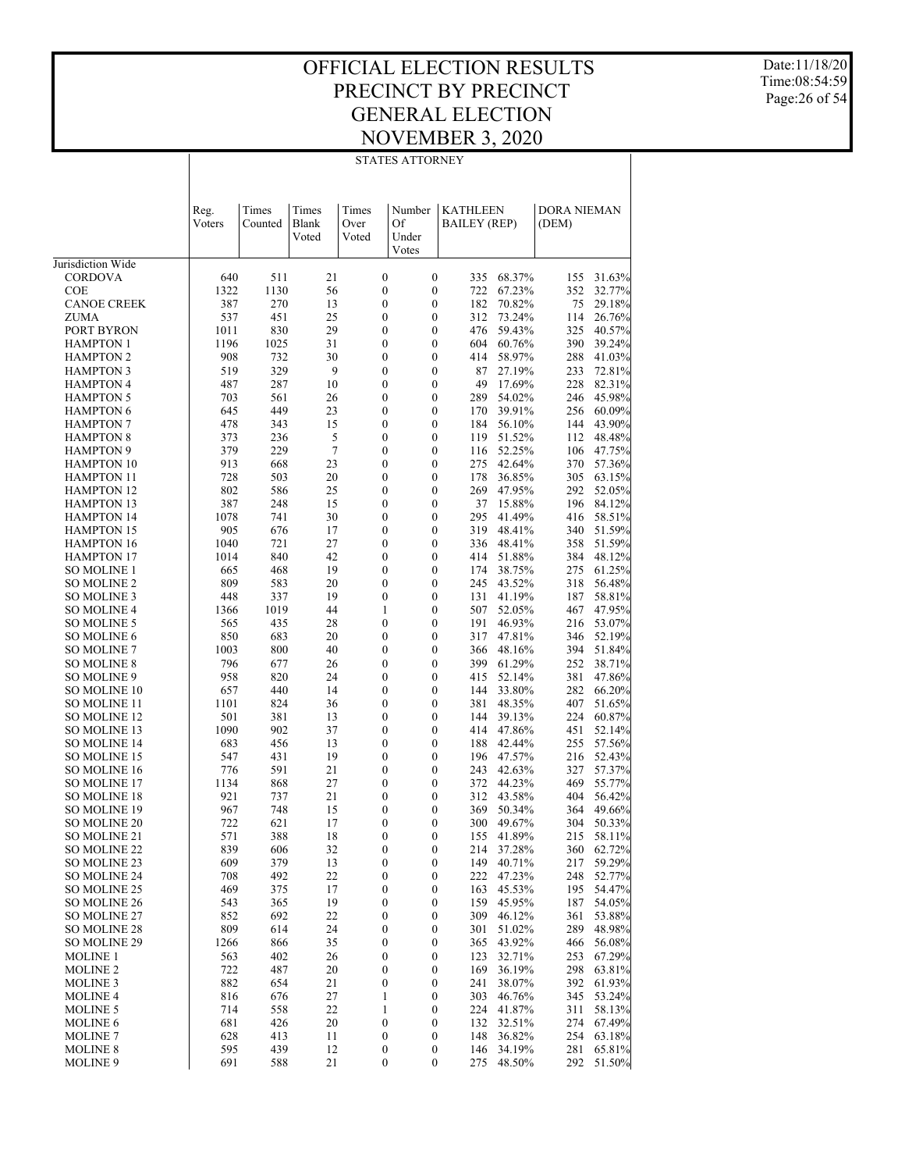STATES ATTORNEY

Date:11/18/20 Time:08:54:59 Page:26 of 54

|                                        | Reg.         | Times       | Times          | Times                                | Number                               | KATHLEEN            |                      | <b>DORA NIEMAN</b> |                  |
|----------------------------------------|--------------|-------------|----------------|--------------------------------------|--------------------------------------|---------------------|----------------------|--------------------|------------------|
|                                        | Voters       | Counted     | <b>Blank</b>   | Over                                 | Of                                   | <b>BAILEY (REP)</b> |                      | (DEM)              |                  |
|                                        |              |             | Voted          | Voted                                | Under<br>Votes                       |                     |                      |                    |                  |
| Jurisdiction Wide                      |              |             |                |                                      |                                      |                     |                      |                    |                  |
| CORDOVA                                | 640          | 511         | 21             | $\boldsymbol{0}$                     | $\boldsymbol{0}$                     | 335                 | 68.37%               | 155                | 31.63%           |
| <b>COE</b>                             | 1322         | 1130        | 56             | $\boldsymbol{0}$                     | 0                                    | 722                 | 67.23%               | 352                | 32.77%           |
| <b>CANOE CREEK</b>                     | 387          | 270         | 13             | $\boldsymbol{0}$                     | 0                                    | 182                 | 70.82%               | 75                 | 29.18%           |
| ZUMA                                   | 537          | 451         | 25             | $\boldsymbol{0}$                     | 0                                    | 312                 | 73.24%               | 114                | 26.76%           |
| PORT BYRON<br><b>HAMPTON 1</b>         | 1011<br>1196 | 830<br>1025 | 29<br>31       | $\boldsymbol{0}$<br>$\boldsymbol{0}$ | 0<br>$\boldsymbol{0}$                | 476<br>604          | 59.43%<br>60.76%     | 325<br>390         | 40.57%<br>39.24% |
| <b>HAMPTON 2</b>                       | 908          | 732         | 30             | $\boldsymbol{0}$                     | 0                                    | 414                 | 58.97%               | 288                | 41.03%           |
| <b>HAMPTON 3</b>                       | 519          | 329         | 9              | $\boldsymbol{0}$                     | 0                                    | 87                  | 27.19%               | 233                | 72.81%           |
| <b>HAMPTON 4</b>                       | 487          | 287         | 10             | $\boldsymbol{0}$                     | $\boldsymbol{0}$                     | 49                  | 17.69%               | 228                | 82.31%           |
| <b>HAMPTON 5</b>                       | 703          | 561         | 26             | $\boldsymbol{0}$                     | $\boldsymbol{0}$                     | 289                 | 54.02%               | 246                | 45.98%           |
| <b>HAMPTON 6</b>                       | 645          | 449         | 23             | $\boldsymbol{0}$                     | 0                                    | 170                 | 39.91%               | 256                | 60.09%           |
| <b>HAMPTON 7</b><br><b>HAMPTON 8</b>   | 478<br>373   | 343<br>236  | 15<br>5        | $\boldsymbol{0}$<br>$\boldsymbol{0}$ | $\boldsymbol{0}$<br>$\boldsymbol{0}$ | 184<br>119          | 56.10%<br>51.52%     | 144<br>112         | 43.90%<br>48.48% |
| <b>HAMPTON 9</b>                       | 379          | 229         | $\overline{7}$ | $\boldsymbol{0}$                     | $\boldsymbol{0}$                     | 116                 | 52.25%               | 106                | 47.75%           |
| <b>HAMPTON 10</b>                      | 913          | 668         | 23             | $\boldsymbol{0}$                     | $\boldsymbol{0}$                     | 275                 | 42.64%               | 370                | 57.36%           |
| <b>HAMPTON 11</b>                      | 728          | 503         | 20             | $\boldsymbol{0}$                     | $\boldsymbol{0}$                     | 178                 | 36.85%               | 305                | 63.15%           |
| <b>HAMPTON 12</b>                      | 802          | 586         | 25             | $\boldsymbol{0}$                     | $\boldsymbol{0}$                     | 269                 | 47.95%               | 292                | 52.05%           |
| <b>HAMPTON 13</b>                      | 387          | 248         | 15             | $\boldsymbol{0}$                     | $\boldsymbol{0}$                     | 37                  | 15.88%               | 196                | 84.12%           |
| <b>HAMPTON 14</b>                      | 1078         | 741         | 30             | $\boldsymbol{0}$                     | $\boldsymbol{0}$                     | 295                 | 41.49%               | 416                | 58.51%           |
| <b>HAMPTON 15</b><br><b>HAMPTON 16</b> | 905<br>1040  | 676<br>721  | 17<br>27       | $\boldsymbol{0}$<br>$\boldsymbol{0}$ | $\boldsymbol{0}$<br>$\boldsymbol{0}$ | 319<br>336          | 48.41%<br>48.41%     | 340<br>358         | 51.59%<br>51.59% |
| <b>HAMPTON 17</b>                      | 1014         | 840         | 42             | $\boldsymbol{0}$                     | $\boldsymbol{0}$                     | 414                 | 51.88%               | 384                | 48.12%           |
| SO MOLINE 1                            | 665          | 468         | 19             | $\boldsymbol{0}$                     | $\boldsymbol{0}$                     | 174                 | 38.75%               | 275                | 61.25%           |
| SO MOLINE 2                            | 809          | 583         | 20             | $\boldsymbol{0}$                     | $\boldsymbol{0}$                     | 245                 | 43.52%               | 318                | 56.48%           |
| SO MOLINE 3                            | 448          | 337         | 19             | $\boldsymbol{0}$                     | $\boldsymbol{0}$                     | 131                 | 41.19%               | 187                | 58.81%           |
| SO MOLINE 4                            | 1366         | 1019        | 44             | 1                                    | $\boldsymbol{0}$                     | 507                 | 52.05%               | 467                | 47.95%           |
| SO MOLINE 5                            | 565          | 435         | 28             | $\boldsymbol{0}$                     | $\boldsymbol{0}$                     | 191                 | 46.93%               | 216                | 53.07%           |
| SO MOLINE 6<br>SO MOLINE 7             | 850<br>1003  | 683<br>800  | 20<br>40       | $\boldsymbol{0}$<br>$\boldsymbol{0}$ | $\boldsymbol{0}$<br>$\boldsymbol{0}$ | 317<br>366          | 47.81%<br>48.16%     | 346<br>394         | 52.19%<br>51.84% |
| SO MOLINE 8                            | 796          | 677         | 26             | $\boldsymbol{0}$                     | $\boldsymbol{0}$                     | 399                 | 61.29%               | 252                | 38.71%           |
| SO MOLINE 9                            | 958          | 820         | 24             | $\boldsymbol{0}$                     | 0                                    | 415                 | 52.14%               | 381                | 47.86%           |
| SO MOLINE 10                           | 657          | 440         | 14             | $\boldsymbol{0}$                     | $\boldsymbol{0}$                     | 144                 | 33.80%               | 282                | 66.20%           |
| SO MOLINE 11                           | 1101         | 824         | 36             | $\boldsymbol{0}$                     | $\boldsymbol{0}$                     | 381                 | 48.35%               | 407                | 51.65%           |
| SO MOLINE 12                           | 501          | 381         | 13             | $\boldsymbol{0}$                     | $\boldsymbol{0}$                     | 144                 | 39.13%               | 224                | 60.87%           |
| SO MOLINE 13<br>SO MOLINE 14           | 1090<br>683  | 902<br>456  | 37<br>13       | $\boldsymbol{0}$<br>$\boldsymbol{0}$ | $\boldsymbol{0}$<br>$\boldsymbol{0}$ | 414<br>188          | 47.86%<br>42.44%     | 451<br>255         | 52.14%<br>57.56% |
| SO MOLINE 15                           | 547          | 431         | 19             | $\boldsymbol{0}$                     | $\boldsymbol{0}$                     | 196                 | 47.57%               | 216                | 52.43%           |
| SO MOLINE 16                           | 776          | 591         | 21             | $\boldsymbol{0}$                     | $\boldsymbol{0}$                     | 243                 | 42.63%               | 327                | 57.37%           |
| SO MOLINE 17                           | 1134         | 868         | 27             | $\boldsymbol{0}$                     | 0                                    | 372                 | 44.23%               | 469                | 55.77%           |
| SO MOLINE 18                           | 921          | 737         | 21             | 0                                    | 0                                    | 312                 | 43.58%               | 404                | 56.42%           |
| SO MOLINE 19                           | 967          | 748         | 15             | $\boldsymbol{0}$                     | 0                                    | 369                 | 50.34%               | 364                | 49.66%           |
| SO MOLINE 20                           | 722          | 621         | 17             | 0<br>$\overline{0}$                  | 0<br>$\overline{0}$                  | 300                 | 49.67%               | 304                | 50.33%<br>58.11% |
| SO MOLINE 21<br>SO MOLINE 22           | 571<br>839   | 388<br>606  | 18<br>32       | 0                                    | 0                                    | 155                 | 41.89%<br>214 37.28% | 215                | 360 62.72%       |
| SO MOLINE 23                           | 609          | 379         | 13             | $\boldsymbol{0}$                     | $\boldsymbol{0}$                     | 149                 | 40.71%               | 217                | 59.29%           |
| SO MOLINE 24                           | 708          | 492         | 22             | $\boldsymbol{0}$                     | 0                                    | 222                 | 47.23%               | 248                | 52.77%           |
| SO MOLINE 25                           | 469          | 375         | 17             | $\boldsymbol{0}$                     | $\boldsymbol{0}$                     | 163                 | 45.53%               | 195                | 54.47%           |
| SO MOLINE 26                           | 543          | 365         | 19             | 0                                    | 0                                    | 159                 | 45.95%               | 187                | 54.05%           |
| SO MOLINE 27                           | 852          | 692         | 22             | $\boldsymbol{0}$                     | 0                                    | 309                 | 46.12%               | 361                | 53.88%           |
| SO MOLINE 28<br><b>SO MOLINE 29</b>    | 809          | 614         | 24             | 0                                    | 0                                    | 301                 | 51.02%<br>43.92%     | 289                | 48.98%           |
| <b>MOLINE 1</b>                        | 1266<br>563  | 866<br>402  | 35<br>26       | $\boldsymbol{0}$<br>0                | 0<br>0                               | 365<br>123          | 32.71%               | 466<br>253         | 56.08%<br>67.29% |
| <b>MOLINE 2</b>                        | 722          | 487         | 20             | $\boldsymbol{0}$                     | 0                                    | 169                 | 36.19%               | 298                | 63.81%           |
| <b>MOLINE 3</b>                        | 882          | 654         | 21             | $\boldsymbol{0}$                     | 0                                    | 241                 | 38.07%               | 392                | 61.93%           |
| <b>MOLINE 4</b>                        | 816          | 676         | 27             | $\mathbf{1}$                         | 0                                    | 303                 | 46.76%               | 345                | 53.24%           |
| <b>MOLINE 5</b>                        | 714          | 558         | 22             | 1                                    | 0                                    | 224                 | 41.87%               | 311                | 58.13%           |
| MOLINE 6                               | 681          | 426         | 20             | $\boldsymbol{0}$                     | 0                                    | 132                 | 32.51%               | 274                | 67.49%           |
| <b>MOLINE 7</b><br><b>MOLINE 8</b>     | 628<br>595   | 413<br>439  | 11<br>12       | 0                                    | 0                                    | 148<br>146          | 36.82%<br>34.19%     | 254<br>281         | 63.18%<br>65.81% |
| MOLINE 9                               | 691          | 588         | 21             | $\boldsymbol{0}$<br>0                | 0<br>$\boldsymbol{0}$                | 275                 | 48.50%               | 292                | 51.50%           |
|                                        |              |             |                |                                      |                                      |                     |                      |                    |                  |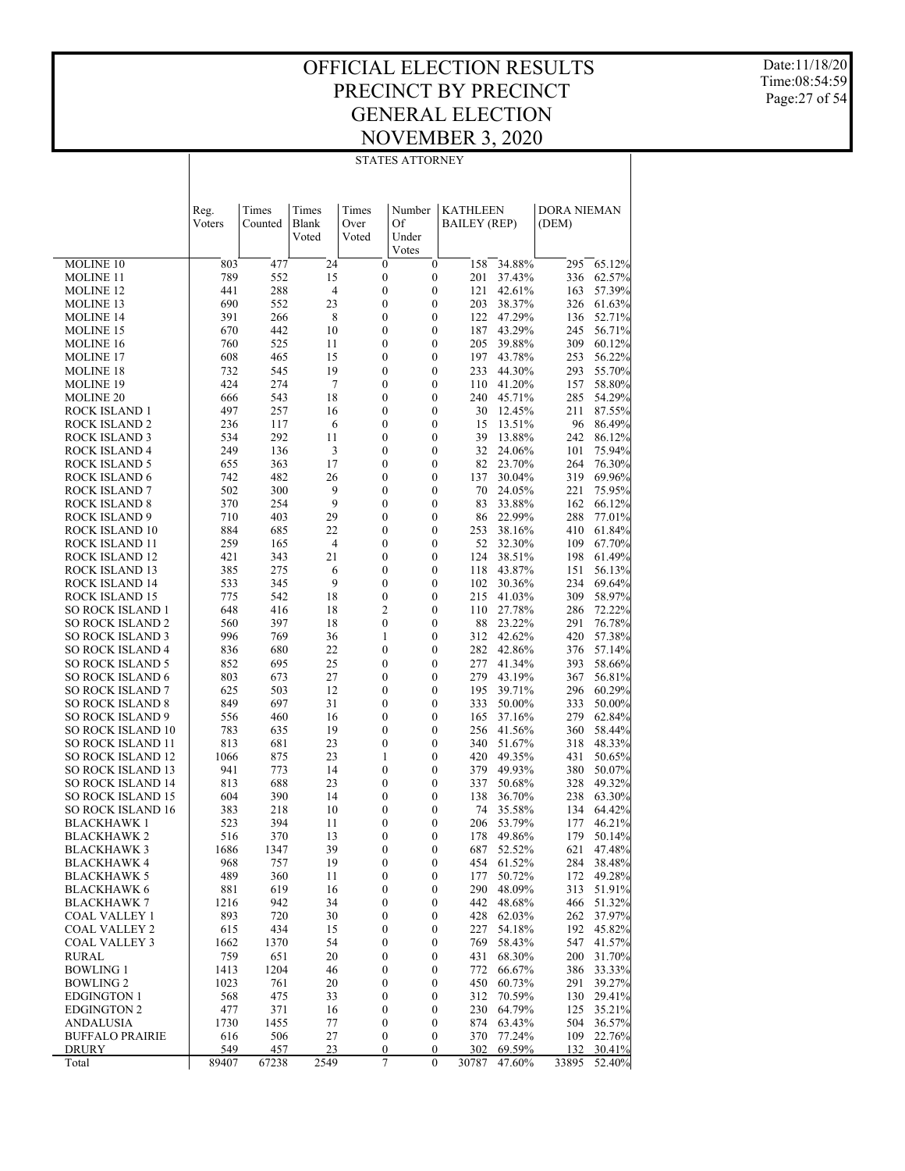#### OFFICIAL ELECTION RESULTS PRECINCT BY PRECINCT GENERAL ELECTION NOVEMBER 3, 2020 STATES ATTORNEY

Date:11/18/20 Time:08:54:59 Page:27 of 54

|                                                      | Reg.<br>Voters | Times<br>Counted | Times<br>Blank<br>Voted | Times<br>Over<br>Voted               | Number<br>Of<br>Under<br>Votes   | <b>KATHLEEN</b><br><b>BAILEY (REP)</b> |                  | DORA NIEMAN<br>(DEM) |                  |
|------------------------------------------------------|----------------|------------------|-------------------------|--------------------------------------|----------------------------------|----------------------------------------|------------------|----------------------|------------------|
| MOLINE 10                                            | 803            | 477              | 24                      | $\boldsymbol{0}$                     | $\boldsymbol{0}$                 | 158                                    | 34.88%           | 295                  | 65.12%           |
| <b>MOLINE 11</b>                                     | 789            | 552              | 15                      | $\boldsymbol{0}$                     | $\boldsymbol{0}$                 | 201                                    | 37.43%           | 336                  | 62.57%           |
| <b>MOLINE 12</b>                                     | 441            | 288              | $\overline{4}$          | $\boldsymbol{0}$                     | $\mathbf{0}$                     | 121                                    | 42.61%           | 163                  | 57.39%           |
| <b>MOLINE 13</b>                                     | 690            | 552              | 23                      | $\boldsymbol{0}$                     | $\mathbf{0}$                     | 203                                    | 38.37%           | 326                  | 61.63%           |
| <b>MOLINE 14</b>                                     | 391            | 266              | 8                       | $\boldsymbol{0}$                     | $\mathbf{0}$                     |                                        | 122 47.29%       | 136                  | 52.71%           |
| <b>MOLINE 15</b>                                     | 670            | 442              | 10                      | $\boldsymbol{0}$                     | $\mathbf{0}$                     | 187                                    | 43.29%           | 245                  | 56.71%           |
| MOLINE 16                                            | 760            | 525              | 11                      | $\boldsymbol{0}$                     | $\mathbf{0}$                     | 205                                    | 39.88%           | 309                  | 60.12%           |
| <b>MOLINE 17</b>                                     | 608            | 465              | 15                      | $\boldsymbol{0}$                     | $\mathbf{0}$                     | 197                                    | 43.78%           | 253                  | 56.22%           |
| <b>MOLINE 18</b>                                     | 732            | 545              | 19                      | $\boldsymbol{0}$                     | $\mathbf{0}$                     | 233                                    | 44.30%           | 293                  | 55.70%           |
| <b>MOLINE 19</b>                                     | 424            | 274              | $\tau$                  | $\boldsymbol{0}$                     | $\mathbf{0}$                     | 110                                    | 41.20%           | 157                  | 58.80%           |
| MOLINE 20                                            | 666<br>497     | 543              | 18                      | $\boldsymbol{0}$<br>$\boldsymbol{0}$ | $\mathbf{0}$<br>$\boldsymbol{0}$ | 240<br>30                              | 45.71%           | 285<br>211           | 54.29%<br>87.55% |
| ROCK ISLAND 1<br><b>ROCK ISLAND 2</b>                | 236            | 257<br>117       | 16<br>6                 | $\boldsymbol{0}$                     | $\boldsymbol{0}$                 | 15                                     | 12.45%<br>13.51% | 96                   | 86.49%           |
| ROCK ISLAND 3                                        | 534            | 292              | 11                      | $\boldsymbol{0}$                     | $\boldsymbol{0}$                 | 39                                     | 13.88%           | 242                  | 86.12%           |
| ROCK ISLAND 4                                        | 249            | 136              | 3                       | $\boldsymbol{0}$                     | $\boldsymbol{0}$                 | 32                                     | 24.06%           | 101                  | 75.94%           |
| <b>ROCK ISLAND 5</b>                                 | 655            | 363              | 17                      | $\boldsymbol{0}$                     | $\mathbf{0}$                     | 82                                     | 23.70%           | 264                  | 76.30%           |
| ROCK ISLAND 6                                        | 742            | 482              | 26                      | $\boldsymbol{0}$                     | $\boldsymbol{0}$                 | 137                                    | 30.04%           | 319                  | 69.96%           |
| ROCK ISLAND 7                                        | 502            | 300              | 9                       | $\boldsymbol{0}$                     | $\boldsymbol{0}$                 | 70                                     | 24.05%           | 221                  | 75.95%           |
| <b>ROCK ISLAND 8</b>                                 | 370            | 254              | 9                       | $\boldsymbol{0}$                     | $\boldsymbol{0}$                 | 83                                     | 33.88%           | 162                  | 66.12%           |
| <b>ROCK ISLAND 9</b>                                 | 710            | 403              | 29                      | $\boldsymbol{0}$                     | $\mathbf{0}$                     | 86                                     | 22.99%           | 288                  | 77.01%           |
| ROCK ISLAND 10                                       | 884            | 685              | 22                      | $\boldsymbol{0}$                     | $\boldsymbol{0}$                 | 253                                    | 38.16%           | 410                  | 61.84%           |
| ROCK ISLAND 11                                       | 259            | 165              | 4                       | $\boldsymbol{0}$                     | $\boldsymbol{0}$                 | 52                                     | 32.30%           | 109                  | 67.70%           |
| <b>ROCK ISLAND 12</b>                                | 421            | 343              | 21                      | $\boldsymbol{0}$                     | $\mathbf{0}$                     | 124                                    | 38.51%           | 198                  | 61.49%           |
| <b>ROCK ISLAND 13</b>                                | 385            | 275              | 6                       | $\boldsymbol{0}$                     | $\mathbf{0}$                     | 118                                    | 43.87%           | 151                  | 56.13%           |
| ROCK ISLAND 14                                       | 533            | 345              | 9                       | $\boldsymbol{0}$                     | $\mathbf{0}$                     | 102                                    | 30.36%           | 234                  | 69.64%           |
| ROCK ISLAND 15                                       | 775            | 542              | 18                      | $\boldsymbol{0}$                     | $\mathbf{0}$                     | 215                                    | 41.03%           | 309                  | 58.97%           |
| <b>SO ROCK ISLAND 1</b>                              | 648            | 416              | 18                      | $\overline{c}$                       | $\mathbf{0}$                     | 110                                    | 27.78%           | 286                  | 72.22%           |
| <b>SO ROCK ISLAND 2</b>                              | 560            | 397              | 18                      | $\boldsymbol{0}$                     | $\mathbf{0}$                     | 88                                     | 23.22%           | 291                  | 76.78%           |
| <b>SO ROCK ISLAND 3</b>                              | 996            | 769              | 36                      | $\mathbf{1}$                         | $\mathbf{0}$                     |                                        | 312 42.62%       | 420                  | 57.38%           |
| <b>SO ROCK ISLAND 4</b>                              | 836            | 680              | 22                      | $\boldsymbol{0}$                     | $\mathbf{0}$                     | 282                                    | 42.86%           | 376                  | 57.14%           |
| <b>SO ROCK ISLAND 5</b>                              | 852            | 695              | 25                      | $\boldsymbol{0}$                     | $\mathbf{0}$                     | 277                                    | 41.34%           | 393                  | 58.66%           |
| <b>SO ROCK ISLAND 6</b>                              | 803            | 673              | 27                      | $\boldsymbol{0}$                     | $\mathbf{0}$                     | 279                                    | 43.19%           | 367                  | 56.81%           |
| <b>SO ROCK ISLAND 7</b>                              | 625            | 503              | 12                      | $\boldsymbol{0}$                     | $\boldsymbol{0}$                 | 195                                    | 39.71%           | 296                  | 60.29%           |
| <b>SO ROCK ISLAND 8</b>                              | 849            | 697              | 31                      | $\boldsymbol{0}$                     | $\mathbf{0}$                     | 333                                    | 50.00%           | 333                  | 50.00%           |
| <b>SO ROCK ISLAND 9</b>                              | 556            | 460              | 16                      | $\boldsymbol{0}$                     | $\mathbf{0}$                     | 165                                    | 37.16%           | 279                  | 62.84%           |
| <b>SO ROCK ISLAND 10</b>                             | 783            | 635              | 19                      | $\boldsymbol{0}$                     | $\mathbf{0}$                     | 256                                    | 41.56%           | 360                  | 58.44%           |
| <b>SO ROCK ISLAND 11</b>                             | 813            | 681              | 23                      | $\boldsymbol{0}$                     | $\boldsymbol{0}$                 | 340                                    | 51.67%           | 318                  | 48.33%           |
| <b>SO ROCK ISLAND 12</b>                             | 1066<br>941    | 875              | 23<br>14                | 1<br>$\boldsymbol{0}$                | $\mathbf{0}$<br>$\mathbf{0}$     | 420<br>379                             | 49.35%           | 431                  | 50.65%           |
| <b>SO ROCK ISLAND 13</b><br><b>SO ROCK ISLAND 14</b> | 813            | 773<br>688       | 23                      | $\boldsymbol{0}$                     | $\mathbf{0}$                     | 337                                    | 49.93%<br>50.68% | 380<br>328           | 50.07%<br>49.32% |
| <b>SO ROCK ISLAND 15</b>                             | 604            | 390              | 14                      | $\boldsymbol{0}$                     | $\mathbf{0}$                     | 138                                    | 36.70%           | 238                  | 63.30%           |
| <b>SO ROCK ISLAND 16</b>                             | 383            | 218              | 10                      | $\boldsymbol{0}$                     | $\boldsymbol{0}$                 | 74                                     | 35.58%           | 134                  | 64.42%           |
| <b>BLACKHAWK 1</b>                                   | 523            | 394              | 11                      | $\boldsymbol{0}$                     | $\mathbf{0}$                     | 206                                    | 53.79%           | 177                  | 46.21%           |
| <b>BLACKHAWK 2</b>                                   | 516            | 370              | 13                      | $\boldsymbol{0}$                     | $\boldsymbol{0}$                 | 178                                    | 49.86%           | 179                  | 50.14%           |
| <b>BLACKHAWK 3</b>                                   | 1686           | 1347             | 39                      | 0                                    | $\boldsymbol{0}$                 |                                        | 687 52.52%       | 621                  | 47.48%           |
| <b>BLACKHAWK 4</b>                                   | 968            | 757              | 19                      | $\boldsymbol{0}$                     | $\boldsymbol{0}$                 |                                        | 454 61.52%       | 284                  | 38.48%           |
| <b>BLACKHAWK 5</b>                                   | 489            | 360              | 11                      | $\boldsymbol{0}$                     | $\boldsymbol{0}$                 | 177                                    | 50.72%           | 172                  | 49.28%           |
| <b>BLACKHAWK 6</b>                                   | 881            | 619              | 16                      | $\boldsymbol{0}$                     | $\boldsymbol{0}$                 | 290                                    | 48.09%           | 313                  | 51.91%           |
| <b>BLACKHAWK 7</b>                                   | 1216           | 942              | 34                      | $\boldsymbol{0}$                     | $\boldsymbol{0}$                 | 442                                    | 48.68%           | 466                  | 51.32%           |
| <b>COAL VALLEY 1</b>                                 | 893            | 720              | 30                      | $\boldsymbol{0}$                     | $\boldsymbol{0}$                 | 428                                    | 62.03%           | 262                  | 37.97%           |
| <b>COAL VALLEY 2</b>                                 | 615            | 434              | 15                      | $\boldsymbol{0}$                     | $\boldsymbol{0}$                 | 227                                    | 54.18%           | 192                  | 45.82%           |
| <b>COAL VALLEY 3</b>                                 | 1662           | 1370             | 54                      | $\boldsymbol{0}$                     | $\boldsymbol{0}$                 | 769                                    | 58.43%           | 547                  | 41.57%           |
| <b>RURAL</b>                                         | 759            | 651              | 20                      | $\boldsymbol{0}$                     | $\boldsymbol{0}$                 | 431                                    | 68.30%           | 200                  | 31.70%           |
| <b>BOWLING 1</b>                                     | 1413           | 1204             | 46                      | $\boldsymbol{0}$                     | $\boldsymbol{0}$                 | 772                                    | 66.67%           | 386                  | 33.33%           |
| <b>BOWLING 2</b>                                     | 1023           | 761              | 20                      | $\boldsymbol{0}$                     | $\boldsymbol{0}$                 | 450                                    | 60.73%           | 291                  | 39.27%           |
| <b>EDGINGTON 1</b>                                   | 568            | 475              | 33                      | $\boldsymbol{0}$                     | $\boldsymbol{0}$                 | 312                                    | 70.59%           | 130                  | 29.41%           |
| EDGINGTON 2                                          | 477            | 371              | 16                      | $\boldsymbol{0}$                     | $\boldsymbol{0}$                 | 230                                    | 64.79%           | 125                  | 35.21%           |
| <b>ANDALUSIA</b>                                     | 1730           | 1455             | 77                      | $\boldsymbol{0}$                     | $\boldsymbol{0}$                 | 874                                    | 63.43%           | 504                  | 36.57%           |
| <b>BUFFALO PRAIRIE</b>                               | 616            | 506              | 27                      | $\boldsymbol{0}$                     | $\boldsymbol{0}$                 | 370                                    | 77.24%           | 109                  | 22.76%           |
| <b>DRURY</b>                                         | 549            | 457              | 23                      | $\boldsymbol{0}$                     | $\boldsymbol{0}$                 | 302                                    | 69.59%           | 132                  | 30.41%           |
| Total                                                | 89407          | 67238            | 2549                    | $\tau$                               | $\mathbf{0}$                     | 30787                                  | 47.60%           | 33895                | 52.40%           |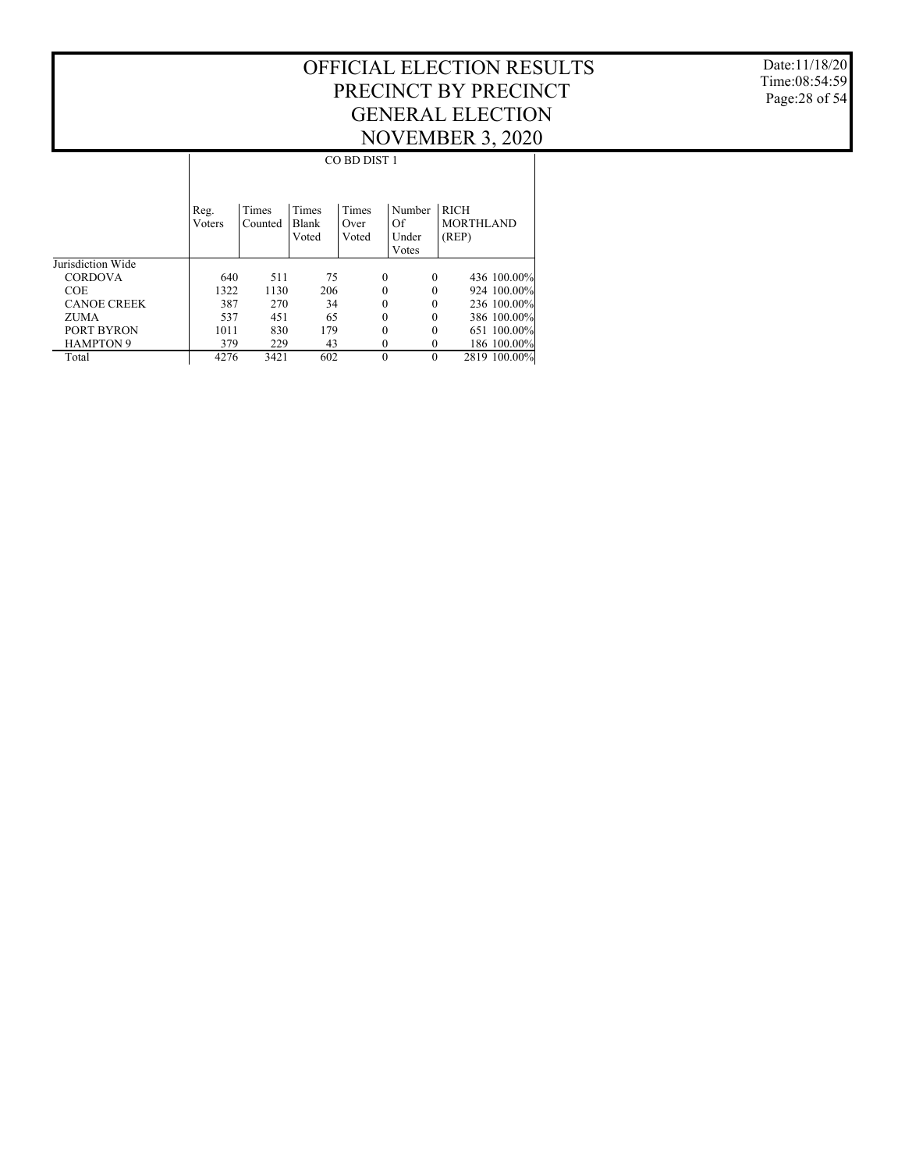Date:11/18/20 Time:08:54:59 Page:28 of 54

|                    |        | CO BD DIST 1 |       |          |          |                  |  |  |  |  |
|--------------------|--------|--------------|-------|----------|----------|------------------|--|--|--|--|
|                    |        |              |       |          |          |                  |  |  |  |  |
|                    |        |              |       |          |          |                  |  |  |  |  |
|                    | Reg.   | Times        | Times | Times    | Number   | <b>RICH</b>      |  |  |  |  |
|                    | Voters | Counted      | Blank | Over     | Of       | <b>MORTHLAND</b> |  |  |  |  |
|                    |        |              | Voted | Voted    | Under    | (REP)            |  |  |  |  |
|                    |        |              |       |          | Votes    |                  |  |  |  |  |
| Jurisdiction Wide  |        |              |       |          |          |                  |  |  |  |  |
| <b>CORDOVA</b>     | 640    | 511          | 75    | $\theta$ | $\theta$ | 436 100.00%      |  |  |  |  |
| <b>COE</b>         | 1322   | 1130         | 206   | 0        |          | 924 100.00%      |  |  |  |  |
| <b>CANOE CREEK</b> | 387    | 270          | 34    | 0        | $\Omega$ | 236 100.00%      |  |  |  |  |
| ZUMA               | 537    | 451          | 65    | 0        | $\Omega$ | 386 100.00%      |  |  |  |  |
| PORT BYRON         | 1011   | 830          | 179   | 0        | $\Omega$ | 651 100.00%      |  |  |  |  |
| <b>HAMPTON 9</b>   | 379    | 229          | 43    | 0        | 0        | 186 100.00%      |  |  |  |  |
| Total              | 4276   | 3421         | 602   | $\theta$ | $\Omega$ | 2819 100.00%     |  |  |  |  |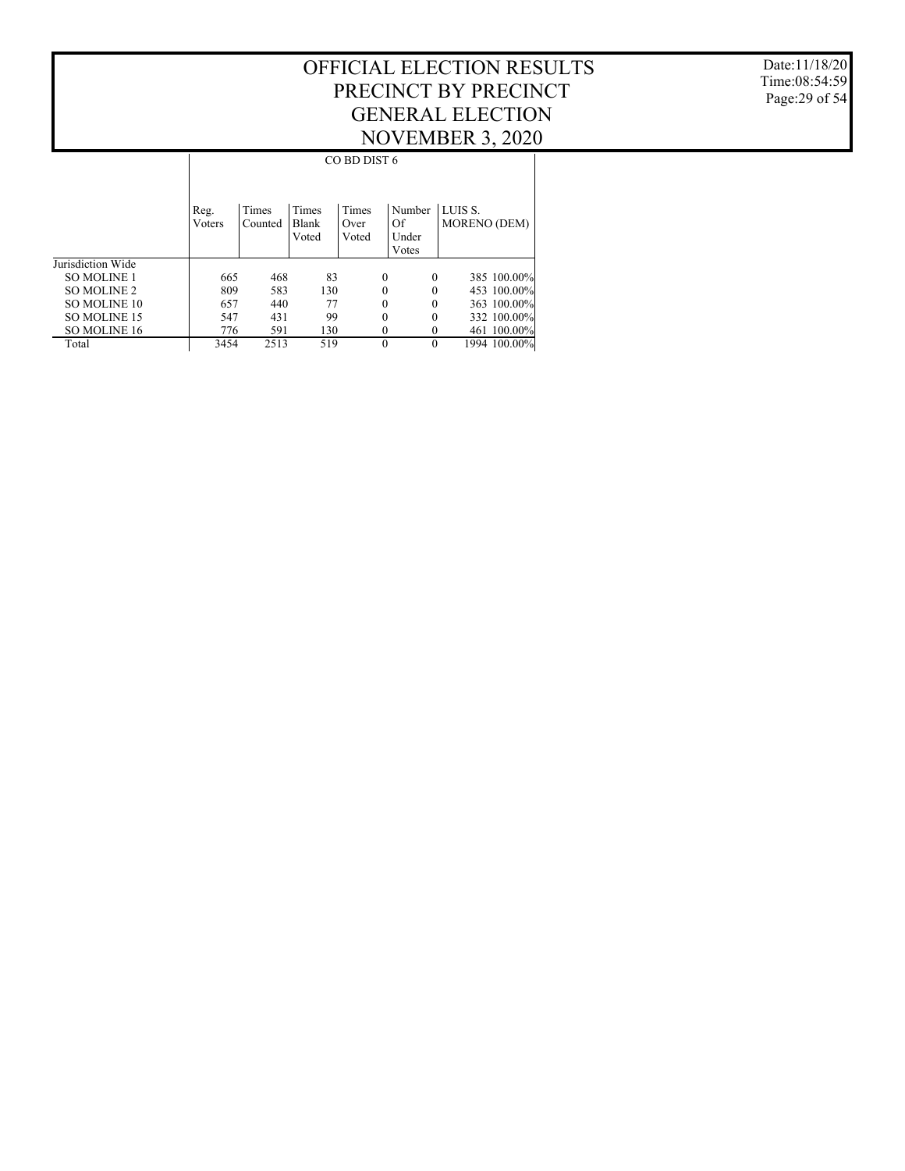Date:11/18/20 Time:08:54:59 Page:29 of 54

|                     |                |                  |                                | CO BD DIST 6           |                                |                                |
|---------------------|----------------|------------------|--------------------------------|------------------------|--------------------------------|--------------------------------|
|                     | Reg.<br>Voters | Times<br>Counted | Times<br><b>Blank</b><br>Voted | Times<br>Over<br>Voted | Number<br>Of<br>Under<br>Votes | LUIS S.<br><b>MORENO (DEM)</b> |
| Jurisdiction Wide   |                |                  |                                |                        |                                |                                |
| <b>SO MOLINE 1</b>  | 665            | 468              | 83                             | 0                      | $\theta$                       | 385 100.00%                    |
| SO MOLINE 2         | 809            | 583              | 130                            | 0                      | $\theta$                       | 453 100.00%                    |
| <b>SO MOLINE 10</b> | 657            | 440              | 77                             | 0                      | $\theta$                       | 363 100.00%                    |
| <b>SO MOLINE 15</b> | 547            | 431              | 99                             | 0                      | $\theta$                       | 332 100.00%                    |
| SO MOLINE 16        | 776            | 591              | 130                            | 0                      | $\theta$                       | 461 100.00%                    |
| Total               | 3454           | 2513             | 519                            | $\theta$               | $\theta$                       | 1994 100.00%                   |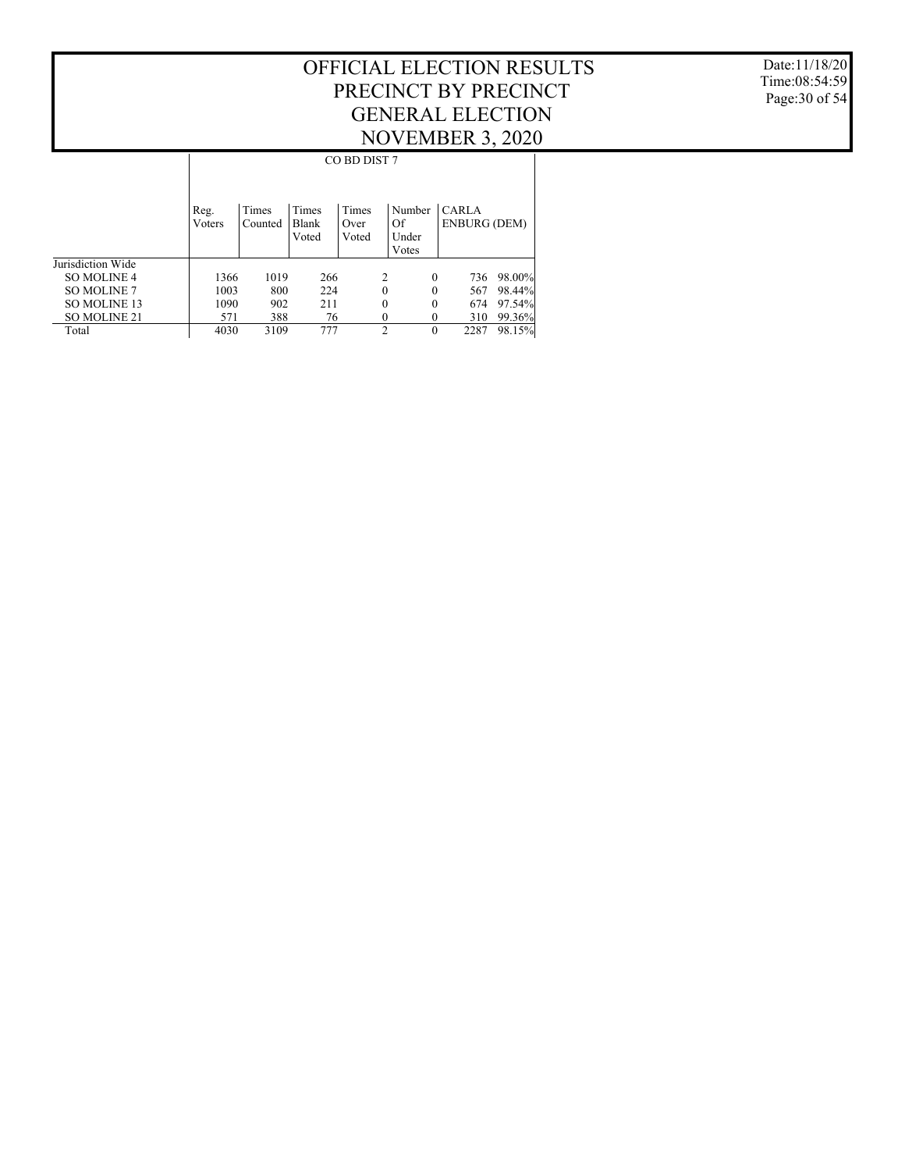Date:11/18/20 Time:08:54:59 Page:30 of 54

|                    |                |                  |                                | CO BD DIST 7           |                                |                                     |        |
|--------------------|----------------|------------------|--------------------------------|------------------------|--------------------------------|-------------------------------------|--------|
|                    | Reg.<br>Voters | Times<br>Counted | Times<br><b>Blank</b><br>Voted | Times<br>Over<br>Voted | Number<br>Of<br>Under<br>Votes | <b>CARLA</b><br><b>ENBURG (DEM)</b> |        |
| Jurisdiction Wide  |                |                  |                                |                        |                                |                                     |        |
| SO MOLINE 4        | 1366           | 1019             | 266                            | 2                      | $\theta$                       | 736                                 | 98.00% |
| <b>SO MOLINE 7</b> | 1003           | 800              | 224                            | 0                      | $\theta$                       | 567                                 | 98.44% |
| SO MOLINE 13       | 1090           | 902              | 211                            | 0                      | $\theta$                       | 674                                 | 97.54% |
| SO MOLINE 21       | 571            | 388              | 76                             | 0                      | 0                              | 310                                 | 99.36% |
| Total              | 4030           | 3109             | 777                            | $\mathcal{D}_{\alpha}$ | $\theta$                       | 2287                                | 98.15% |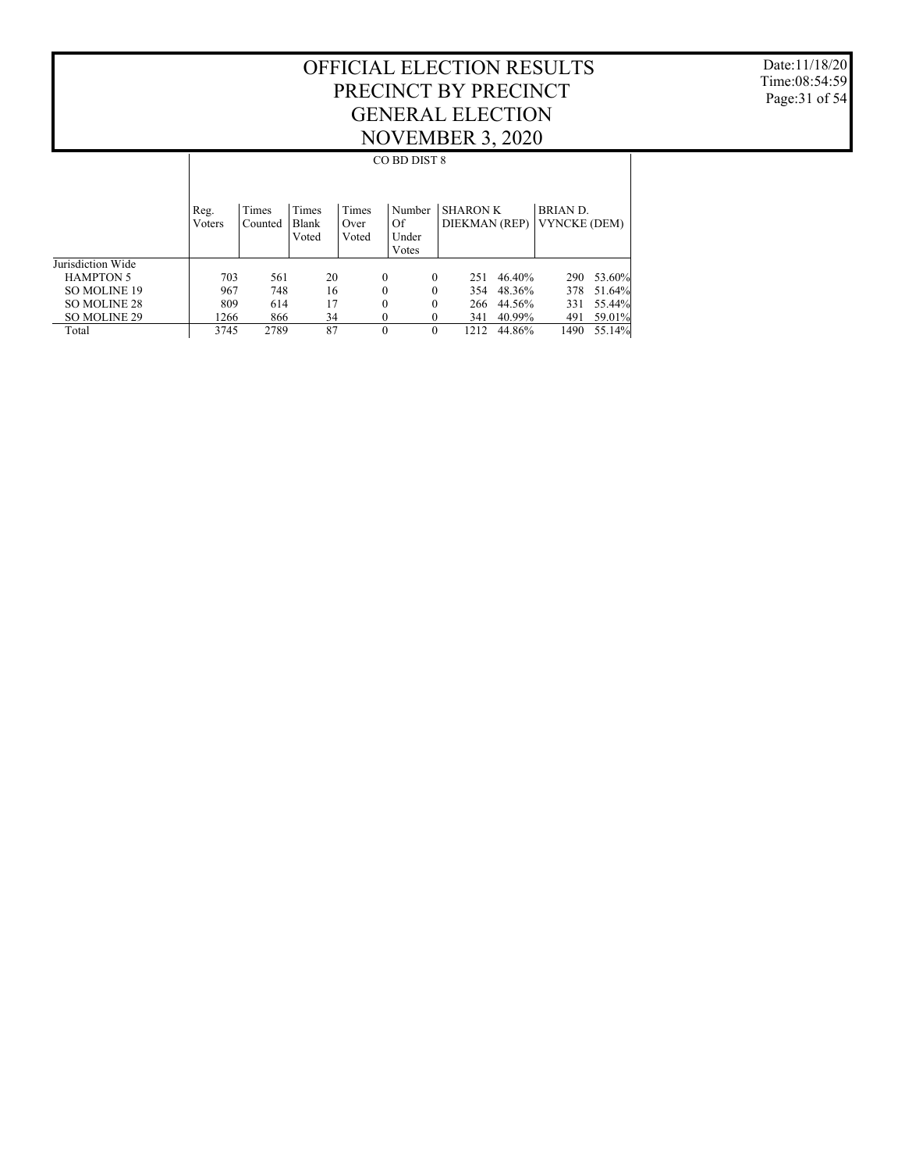Date:11/18/20 Time:08:54:59 Page:31 of 54

|                     |                |                  |                         |                        | CO BD DIST 8                   |                                  |        |                                       |        |
|---------------------|----------------|------------------|-------------------------|------------------------|--------------------------------|----------------------------------|--------|---------------------------------------|--------|
|                     | Reg.<br>Voters | Times<br>Counted | Times<br>Blank<br>Voted | Times<br>Over<br>Voted | Number<br>Of<br>Under<br>Votes | <b>SHARON K</b><br>DIEKMAN (REP) |        | <b>BRIAND.</b><br><b>VYNCKE (DEM)</b> |        |
| Jurisdiction Wide   |                |                  |                         |                        |                                |                                  |        |                                       |        |
| <b>HAMPTON 5</b>    | 703            | 561              | 20                      | $\mathbf{0}$           | $\Omega$                       | 251                              | 46.40% | 290                                   | 53.60% |
| <b>SO MOLINE 19</b> | 967            | 748              | 16                      | $\mathbf{0}$           | $\theta$                       | 354                              | 48.36% | 378                                   | 51.64% |
| SO MOLINE 28        | 809            | 614              | 17                      | $\theta$               | $\theta$                       | 266                              | 44.56% | 331                                   | 55.44% |
| SO MOLINE 29        | 1266           | 866              | 34                      | $\mathbf{0}$           | $\mathbf{0}$                   | 341                              | 40.99% | 491                                   | 59.01% |
| Total               | 3745           | 2789             | 87                      | $\theta$               | $\Omega$                       | 1212                             | 44.86% | 1490                                  | 55.14% |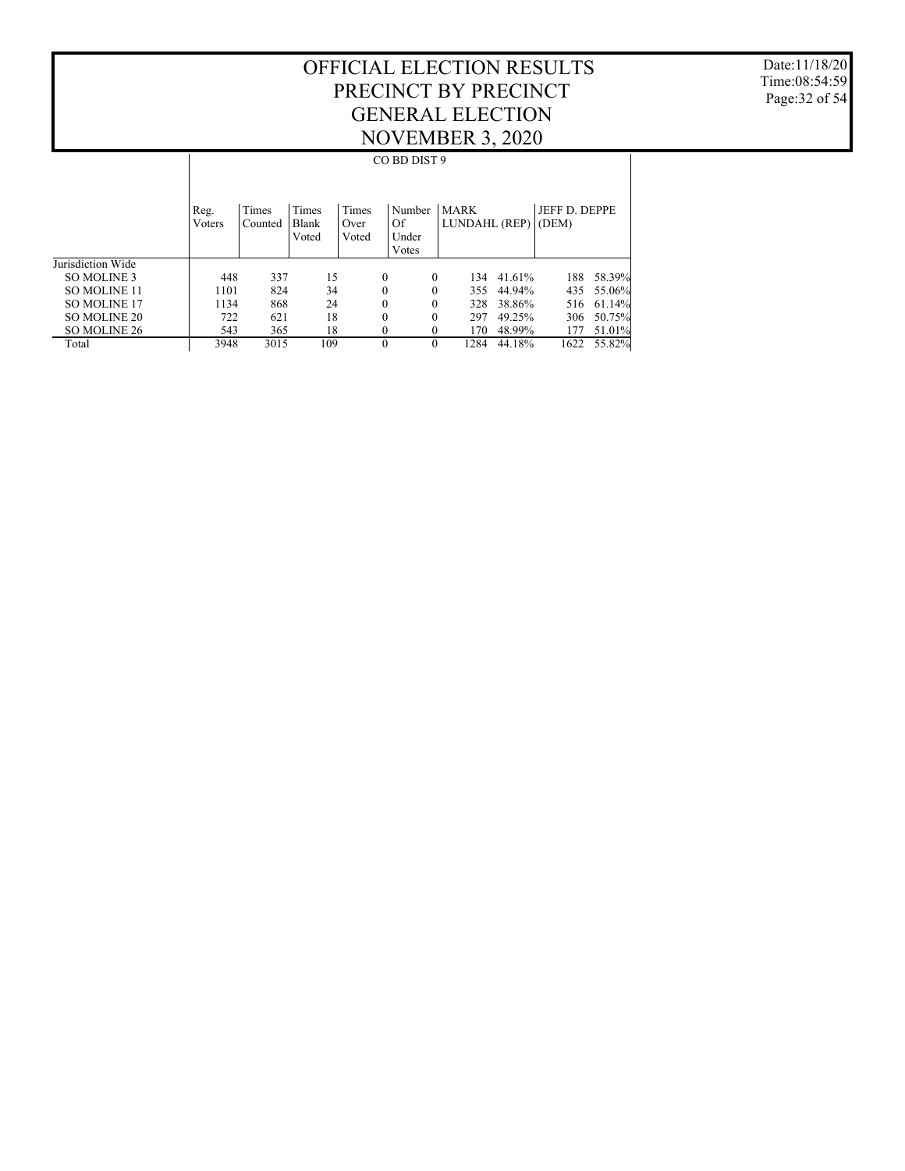Date:11/18/20 Time:08:54:59 Page:32 of 54

|                     |                |                  |                         |                        | CO BD DIST 9                   |                              |        |                        |        |
|---------------------|----------------|------------------|-------------------------|------------------------|--------------------------------|------------------------------|--------|------------------------|--------|
|                     | Reg.<br>Voters | Times<br>Counted | Times<br>Blank<br>Voted | Times<br>Over<br>Voted | Number<br>Of<br>Under<br>Votes | <b>MARK</b><br>LUNDAHL (REP) |        | JEFF D. DEPPE<br>(DEM) |        |
| Jurisdiction Wide   |                |                  |                         |                        |                                |                              |        |                        |        |
| SO MOLINE 3         | 448            | 337              | 15                      |                        | $\mathbf{0}$<br>$\theta$       | 134                          | 41.61% | 188                    | 58.39% |
| <b>SO MOLINE 11</b> | 1101           | 824              | 34                      |                        | $\mathbf{0}$<br>$\theta$       | 355                          | 44.94% | 435                    | 55.06% |
| <b>SO MOLINE 17</b> | 1134           | 868              | 24                      |                        | $\mathbf{0}$<br>$\theta$       | 328                          | 38.86% | 516                    | 61.14% |
| SO MOLINE 20        | 722            | 621              | 18                      |                        | $\mathbf{0}$<br>0              | 297                          | 49.25% | 306                    | 50.75% |
| SO MOLINE 26        | 543            | 365              | 18                      |                        | $\mathbf{0}$<br>$\theta$       | 170                          | 48.99% | 177                    | 51.01% |
| Total               | 3948           | 3015             | 109                     |                        | $\theta$<br>$\theta$           | 1284                         | 44.18% | 1622                   | 55.82% |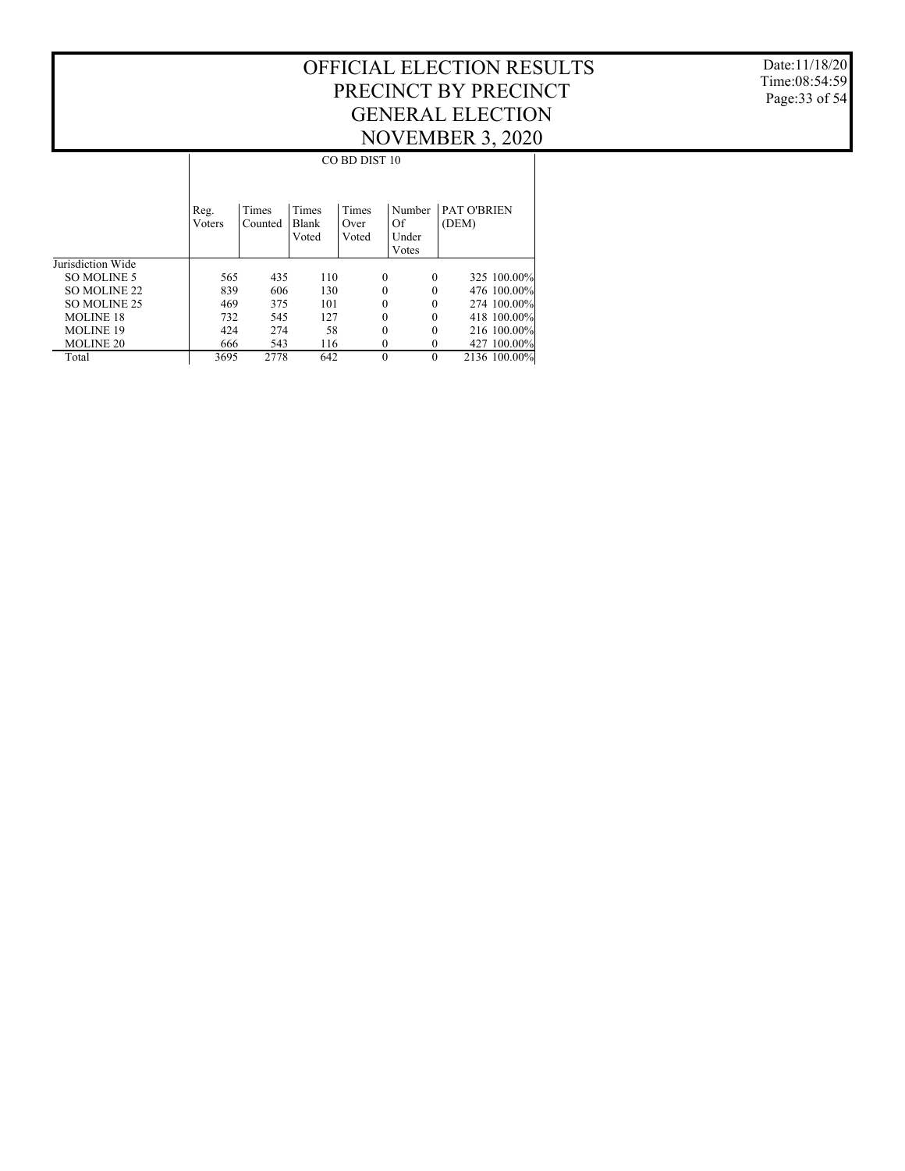Date:11/18/20 Time:08:54:59 Page:33 of 54

|                   |        | CO BD DIST 10 |       |          |          |                    |  |  |  |  |  |
|-------------------|--------|---------------|-------|----------|----------|--------------------|--|--|--|--|--|
|                   |        |               |       |          |          |                    |  |  |  |  |  |
|                   |        |               |       |          |          |                    |  |  |  |  |  |
|                   | Reg.   | Times         | Times | Times    | Number   | <b>PAT O'BRIEN</b> |  |  |  |  |  |
|                   | Voters | Counted       | Blank | Over     | Of       | (DEM)              |  |  |  |  |  |
|                   |        |               | Voted | Voted    | Under    |                    |  |  |  |  |  |
|                   |        |               |       |          | Votes    |                    |  |  |  |  |  |
| Jurisdiction Wide |        |               |       |          |          |                    |  |  |  |  |  |
| SO MOLINE 5       | 565    | 435           | 110   | $\theta$ | $\theta$ | 325 100.00%        |  |  |  |  |  |
| SO MOLINE 22      | 839    | 606           | 130   | 0        | $\Omega$ | 476 100.00%        |  |  |  |  |  |
| SO MOLINE 25      | 469    | 375           | 101   | 0        | $\Omega$ | 274 100.00%        |  |  |  |  |  |
| <b>MOLINE 18</b>  | 732    | 545           | 127   | 0        | $\Omega$ | 418 100.00%        |  |  |  |  |  |
| <b>MOLINE 19</b>  | 424    | 274           | 58    | 0        | $\Omega$ | 216 100.00%        |  |  |  |  |  |
| <b>MOLINE 20</b>  | 666    | 543           | 116   | 0        | $\Omega$ | 427 100.00%        |  |  |  |  |  |
| Total             | 3695   | 2778          | 642   | $\Omega$ | $\Omega$ | 2136 100.00%       |  |  |  |  |  |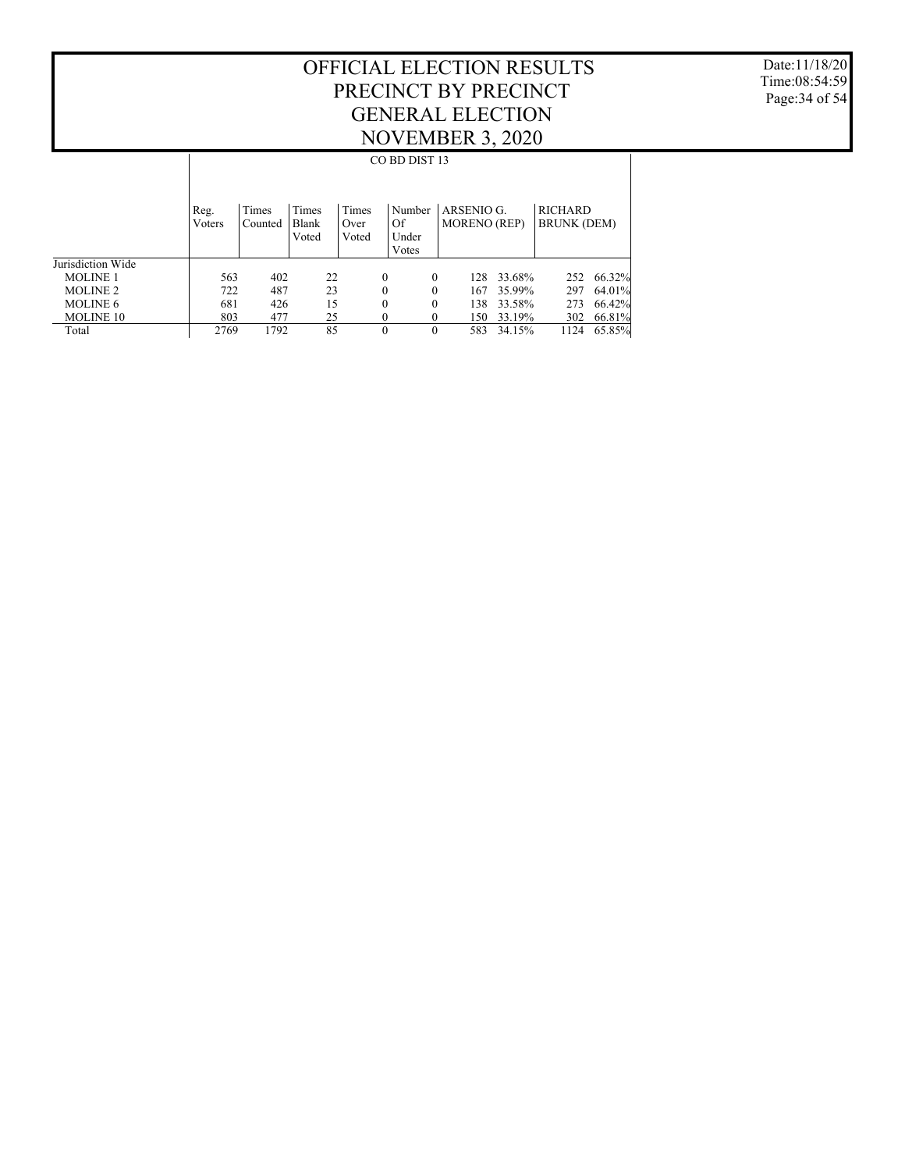Date:11/18/20 Time:08:54:59 Page:34 of 54

|                   |                |                  |                         |                        | CO BD DIST 13                  |                                   |        |                                      |        |
|-------------------|----------------|------------------|-------------------------|------------------------|--------------------------------|-----------------------------------|--------|--------------------------------------|--------|
|                   | Reg.<br>Voters | Times<br>Counted | Times<br>Blank<br>Voted | Times<br>Over<br>Voted | Number<br>Of<br>Under<br>Votes | ARSENIO G.<br><b>MORENO</b> (REP) |        | <b>RICHARD</b><br><b>BRUNK (DEM)</b> |        |
| Jurisdiction Wide |                |                  |                         |                        |                                |                                   |        |                                      |        |
| <b>MOLINE 1</b>   | 563            | 402              | 22                      | $\theta$               | $\theta$                       | 128.                              | 33.68% | 252                                  | 66.32% |
| <b>MOLINE 2</b>   | 722            | 487              | 23                      | $\theta$               | $\theta$                       | 167                               | 35.99% | 297                                  | 64.01% |
| <b>MOLINE 6</b>   | 681            | 426              | 15                      | $\theta$               | $\theta$                       | 138                               | 33.58% | 273                                  | 66.42% |
| <b>MOLINE 10</b>  | 803            | 477              | 25                      | 0                      | $\mathbf{0}$                   | 150                               | 33.19% | 302                                  | 66.81% |
| Total             | 2769           | 1792             | 85                      | $\theta$               | $\theta$                       | 583                               | 34.15% | 1124                                 | 65.85% |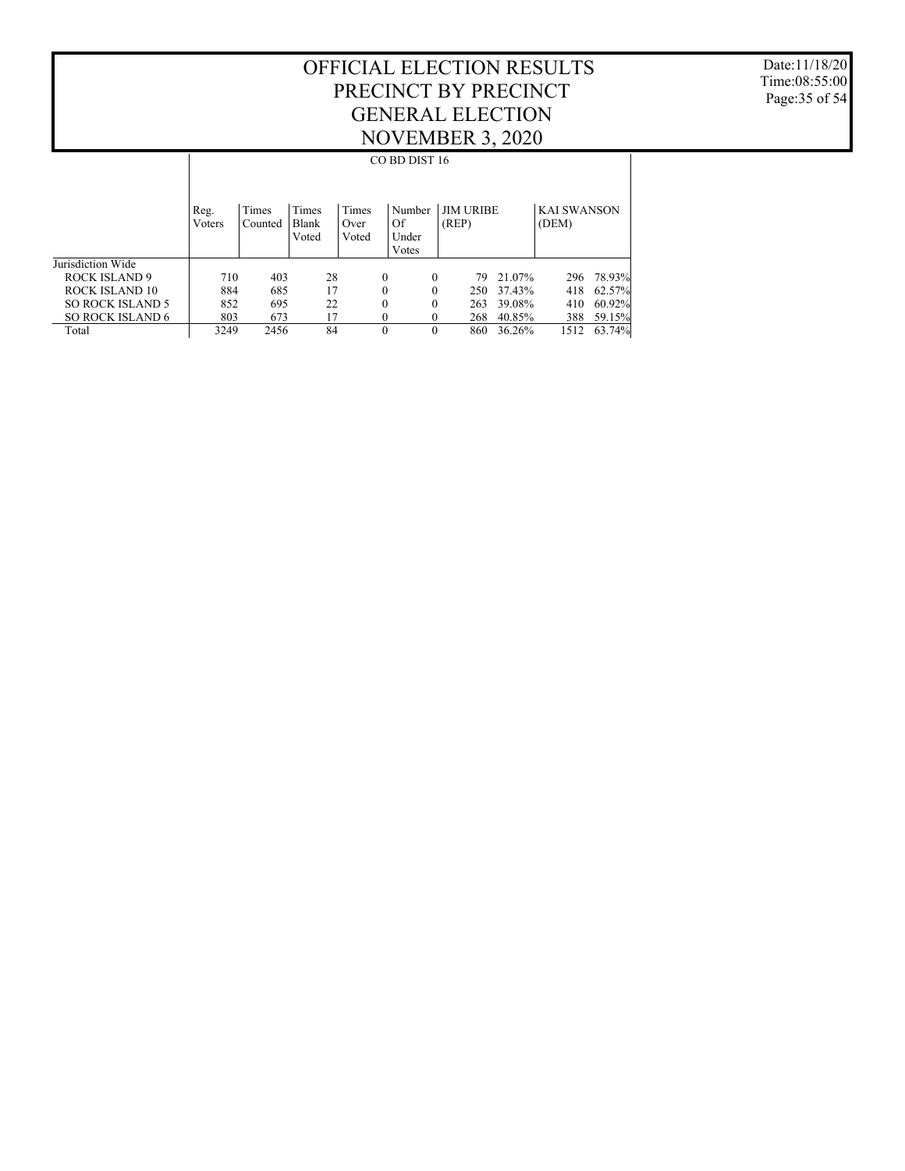Date:11/18/20 Time:08:55:00 Page:35 of 54

|                         |                |                  |                                |                        | CO BD DIST 16                  |                           |        |                             |        |
|-------------------------|----------------|------------------|--------------------------------|------------------------|--------------------------------|---------------------------|--------|-----------------------------|--------|
|                         | Reg.<br>Voters | Times<br>Counted | Times<br><b>Blank</b><br>Voted | Times<br>Over<br>Voted | Number<br>Of<br>Under<br>Votes | <b>JIM URIBE</b><br>(REP) |        | <b>KAI SWANSON</b><br>(DEM) |        |
| Jurisdiction Wide       |                |                  |                                |                        |                                |                           |        |                             |        |
| ROCK ISLAND 9           | 710            | 403              | 28                             | $\theta$               | $\Omega$                       | 79.                       | 21.07% | 296                         | 78.93% |
| ROCK ISLAND 10          | 884            | 685              | 17                             | 0                      | $\theta$                       | 250                       | 37.43% | 418                         | 62.57% |
| <b>SO ROCK ISLAND 5</b> | 852            | 695              | 22                             | $\theta$               | $\theta$                       | 263                       | 39.08% | 410                         | 60.92% |
| <b>SO ROCK ISLAND 6</b> | 803            | 673              | 17                             | 0                      | $\Omega$                       | 268                       | 40.85% | 388                         | 59.15% |
| Total                   | 3249           | 2456             | 84                             | $\mathbf{0}$           | $\theta$                       | 860                       | 36.26% | 1512                        | 63.74% |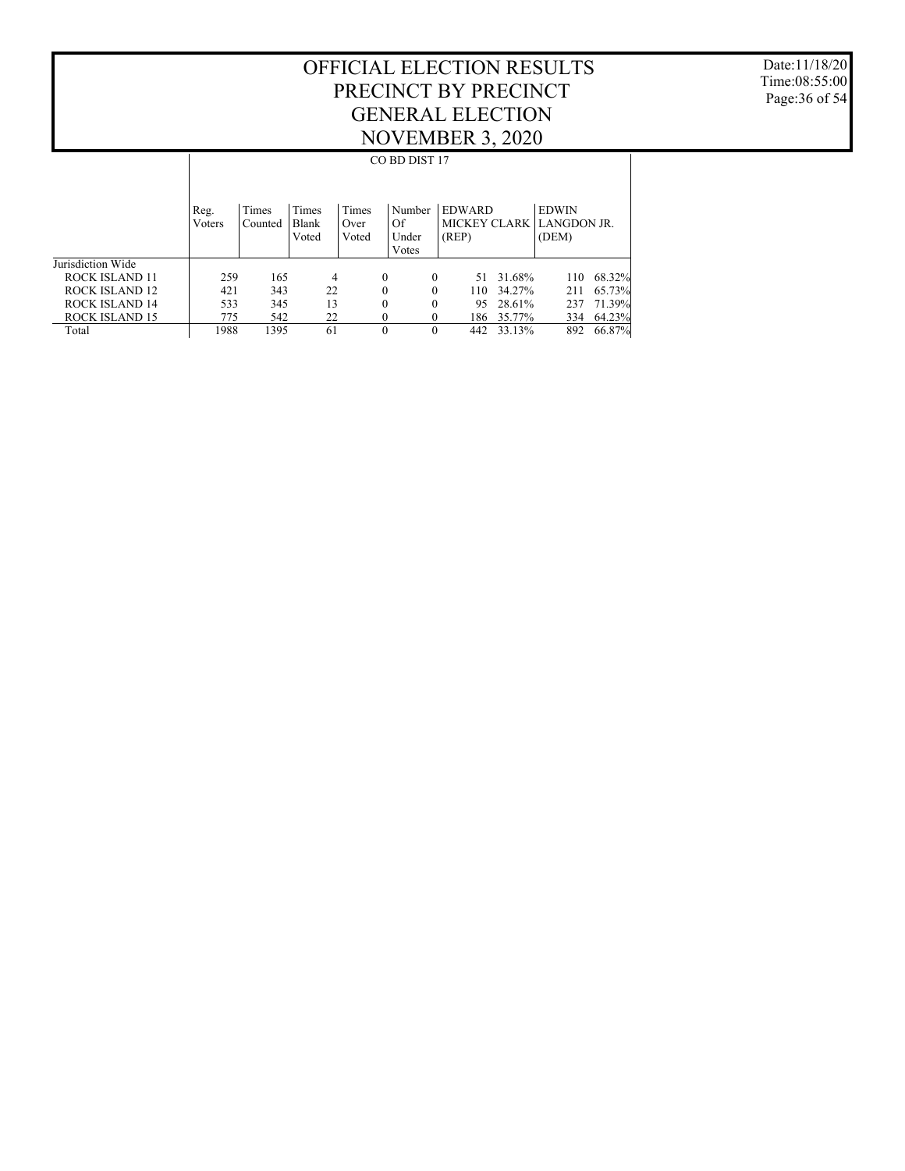Date:11/18/20 Time:08:55:00 Page:36 of 54

|                   |                |                  |                                       |                        | CO BD DIST 17                  |                                        |        |                                      |        |
|-------------------|----------------|------------------|---------------------------------------|------------------------|--------------------------------|----------------------------------------|--------|--------------------------------------|--------|
|                   | Reg.<br>Voters | Times<br>Counted | <b>Times</b><br><b>Blank</b><br>Voted | Times<br>Over<br>Voted | Number<br>Of<br>Under<br>Votes | <b>EDWARD</b><br>MICKEY CLARK<br>(REP) |        | <b>EDWIN</b><br>LANGDON JR.<br>(DEM) |        |
| Jurisdiction Wide |                |                  |                                       |                        |                                |                                        |        |                                      |        |
| ROCK ISLAND 11    | 259            | 165              | 4                                     | $\mathbf{0}$           | 0                              | 51                                     | 31.68% | 110                                  | 68.32% |
| ROCK ISLAND 12    | 421            | 343              | 22                                    | $\mathbf{0}$           | $\theta$                       | 110                                    | 34.27% | 211                                  | 65.73% |
| ROCK ISLAND 14    | 533            | 345              | 13                                    | $\theta$               | 0                              | 95                                     | 28.61% | 237                                  | 71.39% |
| ROCK ISLAND 15    | 775            | 542              | 22                                    | $\theta$               | $\theta$                       | 186                                    | 35.77% | 334                                  | 64.23% |
| Total             | 1988           | 1395             | 61                                    | $\theta$               | $\theta$                       | 442                                    | 33.13% | 892                                  | 66.87% |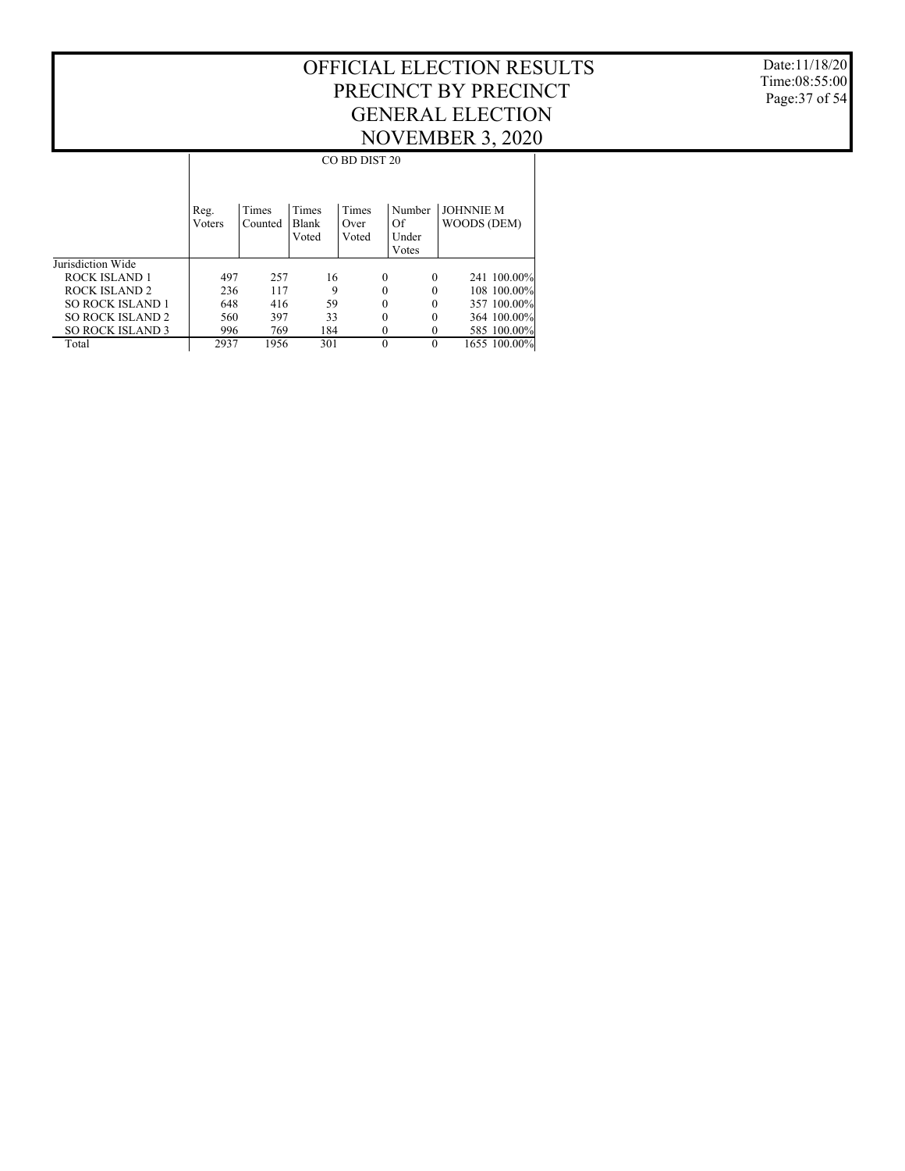Date:11/18/20 Time:08:55:00 Page:37 of 54

|                         |                        |                  |                                | CO BD DIST 20          |                                |                                 |
|-------------------------|------------------------|------------------|--------------------------------|------------------------|--------------------------------|---------------------------------|
|                         | Reg.<br><b>V</b> oters | Times<br>Counted | Times<br><b>Blank</b><br>Voted | Times<br>Over<br>Voted | Number<br>Of<br>Under<br>Votes | <b>JOHNNIE M</b><br>WOODS (DEM) |
| Jurisdiction Wide       |                        |                  |                                |                        |                                |                                 |
| ROCK ISLAND 1           | 497                    | 257              | 16                             | $\Omega$               | $\theta$                       | 241 100.00%                     |
| ROCK ISLAND 2           | 236                    | 117              | 9                              | $\Omega$               | $\theta$                       | 108 100.00%                     |
| <b>SO ROCK ISLAND 1</b> | 648                    | 416              | 59                             | $\Omega$               | $\theta$                       | 357 100.00%                     |
| <b>SO ROCK ISLAND 2</b> | 560                    | 397              | 33                             | $\Omega$               | $\theta$                       | 364 100,00%                     |
| <b>SO ROCK ISLAND 3</b> | 996                    | 769              | 184                            | $\theta$               | $\theta$                       | 585 100.00%                     |
| Total                   | 2937                   | 1956             | 301                            | $\Omega$               | $\theta$                       | 1655 100.00%                    |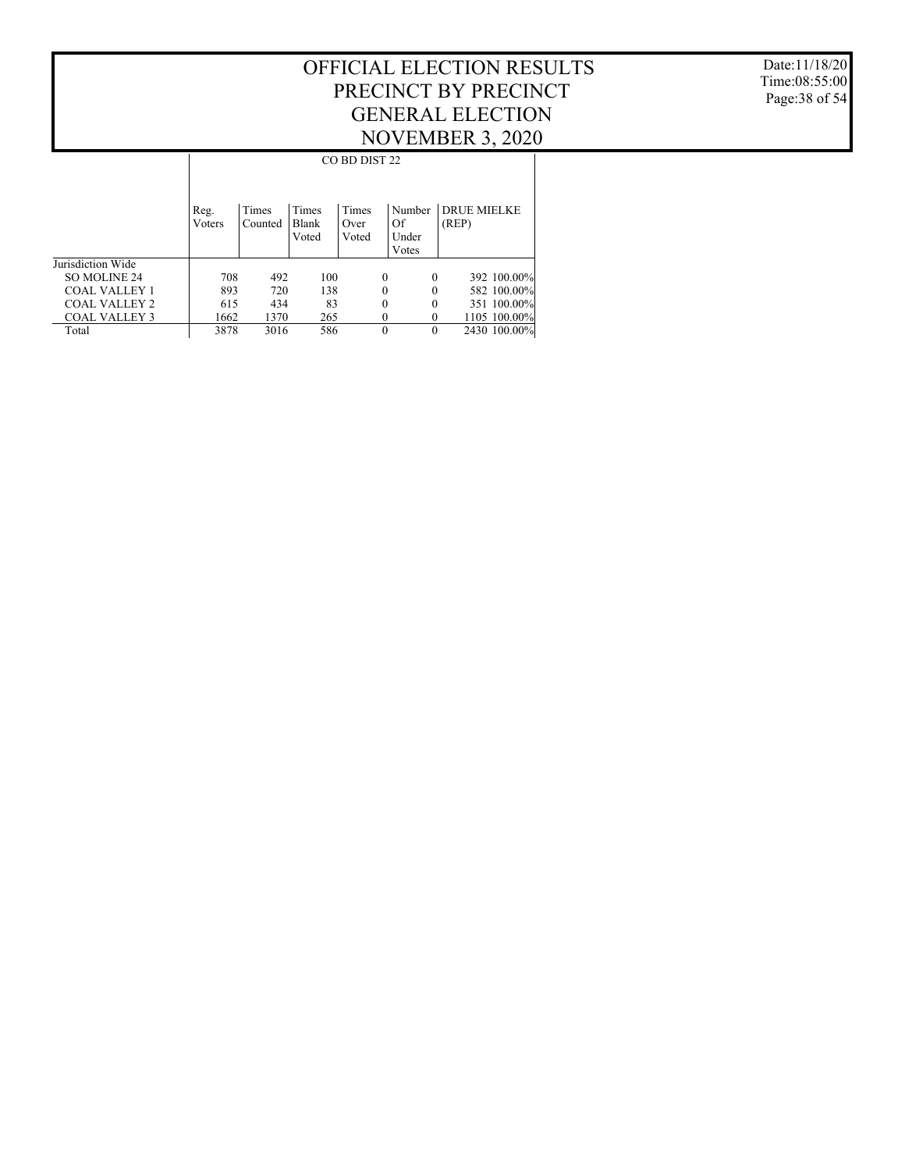Date:11/18/20 Time:08:55:00 Page:38 of 54

|                      |                |                  |                         | CO BD DIST 22          |                                |                             |
|----------------------|----------------|------------------|-------------------------|------------------------|--------------------------------|-----------------------------|
|                      | Reg.<br>Voters | Times<br>Counted | Times<br>Blank<br>Voted | Times<br>Over<br>Voted | Number<br>Of<br>Under<br>Votes | <b>DRUE MIELKE</b><br>(REP) |
| Jurisdiction Wide    |                |                  |                         |                        |                                |                             |
| <b>SO MOLINE 24</b>  | 708            | 492              | 100                     | $\theta$               | $\theta$                       | 392 100.00%                 |
| COAL VALLEY 1        | 893            | 720              | 138                     | $\Omega$               | 0                              | 582 100.00%                 |
| COAL VALLEY 2        | 615            | 434              | 83                      | $\theta$               | 0                              | 351 100.00%                 |
| <b>COAL VALLEY 3</b> | 1662           | 1370             | 265                     | $\Omega$               |                                | 1105 100.00%                |
| Total                | 3878           | 3016             | 586                     | $\Omega$               | $\Omega$                       | 2430 100.00%                |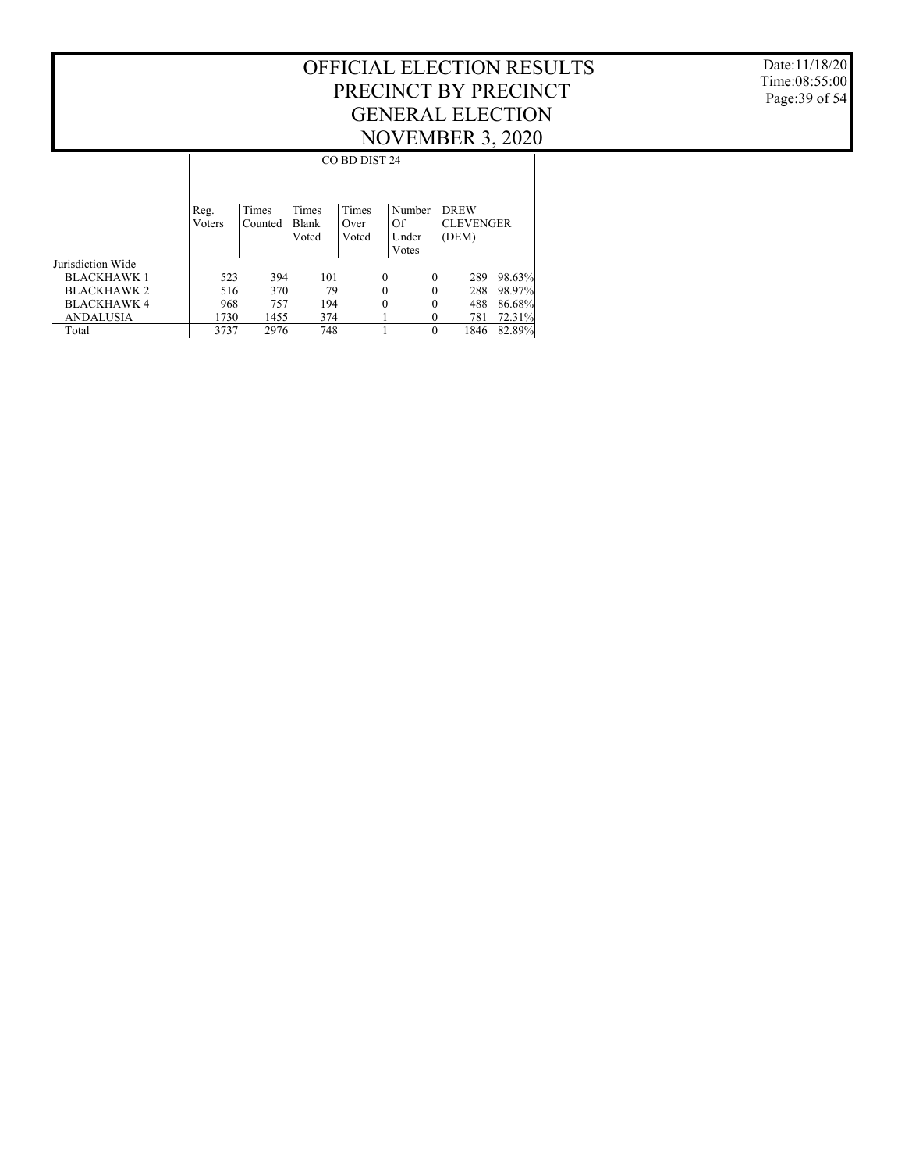Date:11/18/20 Time:08:55:00 Page:39 of 54

|                    |                | CO BD DIST 24    |                                |                        |                                |                                          |        |  |  |  |  |  |
|--------------------|----------------|------------------|--------------------------------|------------------------|--------------------------------|------------------------------------------|--------|--|--|--|--|--|
|                    | Reg.<br>Voters | Times<br>Counted | Times<br><b>Blank</b><br>Voted | Times<br>Over<br>Voted | Number<br>Of<br>Under<br>Votes | <b>DREW</b><br><b>CLEVENGER</b><br>(DEM) |        |  |  |  |  |  |
| Jurisdiction Wide  |                |                  |                                |                        |                                |                                          |        |  |  |  |  |  |
| <b>BLACKHAWK1</b>  | 523            | 394              | 101                            | 0                      | $\Omega$                       | 289                                      | 98.63% |  |  |  |  |  |
| <b>BLACKHAWK 2</b> | 516            | 370              | 79                             | 0                      | $\Omega$                       | 288                                      | 98.97% |  |  |  |  |  |
| <b>BLACKHAWK 4</b> | 968            | 757              | 194                            | 0                      | $\theta$                       | 488                                      | 86.68% |  |  |  |  |  |
| <b>ANDALUSIA</b>   | 1730           | 1455             | 374                            |                        |                                | 781                                      | 72.31% |  |  |  |  |  |
| Total              | 3737           | 2976             | 748                            |                        | $\Omega$                       | 1846                                     | 82.89% |  |  |  |  |  |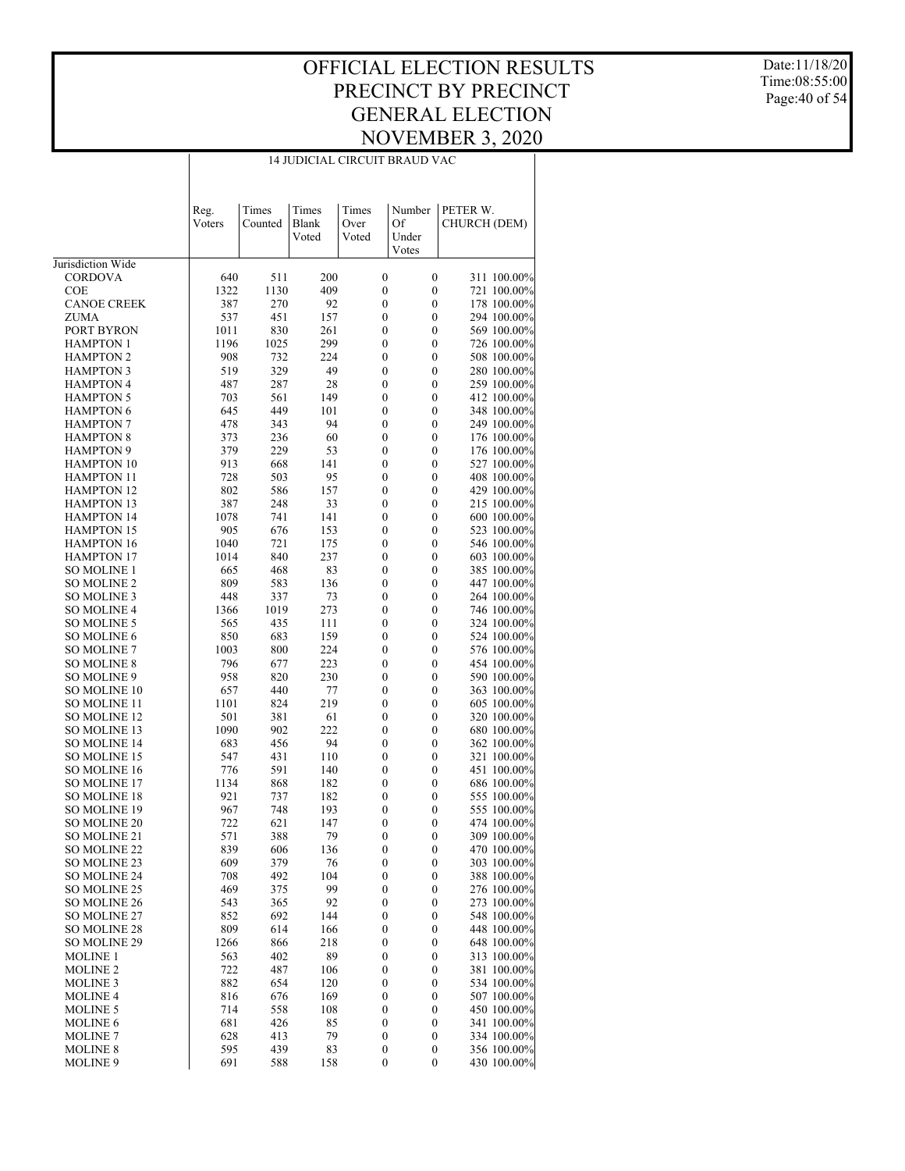#### OFFICIAL ELECTION RESULTS PRECINCT BY PRECINCT GENERAL ELECTION NOVEMBER 3, 2020 14 JUDICIAL CIRCUIT BRAUD VAC

Date:11/18/20 Time:08:55:00 Page:40 of 54

|                                         | Reg.<br>Voters | Times<br>Counted | Times<br>Blank | Times<br>Over                        | Number<br>Of                         | PETER W.<br>CHURCH (DEM)   |
|-----------------------------------------|----------------|------------------|----------------|--------------------------------------|--------------------------------------|----------------------------|
|                                         |                |                  | Voted          | Voted                                | Under<br>Votes                       |                            |
| Jurisdiction Wide                       |                |                  |                |                                      |                                      |                            |
| <b>CORDOVA</b>                          | 640            | 511              | 200            | $\boldsymbol{0}$                     | $\boldsymbol{0}$                     | 311 100.00%                |
| COE                                     | 1322           | 1130             | 409            | $\boldsymbol{0}$                     | $\boldsymbol{0}$                     | 721 100.00%                |
| <b>CANOE CREEK</b>                      | 387            | 270              | 92             | 0                                    | $\mathbf{0}$                         | 178 100.00%                |
| ZUMA                                    | 537            | 451              | 157            | 0                                    | $\boldsymbol{0}$                     | 294 100.00%                |
| PORT BYRON                              | 1011           | 830              | 261            | 0                                    | $\boldsymbol{0}$                     | 569 100.00%                |
| <b>HAMPTON 1</b>                        | 1196           | 1025             | 299            | 0                                    | $\boldsymbol{0}$                     | 726 100.00%                |
| <b>HAMPTON 2</b>                        | 908            | 732              | 224            | 0                                    | $\boldsymbol{0}$                     | 508 100.00%                |
| <b>HAMPTON 3</b>                        | 519            | 329              | 49             | 0                                    | $\boldsymbol{0}$                     | 280 100.00%                |
| <b>HAMPTON 4</b>                        | 487            | 287              | 28             | 0                                    | $\boldsymbol{0}$                     | 259 100.00%                |
| <b>HAMPTON 5</b>                        | 703            | 561              | 149            | 0                                    | $\boldsymbol{0}$                     | 412 100.00%                |
| <b>HAMPTON 6</b>                        | 645            | 449              | 101            | 0                                    | $\boldsymbol{0}$                     | 348 100.00%                |
| <b>HAMPTON 7</b>                        | 478            | 343              | 94             | 0                                    | $\boldsymbol{0}$                     | 249 100.00%                |
| <b>HAMPTON 8</b>                        | 373            | 236              | 60             | 0                                    | $\boldsymbol{0}$                     | 176 100.00%                |
| <b>HAMPTON 9</b>                        | 379            | 229              | 53             | 0                                    | $\boldsymbol{0}$                     | 176 100.00%                |
| <b>HAMPTON 10</b>                       | 913            | 668              | 141            | 0                                    | $\boldsymbol{0}$                     | 527 100.00%                |
| <b>HAMPTON 11</b>                       | 728            | 503              | 95             | 0                                    | $\boldsymbol{0}$                     | 408 100.00%                |
| <b>HAMPTON 12</b>                       | 802            | 586              | 157            | 0                                    | $\boldsymbol{0}$                     | 429 100.00%                |
| <b>HAMPTON 13</b>                       | 387            | 248              | 33             | 0                                    | $\boldsymbol{0}$                     | 215 100.00%                |
| <b>HAMPTON 14</b>                       | 1078           | 741              | 141            | 0                                    | $\boldsymbol{0}$                     | 600 100.00%                |
| <b>HAMPTON 15</b>                       | 905            | 676              | 153            | 0                                    | $\boldsymbol{0}$                     | 523 100.00%                |
| <b>HAMPTON 16</b>                       | 1040           | 721              | 175            | 0                                    | $\boldsymbol{0}$                     | 546 100.00%                |
| <b>HAMPTON 17</b><br><b>SO MOLINE 1</b> | 1014           | 840              | 237            | 0                                    | $\boldsymbol{0}$                     | 603 100.00%                |
| <b>SO MOLINE 2</b>                      | 665            | 468<br>583       | 83             | 0                                    | $\boldsymbol{0}$                     | 385 100.00%<br>447 100.00% |
| <b>SO MOLINE 3</b>                      | 809<br>448     | 337              | 136            | 0<br>0                               | $\boldsymbol{0}$<br>$\boldsymbol{0}$ | 264 100.00%                |
| SO MOLINE 4                             | 1366           | 1019             | 73<br>273      | 0                                    | $\boldsymbol{0}$                     | 746 100.00%                |
| <b>SO MOLINE 5</b>                      | 565            | 435              | 111            | 0                                    | $\boldsymbol{0}$                     | 324 100.00%                |
| SO MOLINE 6                             | 850            | 683              | 159            | 0                                    | $\boldsymbol{0}$                     | 524 100.00%                |
| <b>SO MOLINE 7</b>                      | 1003           | 800              | 224            | 0                                    | $\boldsymbol{0}$                     | 576 100.00%                |
| SO MOLINE 8                             | 796            | 677              | 223            | 0                                    | $\boldsymbol{0}$                     | 454 100.00%                |
| SO MOLINE 9                             | 958            | 820              | 230            | 0                                    | $\boldsymbol{0}$                     | 590 100.00%                |
| SO MOLINE 10                            | 657            | 440              | 77             | 0                                    | $\boldsymbol{0}$                     | 363 100.00%                |
| SO MOLINE 11                            | 1101           | 824              | 219            | 0                                    | $\boldsymbol{0}$                     | 605 100.00%                |
| SO MOLINE 12                            | 501            | 381              | 61             | 0                                    | $\boldsymbol{0}$                     | 320 100.00%                |
| SO MOLINE 13                            | 1090           | 902              | 222            | 0                                    | $\boldsymbol{0}$                     | 680 100.00%                |
| SO MOLINE 14                            | 683            | 456              | 94             | 0                                    | $\boldsymbol{0}$                     | 362 100.00%                |
| SO MOLINE 15                            | 547            | 431              | 110            | 0                                    | $\boldsymbol{0}$                     | 321 100.00%                |
| SO MOLINE 16                            | 776            | 591              | 140            | 0                                    | $\boldsymbol{0}$                     | 451 100.00%                |
| <b>SO MOLINE 17</b>                     | 1134           | 868              | 182            | 0                                    | $\boldsymbol{0}$                     | 686 100.00%                |
| SO MOLINE 18                            | 921            | 737              | 182            | 0                                    | $\boldsymbol{0}$                     | 555 100.00%                |
| SO MOLINE 19                            | 967            | 748              | 193            | 0                                    | $\boldsymbol{0}$                     | 555 100.00%                |
| SO MOLINE 20                            | 722            | 621              | 147            | 0                                    | $\boldsymbol{0}$                     | 474 100.00%                |
| SO MOLINE 21                            | 571            | 388              | 79             | 0                                    | $\boldsymbol{0}$                     | 309 100.00%                |
| SO MOLINE 22                            | 839            | 606              | 136            | 0                                    | 0                                    | 470 100.00%                |
| SO MOLINE 23                            | 609            | 379              | 76             | $\boldsymbol{0}$                     | $\boldsymbol{0}$                     | 303 100.00%                |
| <b>SO MOLINE 24</b>                     | 708            | 492              | 104            | 0                                    | $\boldsymbol{0}$                     | 388 100.00%                |
| SO MOLINE 25                            | 469            | 375              | 99             | 0                                    | $\boldsymbol{0}$                     | 276 100.00%                |
| SO MOLINE 26                            | 543            | 365              | 92             | $\boldsymbol{0}$                     | $\boldsymbol{0}$                     | 273 100.00%                |
| SO MOLINE 27                            | 852            | 692              | 144            | 0                                    | $\boldsymbol{0}$                     | 548 100.00%                |
| SO MOLINE 28                            | 809            | 614              | 166            | 0                                    | $\boldsymbol{0}$                     | 448 100.00%                |
| SO MOLINE 29                            | 1266           | 866              | 218            | $\boldsymbol{0}$                     | $\boldsymbol{0}$                     | 648 100.00%                |
| MOLINE 1                                | 563            | 402              | 89             | $\boldsymbol{0}$                     | $\boldsymbol{0}$                     | 313 100.00%                |
| <b>MOLINE 2</b>                         | 722            | 487              | 106            | $\boldsymbol{0}$                     | $\boldsymbol{0}$                     | 381 100.00%                |
| <b>MOLINE 3</b>                         | 882            | 654              | 120            | $\boldsymbol{0}$                     | $\boldsymbol{0}$                     | 534 100.00%                |
| <b>MOLINE 4</b>                         | 816            | 676              | 169            | 0                                    | $\boldsymbol{0}$                     | 507 100.00%                |
| <b>MOLINE 5</b>                         | 714            | 558              | 108            | $\boldsymbol{0}$                     | $\boldsymbol{0}$                     | 450 100.00%                |
| <b>MOLINE 6</b>                         | 681            | 426              | 85<br>79       | 0                                    | $\boldsymbol{0}$                     | 341 100.00%<br>334 100.00% |
| <b>MOLINE 7</b><br><b>MOLINE 8</b>      | 628<br>595     | 413<br>439       | 83             | $\boldsymbol{0}$<br>$\boldsymbol{0}$ | $\boldsymbol{0}$<br>$\boldsymbol{0}$ | 356 100.00%                |
| MOLINE 9                                | 691            | 588              | 158            | $\boldsymbol{0}$                     | $\boldsymbol{0}$                     | 430 100.00%                |
|                                         |                |                  |                |                                      |                                      |                            |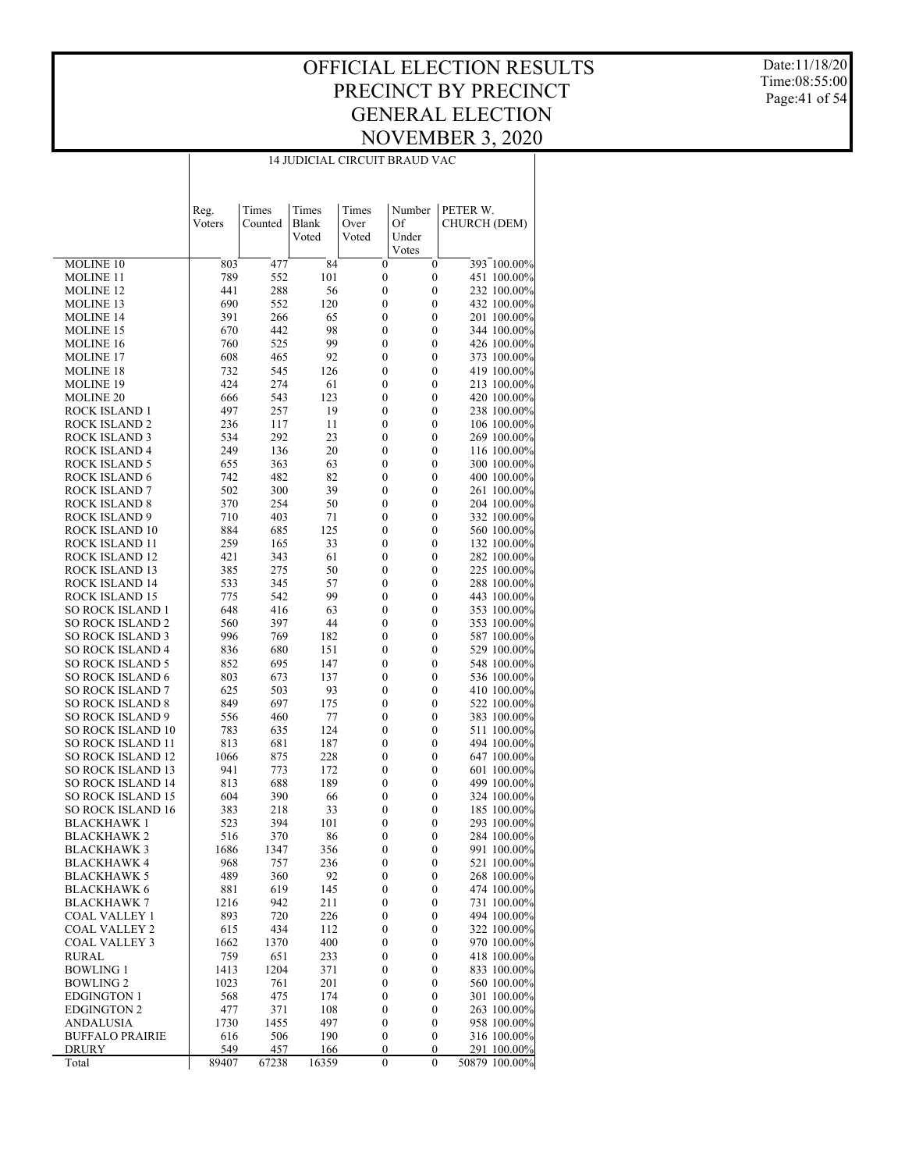#### OFFICIAL ELECTION RESULTS PRECINCT BY PRECINCT GENERAL ELECTION NOVEMBER 3, 2020 14 JUDICIAL CIRCUIT BRAUD VAC

Date:11/18/20 Time:08:55:00 Page:41 of 54

|                                                    | Reg.         | Times        | Times        | Times                                | Number                           | PETER W.                     |
|----------------------------------------------------|--------------|--------------|--------------|--------------------------------------|----------------------------------|------------------------------|
|                                                    | Voters       | Counted      | Blank        | Over                                 | Of                               | CHURCH (DEM)                 |
|                                                    |              |              | Voted        | Voted                                | Under                            |                              |
|                                                    |              |              |              |                                      | Votes                            |                              |
| <b>MOLINE 10</b>                                   | 803          | 477          | 84           | $\mathbf{0}$                         | $\mathbf{0}$                     | 393 100.00%                  |
| <b>MOLINE 11</b>                                   | 789          | 552          | 101          | $\boldsymbol{0}$                     | $\boldsymbol{0}$                 | 451 100.00%                  |
| <b>MOLINE 12</b>                                   | 441          | 288          | 56           | $\boldsymbol{0}$                     | $\boldsymbol{0}$                 | 232 100.00%                  |
| MOLINE 13                                          | 690          | 552          | 120          | $\boldsymbol{0}$                     | 0                                | 432 100.00%                  |
| <b>MOLINE 14</b>                                   | 391          | 266          | 65           | $\boldsymbol{0}$                     | 0                                | 201 100.00%                  |
| <b>MOLINE 15</b>                                   | 670          | 442          | 98           | $\boldsymbol{0}$                     | 0                                | 344 100.00%                  |
| <b>MOLINE 16</b>                                   | 760          | 525          | 99           | $\boldsymbol{0}$                     | 0                                | 426 100.00%                  |
| <b>MOLINE 17</b>                                   | 608          | 465          | 92           | $\boldsymbol{0}$                     | 0                                | 373 100.00%                  |
| <b>MOLINE 18</b>                                   | 732          | 545          | 126          | 0                                    | 0                                | 419 100.00%                  |
| <b>MOLINE 19</b>                                   | 424          | 274          | 61           | 0                                    | 0                                | 213 100.00%                  |
| <b>MOLINE 20</b>                                   | 666<br>497   | 543          | 123<br>19    | $\boldsymbol{0}$                     | 0                                | 420 100.00%                  |
| <b>ROCK ISLAND 1</b><br><b>ROCK ISLAND 2</b>       | 236          | 257<br>117   | 11           | 0<br>0                               | 0<br>0                           | 238 100.00%<br>106 100.00%   |
| <b>ROCK ISLAND 3</b>                               | 534          | 292          | 23           | 0                                    | 0                                | 269 100.00%                  |
| <b>ROCK ISLAND 4</b>                               | 249          | 136          | 20           | $\boldsymbol{0}$                     | 0                                | 116 100.00%                  |
| <b>ROCK ISLAND 5</b>                               | 655          | 363          | 63           | 0                                    | 0                                | 300 100.00%                  |
| <b>ROCK ISLAND 6</b>                               | 742          | 482          | 82           | 0                                    | 0                                | 400 100.00%                  |
| <b>ROCK ISLAND 7</b>                               | 502          | 300          | 39           | 0                                    | 0                                | 261 100.00%                  |
| <b>ROCK ISLAND 8</b>                               | 370          | 254          | 50           | $\boldsymbol{0}$                     | 0                                | 204 100.00%                  |
| ROCK ISLAND 9                                      | 710          | 403          | 71           | 0                                    | 0                                | 332 100.00%                  |
| <b>ROCK ISLAND 10</b>                              | 884          | 685          | 125          | 0                                    | 0                                | 560 100.00%                  |
| <b>ROCK ISLAND 11</b>                              | 259          | 165          | 33           | 0                                    | 0                                | 132 100.00%                  |
| <b>ROCK ISLAND 12</b>                              | 421          | 343          | 61           | $\boldsymbol{0}$                     | 0                                | 282 100.00%                  |
| ROCK ISLAND 13                                     | 385          | 275          | 50           | 0                                    | 0                                | 225 100.00%                  |
| <b>ROCK ISLAND 14</b>                              | 533          | 345          | 57           | 0                                    | 0                                | 288 100.00%                  |
| <b>ROCK ISLAND 15</b>                              | 775          | 542          | 99           | $\boldsymbol{0}$                     | 0                                | 443 100.00%                  |
| <b>SO ROCK ISLAND 1</b>                            | 648          | 416          | 63           | $\boldsymbol{0}$                     | 0                                | 353 100.00%                  |
| <b>SO ROCK ISLAND 2</b><br><b>SO ROCK ISLAND 3</b> | 560<br>996   | 397<br>769   | 44<br>182    | 0<br>0                               | 0<br>0                           | 353 100.00%                  |
| <b>SO ROCK ISLAND 4</b>                            | 836          | 680          | 151          | 0                                    | 0                                | 587 100.00%<br>529 100.00%   |
| <b>SO ROCK ISLAND 5</b>                            | 852          | 695          | 147          | $\boldsymbol{0}$                     | 0                                | 548 100.00%                  |
| <b>SO ROCK ISLAND 6</b>                            | 803          | 673          | 137          | 0                                    | 0                                | 536 100.00%                  |
| <b>SO ROCK ISLAND 7</b>                            | 625          | 503          | 93           | $\boldsymbol{0}$                     | 0                                | 410 100.00%                  |
| <b>SO ROCK ISLAND 8</b>                            | 849          | 697          | 175          | 0                                    | 0                                | 522 100.00%                  |
| <b>SO ROCK ISLAND 9</b>                            | 556          | 460          | 77           | $\boldsymbol{0}$                     | 0                                | 383 100.00%                  |
| <b>SO ROCK ISLAND 10</b>                           | 783          | 635          | 124          | 0                                    | 0                                | 511 100.00%                  |
| <b>SO ROCK ISLAND 11</b>                           | 813          | 681          | 187          | 0                                    | 0                                | 494 100.00%                  |
| <b>SO ROCK ISLAND 12</b>                           | 1066         | 875          | 228          | 0                                    | 0                                | 647 100.00%                  |
| <b>SO ROCK ISLAND 13</b>                           | 941          | 773          | 172          | $\boldsymbol{0}$                     | 0                                | 601 100.00%                  |
| <b>SO ROCK ISLAND 14</b>                           | 813          | 688          | 189          | 0                                    | 0                                | 499 100.00%                  |
| <b>SO ROCK ISLAND 15</b>                           | 604          | 390          | 66           | $\boldsymbol{0}$                     | 0                                | 324 100.00%                  |
| <b>SO ROCK ISLAND 16</b>                           | 383          | 218          | 33           | 0                                    | 0                                | 185 100.00%                  |
| <b>BLACKHAWK1</b>                                  | 523          | 394          | 101          | $\boldsymbol{0}$                     | 0                                | 293 100.00%                  |
| <b>BLACKHAWK2</b>                                  | 516          | 370          | 86           | 0                                    | 0                                | 284 100.00%                  |
| BLACKHAWK 3<br>BLACKHAWK 4                         | 1686<br>968  | 1347<br>757  | 356<br>236   | $\mathbf{0}$<br>$\boldsymbol{0}$     | $\mathbf{0}$<br>$\boldsymbol{0}$ | 991 100.00%<br>521 100.00%   |
| <b>BLACKHAWK 5</b>                                 | 489          | 360          | 92           | $\boldsymbol{0}$                     | 0                                | 268 100.00%                  |
| <b>BLACKHAWK 6</b>                                 | 881          | 619          | 145          | $\boldsymbol{0}$                     | 0                                | 474 100.00%                  |
| <b>BLACKHAWK 7</b>                                 | 1216         | 942          | 211          | $\boldsymbol{0}$                     | $\boldsymbol{0}$                 | 731 100.00%                  |
| COAL VALLEY 1                                      | 893          | 720          | 226          | $\boldsymbol{0}$                     | 0                                | 494 100.00%                  |
| <b>COAL VALLEY 2</b>                               | 615          | 434          | 112          | $\boldsymbol{0}$                     | 0                                | 322 100.00%                  |
| COAL VALLEY 3                                      | 1662         | 1370         | 400          | $\boldsymbol{0}$                     | 0                                | 970 100.00%                  |
| <b>RURAL</b>                                       | 759          | 651          | 233          | $\boldsymbol{0}$                     | $\boldsymbol{0}$                 | 418 100.00%                  |
| <b>BOWLING 1</b>                                   | 1413         | 1204         | 371          | $\boldsymbol{0}$                     | 0                                | 833 100.00%                  |
| <b>BOWLING 2</b>                                   | 1023         | 761          | 201          | $\boldsymbol{0}$                     | 0                                | 560 100.00%                  |
| <b>EDGINGTON 1</b>                                 | 568          | 475          | 174          | $\boldsymbol{0}$                     | 0                                | 301 100.00%                  |
| <b>EDGINGTON 2</b>                                 | 477          | 371          | 108          | $\boldsymbol{0}$                     | $\boldsymbol{0}$                 | 263 100.00%                  |
| <b>ANDALUSIA</b>                                   | 1730         | 1455         | 497          | $\boldsymbol{0}$                     | 0                                | 958 100.00%                  |
| <b>BUFFALO PRAIRIE</b>                             | 616          | 506          | 190          | $\boldsymbol{0}$                     | 0                                | 316 100.00%                  |
| DRURY<br>Total                                     | 549<br>89407 | 457<br>67238 | 166<br>16359 | $\boldsymbol{0}$<br>$\boldsymbol{0}$ | 0<br>$\boldsymbol{0}$            | 291 100.00%<br>50879 100.00% |
|                                                    |              |              |              |                                      |                                  |                              |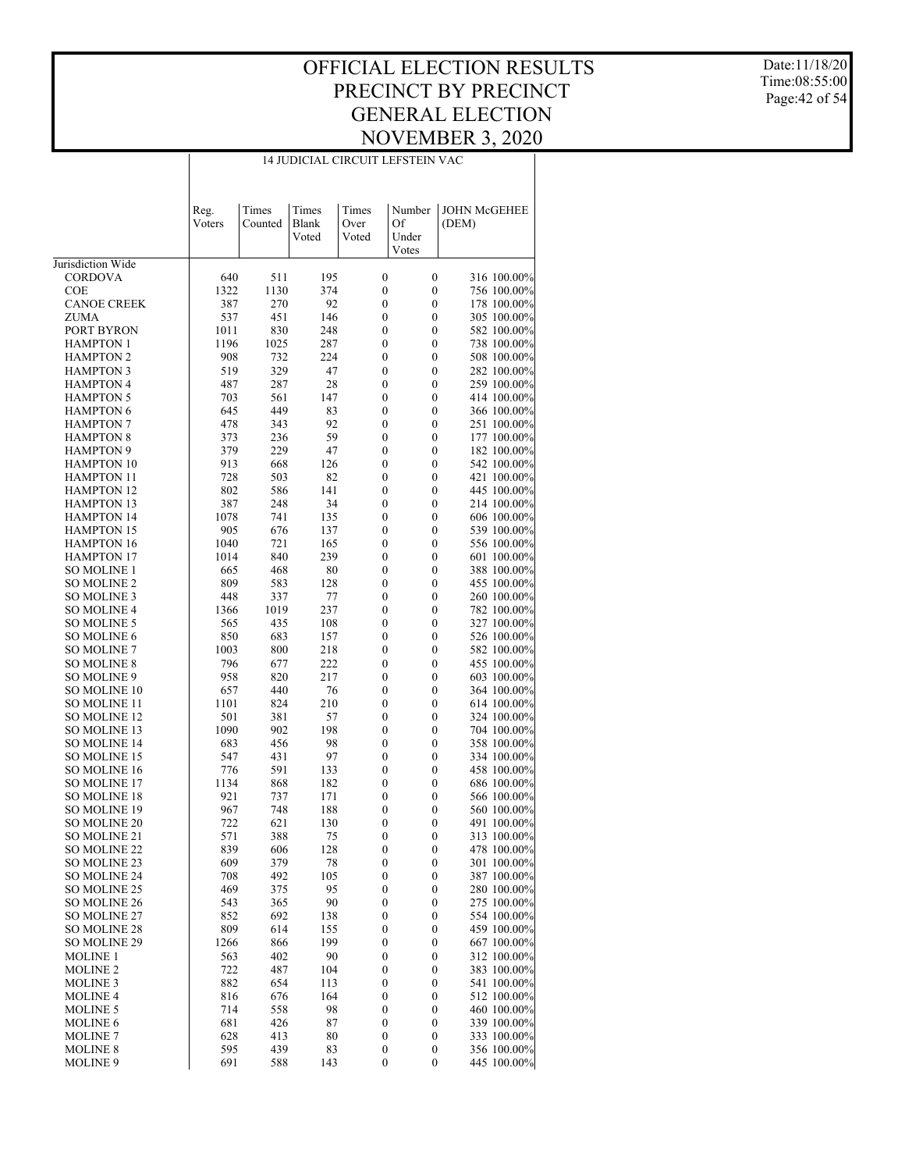#### OFFICIAL ELECTION RESULTS PRECINCT BY PRECINCT GENERAL ELECTION NOVEMBER 3, 2020 14 JUDICIAL CIRCUIT LEFSTEIN VAC

Date:11/18/20 Time:08:55:00 Page:42 of 54

|                     | Reg.<br>Voters | Times<br>Counted | Times<br><b>Blank</b><br>Voted | Times<br>Over<br>Voted | Number<br>Of<br>Under<br>Votes | <b>JOHN McGEHEE</b><br>(DEM) |
|---------------------|----------------|------------------|--------------------------------|------------------------|--------------------------------|------------------------------|
| Jurisdiction Wide   |                |                  |                                |                        |                                |                              |
| CORDOVA             | 640            | 511              | 195                            | $\boldsymbol{0}$       | $\boldsymbol{0}$               | 316 100.00%                  |
| <b>COE</b>          | 1322           | 1130             | 374                            | 0                      | $\mathbf{0}$                   | 756 100.00%                  |
| <b>CANOE CREEK</b>  | 387            | 270              | 92                             | $\boldsymbol{0}$       | $\mathbf{0}$                   | 178 100.00%                  |
| <b>ZUMA</b>         | 537            | 451              | 146                            | 0                      | $\mathbf{0}$                   | 305 100.00%                  |
| PORT BYRON          | 1011           | 830              | 248                            | $\boldsymbol{0}$       | $\mathbf{0}$                   | 582 100.00%                  |
| <b>HAMPTON 1</b>    | 1196           | 1025             | 287                            | 0                      | $\mathbf{0}$                   | 738 100.00%                  |
| <b>HAMPTON 2</b>    | 908            | 732              | 224                            | $\boldsymbol{0}$       | $\mathbf{0}$                   | 508 100.00%                  |
| <b>HAMPTON 3</b>    | 519            | 329              | 47                             | 0                      | $\mathbf{0}$                   | 282 100.00%                  |
| <b>HAMPTON 4</b>    | 487            | 287              | 28                             | $\boldsymbol{0}$       | $\mathbf{0}$                   | 259 100.00%                  |
| <b>HAMPTON 5</b>    | 703            | 561              | 147                            | 0                      | $\mathbf{0}$                   | 414 100.00%                  |
| <b>HAMPTON 6</b>    | 645            | 449              | 83                             | $\boldsymbol{0}$       | $\mathbf{0}$                   | 366 100.00%                  |
| <b>HAMPTON 7</b>    | 478            | 343              | 92                             | 0                      | $\mathbf{0}$                   | 251 100.00%                  |
| <b>HAMPTON 8</b>    | 373            | 236              | 59                             | $\boldsymbol{0}$       | $\mathbf{0}$                   | 177 100.00%                  |
| <b>HAMPTON 9</b>    | 379            | 229              | 47                             | 0                      | $\mathbf{0}$                   | 182 100.00%                  |
| <b>HAMPTON 10</b>   | 913            | 668              | 126                            | $\boldsymbol{0}$       | $\mathbf{0}$                   | 542 100.00%                  |
| <b>HAMPTON 11</b>   | 728            | 503              | 82                             | 0                      | $\mathbf{0}$                   | 421 100.00%                  |
| <b>HAMPTON 12</b>   | 802            | 586              | 141                            | $\boldsymbol{0}$       | $\mathbf{0}$                   | 445 100.00%                  |
| <b>HAMPTON 13</b>   | 387            | 248              | 34                             | 0                      | $\mathbf{0}$                   | 214 100.00%                  |
| <b>HAMPTON 14</b>   | 1078           | 741              | 135                            | $\boldsymbol{0}$       | $\mathbf{0}$                   | 606 100.00%                  |
| <b>HAMPTON 15</b>   | 905            | 676              | 137                            | 0                      | $\mathbf{0}$                   | 539 100.00%                  |
| <b>HAMPTON 16</b>   | 1040           | 721              | 165                            | $\boldsymbol{0}$       | $\mathbf{0}$                   | 556 100.00%                  |
| <b>HAMPTON 17</b>   | 1014           | 840              | 239                            | 0                      | $\mathbf{0}$                   | 601 100.00%                  |
| SO MOLINE 1         | 665            | 468              | 80                             | $\boldsymbol{0}$       | $\mathbf{0}$                   | 388 100.00%                  |
| <b>SO MOLINE 2</b>  | 809            | 583              | 128                            | 0                      | $\mathbf{0}$                   | 455 100.00%                  |
| SO MOLINE 3         | 448            | 337              | 77                             | $\boldsymbol{0}$       | $\mathbf{0}$                   | 260 100.00%                  |
| <b>SO MOLINE 4</b>  | 1366           | 1019             | 237                            | 0                      | $\mathbf{0}$                   | 782 100.00%                  |
| SO MOLINE 5         | 565            | 435              | 108                            | $\boldsymbol{0}$       | $\mathbf{0}$                   | 327 100.00%                  |
| <b>SO MOLINE 6</b>  | 850            | 683              | 157                            | 0                      | $\mathbf{0}$                   | 526 100.00%                  |
| <b>SO MOLINE 7</b>  | 1003           | 800              | 218                            | $\boldsymbol{0}$       | $\mathbf{0}$                   | 582 100.00%                  |
| <b>SO MOLINE 8</b>  | 796            | 677              | 222                            | 0                      | $\mathbf{0}$                   | 455 100.00%                  |
| SO MOLINE 9         | 958            | 820              | 217                            | $\boldsymbol{0}$       | $\mathbf{0}$                   | 603 100.00%                  |
| SO MOLINE 10        | 657            | 440              | 76                             | 0                      | $\mathbf{0}$                   | 364 100.00%                  |
| SO MOLINE 11        | 1101           | 824              | 210                            | $\boldsymbol{0}$       | $\mathbf{0}$                   | 614 100.00%                  |
| SO MOLINE 12        | 501            | 381              | 57                             | 0                      | $\mathbf{0}$                   | 324 100.00%                  |
| SO MOLINE 13        | 1090           | 902              | 198                            | $\boldsymbol{0}$       | $\mathbf{0}$                   | 704 100.00%                  |
| <b>SO MOLINE 14</b> | 683            | 456              | 98                             | 0                      | $\mathbf{0}$                   | 358 100.00%                  |
| SO MOLINE 15        | 547            | 431              | 97                             | $\boldsymbol{0}$       | $\mathbf{0}$                   | 334 100.00%                  |
| <b>SO MOLINE 16</b> | 776            | 591              | 133                            | 0                      | $\mathbf{0}$                   | 458 100.00%                  |
| <b>SO MOLINE 17</b> | 1134           | 868              | 182                            | $\boldsymbol{0}$       | $\mathbf{0}$                   | 686 100.00%                  |
| SO MOLINE 18        | 921            | 737              | 171                            | 0                      | $\mathbf{0}$                   | 566 100.00%                  |
| SO MOLINE 19        | 967            | 748              | 188                            | $\boldsymbol{0}$       | $\mathbf{0}$                   | 560 100.00%                  |
| SO MOLINE 20        | 722            | 621              | 130                            | 0                      | $\mathbf{0}$                   | 491 100.00%                  |
| SO MOLINE 21        | 571            | 388              | 75                             | $\boldsymbol{0}$       | $\boldsymbol{0}$               | 313 100.00%                  |
| <b>SO MOLINE 22</b> | 839            | 606              | 128                            | 0                      | $\boldsymbol{0}$               | 478 100.00%                  |
| SO MOLINE 23        | 609            | 379              | 78                             | $\boldsymbol{0}$       | $\boldsymbol{0}$               | 301 100.00%                  |
| SO MOLINE 24        | 708            | 492              | 105                            | 0                      | 0                              | 387 100.00%                  |
| SO MOLINE 25        | 469            | 375              | 95                             | $\boldsymbol{0}$       | 0                              | 280 100.00%                  |
| SO MOLINE 26        | 543            | 365              | 90                             | $\boldsymbol{0}$       | $\boldsymbol{0}$               | 275 100.00%                  |
| SO MOLINE 27        | 852            | 692              | 138                            | $\boldsymbol{0}$       | $\boldsymbol{0}$               | 554 100.00%                  |
| SO MOLINE 28        | 809            | 614              | 155                            | $\boldsymbol{0}$       | $\boldsymbol{0}$               | 459 100.00%                  |
| SO MOLINE 29        | 1266           | 866              | 199                            | $\boldsymbol{0}$       | $\boldsymbol{0}$               | 667 100.00%                  |
| MOLINE 1            | 563            | 402              | 90                             | $\boldsymbol{0}$       | $\boldsymbol{0}$               | 312 100.00%                  |
| <b>MOLINE 2</b>     | 722            | 487              | 104                            | $\boldsymbol{0}$       | $\boldsymbol{0}$               | 383 100.00%                  |
| MOLINE 3            | 882            | 654              | 113                            | 0                      | $\boldsymbol{0}$               | 541 100.00%                  |
| <b>MOLINE 4</b>     | 816            | 676              | 164                            | $\boldsymbol{0}$       | $\boldsymbol{0}$               | 512 100.00%                  |
| <b>MOLINE 5</b>     | 714            | 558              | 98                             | $\boldsymbol{0}$       | $\boldsymbol{0}$               | 460 100.00%                  |
| <b>MOLINE 6</b>     | 681            | 426              | 87                             | $\boldsymbol{0}$       | $\boldsymbol{0}$               | 339 100.00%                  |
| MOLINE 7            | 628            | 413              | 80                             | $\boldsymbol{0}$       | $\boldsymbol{0}$               | 333 100.00%                  |
| <b>MOLINE 8</b>     | 595            | 439              | 83                             | $\boldsymbol{0}$       | $\boldsymbol{0}$               | 356 100.00%                  |
| MOLINE 9            | 691            | 588              | 143                            | 0                      | $\boldsymbol{0}$               | 445 100.00%                  |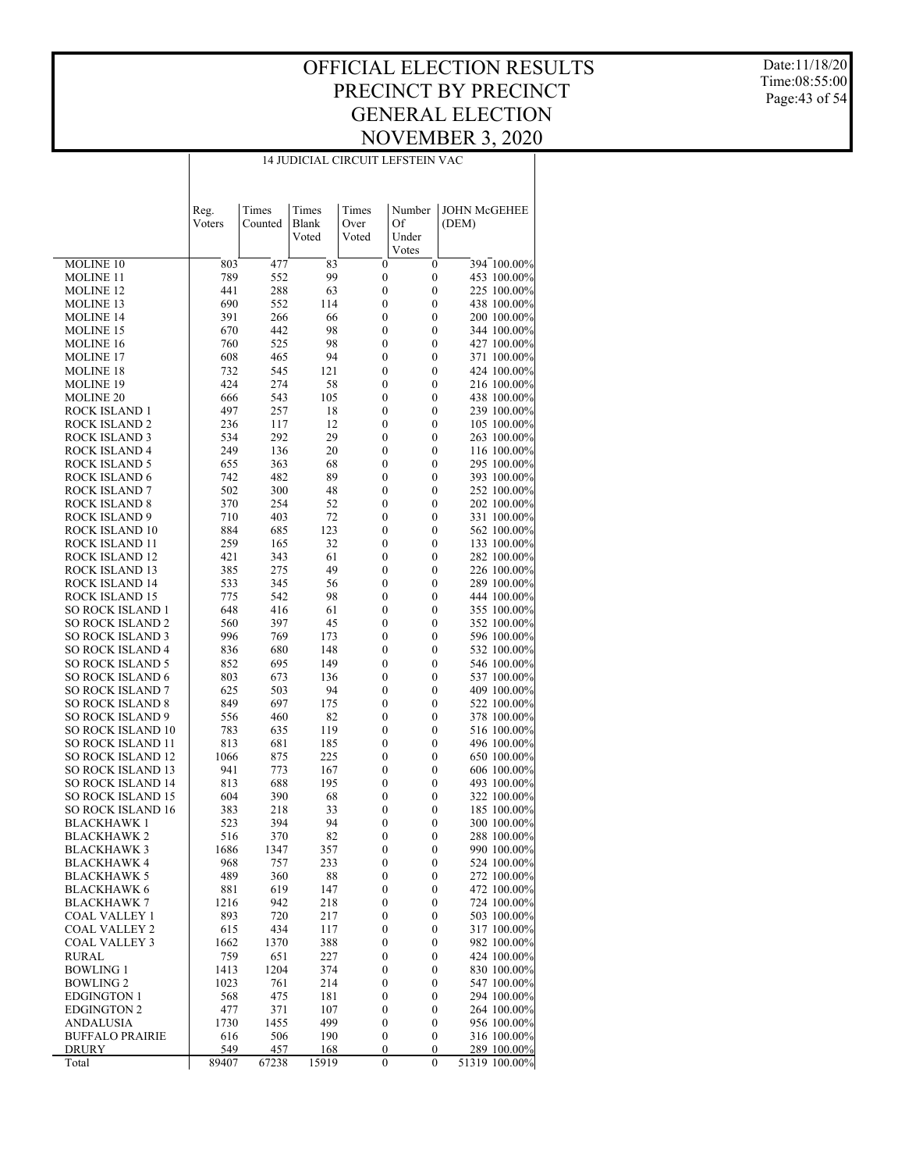#### OFFICIAL ELECTION RESULTS PRECINCT BY PRECINCT GENERAL ELECTION NOVEMBER 3, 2020 14 JUDICIAL CIRCUIT LEFSTEIN VAC

Date:11/18/20 Time:08:55:00 Page:43 of 54

|                                                    | Reg.<br>Voters | Times<br>Counted | Times<br>Blank<br>Voted | Times<br>Over<br>Voted | Number<br>Of<br>Under<br>Votes | <b>JOHN McGEHEE</b><br>(DEM) |
|----------------------------------------------------|----------------|------------------|-------------------------|------------------------|--------------------------------|------------------------------|
| MOLINE <sub>10</sub>                               | 803            | 477              | 83                      | $\mathbf{0}$           | $\mathbf{0}$                   | 394 100.00%                  |
| <b>MOLINE 11</b>                                   | 789            | 552              | 99                      | $\mathbf{0}$           | $\boldsymbol{0}$               | 453 100.00%                  |
| <b>MOLINE 12</b>                                   | 441            | 288              | 63                      | 0                      | $\mathbf{0}$                   | 225 100.00%                  |
| <b>MOLINE 13</b>                                   | 690            | 552              | 114                     | 0                      | $\mathbf{0}$                   | 438 100.00%                  |
| <b>MOLINE 14</b>                                   | 391            | 266              | 66                      | 0                      | $\mathbf{0}$                   | 200 100.00%                  |
| <b>MOLINE 15</b>                                   | 670            | 442              | 98                      | $\mathbf{0}$           | $\mathbf{0}$                   | 344 100.00%                  |
| <b>MOLINE 16</b>                                   | 760            | 525              | 98                      | 0                      | $\mathbf{0}$                   | 427 100.00%                  |
| <b>MOLINE 17</b>                                   | 608            | 465              | 94                      | 0                      | $\mathbf{0}$                   | 371 100.00%                  |
| <b>MOLINE 18</b>                                   | 732            | 545              | 121                     | 0                      | $\mathbf{0}$                   | 424 100.00%                  |
| <b>MOLINE 19</b>                                   | 424            | 274              | 58                      | $\mathbf{0}$           | $\mathbf{0}$                   | 216 100.00%                  |
| <b>MOLINE 20</b>                                   | 666            | 543              | 105                     | 0                      | $\mathbf{0}$                   | 438 100.00%                  |
| ROCK ISLAND 1                                      | 497            | 257              | 18                      | $\mathbf{0}$           | $\mathbf{0}$                   | 239 100.00%                  |
| <b>ROCK ISLAND 2</b>                               | 236            | 117              | 12                      | 0                      | $\mathbf{0}$                   | 105 100.00%                  |
| <b>ROCK ISLAND 3</b>                               | 534            | 292              | 29                      | $\mathbf{0}$           | $\mathbf{0}$                   | 263 100.00%                  |
| <b>ROCK ISLAND 4</b>                               | 249            | 136              | 20                      | 0                      | $\mathbf{0}$                   | 116 100.00%                  |
| <b>ROCK ISLAND 5</b>                               | 655            | 363              | 68                      | $\mathbf{0}$           | $\mathbf{0}$                   | 295 100.00%                  |
| <b>ROCK ISLAND 6</b>                               | 742            | 482              | 89                      | 0                      | $\mathbf{0}$                   | 393 100.00%                  |
| <b>ROCK ISLAND 7</b>                               | 502            | 300              | 48                      | $\mathbf{0}$           | $\mathbf{0}$                   | 252 100.00%                  |
| <b>ROCK ISLAND 8</b>                               | 370            | 254              | 52                      | 0                      | $\mathbf{0}$                   | 202 100.00%                  |
| <b>ROCK ISLAND 9</b>                               | 710            | 403              | 72                      | $\mathbf{0}$           | $\mathbf{0}$                   | 331 100.00%                  |
| ROCK ISLAND 10                                     | 884            | 685              | 123                     | 0                      | $\mathbf{0}$                   | 562 100.00%                  |
| ROCK ISLAND 11                                     | 259            | 165              | 32                      | $\mathbf{0}$           | $\mathbf{0}$                   | 133 100.00%                  |
| ROCK ISLAND 12                                     | 421            | 343              | 61                      | 0                      | $\mathbf{0}$                   | 282 100.00%                  |
| ROCK ISLAND 13                                     | 385            | 275              | 49                      | $\mathbf{0}$           | $\mathbf{0}$                   | 226 100.00%                  |
| ROCK ISLAND 14                                     | 533            | 345              | 56                      | 0                      | $\mathbf{0}$                   | 289 100.00%                  |
| ROCK ISLAND 15                                     | 775            | 542              | 98                      | $\mathbf{0}$           | $\mathbf{0}$                   | 444 100.00%                  |
| <b>SO ROCK ISLAND 1</b>                            | 648            | 416              | 61                      | 0                      | $\mathbf{0}$                   | 355 100.00%                  |
| <b>SO ROCK ISLAND 2</b>                            | 560            | 397              | 45                      | $\mathbf{0}$           | $\mathbf{0}$                   | 352 100.00%                  |
| <b>SO ROCK ISLAND 3</b>                            | 996            | 769              | 173                     | 0                      | $\mathbf{0}$                   | 596 100.00%                  |
| <b>SO ROCK ISLAND 4</b>                            | 836            | 680              | 148                     | $\mathbf{0}$           | $\mathbf{0}$                   | 532 100.00%                  |
| <b>SO ROCK ISLAND 5</b>                            | 852            | 695              | 149                     | 0                      | $\mathbf{0}$                   | 546 100.00%                  |
| <b>SO ROCK ISLAND 6</b><br><b>SO ROCK ISLAND 7</b> | 803<br>625     | 673<br>503       | 136<br>94               | $\mathbf{0}$<br>0      | $\mathbf{0}$<br>$\mathbf{0}$   | 537 100.00%                  |
| <b>SO ROCK ISLAND 8</b>                            | 849            | 697              | 175                     | $\mathbf{0}$           | $\mathbf{0}$                   | 409 100.00%<br>522 100.00%   |
| <b>SO ROCK ISLAND 9</b>                            | 556            | 460              | 82                      | 0                      | $\mathbf{0}$                   | 378 100.00%                  |
| <b>SO ROCK ISLAND 10</b>                           | 783            | 635              | 119                     | 0                      | $\mathbf{0}$                   | 516 100.00%                  |
| <b>SO ROCK ISLAND 11</b>                           | 813            | 681              | 185                     | 0                      | $\mathbf{0}$                   | 496 100.00%                  |
| <b>SO ROCK ISLAND 12</b>                           | 1066           | 875              | 225                     | $\boldsymbol{0}$       | $\mathbf{0}$                   | 650 100.00%                  |
| <b>SO ROCK ISLAND 13</b>                           | 941            | 773              | 167                     | 0                      | $\mathbf{0}$                   | 606 100.00%                  |
| <b>SO ROCK ISLAND 14</b>                           | 813            | 688              | 195                     | 0                      | $\mathbf{0}$                   | 493 100.00%                  |
| <b>SO ROCK ISLAND 15</b>                           | 604            | 390              | 68                      | 0                      | $\mathbf{0}$                   | 322 100.00%                  |
| <b>SO ROCK ISLAND 16</b>                           | 383            | 218              | 33                      | 0                      | $\mathbf{0}$                   | 185 100.00%                  |
| <b>BLACKHAWK1</b>                                  | 523            | 394              | 94                      | 0                      | $\mathbf{0}$                   | 300 100.00%                  |
| <b>BLACKHAWK2</b>                                  | 516            | 370              | 82                      | 0                      | $\mathbf{0}$                   | 288 100.00%                  |
| <b>BLACKHAWK 3</b>                                 | 1686           | 1347             | 357                     | $\boldsymbol{0}$       | $\boldsymbol{0}$               | 990 100.00%                  |
| BLACKHAWK 4                                        | 968            | 757              | 233                     | 0                      | $\boldsymbol{0}$               | 524 100.00%                  |
| <b>BLACKHAWK 5</b>                                 | 489            | 360              | 88                      | 0                      | $\boldsymbol{0}$               | 272 100.00%                  |
| <b>BLACKHAWK 6</b>                                 | 881            | 619              | 147                     | $\boldsymbol{0}$       | $\boldsymbol{0}$               | 472 100.00%                  |
| <b>BLACKHAWK 7</b>                                 | 1216           | 942              | 218                     | $\boldsymbol{0}$       | $\boldsymbol{0}$               | 724 100.00%                  |
| COAL VALLEY 1                                      | 893            | 720              | 217                     | 0                      | $\boldsymbol{0}$               | 503 100.00%                  |
| <b>COAL VALLEY 2</b>                               | 615            | 434              | 117                     | $\boldsymbol{0}$       | $\boldsymbol{0}$               | 317 100.00%                  |
| COAL VALLEY 3                                      | 1662           | 1370             | 388                     | $\boldsymbol{0}$       | $\boldsymbol{0}$               | 982 100.00%                  |
| <b>RURAL</b>                                       | 759            | 651              | 227                     | $\boldsymbol{0}$       | $\boldsymbol{0}$               | 424 100.00%                  |
| <b>BOWLING 1</b>                                   | 1413           | 1204             | 374                     | 0                      | $\boldsymbol{0}$               | 830 100.00%                  |
| <b>BOWLING 2</b>                                   | 1023           | 761              | 214                     | 0                      | $\boldsymbol{0}$               | 547 100.00%                  |
| <b>EDGINGTON 1</b>                                 | 568            | 475              | 181                     | $\boldsymbol{0}$       | $\boldsymbol{0}$               | 294 100.00%                  |
| <b>EDGINGTON 2</b>                                 | 477            | 371              | 107                     | $\boldsymbol{0}$       | $\boldsymbol{0}$               | 264 100.00%                  |
| <b>ANDALUSIA</b>                                   | 1730           | 1455             | 499                     | 0                      | $\boldsymbol{0}$               | 956 100.00%                  |
| <b>BUFFALO PRAIRIE</b>                             | 616            | 506              | 190                     | 0                      | $\boldsymbol{0}$               | 316 100.00%                  |
| <b>DRURY</b>                                       | 549            | 457              | 168                     | $\boldsymbol{0}$       | $\boldsymbol{0}$               | 289 100.00%                  |
| Total                                              | 89407          | 67238            | 15919                   | $\boldsymbol{0}$       | $\mathbf{0}$                   | 51319 100.00%                |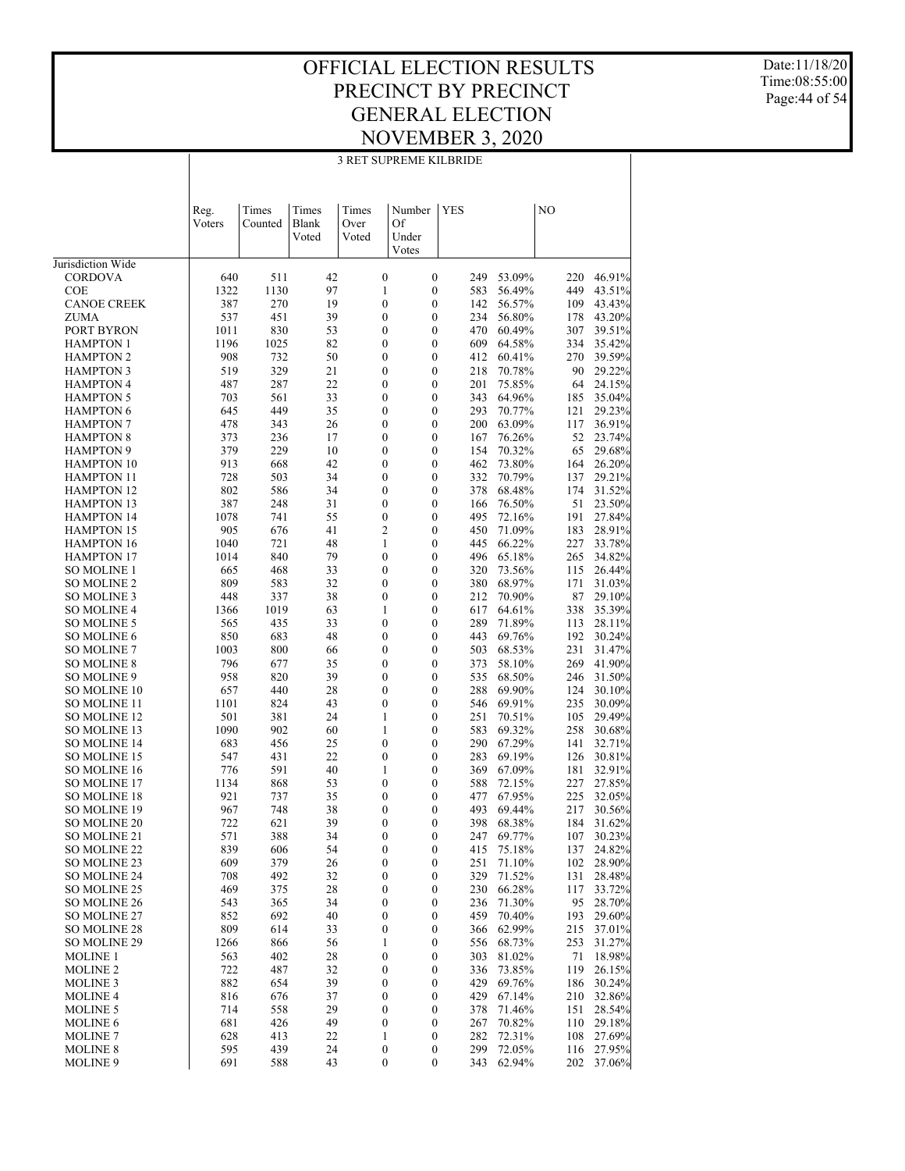3 RET SUPREME KILBRIDE

Date:11/18/20 Time:08:55:00 Page:44 of 54

|                                          |                |                  |                         |                        | 3 RET SUPREME KILBRIDE               |                                      |            |                  |            |                  |
|------------------------------------------|----------------|------------------|-------------------------|------------------------|--------------------------------------|--------------------------------------|------------|------------------|------------|------------------|
|                                          |                |                  |                         |                        |                                      |                                      |            |                  |            |                  |
|                                          | Reg.<br>Voters | Times<br>Counted | Times<br>Blank<br>Voted | Times<br>Over<br>Voted | Number<br>Of<br>Under                | <b>YES</b>                           |            |                  | NO         |                  |
| Jurisdiction Wide                        |                |                  |                         |                        | Votes                                |                                      |            |                  |            |                  |
| <b>CORDOVA</b>                           | 640            | 511              | 42                      |                        | $\boldsymbol{0}$                     | $\boldsymbol{0}$                     | 249        | 53.09%           | 220        | 46.91%           |
| <b>COE</b>                               | 1322           | 1130             | 97                      |                        | 1                                    | $\boldsymbol{0}$                     | 583        | 56.49%           | 449        | 43.51%           |
| <b>CANOE CREEK</b>                       | 387            | 270              | 19                      |                        | $\boldsymbol{0}$                     | $\boldsymbol{0}$                     | 142        | 56.57%           | 109        | 43.43%           |
| <b>ZUMA</b>                              | 537            | 451              | 39                      |                        | $\boldsymbol{0}$                     | $\boldsymbol{0}$                     | 234        | 56.80%           | 178        | 43.20%           |
| PORT BYRON                               | 1011           | 830              | 53                      |                        | 0                                    | $\boldsymbol{0}$                     | 470        | 60.49%           | 307        | 39.51%           |
| <b>HAMPTON 1</b>                         | 1196           | 1025             | 82                      |                        | 0                                    | $\boldsymbol{0}$                     | 609        | 64.58%           | 334        | 35.42%           |
| <b>HAMPTON 2</b>                         | 908            | 732              | 50                      |                        | 0                                    | $\boldsymbol{0}$                     | 412        | 60.41%           | 270        | 39.59%           |
| <b>HAMPTON 3</b>                         | 519            | 329<br>287       | 21<br>22                |                        | 0                                    | $\boldsymbol{0}$<br>$\boldsymbol{0}$ | 218        | 70.78%           | 90         | 29.22%           |
| <b>HAMPTON 4</b><br><b>HAMPTON 5</b>     | 487<br>703     | 561              | 33                      |                        | 0<br>0                               | $\boldsymbol{0}$                     | 201<br>343 | 75.85%<br>64.96% | 64<br>185  | 24.15%<br>35.04% |
| <b>HAMPTON 6</b>                         | 645            | 449              | 35                      |                        | 0                                    | $\boldsymbol{0}$                     | 293        | 70.77%           | 121        | 29.23%           |
| <b>HAMPTON 7</b>                         | 478            | 343              | 26                      |                        | 0                                    | $\boldsymbol{0}$                     | 200        | 63.09%           | 117        | 36.91%           |
| <b>HAMPTON 8</b>                         | 373            | 236              | 17                      |                        | 0                                    | $\boldsymbol{0}$                     | 167        | 76.26%           | 52         | 23.74%           |
| <b>HAMPTON 9</b>                         | 379            | 229              | 10                      |                        | 0                                    | $\boldsymbol{0}$                     | 154        | 70.32%           | 65         | 29.68%           |
| <b>HAMPTON 10</b>                        | 913            | 668              | 42                      |                        | 0                                    | $\boldsymbol{0}$                     | 462        | 73.80%           | 164        | 26.20%           |
| <b>HAMPTON 11</b>                        | 728            | 503              | 34                      |                        | 0                                    | $\boldsymbol{0}$                     | 332        | 70.79%           | 137        | 29.21%           |
| <b>HAMPTON 12</b>                        | 802            | 586              | 34                      |                        | 0                                    | $\boldsymbol{0}$                     | 378        | 68.48%           | 174        | 31.52%           |
| <b>HAMPTON 13</b>                        | 387            | 248              | 31                      |                        | 0                                    | $\boldsymbol{0}$                     | 166        | 76.50%           | 51         | 23.50%           |
| <b>HAMPTON 14</b><br><b>HAMPTON 15</b>   | 1078<br>905    | 741<br>676       | 55<br>41                |                        | $\boldsymbol{0}$<br>2                | $\boldsymbol{0}$<br>$\boldsymbol{0}$ | 495<br>450 | 72.16%<br>71.09% | 191<br>183 | 27.84%<br>28.91% |
| <b>HAMPTON 16</b>                        | 1040           | 721              | 48                      |                        | 1                                    | $\boldsymbol{0}$                     | 445        | 66.22%           | 227        | 33.78%           |
| <b>HAMPTON 17</b>                        | 1014           | 840              | 79                      |                        | $\boldsymbol{0}$                     | $\boldsymbol{0}$                     | 496        | 65.18%           | 265        | 34.82%           |
| <b>SO MOLINE 1</b>                       | 665            | 468              | 33                      |                        | $\boldsymbol{0}$                     | $\boldsymbol{0}$                     | 320        | 73.56%           | 115        | 26.44%           |
| <b>SO MOLINE 2</b>                       | 809            | 583              | 32                      |                        | $\boldsymbol{0}$                     | $\boldsymbol{0}$                     | 380        | 68.97%           | 171        | 31.03%           |
| SO MOLINE 3                              | 448            | 337              | 38                      |                        | 0                                    | $\boldsymbol{0}$                     | 212        | 70.90%           | 87         | 29.10%           |
| <b>SO MOLINE 4</b>                       | 1366           | 1019             | 63                      |                        | 1                                    | $\boldsymbol{0}$                     | 617        | 64.61%           | 338        | 35.39%           |
| <b>SO MOLINE 5</b>                       | 565            | 435              | 33                      |                        | $\boldsymbol{0}$                     | $\boldsymbol{0}$                     | 289        | 71.89%           | 113        | 28.11%           |
| <b>SO MOLINE 6</b>                       | 850            | 683              | 48                      |                        | $\boldsymbol{0}$                     | $\boldsymbol{0}$                     | 443        | 69.76%           | 192        | 30.24%           |
| <b>SO MOLINE 7</b><br><b>SO MOLINE 8</b> | 1003<br>796    | 800<br>677       | 66<br>35                |                        | 0<br>0                               | $\boldsymbol{0}$<br>$\boldsymbol{0}$ | 503<br>373 | 68.53%<br>58.10% | 231<br>269 | 31.47%<br>41.90% |
| SO MOLINE 9                              | 958            | 820              | 39                      |                        | 0                                    | $\boldsymbol{0}$                     | 535        | 68.50%           | 246        | 31.50%           |
| SO MOLINE 10                             | 657            | 440              | 28                      |                        | 0                                    | $\boldsymbol{0}$                     | 288        | 69.90%           | 124        | 30.10%           |
| SO MOLINE 11                             | 1101           | 824              | 43                      |                        | $\boldsymbol{0}$                     | $\boldsymbol{0}$                     | 546        | 69.91%           | 235        | 30.09%           |
| SO MOLINE 12                             | 501            | 381              | 24                      |                        | 1                                    | $\boldsymbol{0}$                     | 251        | 70.51%           | 105        | 29.49%           |
| SO MOLINE 13                             | 1090           | 902              | 60                      |                        | 1                                    | $\boldsymbol{0}$                     | 583        | 69.32%           | 258        | 30.68%           |
| <b>SO MOLINE 14</b>                      | 683            | 456              | 25                      |                        | $\boldsymbol{0}$                     | $\boldsymbol{0}$                     | 290        | 67.29%           | 141        | 32.71%           |
| SO MOLINE 15                             | 547            | 431              | 22                      |                        | 0                                    | $\boldsymbol{0}$                     | 283        | 69.19%           | 126        | 30.81%           |
| <b>SO MOLINE 16</b>                      | 776            | 591              | 40                      |                        | 1                                    | $\boldsymbol{0}$                     | 369        | 67.09%           | 181        | 32.91%           |
| SO MOLINE 17<br><b>SO MOLINE 18</b>      | 1134<br>921    | 868<br>737       | 53<br>35                |                        | 0<br>0                               | $\boldsymbol{0}$<br>$\boldsymbol{0}$ | 588<br>477 | 72.15%<br>67.95% | 227<br>225 | 27.85%<br>32.05% |
| SO MOLINE 19                             | 967            | 748              | 38                      |                        | $\boldsymbol{0}$                     | $\mathbf{0}$                         | 493        | 69.44%           | 217        | 30.56%           |
| SO MOLINE 20                             | 722            | 621              | 39                      |                        | 0                                    | 0                                    | 398        | 68.38%           | 184        | 31.62%           |
| SO MOLINE 21                             | 571            | 388              | 34                      |                        | 0                                    | $\boldsymbol{0}$                     | 247        | 69.77%           | 107        | 30.23%           |
| SO MOLINE 22                             | 839            | 606              | 54                      |                        | 0                                    | $\boldsymbol{0}$                     | 415        | 75.18%           | 137        | 24.82%           |
| SO MOLINE 23                             | 609            | 379              | 26                      |                        | 0                                    | $\boldsymbol{0}$                     | 251        | 71.10%           | 102        | 28.90%           |
| SO MOLINE 24                             | 708            | 492              | 32                      |                        | 0                                    | $\boldsymbol{0}$                     | 329        | 71.52%           | 131        | 28.48%           |
| SO MOLINE 25                             | 469            | 375              | 28                      |                        | 0                                    | $\boldsymbol{0}$                     | 230        | 66.28%           | 117        | 33.72%           |
| SO MOLINE 26                             | 543            | 365              | 34                      |                        | 0                                    | $\boldsymbol{0}$                     | 236        | 71.30%           | 95         | 28.70%           |
| SO MOLINE 27                             | 852            | 692              | 40                      |                        | 0                                    | $\boldsymbol{0}$                     | 459        | 70.40%<br>62.99% | 193        | 29.60%           |
| <b>SO MOLINE 28</b><br>SO MOLINE 29      | 809<br>1266    | 614<br>866       | 33<br>56                |                        | 0<br>1                               | $\boldsymbol{0}$<br>$\boldsymbol{0}$ | 366<br>556 | 68.73%           | 215<br>253 | 37.01%<br>31.27% |
| <b>MOLINE 1</b>                          | 563            | 402              | 28                      |                        | 0                                    | $\boldsymbol{0}$                     | 303        | 81.02%           | 71         | 18.98%           |
| MOLINE <sub>2</sub>                      | 722            | 487              | 32                      |                        | 0                                    | $\boldsymbol{0}$                     | 336        | 73.85%           | 119        | 26.15%           |
| <b>MOLINE 3</b>                          | 882            | 654              | 39                      |                        | 0                                    | $\boldsymbol{0}$                     | 429        | 69.76%           | 186        | 30.24%           |
| <b>MOLINE 4</b>                          | 816            | 676              | 37                      |                        | 0                                    | $\boldsymbol{0}$                     | 429        | 67.14%           | 210        | 32.86%           |
| <b>MOLINE 5</b>                          | 714            | 558              | 29                      |                        | 0                                    | $\boldsymbol{0}$                     | 378        | 71.46%           | 151        | 28.54%           |
| <b>MOLINE 6</b>                          | 681            | 426              | 49                      |                        | 0                                    | $\boldsymbol{0}$                     | 267        | 70.82%           | 110        | 29.18%           |
| <b>MOLINE 7</b>                          | 628            | 413              | 22                      |                        | 1                                    | $\boldsymbol{0}$                     | 282        | 72.31%           | 108        | 27.69%           |
| <b>MOLINE 8</b><br>MOLINE 9              | 595<br>691     | 439<br>588       | 24<br>43                |                        | $\boldsymbol{0}$<br>$\boldsymbol{0}$ | $\boldsymbol{0}$<br>$\boldsymbol{0}$ | 299<br>343 | 72.05%<br>62.94% | 116<br>202 | 27.95%<br>37.06% |
|                                          |                |                  |                         |                        |                                      |                                      |            |                  |            |                  |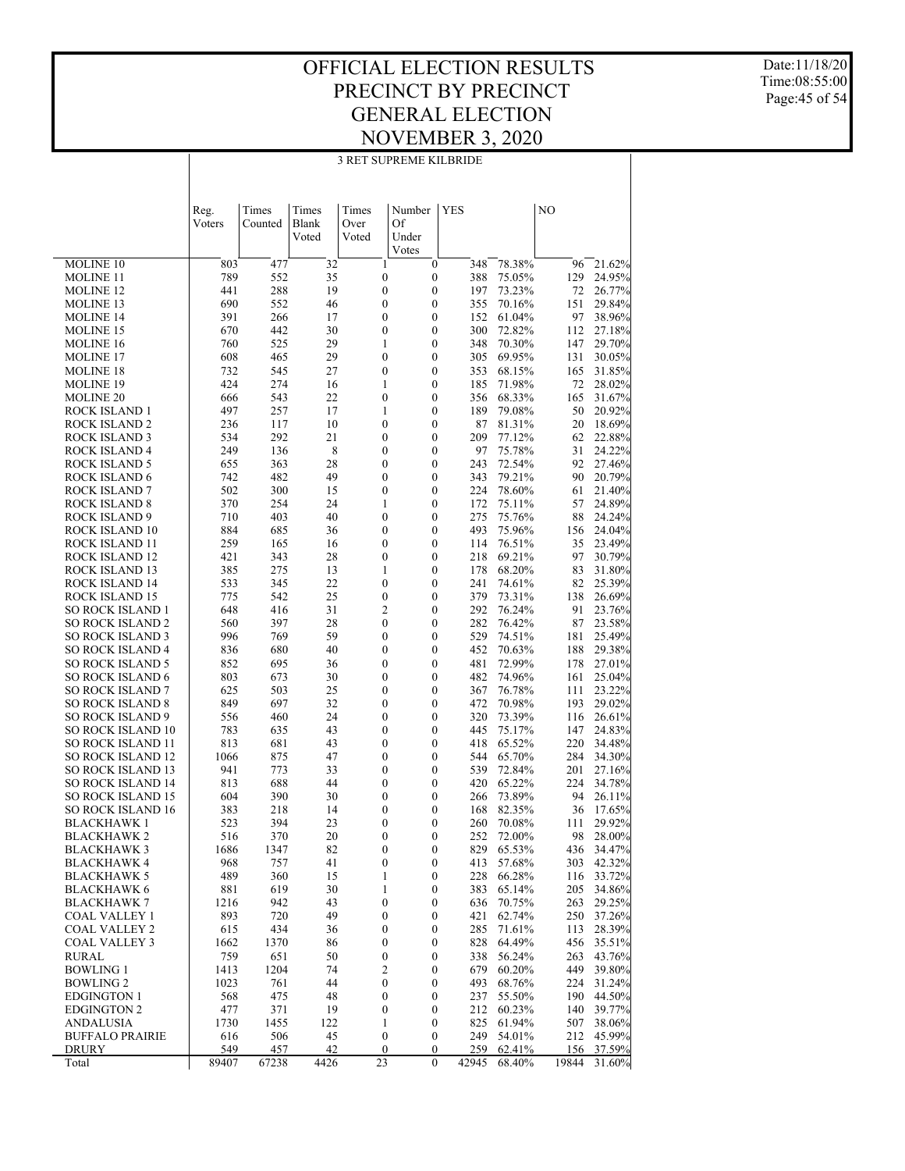#### OFFICIAL ELECTION RESULTS PRECINCT BY PRECINCT GENERAL ELECTION NOVEMBER 3, 2020 3 RET SUPREME KILBRIDE

Date:11/18/20 Time:08:55:00 Page:45 of 54

|                                              | Reg.        | Times       | Times    | Times                                | Number | <b>YES</b>                           |            |                  | NO         |                      |
|----------------------------------------------|-------------|-------------|----------|--------------------------------------|--------|--------------------------------------|------------|------------------|------------|----------------------|
|                                              | Voters      | Counted     | Blank    | Over                                 | Of     |                                      |            |                  |            |                      |
|                                              |             |             | Voted    | Voted                                | Under  |                                      |            |                  |            |                      |
| <b>MOLINE 10</b>                             | 803         | 477         | 32       | $\mathbf{1}$                         | Votes  | $\boldsymbol{0}$                     | 348        | 78.38%           | 96         | 21.62%               |
| <b>MOLINE 11</b>                             | 789         | 552         | 35       | $\boldsymbol{0}$                     |        | $\boldsymbol{0}$                     | 388        | 75.05%           | 129        | 24.95%               |
| MOLINE 12                                    | 441         | 288         | 19       | $\boldsymbol{0}$                     |        | $\boldsymbol{0}$                     | 197        | 73.23%           | 72         | 26.77%               |
| MOLINE 13                                    | 690         | 552         | 46       | $\boldsymbol{0}$                     |        | $\boldsymbol{0}$                     | 355        | 70.16%           | 151        | 29.84%               |
| MOLINE 14                                    | 391         | 266         | 17       | $\boldsymbol{0}$                     |        | $\boldsymbol{0}$                     | 152        | 61.04%           | 97         | 38.96%               |
| MOLINE 15                                    | 670         | 442         | 30       | $\boldsymbol{0}$                     |        | $\boldsymbol{0}$                     | 300        | 72.82%           | 112        | 27.18%               |
| MOLINE 16                                    | 760         | 525<br>465  | 29<br>29 | $\mathbf{1}$<br>$\boldsymbol{0}$     |        | $\boldsymbol{0}$<br>$\boldsymbol{0}$ | 348        | 70.30%           | 147        | 29.70%               |
| <b>MOLINE 17</b><br>MOLINE 18                | 608<br>732  | 545         | 27       | $\boldsymbol{0}$                     |        | $\boldsymbol{0}$                     | 305<br>353 | 69.95%<br>68.15% | 131<br>165 | 30.05%<br>31.85%     |
| MOLINE 19                                    | 424         | 274         | 16       | $\mathbf{1}$                         |        | $\boldsymbol{0}$                     | 185        | 71.98%           | 72         | 28.02%               |
| MOLINE 20                                    | 666         | 543         | 22       | $\boldsymbol{0}$                     |        | $\boldsymbol{0}$                     | 356        | 68.33%           | 165        | 31.67%               |
| ROCK ISLAND 1                                | 497         | 257         | 17       | $\mathbf{1}$                         |        | $\boldsymbol{0}$                     | 189        | 79.08%           | 50         | 20.92%               |
| ROCK ISLAND 2                                | 236         | 117         | 10       | $\boldsymbol{0}$                     |        | $\boldsymbol{0}$                     | 87         | 81.31%           | 20         | 18.69%               |
| <b>ROCK ISLAND 3</b>                         | 534         | 292         | 21       | $\boldsymbol{0}$                     |        | $\boldsymbol{0}$                     | 209        | 77.12%           | 62         | 22.88%               |
| <b>ROCK ISLAND 4</b>                         | 249         | 136         | 8        | $\boldsymbol{0}$                     |        | $\boldsymbol{0}$                     | 97         | 75.78%           | 31         | 24.22%               |
| ROCK ISLAND 5                                | 655         | 363<br>482  | 28<br>49 | $\boldsymbol{0}$<br>$\boldsymbol{0}$ |        | $\boldsymbol{0}$<br>$\boldsymbol{0}$ | 243        | 72.54%           | 92<br>90   | 27.46%               |
| ROCK ISLAND 6<br>ROCK ISLAND 7               | 742<br>502  | 300         | 15       | $\boldsymbol{0}$                     |        | $\boldsymbol{0}$                     | 343<br>224 | 79.21%<br>78.60% | 61         | 20.79%<br>21.40%     |
| <b>ROCK ISLAND 8</b>                         | 370         | 254         | 24       | $\mathbf{1}$                         |        | $\boldsymbol{0}$                     | 172        | 75.11%           | 57         | 24.89%               |
| ROCK ISLAND 9                                | 710         | 403         | 40       | $\boldsymbol{0}$                     |        | $\boldsymbol{0}$                     | 275        | 75.76%           | 88         | 24.24%               |
| ROCK ISLAND 10                               | 884         | 685         | 36       | $\boldsymbol{0}$                     |        | $\boldsymbol{0}$                     | 493        | 75.96%           | 156        | 24.04%               |
| ROCK ISLAND 11                               | 259         | 165         | 16       | $\boldsymbol{0}$                     |        | $\boldsymbol{0}$                     | 114        | 76.51%           | 35         | 23.49%               |
| ROCK ISLAND 12                               | 421         | 343         | 28       | $\boldsymbol{0}$                     |        | $\boldsymbol{0}$                     | 218        | 69.21%           | 97         | 30.79%               |
| ROCK ISLAND 13                               | 385         | 275         | 13       | $\mathbf{1}$                         |        | $\boldsymbol{0}$                     | 178        | 68.20%           | 83         | 31.80%               |
| ROCK ISLAND 14                               | 533         | 345         | 22       | $\boldsymbol{0}$                     |        | $\boldsymbol{0}$                     | 241        | 74.61%           | 82         | 25.39%               |
| ROCK ISLAND 15<br>SO ROCK ISLAND 1           | 775<br>648  | 542<br>416  | 25<br>31 | $\boldsymbol{0}$<br>$\overline{2}$   |        | $\boldsymbol{0}$<br>$\boldsymbol{0}$ | 379<br>292 | 73.31%<br>76.24% | 138<br>91  | 26.69%<br>23.76%     |
| SO ROCK ISLAND 2                             | 560         | 397         | 28       | $\boldsymbol{0}$                     |        | $\boldsymbol{0}$                     | 282        | 76.42%           | 87         | 23.58%               |
| SO ROCK ISLAND 3                             | 996         | 769         | 59       | $\boldsymbol{0}$                     |        | $\boldsymbol{0}$                     | 529        | 74.51%           | 181        | 25.49%               |
| SO ROCK ISLAND 4                             | 836         | 680         | 40       | $\boldsymbol{0}$                     |        | $\boldsymbol{0}$                     | 452        | 70.63%           | 188        | 29.38%               |
| SO ROCK ISLAND 5                             | 852         | 695         | 36       | $\boldsymbol{0}$                     |        | $\boldsymbol{0}$                     | 481        | 72.99%           | 178        | 27.01%               |
| SO ROCK ISLAND 6                             | 803         | 673         | 30       | $\boldsymbol{0}$                     |        | $\boldsymbol{0}$                     | 482        | 74.96%           | 161        | 25.04%               |
| SO ROCK ISLAND 7                             | 625         | 503         | 25       | $\boldsymbol{0}$                     |        | $\boldsymbol{0}$                     | 367        | 76.78%           | 111        | 23.22%               |
| <b>SO ROCK ISLAND 8</b>                      | 849         | 697<br>460  | 32<br>24 | $\boldsymbol{0}$<br>$\boldsymbol{0}$ |        | $\boldsymbol{0}$<br>$\boldsymbol{0}$ | 472<br>320 | 70.98%           | 193        | 29.02%               |
| <b>SO ROCK ISLAND 9</b><br>SO ROCK ISLAND 10 | 556<br>783  | 635         | 43       | $\boldsymbol{0}$                     |        | $\boldsymbol{0}$                     | 445        | 73.39%<br>75.17% | 116<br>147 | 26.61%<br>24.83%     |
| SO ROCK ISLAND 11                            | 813         | 681         | 43       | $\boldsymbol{0}$                     |        | $\boldsymbol{0}$                     | 418        | 65.52%           | 220        | 34.48%               |
| SO ROCK ISLAND 12                            | 1066        | 875         | $47\,$   | $\boldsymbol{0}$                     |        | $\boldsymbol{0}$                     | 544        | 65.70%           | 284        | 34.30%               |
| SO ROCK ISLAND 13                            | 941         | 773         | 33       | $\boldsymbol{0}$                     |        | $\boldsymbol{0}$                     | 539        | 72.84%           | 201        | 27.16%               |
| SO ROCK ISLAND 14                            | 813         | 688         | 44       | $\boldsymbol{0}$                     |        | $\boldsymbol{0}$                     | 420        | 65.22%           | 224        | 34.78%               |
| <b>SO ROCK ISLAND 15</b>                     | 604         | 390         | 30       | $\boldsymbol{0}$                     |        | $\boldsymbol{0}$                     | 266        | 73.89%           | 94         | 26.11%               |
| <b>SO ROCK ISLAND 16</b>                     | 383         | 218         | 14       | $\boldsymbol{0}$                     |        | $\mathbf{0}$                         | 168        | 82.35%           | 36         | 17.65%               |
| BLACKHAWK 1                                  | 523         | 394<br>370  | 23<br>20 | $\boldsymbol{0}$<br>$\theta$         |        | $\mathbf{0}$<br>$\theta$             | 260        | 70.08%<br>72.00% | 111        | 29.92%               |
| BLACKHAWK 2<br><b>BLACKHAWK3</b>             | 516<br>1686 | 1347        | 82       | $\boldsymbol{0}$                     |        | $\boldsymbol{0}$                     | 252        | 829 65.53%       | 98         | 28.00%<br>436 34.47% |
| <b>BLACKHAWK 4</b>                           | 968         | 757         | 41       | $\boldsymbol{0}$                     |        | $\boldsymbol{0}$                     | 413        | 57.68%           | 303        | 42.32%               |
| <b>BLACKHAWK 5</b>                           | 489         | 360         | 15       | 1                                    |        | $\boldsymbol{0}$                     | 228        | 66.28%           | 116        | 33.72%               |
| <b>BLACKHAWK 6</b>                           | 881         | 619         | 30       | $\mathbf{1}$                         |        | $\boldsymbol{0}$                     | 383        | 65.14%           | 205        | 34.86%               |
| <b>BLACKHAWK 7</b>                           | 1216        | 942         | 43       | $\boldsymbol{0}$                     |        | $\boldsymbol{0}$                     | 636        | 70.75%           | 263        | 29.25%               |
| <b>COAL VALLEY 1</b>                         | 893         | 720         | 49       | $\boldsymbol{0}$                     |        | $\boldsymbol{0}$                     | 421        | 62.74%           | 250        | 37.26%               |
| <b>COAL VALLEY 2</b>                         | 615         | 434         | 36       | $\boldsymbol{0}$                     |        | $\boldsymbol{0}$                     | 285        | 71.61%           | 113        | 28.39%               |
| <b>COAL VALLEY 3</b>                         | 1662        | 1370<br>651 | 86<br>50 | $\boldsymbol{0}$                     |        | $\boldsymbol{0}$<br>$\boldsymbol{0}$ | 828        | 64.49%<br>56.24% | 456        | 35.51%               |
| RURAL<br><b>BOWLING 1</b>                    | 759<br>1413 | 1204        | 74       | $\boldsymbol{0}$<br>$\overline{c}$   |        | $\boldsymbol{0}$                     | 338<br>679 | 60.20%           | 263<br>449 | 43.76%<br>39.80%     |
| <b>BOWLING 2</b>                             | 1023        | 761         | 44       | $\boldsymbol{0}$                     |        | $\boldsymbol{0}$                     | 493        | 68.76%           | 224        | 31.24%               |
| <b>EDGINGTON 1</b>                           | 568         | 475         | 48       | $\boldsymbol{0}$                     |        | $\boldsymbol{0}$                     | 237        | 55.50%           | 190        | 44.50%               |
| <b>EDGINGTON 2</b>                           | 477         | 371         | 19       | $\boldsymbol{0}$                     |        | $\boldsymbol{0}$                     | 212        | 60.23%           | 140        | 39.77%               |
| ANDALUSIA                                    | 1730        | 1455        | 122      | $\mathbf{1}$                         |        | $\boldsymbol{0}$                     | 825        | 61.94%           | 507        | 38.06%               |
| <b>BUFFALO PRAIRIE</b>                       | 616         | 506         | 45       | $\boldsymbol{0}$                     |        | $\boldsymbol{0}$                     | 249        | 54.01%           | 212        | 45.99%               |
| DRURY                                        | 549         | 457         | 42       | $\mathbf{0}$                         |        | $\boldsymbol{0}$                     | 259        | 62.41%           | 156        | 37.59%               |
| Total                                        | 89407       | 67238       | 4426     | 23                                   |        | $\mathbf{0}$                         | 42945      | 68.40%           | 19844      | 31.60%               |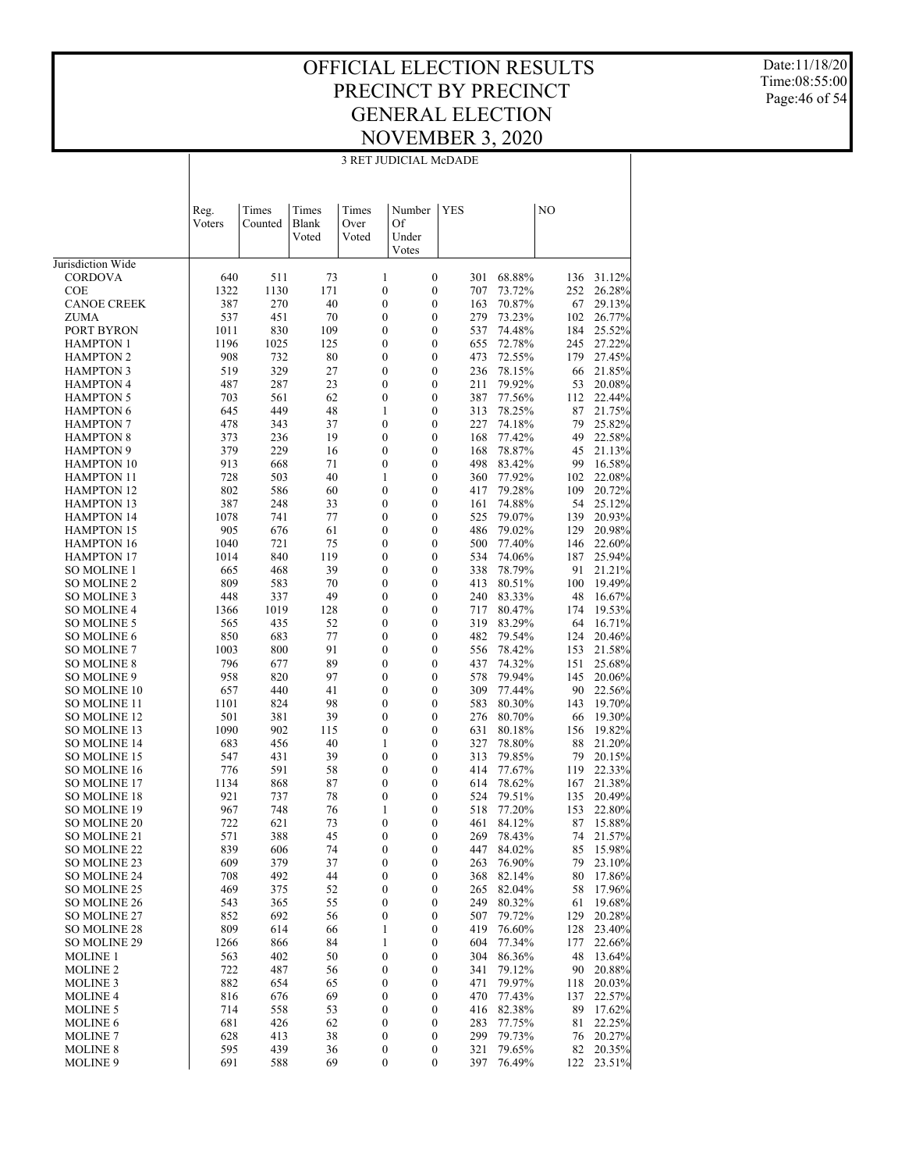3 RET JUDICIAL McDADE

Date:11/18/20 Time:08:55:00 Page:46 of 54

|                                          |                |                  |                         |                        | 3 RET JUDICIAL McDADE                |                                      |            |                  |            |                  |
|------------------------------------------|----------------|------------------|-------------------------|------------------------|--------------------------------------|--------------------------------------|------------|------------------|------------|------------------|
|                                          |                |                  |                         |                        |                                      |                                      |            |                  |            |                  |
|                                          | Reg.<br>Voters | Times<br>Counted | Times<br>Blank<br>Voted | Times<br>Over<br>Voted | Number<br>Of<br>Under                |                                      | <b>YES</b> |                  | NO         |                  |
| Jurisdiction Wide                        |                |                  |                         |                        | Votes                                |                                      |            |                  |            |                  |
| <b>CORDOVA</b>                           | 640            | 511              | 73                      |                        | $\mathbf{1}$                         | $\boldsymbol{0}$                     | 301        | 68.88%           | 136        | 31.12%           |
| <b>COE</b>                               | 1322           | 1130             | 171                     |                        | $\boldsymbol{0}$                     | $\boldsymbol{0}$                     | 707        | 73.72%           | 252        | 26.28%           |
| <b>CANOE CREEK</b>                       | 387            | 270              | 40                      |                        | $\boldsymbol{0}$                     | $\boldsymbol{0}$                     | 163        | 70.87%           | 67         | 29.13%           |
| <b>ZUMA</b>                              | 537            | 451              | 70                      |                        | $\boldsymbol{0}$                     | $\boldsymbol{0}$                     | 279        | 73.23%           | 102        | 26.77%           |
| PORT BYRON                               | 1011           | 830              | 109                     |                        | $\boldsymbol{0}$                     | $\boldsymbol{0}$                     | 537        | 74.48%           | 184        | 25.52%           |
| <b>HAMPTON 1</b>                         | 1196           | 1025             | 125                     |                        | $\boldsymbol{0}$                     | $\boldsymbol{0}$                     | 655        | 72.78%           | 245        | 27.22%           |
| <b>HAMPTON 2</b>                         | 908            | 732              | 80                      |                        | $\boldsymbol{0}$                     | $\boldsymbol{0}$                     | 473        | 72.55%           | 179        | 27.45%           |
| <b>HAMPTON 3</b>                         | 519            | 329              | 27                      |                        | $\boldsymbol{0}$                     | $\boldsymbol{0}$                     | 236        | 78.15%           | 66         | 21.85%           |
| <b>HAMPTON 4</b><br><b>HAMPTON 5</b>     | 487<br>703     | 287<br>561       | 23<br>62                |                        | $\boldsymbol{0}$<br>$\boldsymbol{0}$ | $\boldsymbol{0}$<br>$\boldsymbol{0}$ | 211<br>387 | 79.92%<br>77.56% | 53<br>112  | 20.08%<br>22.44% |
| <b>HAMPTON 6</b>                         | 645            | 449              | 48                      |                        | 1                                    | $\boldsymbol{0}$                     | 313        | 78.25%           | 87         | 21.75%           |
| <b>HAMPTON 7</b>                         | 478            | 343              | 37                      |                        | $\boldsymbol{0}$                     | $\boldsymbol{0}$                     | 227        | 74.18%           | 79         | 25.82%           |
| <b>HAMPTON 8</b>                         | 373            | 236              | 19                      |                        | $\boldsymbol{0}$                     | $\boldsymbol{0}$                     | 168        | 77.42%           | 49         | 22.58%           |
| <b>HAMPTON 9</b>                         | 379            | 229              | 16                      |                        | $\boldsymbol{0}$                     | $\boldsymbol{0}$                     | 168        | 78.87%           | 45         | 21.13%           |
| <b>HAMPTON 10</b>                        | 913            | 668              | 71                      |                        | $\boldsymbol{0}$                     | $\boldsymbol{0}$                     | 498        | 83.42%           | 99         | 16.58%           |
| <b>HAMPTON 11</b>                        | 728            | 503              | 40                      |                        | 1                                    | $\boldsymbol{0}$                     | 360        | 77.92%           | 102        | 22.08%           |
| <b>HAMPTON 12</b>                        | 802            | 586              | 60                      |                        | $\boldsymbol{0}$                     | $\boldsymbol{0}$                     | 417        | 79.28%           | 109        | 20.72%           |
| <b>HAMPTON 13</b>                        | 387            | 248              | 33                      |                        | $\boldsymbol{0}$                     | $\boldsymbol{0}$                     | 161        | 74.88%<br>79.07% | 54         | 25.12%           |
| <b>HAMPTON 14</b><br><b>HAMPTON 15</b>   | 1078<br>905    | 741<br>676       | 77<br>61                |                        | $\boldsymbol{0}$<br>$\boldsymbol{0}$ | $\boldsymbol{0}$<br>$\boldsymbol{0}$ | 525<br>486 | 79.02%           | 139<br>129 | 20.93%<br>20.98% |
| <b>HAMPTON 16</b>                        | 1040           | 721              | 75                      |                        | $\boldsymbol{0}$                     | $\boldsymbol{0}$                     | 500        | 77.40%           | 146        | 22.60%           |
| <b>HAMPTON 17</b>                        | 1014           | 840              | 119                     |                        | $\boldsymbol{0}$                     | $\boldsymbol{0}$                     | 534        | 74.06%           | 187        | 25.94%           |
| <b>SO MOLINE 1</b>                       | 665            | 468              | 39                      |                        | $\boldsymbol{0}$                     | $\boldsymbol{0}$                     | 338        | 78.79%           | 91         | 21.21%           |
| <b>SO MOLINE 2</b>                       | 809            | 583              | 70                      |                        | $\boldsymbol{0}$                     | $\boldsymbol{0}$                     | 413        | 80.51%           | 100        | 19.49%           |
| SO MOLINE 3                              | 448            | 337              | 49                      |                        | $\boldsymbol{0}$                     | $\boldsymbol{0}$                     | 240        | 83.33%           | 48         | 16.67%           |
| <b>SO MOLINE 4</b>                       | 1366           | 1019             | 128                     |                        | $\boldsymbol{0}$                     | $\boldsymbol{0}$                     | 717        | 80.47%           | 174        | 19.53%           |
| <b>SO MOLINE 5</b>                       | 565            | 435              | 52                      |                        | $\boldsymbol{0}$                     | $\boldsymbol{0}$                     | 319        | 83.29%           | 64         | 16.71%           |
| <b>SO MOLINE 6</b>                       | 850            | 683<br>800       | 77<br>91                |                        | $\boldsymbol{0}$                     | $\boldsymbol{0}$<br>$\boldsymbol{0}$ | 482        | 79.54%           | 124        | 20.46%           |
| <b>SO MOLINE 7</b><br><b>SO MOLINE 8</b> | 1003<br>796    | 677              | 89                      |                        | $\boldsymbol{0}$<br>$\boldsymbol{0}$ | $\boldsymbol{0}$                     | 556<br>437 | 78.42%<br>74.32% | 153<br>151 | 21.58%<br>25.68% |
| SO MOLINE 9                              | 958            | 820              | 97                      |                        | $\boldsymbol{0}$                     | $\boldsymbol{0}$                     | 578        | 79.94%           | 145        | 20.06%           |
| SO MOLINE 10                             | 657            | 440              | 41                      |                        | $\boldsymbol{0}$                     | $\boldsymbol{0}$                     | 309        | 77.44%           | 90         | 22.56%           |
| SO MOLINE 11                             | 1101           | 824              | 98                      |                        | $\boldsymbol{0}$                     | $\boldsymbol{0}$                     | 583        | 80.30%           | 143        | 19.70%           |
| SO MOLINE 12                             | 501            | 381              | 39                      |                        | $\boldsymbol{0}$                     | $\boldsymbol{0}$                     | 276        | 80.70%           | 66         | 19.30%           |
| SO MOLINE 13                             | 1090           | 902              | 115                     |                        | $\boldsymbol{0}$                     | $\boldsymbol{0}$                     | 631        | 80.18%           | 156        | 19.82%           |
| <b>SO MOLINE 14</b>                      | 683            | 456              | 40                      |                        | 1                                    | $\boldsymbol{0}$                     | 327        | 78.80%           | 88         | 21.20%           |
| SO MOLINE 15                             | 547            | 431              | 39                      |                        | $\boldsymbol{0}$                     | $\boldsymbol{0}$                     | 313        | 79.85%           | 79         | 20.15%           |
| <b>SO MOLINE 16</b><br>SO MOLINE 17      | 776<br>1134    | 591<br>868       | 58<br>87                |                        | $\boldsymbol{0}$<br>$\boldsymbol{0}$ | $\boldsymbol{0}$<br>$\boldsymbol{0}$ | 414<br>614 | 77.67%<br>78.62% | 119<br>167 | 22.33%<br>21.38% |
| <b>SO MOLINE 18</b>                      | 921            | 737              | 78                      |                        | $\boldsymbol{0}$                     | $\boldsymbol{0}$                     | 524        | 79.51%           | 135        | 20.49%           |
| SO MOLINE 19                             | 967            | 748              | 76                      |                        | 1                                    | $\mathbf{0}$                         | 518        | 77.20%           | 153        | 22.80%           |
| SO MOLINE 20                             | 722            | 621              | 73                      |                        | 0                                    | 0                                    | 461        | 84.12%           | 87         | 15.88%           |
| SO MOLINE 21                             | 571            | 388              | 45                      |                        | $\boldsymbol{0}$                     | $\boldsymbol{0}$                     | 269        | 78.43%           | 74         | 21.57%           |
| SO MOLINE 22                             | 839            | 606              | 74                      |                        | $\boldsymbol{0}$                     | $\boldsymbol{0}$                     | 447        | 84.02%           | 85         | 15.98%           |
| SO MOLINE 23                             | 609            | 379              | 37                      |                        | $\boldsymbol{0}$                     | $\boldsymbol{0}$                     | 263        | 76.90%           | 79         | 23.10%           |
| SO MOLINE 24                             | 708            | 492              | 44                      |                        | $\boldsymbol{0}$                     | $\boldsymbol{0}$                     | 368        | 82.14%           | 80         | 17.86%           |
| SO MOLINE 25<br>SO MOLINE 26             | 469<br>543     | 375<br>365       | 52<br>55                |                        | $\boldsymbol{0}$<br>$\boldsymbol{0}$ | $\boldsymbol{0}$<br>$\boldsymbol{0}$ | 265<br>249 | 82.04%<br>80.32% | 58<br>61   | 17.96%<br>19.68% |
| SO MOLINE 27                             | 852            | 692              | 56                      |                        | $\boldsymbol{0}$                     | $\boldsymbol{0}$                     | 507        | 79.72%           | 129        | 20.28%           |
| SO MOLINE 28                             | 809            | 614              | 66                      |                        | 1                                    | $\boldsymbol{0}$                     | 419        | 76.60%           | 128        | 23.40%           |
| SO MOLINE 29                             | 1266           | 866              | 84                      |                        | 1                                    | $\boldsymbol{0}$                     | 604        | 77.34%           | 177        | 22.66%           |
| <b>MOLINE 1</b>                          | 563            | 402              | 50                      |                        | $\boldsymbol{0}$                     | $\boldsymbol{0}$                     | 304        | 86.36%           | 48         | 13.64%           |
| MOLINE <sub>2</sub>                      | 722            | 487              | 56                      |                        | $\boldsymbol{0}$                     | $\boldsymbol{0}$                     | 341        | 79.12%           | 90         | 20.88%           |
| <b>MOLINE 3</b>                          | 882            | 654              | 65                      |                        | $\boldsymbol{0}$                     | $\boldsymbol{0}$                     | 471        | 79.97%           | 118        | 20.03%           |
| <b>MOLINE 4</b>                          | 816            | 676              | 69                      |                        | $\boldsymbol{0}$                     | $\boldsymbol{0}$                     | 470        | 77.43%           | 137        | 22.57%           |
| <b>MOLINE 5</b>                          | 714            | 558              | 53                      |                        | $\boldsymbol{0}$                     | $\boldsymbol{0}$                     | 416        | 82.38%           | 89         | 17.62%           |
| <b>MOLINE 6</b><br><b>MOLINE 7</b>       | 681<br>628     | 426<br>413       | 62<br>38                |                        | $\boldsymbol{0}$<br>$\boldsymbol{0}$ | $\boldsymbol{0}$<br>$\boldsymbol{0}$ | 283<br>299 | 77.75%<br>79.73% | 81<br>76   | 22.25%<br>20.27% |
| <b>MOLINE 8</b>                          | 595            | 439              | 36                      |                        | $\boldsymbol{0}$                     | $\boldsymbol{0}$                     | 321        | 79.65%           | 82         | 20.35%           |
| MOLINE 9                                 | 691            | 588              | 69                      |                        | $\boldsymbol{0}$                     | $\boldsymbol{0}$                     | 397        | 76.49%           | 122        | 23.51%           |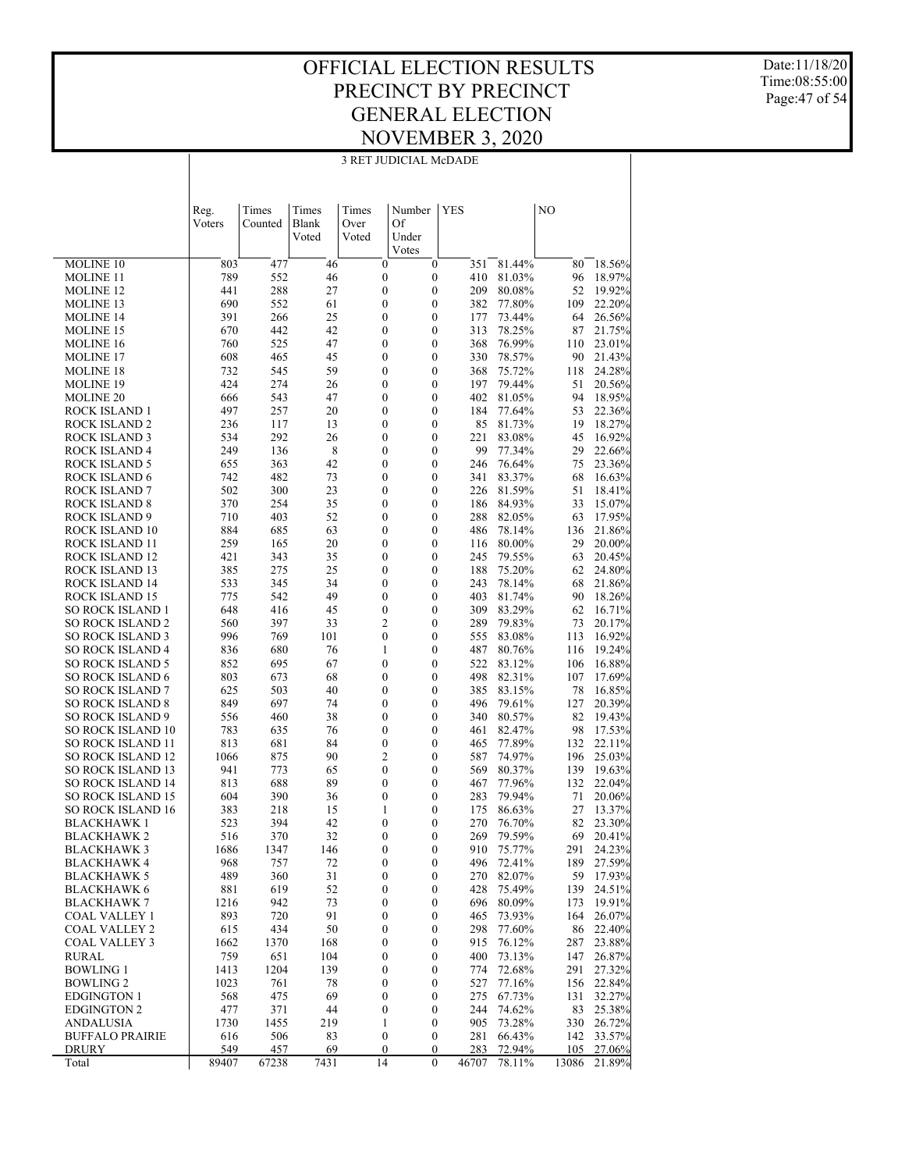#### OFFICIAL ELECTION RESULTS PRECINCT BY PRECINCT GENERAL ELECTION NOVEMBER 3, 2020 3 RET JUDICIAL McDADE

Date:11/18/20 Time:08:55:00 Page:47 of 54

|                                                      | Reg.<br>Voters | Times<br>Counted | Times<br>Blank<br>Voted | Times<br>Over<br>Voted               | Number<br>Of<br>Under                | <b>YES</b> |                  | NO         |                  |
|------------------------------------------------------|----------------|------------------|-------------------------|--------------------------------------|--------------------------------------|------------|------------------|------------|------------------|
|                                                      |                |                  |                         |                                      | Votes                                |            |                  |            |                  |
| MOLINE 10                                            | 803            | 477              | 46                      | $\boldsymbol{0}$                     | $\boldsymbol{0}$                     | 351        | 81.44%           | 80         | 18.56%           |
| <b>MOLINE 11</b>                                     | 789            | 552              | 46                      | $\boldsymbol{0}$                     | $\boldsymbol{0}$                     | 410        | 81.03%           | 96         | 18.97%           |
| <b>MOLINE 12</b>                                     | 441            | 288              | 27                      | $\mathbf{0}$                         | $\overline{0}$                       | 209        | 80.08%           | 52         | 19.92%           |
| MOLINE 13                                            | 690            | 552              | 61                      | $\boldsymbol{0}$                     | $\mathbf{0}$                         | 382        | 77.80%           | 109        | 22.20%           |
| <b>MOLINE 14</b>                                     | 391            | 266              | 25                      | $\mathbf{0}$                         | $\overline{0}$                       | 177        | 73.44%           | 64         | 26.56%           |
| <b>MOLINE 15</b><br><b>MOLINE 16</b>                 | 670<br>760     | 442<br>525       | 42<br>47                | $\boldsymbol{0}$<br>$\mathbf{0}$     | $\overline{0}$<br>$\overline{0}$     | 313<br>368 | 78.25%<br>76.99% | 87         | 21.75%<br>23.01% |
| MOLINE 17                                            | 608            | 465              | 45                      | $\boldsymbol{0}$                     | $\mathbf{0}$                         | 330        | 78.57%           | 110<br>90  | 21.43%           |
| <b>MOLINE 18</b>                                     | 732            | 545              | 59                      | $\mathbf{0}$                         | $\overline{0}$                       | 368        | 75.72%           | 118        | 24.28%           |
| <b>MOLINE 19</b>                                     | 424            | 274              | 26                      | $\boldsymbol{0}$                     | $\mathbf{0}$                         | 197        | 79.44%           | 51         | 20.56%           |
| <b>MOLINE 20</b>                                     | 666            | 543              | 47                      | $\mathbf{0}$                         | $\overline{0}$                       | 402        | 81.05%           | 94         | 18.95%           |
| ROCK ISLAND 1                                        | 497            | 257              | 20                      | $\boldsymbol{0}$                     | $\mathbf{0}$                         | 184        | 77.64%           | 53         | 22.36%           |
| <b>ROCK ISLAND 2</b>                                 | 236            | 117              | 13                      | $\mathbf{0}$                         | $\overline{0}$                       | 85         | 81.73%           | 19         | 18.27%           |
| <b>ROCK ISLAND 3</b>                                 | 534            | 292              | 26                      | $\boldsymbol{0}$                     | $\overline{0}$                       | 221        | 83.08%           | 45         | 16.92%           |
| <b>ROCK ISLAND 4</b>                                 | 249            | 136              | 8                       | $\mathbf{0}$                         | $\overline{0}$                       | 99         | 77.34%           | 29         | 22.66%           |
| <b>ROCK ISLAND 5</b><br><b>ROCK ISLAND 6</b>         | 655<br>742     | 363<br>482       | 42<br>73                | $\boldsymbol{0}$<br>$\mathbf{0}$     | $\mathbf{0}$<br>$\overline{0}$       | 246<br>341 | 76.64%<br>83.37% | 75<br>68   | 23.36%<br>16.63% |
| <b>ROCK ISLAND 7</b>                                 | 502            | 300              | 23                      | $\boldsymbol{0}$                     | $\mathbf{0}$                         | 226        | 81.59%           | 51         | 18.41%           |
| <b>ROCK ISLAND 8</b>                                 | 370            | 254              | 35                      | $\mathbf{0}$                         | $\overline{0}$                       | 186        | 84.93%           | 33         | 15.07%           |
| <b>ROCK ISLAND 9</b>                                 | 710            | 403              | 52                      | $\boldsymbol{0}$                     | $\mathbf{0}$                         | 288        | 82.05%           | 63         | 17.95%           |
| ROCK ISLAND 10                                       | 884            | 685              | 63                      | $\mathbf{0}$                         | $\overline{0}$                       | 486        | 78.14%           | 136        | 21.86%           |
| ROCK ISLAND 11                                       | 259            | 165              | 20                      | $\boldsymbol{0}$                     | $\mathbf{0}$                         | 116        | 80.00%           | 29         | 20.00%           |
| ROCK ISLAND 12                                       | 421            | 343              | 35                      | $\mathbf{0}$                         | $\overline{0}$                       | 245        | 79.55%           | 63         | 20.45%           |
| ROCK ISLAND 13                                       | 385            | 275              | 25                      | $\boldsymbol{0}$                     | $\mathbf{0}$                         | 188        | 75.20%           | 62         | 24.80%           |
| ROCK ISLAND 14                                       | 533            | 345              | 34                      | $\mathbf{0}$                         | $\overline{0}$                       | 243        | 78.14%           | 68         | 21.86%           |
| ROCK ISLAND 15                                       | 775            | 542              | 49<br>45                | $\boldsymbol{0}$<br>$\mathbf{0}$     | $\overline{0}$<br>$\overline{0}$     | 403<br>309 | 81.74%<br>83.29% | 90         | 18.26%           |
| <b>SO ROCK ISLAND 1</b><br><b>SO ROCK ISLAND 2</b>   | 648<br>560     | 416<br>397       | 33                      | $\mathfrak{2}$                       | $\mathbf{0}$                         | 289        | 79.83%           | 62<br>73   | 16.71%<br>20.17% |
| <b>SO ROCK ISLAND 3</b>                              | 996            | 769              | 101                     | $\mathbf{0}$                         | $\overline{0}$                       | 555        | 83.08%           | 113        | 16.92%           |
| <b>SO ROCK ISLAND 4</b>                              | 836            | 680              | 76                      | $\mathbf{1}$                         | $\mathbf{0}$                         | 487        | 80.76%           | 116        | 19.24%           |
| <b>SO ROCK ISLAND 5</b>                              | 852            | 695              | 67                      | $\mathbf{0}$                         | $\overline{0}$                       | 522        | 83.12%           | 106        | 16.88%           |
| <b>SO ROCK ISLAND 6</b>                              | 803            | 673              | 68                      | $\boldsymbol{0}$                     | $\mathbf{0}$                         | 498        | 82.31%           | 107        | 17.69%           |
| <b>SO ROCK ISLAND 7</b>                              | 625            | 503              | 40                      | $\mathbf{0}$                         | $\overline{0}$                       | 385        | 83.15%           | 78         | 16.85%           |
| <b>SO ROCK ISLAND 8</b>                              | 849            | 697              | 74                      | $\boldsymbol{0}$                     | $\overline{0}$                       | 496        | 79.61%           | 127        | 20.39%           |
| <b>SO ROCK ISLAND 9</b>                              | 556<br>783     | 460              | 38<br>76                | $\mathbf{0}$<br>$\boldsymbol{0}$     | $\overline{0}$<br>$\mathbf{0}$       | 340        | 80.57%           | 82         | 19.43%           |
| <b>SO ROCK ISLAND 10</b><br><b>SO ROCK ISLAND 11</b> | 813            | 635<br>681       | 84                      | $\mathbf{0}$                         | $\overline{0}$                       | 461<br>465 | 82.47%<br>77.89% | 98<br>132  | 17.53%<br>22.11% |
| <b>SO ROCK ISLAND 12</b>                             | 1066           | 875              | 90                      | $\mathfrak{2}$                       | $\mathbf{0}$                         | 587        | 74.97%           | 196        | 25.03%           |
| <b>SO ROCK ISLAND 13</b>                             | 941            | 773              | 65                      | $\mathbf{0}$                         | 0                                    | 569        | 80.37%           | 139        | 19.63%           |
| <b>SO ROCK ISLAND 14</b>                             | 813            | 688              | 89                      | $\boldsymbol{0}$                     | $\mathbf{0}$                         | 467        | 77.96%           | 132        | 22.04%           |
| <b>SO ROCK ISLAND 15</b>                             | 604            | 390              | 36                      | $\mathbf{0}$                         | 0                                    | 283        | 79.94%           | 71         | 20.06%           |
| <b>SO ROCK ISLAND 16</b>                             | 383            | 218              | 15                      | 1                                    | $\mathbf{0}$                         | 175        | 86.63%           | 27         | 13.37%           |
| <b>BLACKHAWK1</b>                                    | 523            | 394              | 42                      | $\mathbf{0}$                         | 0                                    | 270        | 76.70%           | 82         | 23.30%           |
| <b>BLACKHAWK 2</b><br><b>BLACKHAWK3</b>              | 516            | 370              | 32                      | $\mathbf{0}$                         | $\theta$                             | 269        | 79.59%           | 69         | 20.41%           |
| <b>BLACKHAWK 4</b>                                   | 1686<br>968    | 1347<br>757      | 146<br>72               | $\boldsymbol{0}$<br>$\boldsymbol{0}$ | $\boldsymbol{0}$<br>$\boldsymbol{0}$ | 910<br>496 | 75.77%<br>72.41% | 291<br>189 | 24.23%<br>27.59% |
| <b>BLACKHAWK 5</b>                                   | 489            | 360              | 31                      | $\boldsymbol{0}$                     | $\boldsymbol{0}$                     | 270        | 82.07%           | 59         | 17.93%           |
| <b>BLACKHAWK 6</b>                                   | 881            | 619              | 52                      | $\boldsymbol{0}$                     | $\boldsymbol{0}$                     | 428        | 75.49%           | 139        | 24.51%           |
| <b>BLACKHAWK 7</b>                                   | 1216           | 942              | 73                      | $\boldsymbol{0}$                     | $\boldsymbol{0}$                     | 696        | 80.09%           | 173        | 19.91%           |
| COAL VALLEY 1                                        | 893            | 720              | 91                      | $\boldsymbol{0}$                     | $\boldsymbol{0}$                     | 465        | 73.93%           | 164        | 26.07%           |
| <b>COAL VALLEY 2</b>                                 | 615            | 434              | 50                      | $\boldsymbol{0}$                     | $\boldsymbol{0}$                     | 298        | 77.60%           | 86         | 22.40%           |
| <b>COAL VALLEY 3</b>                                 | 1662           | 1370             | 168                     | $\boldsymbol{0}$                     | $\boldsymbol{0}$                     | 915        | 76.12%           | 287        | 23.88%           |
| <b>RURAL</b>                                         | 759            | 651              | 104                     | $\boldsymbol{0}$                     | $\boldsymbol{0}$                     | 400        | 73.13%           | 147        | 26.87%           |
| <b>BOWLING 1</b>                                     | 1413           | 1204             | 139                     | $\boldsymbol{0}$                     | $\boldsymbol{0}$                     | 774        | 72.68%           | 291        | 27.32%           |
| <b>BOWLING 2</b><br><b>EDGINGTON 1</b>               | 1023<br>568    | 761<br>475       | 78<br>69                | $\boldsymbol{0}$<br>$\boldsymbol{0}$ | $\boldsymbol{0}$<br>$\boldsymbol{0}$ | 527<br>275 | 77.16%<br>67.73% | 156<br>131 | 22.84%<br>32.27% |
| <b>EDGINGTON 2</b>                                   | 477            | 371              | 44                      | $\mathbf{0}$                         | $\boldsymbol{0}$                     | 244        | 74.62%           | 83         | 25.38%           |
| <b>ANDALUSIA</b>                                     | 1730           | 1455             | 219                     | $\mathbf{1}$                         | $\boldsymbol{0}$                     | 905        | 73.28%           | 330        | 26.72%           |
| <b>BUFFALO PRAIRIE</b>                               | 616            | 506              | 83                      | $\mathbf{0}$                         | $\mathbf{0}$                         | 281        | 66.43%           | 142        | 33.57%           |
| DRURY                                                | 549            | 457              | 69                      | $\boldsymbol{0}$                     | $\boldsymbol{0}$                     | 283        | 72.94%           | 105        | 27.06%           |
| Total                                                | 89407          | 67238            | 7431                    | 14                                   | $\theta$                             | 46707      | 78.11%           | 13086      | 21.89%           |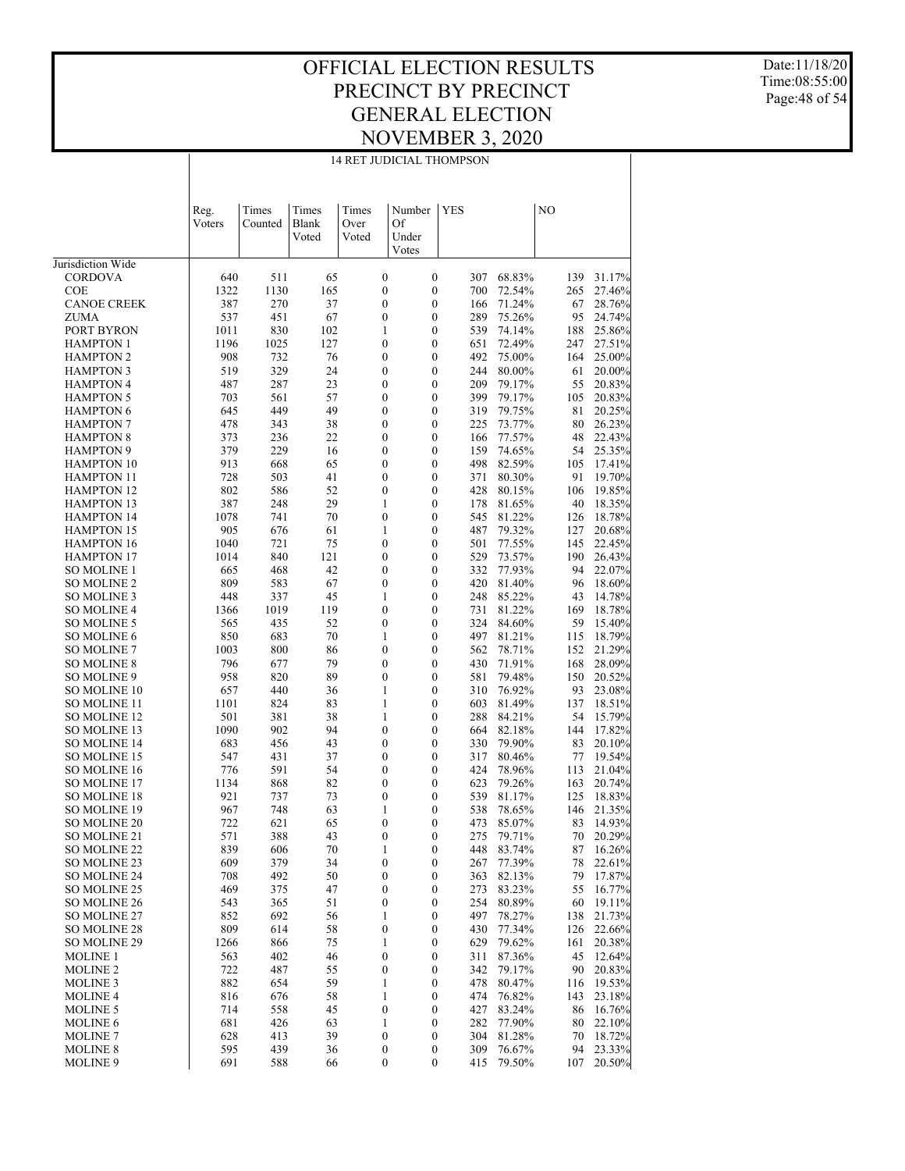Date:11/18/20 Time:08:55:00 Page:48 of 54

|                                      | 14 RET JUDICIAL THOMPSON |                  |                         |                        |                                      |                                                    |                  |            |                  |  |  |
|--------------------------------------|--------------------------|------------------|-------------------------|------------------------|--------------------------------------|----------------------------------------------------|------------------|------------|------------------|--|--|
|                                      | Reg.<br>Voters           | Times<br>Counted | Times<br>Blank<br>Voted | Times<br>Over<br>Voted | Number<br>Of<br>Under<br>Votes       | <b>YES</b>                                         |                  | NO         |                  |  |  |
| Jurisdiction Wide                    |                          |                  |                         |                        |                                      |                                                    |                  |            |                  |  |  |
| CORDOVA                              | 640                      | 511              | 65                      |                        | $\boldsymbol{0}$                     | $\boldsymbol{0}$<br>307                            | 68.83%           | 139        | 31.17%           |  |  |
| COE                                  | 1322                     | 1130             | 165                     |                        | $\boldsymbol{0}$                     | $\boldsymbol{0}$<br>700                            | 72.54%           | 265        | 27.46%           |  |  |
| <b>CANOE CREEK</b>                   | 387                      | 270              | 37                      |                        | $\boldsymbol{0}$                     | $\boldsymbol{0}$<br>166                            | 71.24%           | 67         | 28.76%           |  |  |
| ZUMA                                 | 537                      | 451              | 67                      |                        | $\boldsymbol{0}$                     | 0<br>289                                           | 75.26%           | 95         | 24.74%           |  |  |
| PORT BYRON                           | 1011                     | 830              | 102                     | 1                      |                                      | $\boldsymbol{0}$<br>539                            | 74.14%           | 188        | 25.86%           |  |  |
| <b>HAMPTON 1</b><br><b>HAMPTON 2</b> | 1196<br>908              | 1025<br>732      | 127<br>76               |                        | $\boldsymbol{0}$<br>$\boldsymbol{0}$ | $\boldsymbol{0}$<br>651<br>$\boldsymbol{0}$        | 72.49%<br>75.00% | 247        | 27.51%           |  |  |
| <b>HAMPTON 3</b>                     | 519                      | 329              | 24                      |                        | $\boldsymbol{0}$                     | 492<br>0<br>244                                    | 80.00%           | 164<br>61  | 25.00%<br>20.00% |  |  |
| <b>HAMPTON 4</b>                     | 487                      | 287              | 23                      |                        | $\boldsymbol{0}$                     | $\boldsymbol{0}$<br>209                            | 79.17%           | 55         | 20.83%           |  |  |
| <b>HAMPTON 5</b>                     | 703                      | 561              | 57                      |                        | $\boldsymbol{0}$                     | $\boldsymbol{0}$<br>399                            | 79.17%           | 105        | 20.83%           |  |  |
| <b>HAMPTON 6</b>                     | 645                      | 449              | 49                      |                        | $\boldsymbol{0}$                     | $\boldsymbol{0}$<br>319                            | 79.75%           | 81         | 20.25%           |  |  |
| <b>HAMPTON 7</b>                     | 478                      | 343              | 38                      |                        | $\boldsymbol{0}$                     | $\boldsymbol{0}$<br>225                            | 73.77%           | 80         | 26.23%           |  |  |
| <b>HAMPTON 8</b>                     | 373                      | 236              | 22                      |                        | 0                                    | $\boldsymbol{0}$<br>166                            | 77.57%           | 48         | 22.43%           |  |  |
| <b>HAMPTON 9</b>                     | 379                      | 229              | 16                      |                        | $\boldsymbol{0}$                     | $\boldsymbol{0}$<br>159                            | 74.65%           | 54         | 25.35%           |  |  |
| <b>HAMPTON 10</b>                    | 913                      | 668              | 65                      |                        | 0                                    | $\boldsymbol{0}$<br>498                            | 82.59%           | 105        | 17.41%           |  |  |
| <b>HAMPTON 11</b>                    | 728                      | 503              | 41                      |                        | $\boldsymbol{0}$                     | $\boldsymbol{0}$<br>371                            | 80.30%           | 91         | 19.70%           |  |  |
| <b>HAMPTON 12</b>                    | 802                      | 586              | 52                      |                        | $\boldsymbol{0}$                     | $\boldsymbol{0}$<br>428                            | 80.15%           | 106        | 19.85%           |  |  |
| <b>HAMPTON 13</b>                    | 387                      | 248              | 29                      | 1                      |                                      | $\boldsymbol{0}$<br>178                            | 81.65%           | 40         | 18.35%           |  |  |
| <b>HAMPTON 14</b>                    | 1078                     | 741              | 70                      |                        | $\boldsymbol{0}$                     | $\boldsymbol{0}$<br>545                            | 81.22%           | 126        | 18.78%           |  |  |
| <b>HAMPTON 15</b>                    | 905                      | 676              | 61                      | 1                      |                                      | 0<br>487                                           | 79.32%           | 127        | 20.68%           |  |  |
| <b>HAMPTON 16</b>                    | 1040                     | 721              | 75                      |                        | $\boldsymbol{0}$                     | $\boldsymbol{0}$<br>501                            | 77.55%           | 145        | 22.45%           |  |  |
| <b>HAMPTON 17</b>                    | 1014                     | 840              | 121                     |                        | $\boldsymbol{0}$                     | $\boldsymbol{0}$<br>529                            | 73.57%           | 190        | 26.43%           |  |  |
| <b>SO MOLINE 1</b>                   | 665                      | 468              | 42                      |                        | $\boldsymbol{0}$                     | $\boldsymbol{0}$<br>332                            | 77.93%           | 94         | 22.07%           |  |  |
| SO MOLINE 2                          | 809                      | 583              | 67                      |                        | $\boldsymbol{0}$                     | 0<br>420                                           | 81.40%           | 96         | 18.60%           |  |  |
| SO MOLINE 3                          | 448                      | 337              | 45                      | 1                      |                                      | $\boldsymbol{0}$<br>248                            | 85.22%           | 43         | 14.78%           |  |  |
| <b>SO MOLINE 4</b>                   | 1366                     | 1019             | 119                     |                        | $\boldsymbol{0}$                     | $\boldsymbol{0}$<br>731                            | 81.22%           | 169        | 18.78%           |  |  |
| <b>SO MOLINE 5</b>                   | 565                      | 435              | 52                      |                        | $\boldsymbol{0}$                     | $\boldsymbol{0}$<br>324                            | 84.60%           | 59         | 15.40%           |  |  |
| <b>SO MOLINE 6</b>                   | 850                      | 683              | 70                      | 1                      |                                      | 0<br>497                                           | 81.21%           | 115        | 18.79%           |  |  |
| <b>SO MOLINE 7</b>                   | 1003                     | 800              | 86                      |                        | 0                                    | $\boldsymbol{0}$<br>562                            | 78.71%           | 152        | 21.29%           |  |  |
| <b>SO MOLINE 8</b><br>SO MOLINE 9    | 796<br>958               | 677<br>820       | 79<br>89                |                        | $\boldsymbol{0}$<br>$\boldsymbol{0}$ | $\boldsymbol{0}$<br>430<br>$\boldsymbol{0}$<br>581 | 71.91%<br>79.48% | 168<br>150 | 28.09%           |  |  |
| <b>SO MOLINE 10</b>                  | 657                      | 440              | 36                      | 1                      |                                      | 0<br>310                                           | 76.92%           | 93         | 20.52%<br>23.08% |  |  |
| SO MOLINE 11                         | 1101                     | 824              | 83                      | 1                      |                                      | $\boldsymbol{0}$<br>603                            | 81.49%           | 137        | 18.51%           |  |  |
| <b>SO MOLINE 12</b>                  | 501                      | 381              | 38                      | 1                      |                                      | $\boldsymbol{0}$<br>288                            | 84.21%           | 54         | 15.79%           |  |  |
| SO MOLINE 13                         | 1090                     | 902              | 94                      |                        | $\boldsymbol{0}$                     | $\boldsymbol{0}$<br>664                            | 82.18%           | 144        | 17.82%           |  |  |
| <b>SO MOLINE 14</b>                  | 683                      | 456              | 43                      |                        | $\boldsymbol{0}$                     | 0<br>330                                           | 79.90%           | 83         | 20.10%           |  |  |
| SO MOLINE 15                         | 547                      | 431              | 37                      |                        | 0                                    | $\boldsymbol{0}$<br>317                            | 80.46%           | 77         | 19.54%           |  |  |
| <b>SO MOLINE 16</b>                  | 776                      | 591              | 54                      |                        | 0                                    | 0<br>424                                           | 78.96%           | 113        | 21.04%           |  |  |
| <b>SO MOLINE 17</b>                  | 1134                     | 868              | 82                      |                        | 0                                    | $\boldsymbol{0}$<br>623                            | 79.26%           | 163        | 20.74%           |  |  |
| <b>SO MOLINE 18</b>                  | 921                      | 737              | 73                      |                        | $\mathbf{0}$<br>0                    | 539                                                | 81.17%           | 125        | 18.83%           |  |  |
| SO MOLINE 19                         | 967                      | 748              | 63                      | 1                      |                                      | $\overline{0}$<br>538                              | 78.65%           | 146        | 21.35%           |  |  |
| SO MOLINE 20                         | 722                      | 621              | 65                      |                        | $\boldsymbol{0}$                     | 0<br>473                                           | 85.07%           | 83         | 14.93%           |  |  |
| SO MOLINE 21                         | 571                      | 388              | 43                      |                        | $\boldsymbol{0}$                     | 0<br>275                                           | 79.71%           | 70         | 20.29%           |  |  |
| SO MOLINE 22                         | 839                      | 606              | 70                      | 1                      | 0                                    | 448                                                | 83.74%           | 87         | 16.26%           |  |  |
| SO MOLINE 23                         | 609                      | 379              | 34                      |                        | 0                                    | 0<br>267                                           | 77.39%           | 78         | 22.61%           |  |  |
| SO MOLINE 24                         | 708                      | 492              | 50                      |                        | $\boldsymbol{0}$                     | 0<br>363                                           | 82.13%           | 79         | 17.87%           |  |  |
| SO MOLINE 25                         | 469                      | 375              | 47                      |                        | 0                                    | 0<br>273                                           | 83.23%           | 55         | 16.77%           |  |  |
| SO MOLINE 26                         | 543                      | 365              | 51                      |                        | $\boldsymbol{0}$                     | 0<br>254                                           | 80.89%           | 60         | 19.11%           |  |  |
| SO MOLINE 27                         | 852                      | 692              | 56                      | 1                      |                                      | $\boldsymbol{0}$<br>497                            | 78.27%           | 138        | 21.73%           |  |  |
| SO MOLINE 28                         | 809                      | 614              | 58                      |                        | $\boldsymbol{0}$                     | 0<br>430                                           | 77.34%           | 126        | 22.66%           |  |  |
| <b>SO MOLINE 29</b>                  | 1266                     | 866              | 75                      | 1                      |                                      | 0<br>629                                           | 79.62%           | 161        | 20.38%           |  |  |
| MOLINE 1                             | 563                      | 402              | 46                      |                        | $\boldsymbol{0}$                     | 0<br>311                                           | 87.36%           | 45         | 12.64%           |  |  |
| <b>MOLINE 2</b><br><b>MOLINE 3</b>   | 722<br>882               | 487<br>654       | 55<br>59                | 1                      | $\boldsymbol{0}$                     | $\boldsymbol{0}$<br>342<br>0<br>478                | 79.17%<br>80.47% | 90<br>116  | 20.83%<br>19.53% |  |  |
| <b>MOLINE 4</b>                      | 816                      | 676              | 58                      | 1                      |                                      | 0<br>474                                           | 76.82%           | 143        | 23.18%           |  |  |
| <b>MOLINE 5</b>                      | 714                      | 558              | 45                      |                        | $\boldsymbol{0}$                     | 0<br>427                                           | 83.24%           | 86         | 16.76%           |  |  |
| <b>MOLINE 6</b>                      | 681                      | 426              | 63                      | 1                      |                                      | $\boldsymbol{0}$<br>282                            | 77.90%           | 80         | 22.10%           |  |  |
| <b>MOLINE 7</b>                      | 628                      | 413              | 39                      |                        | $\boldsymbol{0}$                     | 0<br>304                                           | 81.28%           | 70         | 18.72%           |  |  |
| <b>MOLINE 8</b>                      | 595                      | 439              | 36                      |                        | $\boldsymbol{0}$                     | $\boldsymbol{0}$<br>309                            | 76.67%           | 94         | 23.33%           |  |  |
| <b>MOLINE 9</b>                      | 691                      | 588              | 66                      |                        | $\boldsymbol{0}$                     | 0<br>415                                           | 79.50%           | 107        | 20.50%           |  |  |

#### 14 RET JUDICIAL THOMPSON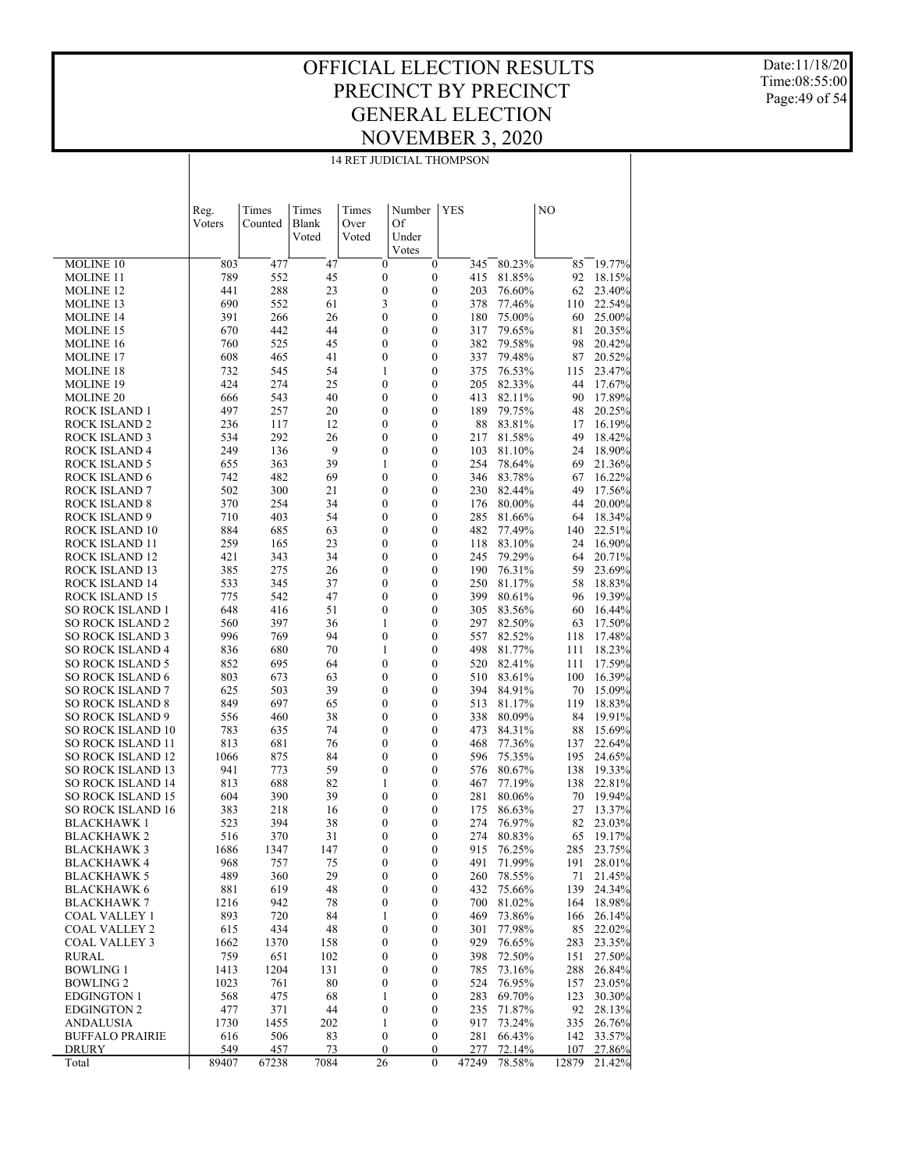#### OFFICIAL ELECTION RESULTS PRECINCT BY PRECINCT GENERAL ELECTION NOVEMBER 3, 2020 14 RET JUDICIAL THOMPSON

Date:11/18/20 Time:08:55:00 Page:49 of 54

|                                                      | Reg.        | Times      | Times    | Times | Number                               | YES                                  |            |                  | NO         |                  |
|------------------------------------------------------|-------------|------------|----------|-------|--------------------------------------|--------------------------------------|------------|------------------|------------|------------------|
|                                                      | Voters      | Counted    | Blank    | Over  | Of                                   |                                      |            |                  |            |                  |
|                                                      |             |            | Voted    | Voted | Under                                |                                      |            |                  |            |                  |
|                                                      |             |            |          |       | Votes                                |                                      |            |                  |            |                  |
| MOLINE <sub>10</sub>                                 | 803         | 477        | 47       |       | $\boldsymbol{0}$                     | $\mathbf{0}$                         | 345        | 80.23%           | 85         | 19.77%           |
| <b>MOLINE 11</b><br><b>MOLINE 12</b>                 | 789<br>441  | 552<br>288 | 45<br>23 |       | $\boldsymbol{0}$<br>$\boldsymbol{0}$ | $\boldsymbol{0}$<br>$\boldsymbol{0}$ | 415<br>203 | 81.85%<br>76.60% | 92<br>62   | 18.15%<br>23.40% |
| MOLINE 13                                            | 690         | 552        | 61       |       | 3                                    | $\boldsymbol{0}$                     | 378        | 77.46%           | 110        | 22.54%           |
| <b>MOLINE 14</b>                                     | 391         | 266        | 26       |       | $\boldsymbol{0}$                     | $\boldsymbol{0}$                     | 180        | 75.00%           | 60         | 25.00%           |
| MOLINE 15                                            | 670         | 442        | 44       |       | $\boldsymbol{0}$                     | $\boldsymbol{0}$                     | 317        | 79.65%           | 81         | 20.35%           |
| MOLINE 16                                            | 760         | 525        | 45       |       | $\boldsymbol{0}$                     | $\boldsymbol{0}$                     | 382        | 79.58%           | 98         | 20.42%           |
| <b>MOLINE 17</b>                                     | 608         | 465        | 41       |       | $\boldsymbol{0}$                     | $\boldsymbol{0}$                     | 337        | 79.48%           | 87         | 20.52%           |
| MOLINE 18                                            | 732         | 545        | 54       |       | 1                                    | $\boldsymbol{0}$                     | 375        | 76.53%           | 115        | 23.47%           |
| <b>MOLINE 19</b>                                     | 424         | 274        | 25<br>40 |       | $\boldsymbol{0}$<br>$\boldsymbol{0}$ | $\boldsymbol{0}$                     | 205        | 82.33%           | 44<br>90   | 17.67%           |
| MOLINE 20<br>ROCK ISLAND 1                           | 666<br>497  | 543<br>257 | 20       |       | $\boldsymbol{0}$                     | $\boldsymbol{0}$<br>$\boldsymbol{0}$ | 413<br>189 | 82.11%<br>79.75% | 48         | 17.89%<br>20.25% |
| ROCK ISLAND 2                                        | 236         | 117        | 12       |       | $\boldsymbol{0}$                     | $\boldsymbol{0}$                     | 88         | 83.81%           | 17         | 16.19%           |
| ROCK ISLAND 3                                        | 534         | 292        | 26       |       | $\boldsymbol{0}$                     | $\boldsymbol{0}$                     | 217        | 81.58%           | 49         | 18.42%           |
| ROCK ISLAND 4                                        | 249         | 136        | 9        |       | $\boldsymbol{0}$                     | $\boldsymbol{0}$                     | 103        | 81.10%           | 24         | 18.90%           |
| ROCK ISLAND 5                                        | 655         | 363        | 39       |       | 1                                    | $\boldsymbol{0}$                     | 254        | 78.64%           | 69         | 21.36%           |
| ROCK ISLAND 6                                        | 742         | 482        | 69       |       | $\boldsymbol{0}$                     | $\boldsymbol{0}$                     | 346        | 83.78%           | 67         | 16.22%           |
| <b>ROCK ISLAND 7</b>                                 | 502         | 300        | 21       |       | $\boldsymbol{0}$                     | $\boldsymbol{0}$                     | 230        | 82.44%           | 49         | 17.56%           |
| <b>ROCK ISLAND 8</b>                                 | 370         | 254        | 34       |       | $\boldsymbol{0}$                     | $\boldsymbol{0}$                     | 176        | 80.00%           | 44         | 20.00%           |
| ROCK ISLAND 9<br>ROCK ISLAND 10                      | 710<br>884  | 403<br>685 | 54<br>63 |       | $\boldsymbol{0}$<br>$\boldsymbol{0}$ | $\boldsymbol{0}$<br>$\boldsymbol{0}$ | 285<br>482 | 81.66%<br>77.49% | 64<br>140  | 18.34%<br>22.51% |
| ROCK ISLAND 11                                       | 259         | 165        | 23       |       | $\boldsymbol{0}$                     | $\boldsymbol{0}$                     | 118        | 83.10%           | 24         | 16.90%           |
| ROCK ISLAND 12                                       | 421         | 343        | 34       |       | $\boldsymbol{0}$                     | $\boldsymbol{0}$                     | 245        | 79.29%           | 64         | 20.71%           |
| ROCK ISLAND 13                                       | 385         | 275        | 26       |       | $\boldsymbol{0}$                     | $\boldsymbol{0}$                     | 190        | 76.31%           | 59         | 23.69%           |
| ROCK ISLAND 14                                       | 533         | 345        | 37       |       | $\boldsymbol{0}$                     | $\boldsymbol{0}$                     | 250        | 81.17%           | 58         | 18.83%           |
| ROCK ISLAND 15                                       | 775         | 542        | 47       |       | $\boldsymbol{0}$                     | $\boldsymbol{0}$                     | 399        | 80.61%           | 96         | 19.39%           |
| <b>SO ROCK ISLAND 1</b>                              | 648         | 416        | 51       |       | $\boldsymbol{0}$                     | $\boldsymbol{0}$                     | 305        | 83.56%           | 60         | 16.44%           |
| <b>SO ROCK ISLAND 2</b>                              | 560         | 397        | 36<br>94 |       | 1                                    | $\boldsymbol{0}$                     | 297        | 82.50%           | 63         | 17.50%           |
| <b>SO ROCK ISLAND 3</b><br><b>SO ROCK ISLAND 4</b>   | 996<br>836  | 769<br>680 | 70       |       | $\boldsymbol{0}$<br>1                | $\boldsymbol{0}$<br>$\boldsymbol{0}$ | 557<br>498 | 82.52%<br>81.77% | 118<br>111 | 17.48%<br>18.23% |
| <b>SO ROCK ISLAND 5</b>                              | 852         | 695        | 64       |       | $\boldsymbol{0}$                     | $\boldsymbol{0}$                     | 520        | 82.41%           | 111        | 17.59%           |
| <b>SO ROCK ISLAND 6</b>                              | 803         | 673        | 63       |       | $\boldsymbol{0}$                     | $\boldsymbol{0}$                     | 510        | 83.61%           | 100        | 16.39%           |
| <b>SO ROCK ISLAND 7</b>                              | 625         | 503        | 39       |       | $\boldsymbol{0}$                     | $\boldsymbol{0}$                     | 394        | 84.91%           | 70         | 15.09%           |
| <b>SO ROCK ISLAND 8</b>                              | 849         | 697        | 65       |       | $\boldsymbol{0}$                     | $\boldsymbol{0}$                     | 513        | 81.17%           | 119        | 18.83%           |
| <b>SO ROCK ISLAND 9</b>                              | 556         | 460        | 38       |       | $\boldsymbol{0}$                     | $\boldsymbol{0}$                     | 338        | 80.09%           | 84         | 19.91%           |
| <b>SO ROCK ISLAND 10</b>                             | 783         | 635        | 74       |       | $\boldsymbol{0}$                     | $\boldsymbol{0}$                     | 473        | 84.31%           | 88         | 15.69%           |
| <b>SO ROCK ISLAND 11</b><br><b>SO ROCK ISLAND 12</b> | 813<br>1066 | 681<br>875 | 76<br>84 |       | $\boldsymbol{0}$<br>$\boldsymbol{0}$ | $\boldsymbol{0}$<br>$\boldsymbol{0}$ | 468<br>596 | 77.36%           | 137<br>195 | 22.64%<br>24.65% |
| <b>SO ROCK ISLAND 13</b>                             | 941         | 773        | 59       |       | $\boldsymbol{0}$                     | $\boldsymbol{0}$                     | 576        | 75.35%<br>80.67% | 138        | 19.33%           |
| <b>SO ROCK ISLAND 14</b>                             | 813         | 688        | 82       |       | 1                                    | $\boldsymbol{0}$                     | 467        | 77.19%           | 138        | 22.81%           |
| <b>SO ROCK ISLAND 15</b>                             | 604         | 390        | 39       |       | $\boldsymbol{0}$                     | $\boldsymbol{0}$                     | 281        | 80.06%           | 70         | 19.94%           |
| <b>SO ROCK ISLAND 16</b>                             | 383         | 218        | 16       |       | $\boldsymbol{0}$                     | $\boldsymbol{0}$                     | 175        | 86.63%           | 27         | 13.37%           |
| <b>BLACKHAWK1</b>                                    | 523         | 394        | 38       |       | $\boldsymbol{0}$                     | 0                                    | 274        | 76.97%           | 82         | 23.03%           |
| <b>BLACKHAWK 2</b>                                   | 516         | 370        | 31       |       | $\mathbf{0}$                         | $\mathbf{0}$                         | 274        | 80.83%           | 65         | 19.17%           |
| <b>BLACKHAWK3</b>                                    | 1686        | 1347       | 147      |       | $\boldsymbol{0}$                     | $\boldsymbol{0}$                     | 915        | 76.25%           |            | 285 23.75%       |
| <b>BLACKHAWK 4</b>                                   | 968         | 757        | 75<br>29 |       | $\boldsymbol{0}$                     | $\boldsymbol{0}$                     | 491        | 71.99%           | 191        | 28.01%           |
| <b>BLACKHAWK 5</b><br><b>BLACKHAWK 6</b>             | 489<br>881  | 360<br>619 | 48       |       | $\boldsymbol{0}$<br>$\boldsymbol{0}$ | $\boldsymbol{0}$<br>$\boldsymbol{0}$ | 260<br>432 | 78.55%<br>75.66% | 71<br>139  | 21.45%<br>24.34% |
| <b>BLACKHAWK 7</b>                                   | 1216        | 942        | 78       |       | $\boldsymbol{0}$                     | $\boldsymbol{0}$                     | 700        | 81.02%           | 164        | 18.98%           |
| <b>COAL VALLEY 1</b>                                 | 893         | 720        | 84       |       | 1                                    | $\boldsymbol{0}$                     | 469        | 73.86%           | 166        | 26.14%           |
| <b>COAL VALLEY 2</b>                                 | 615         | 434        | 48       |       | $\boldsymbol{0}$                     | $\boldsymbol{0}$                     | 301        | 77.98%           | 85         | 22.02%           |
| <b>COAL VALLEY 3</b>                                 | 1662        | 1370       | 158      |       | $\boldsymbol{0}$                     | $\boldsymbol{0}$                     | 929        | 76.65%           | 283        | 23.35%           |
| RURAL                                                | 759         | 651        | 102      |       | $\boldsymbol{0}$                     | $\boldsymbol{0}$                     | 398        | 72.50%           | 151        | 27.50%           |
| <b>BOWLING 1</b>                                     | 1413        | 1204       | 131      |       | $\boldsymbol{0}$                     | $\boldsymbol{0}$                     | 785        | 73.16%           | 288        | 26.84%           |
| <b>BOWLING 2</b>                                     | 1023        | 761        | 80       |       | $\boldsymbol{0}$                     | $\boldsymbol{0}$                     | 524        | 76.95%           | 157        | 23.05%           |
| <b>EDGINGTON 1</b><br><b>EDGINGTON 2</b>             | 568<br>477  | 475<br>371 | 68<br>44 |       | 1<br>$\boldsymbol{0}$                | $\boldsymbol{0}$<br>$\boldsymbol{0}$ | 283<br>235 | 69.70%<br>71.87% | 123<br>92  | 30.30%<br>28.13% |
| <b>ANDALUSIA</b>                                     | 1730        | 1455       | 202      |       | 1                                    | $\boldsymbol{0}$                     | 917        | 73.24%           | 335        | 26.76%           |
| <b>BUFFALO PRAIRIE</b>                               | 616         | 506        | 83       |       | $\boldsymbol{0}$                     | $\boldsymbol{0}$                     | 281        | 66.43%           | 142        | 33.57%           |
| <b>DRURY</b>                                         | 549         | 457        | 73       |       | $\boldsymbol{0}$                     | $\boldsymbol{0}$                     | 277        | 72.14%           | 107        | 27.86%           |
| Total                                                | 89407       | 67238      | 7084     | 26    |                                      | $\mathbf{0}$                         | 47249      | 78.58%           | 12879      | 21.42%           |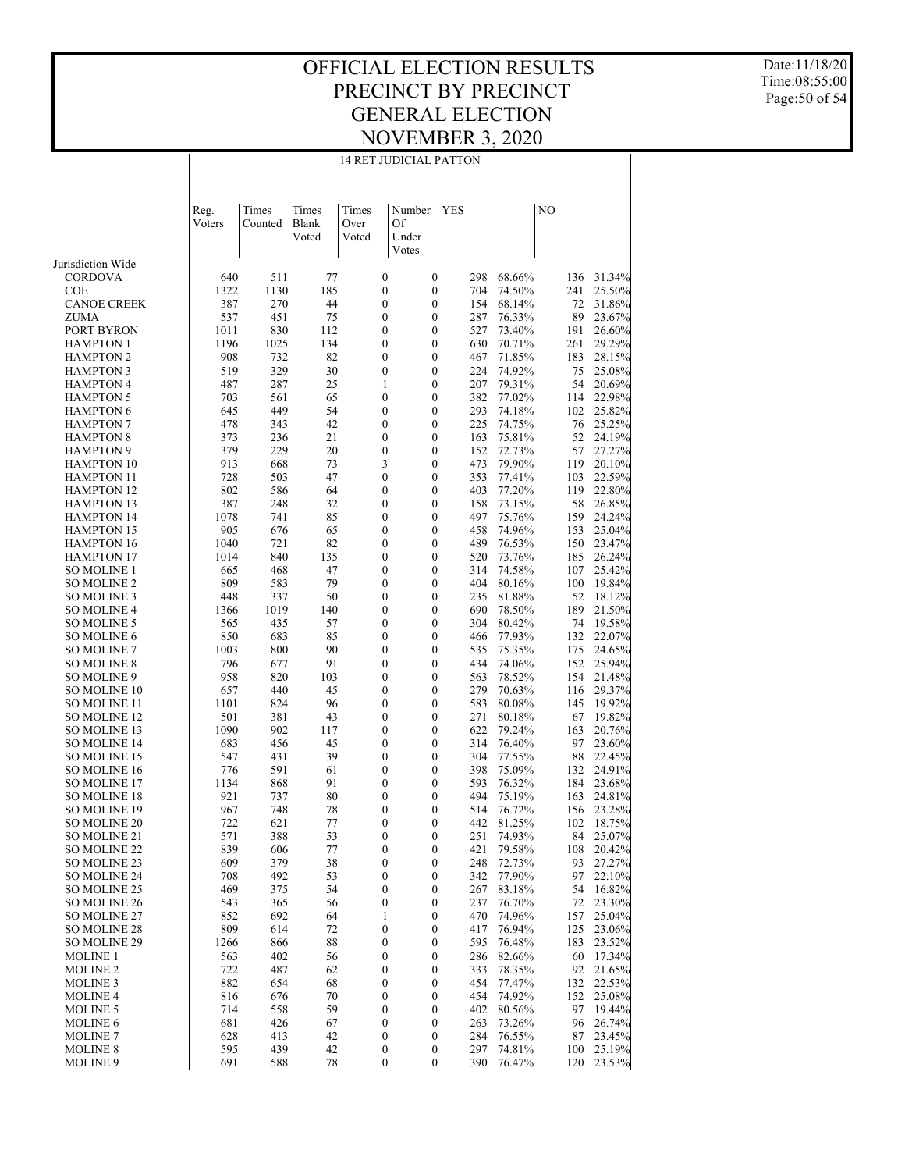14 RET JUDICIAL PATTON

Date:11/18/20 Time:08:55:00 Page:50 of 54

|                                        | <b>14 RET JUDICIAL PATTON</b> |                  |                         |                        |                                      |                                      |            |                  |            |                  |
|----------------------------------------|-------------------------------|------------------|-------------------------|------------------------|--------------------------------------|--------------------------------------|------------|------------------|------------|------------------|
|                                        |                               |                  |                         |                        |                                      |                                      |            |                  |            |                  |
|                                        | Reg.<br>Voters                | Times<br>Counted | Times<br>Blank<br>Voted | Times<br>Over<br>Voted | Number<br>Of<br>Under                | <b>YES</b>                           |            |                  | NO         |                  |
|                                        |                               |                  |                         |                        | Votes                                |                                      |            |                  |            |                  |
| Jurisdiction Wide<br><b>CORDOVA</b>    | 640                           | 511              | 77                      |                        | $\boldsymbol{0}$                     | $\boldsymbol{0}$                     | 298        | 68.66%           | 136        | 31.34%           |
| <b>COE</b>                             | 1322                          | 1130             | 185                     |                        | $\boldsymbol{0}$                     | $\boldsymbol{0}$                     | 704        | 74.50%           | 241        | 25.50%           |
| <b>CANOE CREEK</b>                     | 387                           | 270              | 44                      |                        | $\boldsymbol{0}$                     | $\boldsymbol{0}$                     | 154        | 68.14%           | 72         | 31.86%           |
| <b>ZUMA</b>                            | 537                           | 451              | 75                      |                        | $\boldsymbol{0}$                     | $\boldsymbol{0}$                     | 287        | 76.33%           | 89         | 23.67%           |
| PORT BYRON                             | 1011                          | 830              | 112                     |                        | $\boldsymbol{0}$                     | $\boldsymbol{0}$                     | 527        | 73.40%           | 191        | 26.60%           |
| <b>HAMPTON 1</b>                       | 1196                          | 1025             | 134                     |                        | $\boldsymbol{0}$                     | $\boldsymbol{0}$                     | 630        | 70.71%           | 261        | 29.29%           |
| <b>HAMPTON 2</b>                       | 908                           | 732              | 82                      |                        | $\boldsymbol{0}$                     | $\boldsymbol{0}$                     | 467        | 71.85%           | 183        | 28.15%           |
| <b>HAMPTON 3</b>                       | 519                           | 329              | 30                      |                        | $\boldsymbol{0}$                     | $\boldsymbol{0}$                     | 224        | 74.92%           | 75         | 25.08%           |
| <b>HAMPTON 4</b>                       | 487                           | 287              | 25<br>65                |                        | 1<br>$\boldsymbol{0}$                | $\boldsymbol{0}$                     | 207<br>382 | 79.31%<br>77.02% | 54         | 20.69%<br>22.98% |
| <b>HAMPTON 5</b><br><b>HAMPTON 6</b>   | 703<br>645                    | 561<br>449       | 54                      |                        | $\boldsymbol{0}$                     | $\boldsymbol{0}$<br>$\boldsymbol{0}$ | 293        | 74.18%           | 114<br>102 | 25.82%           |
| <b>HAMPTON 7</b>                       | 478                           | 343              | 42                      |                        | $\boldsymbol{0}$                     | $\boldsymbol{0}$                     | 225        | 74.75%           | 76         | 25.25%           |
| <b>HAMPTON 8</b>                       | 373                           | 236              | 21                      |                        | $\boldsymbol{0}$                     | $\boldsymbol{0}$                     | 163        | 75.81%           | 52         | 24.19%           |
| <b>HAMPTON 9</b>                       | 379                           | 229              | 20                      |                        | $\boldsymbol{0}$                     | $\boldsymbol{0}$                     | 152        | 72.73%           | 57         | 27.27%           |
| <b>HAMPTON 10</b>                      | 913                           | 668              | 73                      |                        | 3                                    | $\boldsymbol{0}$                     | 473        | 79.90%           | 119        | 20.10%           |
| <b>HAMPTON 11</b>                      | 728                           | 503              | 47                      |                        | $\boldsymbol{0}$                     | $\boldsymbol{0}$                     | 353        | 77.41%           | 103        | 22.59%           |
| <b>HAMPTON 12</b>                      | 802                           | 586              | 64                      |                        | $\boldsymbol{0}$                     | $\boldsymbol{0}$                     | 403        | 77.20%           | 119        | 22.80%           |
| <b>HAMPTON 13</b>                      | 387                           | 248              | 32                      |                        | $\boldsymbol{0}$                     | $\boldsymbol{0}$                     | 158        | 73.15%           | 58         | 26.85%           |
| <b>HAMPTON 14</b>                      | 1078                          | 741              | 85                      |                        | $\boldsymbol{0}$                     | $\boldsymbol{0}$                     | 497        | 75.76%           | 159        | 24.24%           |
| <b>HAMPTON 15</b><br><b>HAMPTON 16</b> | 905<br>1040                   | 676<br>721       | 65<br>82                |                        | $\boldsymbol{0}$<br>$\boldsymbol{0}$ | $\boldsymbol{0}$<br>$\boldsymbol{0}$ | 458<br>489 | 74.96%<br>76.53% | 153<br>150 | 25.04%<br>23.47% |
| <b>HAMPTON 17</b>                      | 1014                          | 840              | 135                     |                        | $\boldsymbol{0}$                     | $\boldsymbol{0}$                     | 520        | 73.76%           | 185        | 26.24%           |
| <b>SO MOLINE 1</b>                     | 665                           | 468              | 47                      |                        | $\boldsymbol{0}$                     | $\boldsymbol{0}$                     | 314        | 74.58%           | 107        | 25.42%           |
| <b>SO MOLINE 2</b>                     | 809                           | 583              | 79                      |                        | $\boldsymbol{0}$                     | $\boldsymbol{0}$                     | 404        | 80.16%           | 100        | 19.84%           |
| SO MOLINE 3                            | 448                           | 337              | 50                      |                        | $\boldsymbol{0}$                     | $\boldsymbol{0}$                     | 235        | 81.88%           | 52         | 18.12%           |
| <b>SO MOLINE 4</b>                     | 1366                          | 1019             | 140                     |                        | $\boldsymbol{0}$                     | $\boldsymbol{0}$                     | 690        | 78.50%           | 189        | 21.50%           |
| <b>SO MOLINE 5</b>                     | 565                           | 435              | 57                      |                        | $\boldsymbol{0}$                     | $\boldsymbol{0}$                     | 304        | 80.42%           | 74         | 19.58%           |
| <b>SO MOLINE 6</b>                     | 850                           | 683              | 85                      |                        | $\boldsymbol{0}$                     | $\boldsymbol{0}$                     | 466        | 77.93%           | 132        | 22.07%           |
| <b>SO MOLINE 7</b>                     | 1003                          | 800              | 90                      |                        | $\boldsymbol{0}$                     | $\boldsymbol{0}$                     | 535        | 75.35%           | 175        | 24.65%           |
| <b>SO MOLINE 8</b><br>SO MOLINE 9      | 796<br>958                    | 677<br>820       | 91<br>103               |                        | $\boldsymbol{0}$<br>$\boldsymbol{0}$ | $\boldsymbol{0}$<br>$\boldsymbol{0}$ | 434<br>563 | 74.06%<br>78.52% | 152<br>154 | 25.94%<br>21.48% |
| SO MOLINE 10                           | 657                           | 440              | 45                      |                        | $\boldsymbol{0}$                     | $\boldsymbol{0}$                     | 279        | 70.63%           | 116        | 29.37%           |
| SO MOLINE 11                           | 1101                          | 824              | 96                      |                        | $\boldsymbol{0}$                     | $\boldsymbol{0}$                     | 583        | 80.08%           | 145        | 19.92%           |
| SO MOLINE 12                           | 501                           | 381              | 43                      |                        | $\boldsymbol{0}$                     | $\boldsymbol{0}$                     | 271        | 80.18%           | 67         | 19.82%           |
| SO MOLINE 13                           | 1090                          | 902              | 117                     |                        | $\boldsymbol{0}$                     | $\boldsymbol{0}$                     | 622        | 79.24%           | 163        | 20.76%           |
| <b>SO MOLINE 14</b>                    | 683                           | 456              | 45                      |                        | $\boldsymbol{0}$                     | $\boldsymbol{0}$                     | 314        | 76.40%           | 97         | 23.60%           |
| SO MOLINE 15                           | 547                           | 431              | 39                      |                        | $\boldsymbol{0}$                     | $\boldsymbol{0}$                     | 304        | 77.55%           | 88         | 22.45%           |
| <b>SO MOLINE 16</b>                    | 776                           | 591              | 61                      |                        | $\boldsymbol{0}$                     | $\boldsymbol{0}$                     | 398        | 75.09%           | 132        | 24.91%           |
| SO MOLINE 17                           | 1134                          | 868              | 91                      |                        | $\boldsymbol{0}$                     | $\boldsymbol{0}$                     | 593        | 76.32%           | 184        | 23.68%           |
| <b>SO MOLINE 18</b>                    | 921<br>967                    | 737<br>748       | 80<br>78                |                        | $\boldsymbol{0}$<br>$\boldsymbol{0}$ | $\boldsymbol{0}$<br>$\mathbf{0}$     | 494<br>514 | 75.19%<br>76.72% | 163        | 24.81%           |
| SO MOLINE 19<br><b>SO MOLINE 20</b>    | 722                           | 621              | 77                      |                        | 0                                    | 0                                    |            | 442 81.25%       | 156<br>102 | 23.28%<br>18.75% |
| SO MOLINE 21                           | 571                           | 388              | 53                      |                        | $\boldsymbol{0}$                     | $\boldsymbol{0}$                     | 251        | 74.93%           | 84         | 25.07%           |
| SO MOLINE 22                           | 839                           | 606              | 77                      |                        | $\boldsymbol{0}$                     | $\boldsymbol{0}$                     | 421        | 79.58%           | 108        | 20.42%           |
| SO MOLINE 23                           | 609                           | 379              | 38                      |                        | $\boldsymbol{0}$                     | $\boldsymbol{0}$                     | 248        | 72.73%           | 93         | 27.27%           |
| SO MOLINE 24                           | 708                           | 492              | 53                      |                        | $\boldsymbol{0}$                     | $\boldsymbol{0}$                     | 342        | 77.90%           | 97         | 22.10%           |
| SO MOLINE 25                           | 469                           | 375              | 54                      |                        | $\boldsymbol{0}$                     | $\boldsymbol{0}$                     | 267        | 83.18%           | 54         | 16.82%           |
| SO MOLINE 26                           | 543                           | 365              | 56                      |                        | $\boldsymbol{0}$                     | $\boldsymbol{0}$                     | 237        | 76.70%           | 72         | 23.30%           |
| SO MOLINE 27                           | 852                           | 692              | 64                      |                        | 1                                    | $\boldsymbol{0}$                     | 470        | 74.96%           | 157        | 25.04%           |
| SO MOLINE 28                           | 809                           | 614              | 72                      |                        | $\boldsymbol{0}$                     | $\boldsymbol{0}$                     | 417        | 76.94%           | 125        | 23.06%           |
| SO MOLINE 29<br><b>MOLINE 1</b>        | 1266<br>563                   | 866<br>402       | 88<br>56                |                        | $\boldsymbol{0}$<br>$\boldsymbol{0}$ | $\boldsymbol{0}$<br>$\boldsymbol{0}$ | 595<br>286 | 76.48%<br>82.66% | 183<br>60  | 23.52%<br>17.34% |
| MOLINE <sub>2</sub>                    | 722                           | 487              | 62                      |                        | $\boldsymbol{0}$                     | $\boldsymbol{0}$                     | 333        | 78.35%           | 92         | 21.65%           |
| <b>MOLINE 3</b>                        | 882                           | 654              | 68                      |                        | $\boldsymbol{0}$                     | $\boldsymbol{0}$                     | 454        | 77.47%           | 132        | 22.53%           |
| <b>MOLINE 4</b>                        | 816                           | 676              | 70                      |                        | $\boldsymbol{0}$                     | $\boldsymbol{0}$                     | 454        | 74.92%           | 152        | 25.08%           |
| <b>MOLINE 5</b>                        | 714                           | 558              | 59                      |                        | $\boldsymbol{0}$                     | $\boldsymbol{0}$                     | 402        | 80.56%           | 97         | 19.44%           |
| <b>MOLINE 6</b>                        | 681                           | 426              | 67                      |                        | $\boldsymbol{0}$                     | $\boldsymbol{0}$                     | 263        | 73.26%           | 96         | 26.74%           |
| <b>MOLINE 7</b>                        | 628                           | 413              | 42                      |                        | $\boldsymbol{0}$                     | $\boldsymbol{0}$                     | 284        | 76.55%           | 87         | 23.45%           |
| <b>MOLINE 8</b>                        | 595                           | 439              | 42                      |                        | $\boldsymbol{0}$                     | $\boldsymbol{0}$                     | 297        | 74.81%           | 100        | 25.19%           |

691 588 78 0 0 390 76.47% 120 23.53%

MOLINE 9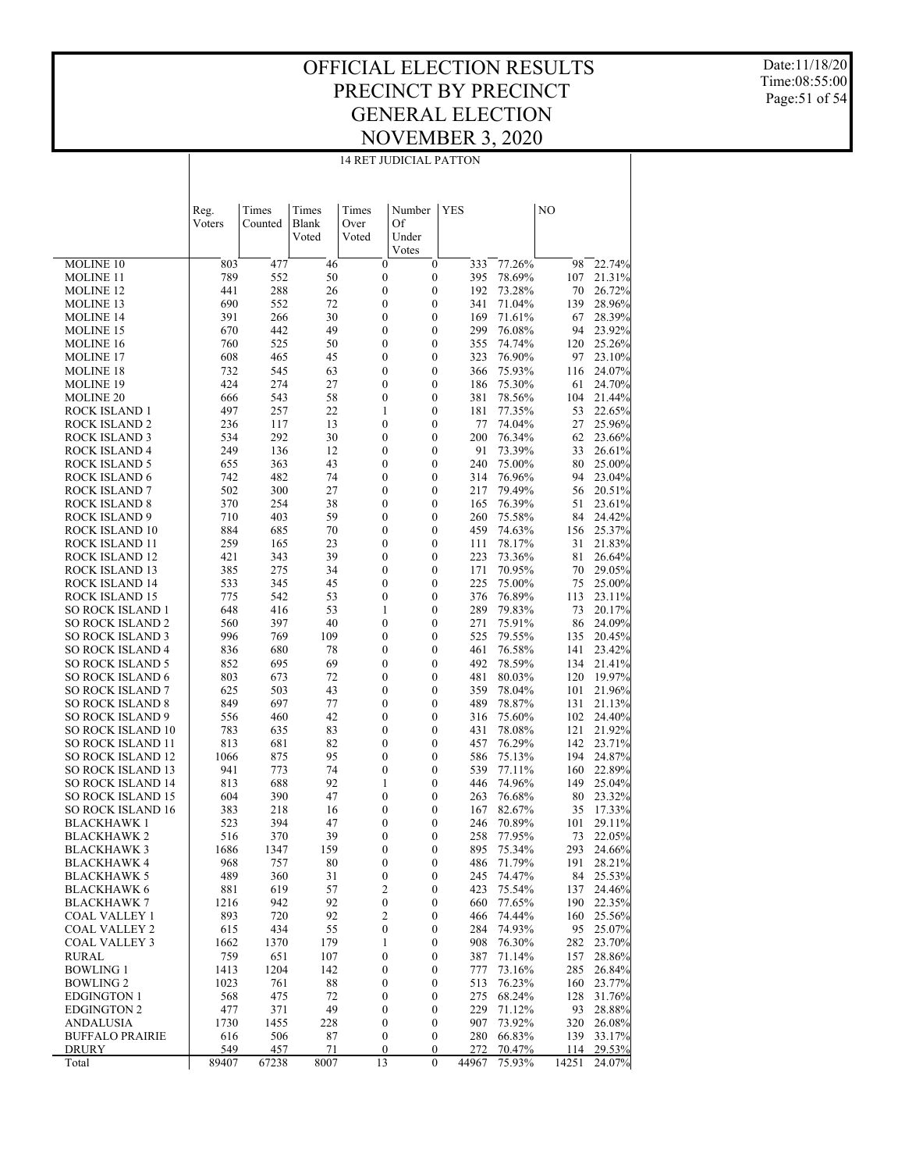#### OFFICIAL ELECTION RESULTS PRECINCT BY PRECINCT GENERAL ELECTION NOVEMBER 3, 2020 14 RET JUDICIAL PATTON

Date:11/18/20 Time:08:55:00 Page:51 of 54

|                                                     | Reg.        | Times      | Times          | Times                                | Number      | <b>YES</b>                   |            |                  | NO         |                  |
|-----------------------------------------------------|-------------|------------|----------------|--------------------------------------|-------------|------------------------------|------------|------------------|------------|------------------|
|                                                     | Voters      | Counted    | Blank<br>Voted | Over<br>Voted                        | Of<br>Under |                              |            |                  |            |                  |
|                                                     |             |            |                |                                      | Votes       |                              |            |                  |            |                  |
| <b>MOLINE 10</b>                                    | 803         | 477        | 46             | $\boldsymbol{0}$                     |             | 0                            | 333        | 77.26%           | 98         | 22.74%           |
| <b>MOLINE 11</b>                                    | 789         | 552        | 50             | 0                                    |             | 0                            | 395        | 78.69%           | 107        | 21.31%           |
| MOLINE 12<br>MOLINE 13                              | 441<br>690  | 288<br>552 | 26<br>72       | $\boldsymbol{0}$<br>$\boldsymbol{0}$ |             | 0<br>0                       | 192<br>341 | 73.28%<br>71.04% | 70<br>139  | 26.72%<br>28.96% |
| MOLINE 14                                           | 391         | 266        | 30             | 0                                    |             | 0                            | 169        | 71.61%           | 67         | 28.39%           |
| MOLINE 15                                           | 670         | 442        | 49             | $\boldsymbol{0}$                     |             | $\boldsymbol{0}$             | 299        | 76.08%           | 94         | 23.92%           |
| <b>MOLINE 16</b>                                    | 760         | 525        | 50             | 0                                    |             | 0                            | 355        | 74.74%           | 120        | 25.26%           |
| MOLINE 17                                           | 608         | 465        | 45             | 0                                    |             | $\boldsymbol{0}$             | 323        | 76.90%           | 97         | 23.10%           |
| MOLINE 18<br>MOLINE 19                              | 732<br>424  | 545<br>274 | 63<br>27       | 0<br>0                               |             | 0<br>$\boldsymbol{0}$        | 366<br>186 | 75.93%<br>75.30% | 116<br>61  | 24.07%<br>24.70% |
| MOLINE 20                                           | 666         | 543        | 58             | 0                                    |             | 0                            | 381        | 78.56%           | 104        | 21.44%           |
| ROCK ISLAND 1                                       | 497         | 257        | 22             | 1                                    |             | $\boldsymbol{0}$             | 181        | 77.35%           | 53         | 22.65%           |
| ROCK ISLAND 2                                       | 236         | 117        | 13             | 0                                    |             | 0                            | 77         | 74.04%           | 27         | 25.96%           |
| ROCK ISLAND 3                                       | 534         | 292        | 30             | 0                                    |             | $\boldsymbol{0}$             | 200        | 76.34%           | 62         | 23.66%           |
| ROCK ISLAND 4                                       | 249         | 136        | 12             | 0                                    |             | 0<br>$\boldsymbol{0}$        | 91<br>240  | 73.39%           | 33         | 26.61%           |
| ROCK ISLAND 5<br>ROCK ISLAND 6                      | 655<br>742  | 363<br>482 | 43<br>74       | 0<br>0                               |             | 0                            | 314        | 75.00%<br>76.96% | 80<br>94   | 25.00%<br>23.04% |
| <b>ROCK ISLAND 7</b>                                | 502         | 300        | 27             | 0                                    |             | $\boldsymbol{0}$             | 217        | 79.49%           | 56         | 20.51%           |
| ROCK ISLAND 8                                       | 370         | 254        | 38             | 0                                    |             | 0                            | 165        | 76.39%           | 51         | 23.61%           |
| ROCK ISLAND 9                                       | 710         | 403        | 59             | $\boldsymbol{0}$                     |             | $\boldsymbol{0}$             | 260        | 75.58%           | 84         | 24.42%           |
| ROCK ISLAND 10                                      | 884         | 685        | 70             | 0                                    |             | 0<br>459                     |            | 74.63%           | 156        | 25.37%           |
| <b>ROCK ISLAND 11</b><br>ROCK ISLAND 12             | 259<br>421  | 165<br>343 | 23<br>39       | 0<br>0                               |             | $\boldsymbol{0}$<br>0        | 111<br>223 | 78.17%<br>73.36% | 31<br>81   | 21.83%<br>26.64% |
| ROCK ISLAND 13                                      | 385         | 275        | 34             | 0                                    |             | $\boldsymbol{0}$             | 171        | 70.95%           | 70         | 29.05%           |
| ROCK ISLAND 14                                      | 533         | 345        | 45             | 0                                    |             | 0                            | 225        | 75.00%           | 75         | 25.00%           |
| ROCK ISLAND 15                                      | 775         | 542        | 53             | $\boldsymbol{0}$                     |             | $\boldsymbol{0}$             | 376        | 76.89%           | 113        | 23.11%           |
| SO ROCK ISLAND 1                                    | 648         | 416        | 53             | 1                                    |             | 0                            | 289        | 79.83%           | 73         | 20.17%           |
| <b>SO ROCK ISLAND 2</b>                             | 560         | 397        | 40             | 0                                    |             | $\boldsymbol{0}$             | 271        | 75.91%           | 86         | 24.09%           |
| <b>SO ROCK ISLAND 3</b><br><b>SO ROCK ISLAND 4</b>  | 996<br>836  | 769<br>680 | 109<br>78      | $\boldsymbol{0}$<br>$\boldsymbol{0}$ |             | 0<br>$\boldsymbol{0}$<br>461 | 525        | 79.55%<br>76.58% | 135<br>141 | 20.45%<br>23.42% |
| <b>SO ROCK ISLAND 5</b>                             | 852         | 695        | 69             | 0                                    |             | 0                            | 492        | 78.59%           | 134        | 21.41%           |
| <b>SO ROCK ISLAND 6</b>                             | 803         | 673        | 72             | 0                                    |             | $\boldsymbol{0}$<br>481      |            | 80.03%           | 120        | 19.97%           |
| <b>SO ROCK ISLAND 7</b>                             | 625         | 503        | 43             | 0                                    |             | 0                            | 359        | 78.04%           | 101        | 21.96%           |
| <b>SO ROCK ISLAND 8</b>                             | 849         | 697        | 77             | 0                                    |             | $\boldsymbol{0}$             | 489        | 78.87%           | 131        | 21.13%           |
| <b>SO ROCK ISLAND 9</b><br><b>SO ROCK ISLAND 10</b> | 556<br>783  | 460<br>635 | 42<br>83       | 0<br>0                               |             | 0<br>$\boldsymbol{0}$<br>431 | 316        | 75.60%<br>78.08% | 102<br>121 | 24.40%<br>21.92% |
| <b>SO ROCK ISLAND 11</b>                            | 813         | 681        | 82             | 0                                    |             | 0                            | 457        | 76.29%           | 142        | 23.71%           |
| <b>SO ROCK ISLAND 12</b>                            | 1066        | 875        | 95             | $\boldsymbol{0}$                     |             | $\boldsymbol{0}$             | 586        | 75.13%           | 194        | 24.87%           |
| <b>SO ROCK ISLAND 13</b>                            | 941         | 773        | 74             | 0                                    |             | 0                            | 539        | 77.11%           | 160        | 22.89%           |
| <b>SO ROCK ISLAND 14</b>                            | 813         | 688        | 92             | 1                                    |             | $\boldsymbol{0}$             | 446        | 74.96%           | 149        | 25.04%           |
| <b>SO ROCK ISLAND 15</b>                            | 604         | 390        | 47             | 0                                    |             | 0                            | 263        | 76.68%           | 80         | 23.32%           |
| <b>SO ROCK ISLAND 16</b><br>BLACKHAWK 1             | 383<br>523  | 218<br>394 | 16<br>47       | 0<br>0                               |             | 0<br>0                       | 167<br>246 | 82.67%<br>70.89% | 35<br>101  | 17.33%<br>29.11% |
| BLACKHAWK 2                                         | 516         | 370        | 39             | $\overline{0}$                       |             | 0                            | 258        | 77.95%           | 73         | 22.05%           |
| <b>BLACKHAWK3</b>                                   | 1686        | 1347       | 159            | 0                                    |             | 0                            | 895        | 75.34%           | 293        | 24.66%           |
| <b>BLACKHAWK 4</b>                                  | 968         | 757        | 80             | 0                                    |             | 0                            | 486        | 71.79%           | 191        | 28.21%           |
| <b>BLACKHAWK 5</b>                                  | 489         | 360        | 31             | 0                                    |             | 0                            | 245        | 74.47%           | 84         | 25.53%           |
| <b>BLACKHAWK 6</b><br><b>BLACKHAWK 7</b>            | 881<br>1216 | 619<br>942 | 57<br>92       | 2<br>0                               |             | 0<br>0                       | 423<br>660 | 75.54%<br>77.65% | 137<br>190 | 24.46%<br>22.35% |
| <b>COAL VALLEY 1</b>                                | 893         | 720        | 92             | 2                                    |             | 0                            | 466        | 74.44%           | 160        | 25.56%           |
| <b>COAL VALLEY 2</b>                                | 615         | 434        | 55             | 0                                    |             | 0                            | 284        | 74.93%           | 95         | 25.07%           |
| <b>COAL VALLEY 3</b>                                | 1662        | 1370       | 179            | 1                                    |             | 0                            | 908        | 76.30%           | 282        | 23.70%           |
| <b>RURAL</b>                                        | 759         | 651        | 107            | 0                                    |             | 0                            | 387        | 71.14%           | 157        | 28.86%           |
| <b>BOWLING 1</b>                                    | 1413        | 1204       | 142            | 0                                    |             | 0                            | 777        | 73.16%           | 285        | 26.84%           |
| <b>BOWLING 2</b><br><b>EDGINGTON 1</b>              | 1023<br>568 | 761<br>475 | 88<br>72       | 0<br>0                               |             | 0<br>0                       | 513<br>275 | 76.23%<br>68.24% | 160<br>128 | 23.77%<br>31.76% |
| <b>EDGINGTON 2</b>                                  | 477         | 371        | 49             | 0                                    |             | 0                            | 229        | 71.12%           | 93         | 28.88%           |
| ANDALUSIA                                           | 1730        | 1455       | 228            | $\boldsymbol{0}$                     |             | 0                            | 907        | 73.92%           | 320        | 26.08%           |
| <b>BUFFALO PRAIRIE</b>                              | 616         | 506        | 87             | 0                                    |             | 0                            | 280        | 66.83%           | 139        | 33.17%           |
| <b>DRURY</b>                                        | 549         | 457        | 71             | $\boldsymbol{0}$                     |             | 0                            | 272        | 70.47%           | 114        | 29.53%           |
| Total                                               | 89407       | 67238      | 8007           | 13                                   |             | $\overline{0}$<br>44967      |            | 75.93%           | 14251      | 24.07%           |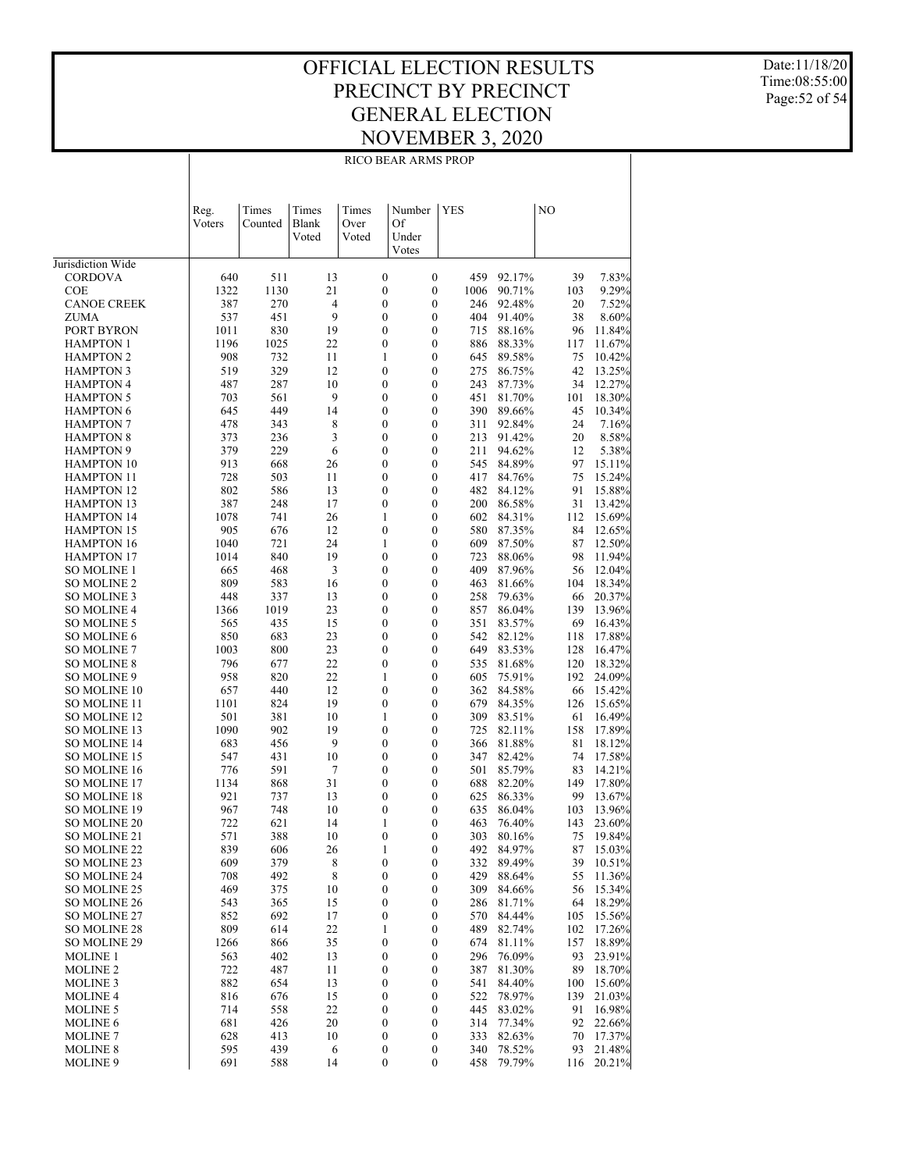Date:11/18/20 Time:08:55:00 Page:52 of 54

|                                        | RICO BEAR ARMS PROP |             |                |                                      |                                      |            |                  |           |                  |  |  |
|----------------------------------------|---------------------|-------------|----------------|--------------------------------------|--------------------------------------|------------|------------------|-----------|------------------|--|--|
|                                        |                     |             |                |                                      |                                      |            |                  |           |                  |  |  |
|                                        |                     |             |                |                                      |                                      |            |                  |           |                  |  |  |
|                                        | Reg.                | Times       | Times          | Times                                | Number                               | <b>YES</b> |                  | NO        |                  |  |  |
|                                        | Voters              | Counted     | Blank          | Over                                 | Of                                   |            |                  |           |                  |  |  |
|                                        |                     |             | Voted          | Voted                                | Under                                |            |                  |           |                  |  |  |
| Jurisdiction Wide                      |                     |             |                |                                      | Votes                                |            |                  |           |                  |  |  |
| <b>CORDOVA</b>                         | 640                 | 511         | 13             | $\boldsymbol{0}$                     | $\boldsymbol{0}$                     | 459        | 92.17%           | 39        | 7.83%            |  |  |
| <b>COE</b>                             | 1322                | 1130        | 21             | $\boldsymbol{0}$                     | $\boldsymbol{0}$                     | 1006       | 90.71%           | 103       | 9.29%            |  |  |
| <b>CANOE CREEK</b>                     | 387                 | 270         | $\overline{4}$ | $\boldsymbol{0}$                     | $\boldsymbol{0}$                     | 246        | 92.48%           | 20        | 7.52%            |  |  |
| <b>ZUMA</b>                            | 537                 | 451         | 9              | $\boldsymbol{0}$                     | $\boldsymbol{0}$                     | 404        | 91.40%           | 38        | 8.60%            |  |  |
| PORT BYRON                             | 1011                | 830         | 19             | $\boldsymbol{0}$                     | $\boldsymbol{0}$                     | 715        | 88.16%           | 96        | 11.84%           |  |  |
| <b>HAMPTON 1</b><br><b>HAMPTON 2</b>   | 1196<br>908         | 1025<br>732 | 22<br>11       | $\boldsymbol{0}$<br>1                | $\boldsymbol{0}$<br>$\boldsymbol{0}$ | 886<br>645 | 88.33%<br>89.58% | 117<br>75 | 11.67%<br>10.42% |  |  |
| <b>HAMPTON 3</b>                       | 519                 | 329         | 12             | $\boldsymbol{0}$                     | $\boldsymbol{0}$                     | 275        | 86.75%           | 42        | 13.25%           |  |  |
| <b>HAMPTON 4</b>                       | 487                 | 287         | 10             | $\boldsymbol{0}$                     | $\boldsymbol{0}$                     | 243        | 87.73%           | 34        | 12.27%           |  |  |
| <b>HAMPTON 5</b>                       | 703                 | 561         | 9              | $\boldsymbol{0}$                     | $\boldsymbol{0}$                     | 451        | 81.70%           | 101       | 18.30%           |  |  |
| <b>HAMPTON 6</b>                       | 645                 | 449         | 14             | $\boldsymbol{0}$                     | $\boldsymbol{0}$                     | 390        | 89.66%           | 45        | 10.34%           |  |  |
| <b>HAMPTON 7</b><br><b>HAMPTON 8</b>   | 478<br>373          | 343<br>236  | 8<br>3         | $\boldsymbol{0}$<br>$\boldsymbol{0}$ | $\boldsymbol{0}$<br>$\boldsymbol{0}$ | 311<br>213 | 92.84%<br>91.42% | 24<br>20  | 7.16%<br>8.58%   |  |  |
| <b>HAMPTON 9</b>                       | 379                 | 229         | 6              | $\boldsymbol{0}$                     | $\boldsymbol{0}$                     | 211        | 94.62%           | 12        | 5.38%            |  |  |
| <b>HAMPTON 10</b>                      | 913                 | 668         | 26             | $\boldsymbol{0}$                     | $\boldsymbol{0}$                     | 545        | 84.89%           | 97        | 15.11%           |  |  |
| <b>HAMPTON 11</b>                      | 728                 | 503         | 11             | $\boldsymbol{0}$                     | $\boldsymbol{0}$                     | 417        | 84.76%           | 75        | 15.24%           |  |  |
| <b>HAMPTON 12</b>                      | 802                 | 586         | 13             | $\boldsymbol{0}$                     | $\boldsymbol{0}$                     | 482        | 84.12%           | 91        | 15.88%           |  |  |
| <b>HAMPTON 13</b>                      | 387                 | 248         | 17             | $\boldsymbol{0}$                     | $\boldsymbol{0}$                     | 200        | 86.58%           | 31        | 13.42%           |  |  |
| <b>HAMPTON 14</b><br><b>HAMPTON 15</b> | 1078<br>905         | 741<br>676  | 26<br>12       | 1<br>$\boldsymbol{0}$                | $\boldsymbol{0}$<br>$\boldsymbol{0}$ | 602<br>580 | 84.31%<br>87.35% | 112<br>84 | 15.69%<br>12.65% |  |  |
| <b>HAMPTON 16</b>                      | 1040                | 721         | 24             | 1                                    | $\boldsymbol{0}$                     | 609        | 87.50%           | 87        | 12.50%           |  |  |
| <b>HAMPTON 17</b>                      | 1014                | 840         | 19             | $\boldsymbol{0}$                     | $\boldsymbol{0}$                     | 723        | 88.06%           | 98        | 11.94%           |  |  |
| <b>SO MOLINE 1</b>                     | 665                 | 468         | 3              | $\boldsymbol{0}$                     | $\boldsymbol{0}$                     | 409        | 87.96%           | 56        | 12.04%           |  |  |
| SO MOLINE 2                            | 809                 | 583         | 16             | $\boldsymbol{0}$                     | $\boldsymbol{0}$                     | 463        | 81.66%           | 104       | 18.34%           |  |  |
| SO MOLINE 3                            | 448                 | 337         | 13<br>23       | $\boldsymbol{0}$<br>0                | $\boldsymbol{0}$<br>$\boldsymbol{0}$ | 258<br>857 | 79.63%           | 66        | 20.37%           |  |  |
| <b>SO MOLINE 4</b><br>SO MOLINE 5      | 1366<br>565         | 1019<br>435 | 15             | $\boldsymbol{0}$                     | $\boldsymbol{0}$                     | 351        | 86.04%<br>83.57% | 139<br>69 | 13.96%<br>16.43% |  |  |
| SO MOLINE 6                            | 850                 | 683         | 23             | $\boldsymbol{0}$                     | $\boldsymbol{0}$                     | 542        | 82.12%           | 118       | 17.88%           |  |  |
| SO MOLINE 7                            | 1003                | 800         | 23             | $\boldsymbol{0}$                     | $\boldsymbol{0}$                     | 649        | 83.53%           | 128       | 16.47%           |  |  |
| <b>SO MOLINE 8</b>                     | 796                 | 677         | 22             | $\boldsymbol{0}$                     | $\boldsymbol{0}$                     | 535        | 81.68%           | 120       | 18.32%           |  |  |
| SO MOLINE 9                            | 958                 | 820         | 22             | 1                                    | $\boldsymbol{0}$                     | 605        | 75.91%           | 192       | 24.09%           |  |  |
| SO MOLINE 10<br>SO MOLINE 11           | 657<br>1101         | 440<br>824  | 12<br>19       | $\boldsymbol{0}$<br>$\boldsymbol{0}$ | $\boldsymbol{0}$<br>$\boldsymbol{0}$ | 362<br>679 | 84.58%<br>84.35% | 66<br>126 | 15.42%<br>15.65% |  |  |
| SO MOLINE 12                           | 501                 | 381         | 10             | 1                                    | $\boldsymbol{0}$                     | 309        | 83.51%           | 61        | 16.49%           |  |  |
| SO MOLINE 13                           | 1090                | 902         | 19             | $\boldsymbol{0}$                     | $\boldsymbol{0}$                     | 725        | 82.11%           | 158       | 17.89%           |  |  |
| SO MOLINE 14                           | 683                 | 456         | 9              | $\boldsymbol{0}$                     | $\boldsymbol{0}$                     | 366        | 81.88%           | 81        | 18.12%           |  |  |
| SO MOLINE 15                           | 547                 | 431         | 10             | $\boldsymbol{0}$                     | $\boldsymbol{0}$                     | 347        | 82.42%           | 74        | 17.58%           |  |  |
| SO MOLINE 16<br>SO MOLINE 17           | 776<br>1134         | 591<br>868  | 7<br>31        | 0<br>0                               | $\boldsymbol{0}$<br>$\boldsymbol{0}$ | 501<br>688 | 85.79%<br>82.20% | 83<br>149 | 14.21%<br>17.80% |  |  |
| <b>SO MOLINE 18</b>                    | 921                 | 737         | 13             | 0                                    | $\boldsymbol{0}$                     | 625        | 86.33%           | 99        | 13.67%           |  |  |
| <b>SO MOLINE 19</b>                    | 967                 | 748         | 10             | 0                                    | $\boldsymbol{0}$                     |            | 635 86.04%       |           | 103 13.96%       |  |  |
| SO MOLINE 20                           | 722                 | 621         | 14             | $\mathbf{1}$                         | $\boldsymbol{0}$                     | 463        | 76.40%           | 143       | 23.60%           |  |  |
| SO MOLINE 21                           | 571                 | 388         | 10             | $\boldsymbol{0}$                     | $\boldsymbol{0}$                     | 303        | 80.16%           | 75        | 19.84%           |  |  |
| SO MOLINE 22                           | 839                 | 606         | 26             | 1                                    | 0                                    | 492        | 84.97%           | 87        | 15.03%           |  |  |
| SO MOLINE 23<br>SO MOLINE 24           | 609<br>708          | 379<br>492  | 8<br>8         | $\boldsymbol{0}$<br>0                | $\boldsymbol{0}$<br>$\boldsymbol{0}$ | 332<br>429 | 89.49%<br>88.64% | 39<br>55  | 10.51%<br>11.36% |  |  |
| SO MOLINE 25                           | 469                 | 375         | 10             | 0                                    | $\boldsymbol{0}$                     | 309        | 84.66%           | 56        | 15.34%           |  |  |
| SO MOLINE 26                           | 543                 | 365         | 15             | 0                                    | $\boldsymbol{0}$                     | 286        | 81.71%           | 64        | 18.29%           |  |  |
| SO MOLINE 27                           | 852                 | 692         | 17             | $\boldsymbol{0}$                     | $\boldsymbol{0}$                     | 570        | 84.44%           | 105       | 15.56%           |  |  |
| SO MOLINE 28                           | 809                 | 614         | 22             | 1                                    | $\boldsymbol{0}$                     | 489        | 82.74%           | 102       | 17.26%           |  |  |
| SO MOLINE 29                           | 1266<br>563         | 866         | 35             | $\boldsymbol{0}$                     | $\boldsymbol{0}$                     | 674        | 81.11%           | 157       | 18.89%           |  |  |
| <b>MOLINE 1</b><br><b>MOLINE 2</b>     | 722                 | 402<br>487  | 13<br>11       | 0<br>0                               | $\boldsymbol{0}$<br>$\boldsymbol{0}$ | 296<br>387 | 76.09%<br>81.30% | 93<br>89  | 23.91%<br>18.70% |  |  |
| <b>MOLINE 3</b>                        | 882                 | 654         | 13             | $\boldsymbol{0}$                     | $\boldsymbol{0}$                     | 541        | 84.40%           | 100       | 15.60%           |  |  |
| <b>MOLINE 4</b>                        | 816                 | 676         | 15             | $\boldsymbol{0}$                     | $\boldsymbol{0}$                     | 522        | 78.97%           | 139       | 21.03%           |  |  |
| <b>MOLINE 5</b>                        | 714                 | 558         | 22             | 0                                    | $\boldsymbol{0}$                     | 445        | 83.02%           | 91        | 16.98%           |  |  |
| <b>MOLINE 6</b>                        | 681                 | 426         | 20             | 0                                    | $\boldsymbol{0}$                     | 314        | 77.34%           | 92        | 22.66%           |  |  |
| <b>MOLINE 7</b><br><b>MOLINE 8</b>     | 628<br>595          | 413<br>439  | 10<br>6        | 0<br>0                               | 0<br>$\boldsymbol{0}$                | 333<br>340 | 82.63%<br>78.52% | 70<br>93  | 17.37%<br>21.48% |  |  |
| MOLINE 9                               | 691                 | 588         | 14             | 0                                    | $\boldsymbol{0}$                     | 458        | 79.79%           | 116       | 20.21%           |  |  |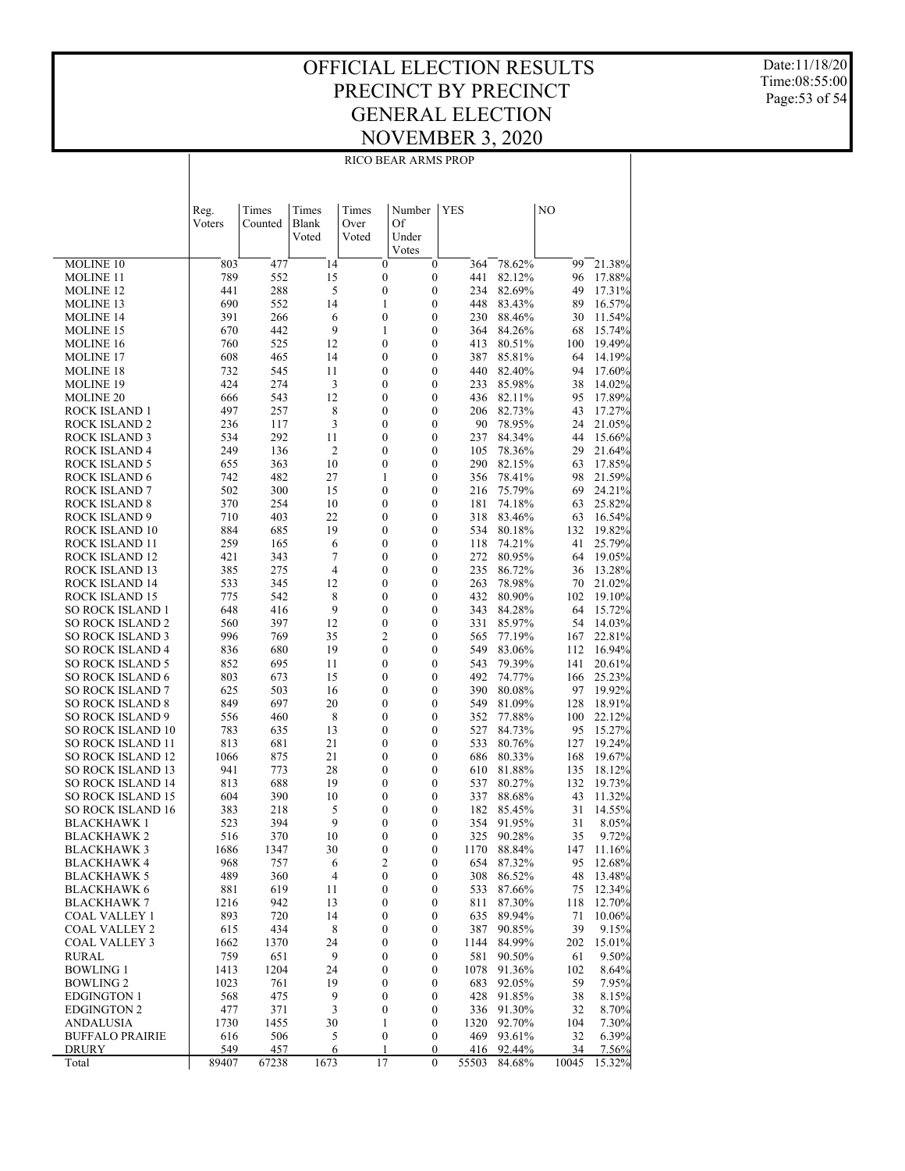#### OFFICIAL ELECTION RESULTS PRECINCT BY PRECINCT GENERAL ELECTION NOVEMBER 3, 2020 RICO BEAR ARMS PROP

Date:11/18/20 Time:08:55:00 Page:53 of 54

|                                                    | Reg.        | Times       | Times                | Times                                | Number                               | YES              |            |                  | NO        |                  |
|----------------------------------------------------|-------------|-------------|----------------------|--------------------------------------|--------------------------------------|------------------|------------|------------------|-----------|------------------|
|                                                    | Voters      | Counted     | Blank<br>Voted       | Over<br>Voted                        | Of                                   |                  |            |                  |           |                  |
|                                                    |             |             |                      |                                      | Under<br>Votes                       |                  |            |                  |           |                  |
| <b>MOLINE 10</b>                                   | 803         | 477         | 14                   | $\boldsymbol{0}$                     | $\boldsymbol{0}$                     |                  | 364        | 78.62%           | 99        | 21.38%           |
| MOLINE 11                                          | 789         | 552         | 15                   | $\boldsymbol{0}$                     |                                      | $\boldsymbol{0}$ | 441        | 82.12%           | 96        | 17.88%           |
| <b>MOLINE 12</b>                                   | 441         | 288         | 5                    | $\boldsymbol{0}$                     | $\boldsymbol{0}$                     |                  | 234        | 82.69%           | 49        | 17.31%           |
| MOLINE 13                                          | 690         | 552         | 14                   | 1                                    | $\boldsymbol{0}$                     |                  | 448        | 83.43%           | 89        | 16.57%           |
| MOLINE 14                                          | 391<br>670  | 266<br>442  | 6<br>9               | $\boldsymbol{0}$<br>1                | $\boldsymbol{0}$<br>$\boldsymbol{0}$ |                  | 230<br>364 | 88.46%<br>84.26% | 30<br>68  | 11.54%<br>15.74% |
| MOLINE 15<br>MOLINE 16                             | 760         | 525         | 12                   | $\boldsymbol{0}$                     |                                      | $\boldsymbol{0}$ | 413        | 80.51%           | 100       | 19.49%           |
| MOLINE 17                                          | 608         | 465         | 14                   | 0                                    | $\boldsymbol{0}$                     |                  | 387        | 85.81%           | 64        | 14.19%           |
| MOLINE 18                                          | 732         | 545         | 11                   | $\boldsymbol{0}$                     |                                      | $\boldsymbol{0}$ | 440        | 82.40%           | 94        | 17.60%           |
| MOLINE 19                                          | 424         | 274         | 3                    | 0                                    | $\boldsymbol{0}$                     |                  | 233        | 85.98%           | 38        | 14.02%           |
| MOLINE 20                                          | 666         | 543         | 12                   | $\boldsymbol{0}$                     |                                      | $\boldsymbol{0}$ | 436        | 82.11%           | 95        | 17.89%           |
| ROCK ISLAND 1                                      | 497         | 257         | 8                    | 0                                    | $\boldsymbol{0}$                     |                  | 206        | 82.73%           | 43        | 17.27%           |
| ROCK ISLAND 2                                      | 236         | 117         | 3                    | $\boldsymbol{0}$                     |                                      | $\boldsymbol{0}$ | 90         | 78.95%           | 24        | 21.05%           |
| ROCK ISLAND 3                                      | 534         | 292         | 11<br>$\overline{c}$ | 0                                    | $\boldsymbol{0}$                     | $\boldsymbol{0}$ | 237        | 84.34%           | 44        | 15.66%           |
| ROCK ISLAND 4<br>ROCK ISLAND 5                     | 249<br>655  | 136<br>363  | 10                   | $\boldsymbol{0}$<br>0                | $\boldsymbol{0}$                     |                  | 105<br>290 | 78.36%<br>82.15% | 29<br>63  | 21.64%<br>17.85% |
| ROCK ISLAND 6                                      | 742         | 482         | 27                   | 1                                    | $\boldsymbol{0}$                     |                  | 356        | 78.41%           | 98        | 21.59%           |
| ROCK ISLAND 7                                      | 502         | 300         | 15                   | 0                                    | $\boldsymbol{0}$                     |                  | 216        | 75.79%           | 69        | 24.21%           |
| ROCK ISLAND 8                                      | 370         | 254         | 10                   | $\boldsymbol{0}$                     | $\boldsymbol{0}$                     |                  | 181        | 74.18%           | 63        | 25.82%           |
| ROCK ISLAND 9                                      | 710         | 403         | 22                   | 0                                    | $\boldsymbol{0}$                     |                  | 318        | 83.46%           | 63        | 16.54%           |
| ROCK ISLAND 10                                     | 884         | 685         | 19                   | $\boldsymbol{0}$                     | $\boldsymbol{0}$                     |                  | 534        | 80.18%           | 132       | 19.82%           |
| ROCK ISLAND 11                                     | 259         | 165         | 6                    | 0                                    | $\boldsymbol{0}$                     |                  | 118        | 74.21%           | 41        | 25.79%           |
| ROCK ISLAND 12                                     | 421         | 343         | 7                    | $\boldsymbol{0}$                     |                                      | $\boldsymbol{0}$ | 272        | 80.95%           | 64        | 19.05%           |
| ROCK ISLAND 13                                     | 385<br>533  | 275<br>345  | 4<br>12              | 0<br>$\boldsymbol{0}$                | $\boldsymbol{0}$<br>$\boldsymbol{0}$ |                  | 235<br>263 | 86.72%<br>78.98% | 36<br>70  | 13.28%<br>21.02% |
| ROCK ISLAND 14<br>ROCK ISLAND 15                   | 775         | 542         | 8                    | 0                                    | $\boldsymbol{0}$                     |                  | 432        | 80.90%           | 102       | 19.10%           |
| SO ROCK ISLAND 1                                   | 648         | 416         | 9                    | $\boldsymbol{0}$                     | $\boldsymbol{0}$                     |                  | 343        | 84.28%           | 64        | 15.72%           |
| <b>SO ROCK ISLAND 2</b>                            | 560         | 397         | 12                   | 0                                    | $\boldsymbol{0}$                     |                  | 331        | 85.97%           | 54        | 14.03%           |
| <b>SO ROCK ISLAND 3</b>                            | 996         | 769         | 35                   | 2                                    | $\boldsymbol{0}$                     |                  | 565        | 77.19%           | 167       | 22.81%           |
| <b>SO ROCK ISLAND 4</b>                            | 836         | 680         | 19                   | 0                                    | $\boldsymbol{0}$                     |                  | 549        | 83.06%           | 112       | 16.94%           |
| <b>SO ROCK ISLAND 5</b>                            | 852         | 695         | 11                   | $\boldsymbol{0}$                     | $\boldsymbol{0}$                     |                  | 543        | 79.39%           | 141       | 20.61%           |
| SO ROCK ISLAND 6                                   | 803         | 673         | 15                   | 0                                    | $\boldsymbol{0}$                     |                  | 492        | 74.77%           | 166       | 25.23%           |
| <b>SO ROCK ISLAND 7</b><br><b>SO ROCK ISLAND 8</b> | 625<br>849  | 503<br>697  | 16<br>20             | $\boldsymbol{0}$<br>0                | $\boldsymbol{0}$<br>$\boldsymbol{0}$ |                  | 390<br>549 | 80.08%<br>81.09% | 97<br>128 | 19.92%<br>18.91% |
| <b>SO ROCK ISLAND 9</b>                            | 556         | 460         | 8                    | $\boldsymbol{0}$                     |                                      | $\boldsymbol{0}$ | 352        | 77.88%           | 100       | 22.12%           |
| SO ROCK ISLAND 10                                  | 783         | 635         | 13                   | 0                                    | $\boldsymbol{0}$                     |                  | 527        | 84.73%           | 95        | 15.27%           |
| SO ROCK ISLAND 11                                  | 813         | 681         | 21                   | $\boldsymbol{0}$                     | $\boldsymbol{0}$                     |                  | 533        | 80.76%           | 127       | 19.24%           |
| SO ROCK ISLAND 12                                  | 1066        | 875         | 21                   | 0                                    | $\boldsymbol{0}$                     |                  | 686        | 80.33%           | 168       | 19.67%           |
| SO ROCK ISLAND 13                                  | 941         | 773         | 28                   | $\boldsymbol{0}$                     |                                      | $\boldsymbol{0}$ | 610        | 81.88%           | 135       | 18.12%           |
| SO ROCK ISLAND 14                                  | 813         | 688         | 19                   | 0                                    | $\boldsymbol{0}$                     |                  | 537        | 80.27%           | 132       | 19.73%           |
| <b>SO ROCK ISLAND 15</b>                           | 604         | 390         | 10                   | $\boldsymbol{0}$                     |                                      | $\boldsymbol{0}$ | 337        | 88.68%           | 43        | 11.32%           |
| <b>SO ROCK ISLAND 16</b><br>BLACKHAWK 1            | 383<br>523  | 218<br>394  | 5<br>9               | 0<br>0                               | $\boldsymbol{0}$                     | $\boldsymbol{0}$ | 182<br>354 | 85.45%<br>91.95% | 31<br>31  | 14.55%<br>8.05%  |
| BLACKHAWK 2                                        | 516         | 370         | 10                   | 0                                    |                                      | 0                | 325        | 90.28%           | 35        | 9.72%            |
| <b>BLACKHAWK3</b>                                  | 1686        | 1347        | 30                   | $\boldsymbol{0}$                     | $\boldsymbol{0}$                     |                  |            | 1170 88.84%      | 147       | 11.16%           |
| <b>BLACKHAWK 4</b>                                 | 968         | 757         | 6                    | $\overline{c}$                       | 0                                    |                  | 654        | 87.32%           | 95        | 12.68%           |
| <b>BLACKHAWK 5</b>                                 | 489         | 360         | 4                    | $\boldsymbol{0}$                     | $\boldsymbol{0}$                     |                  | 308        | 86.52%           | 48        | 13.48%           |
| <b>BLACKHAWK 6</b>                                 | 881         | 619         | 11                   | 0                                    | 0                                    |                  | 533        | 87.66%           | 75        | 12.34%           |
| <b>BLACKHAWK 7</b>                                 | 1216        | 942         | 13                   | $\boldsymbol{0}$                     | $\boldsymbol{0}$                     |                  | 811        | 87.30%           | 118       | 12.70%           |
| COAL VALLEY 1                                      | 893         | 720         | 14                   | $\boldsymbol{0}$                     | $\boldsymbol{0}$                     |                  | 635        | 89.94%           | 71        | 10.06%           |
| <b>COAL VALLEY 2</b><br><b>COAL VALLEY 3</b>       | 615<br>1662 | 434<br>1370 | 8<br>24              | $\boldsymbol{0}$<br>$\boldsymbol{0}$ | $\boldsymbol{0}$<br>$\boldsymbol{0}$ | 1144             | 387        | 90.85%<br>84.99% | 39<br>202 | 9.15%<br>15.01%  |
| <b>RURAL</b>                                       | 759         | 651         | 9                    | $\boldsymbol{0}$                     | $\boldsymbol{0}$                     |                  | 581        | 90.50%           | 61        | 9.50%            |
| <b>BOWLING 1</b>                                   | 1413        | 1204        | 24                   | 0                                    | $\boldsymbol{0}$                     | 1078             |            | 91.36%           | 102       | 8.64%            |
| <b>BOWLING 2</b>                                   | 1023        | 761         | 19                   | $\boldsymbol{0}$                     | $\boldsymbol{0}$                     |                  | 683        | 92.05%           | 59        | 7.95%            |
| EDGINGTON 1                                        | 568         | 475         | 9                    | 0                                    | 0                                    |                  | 428        | 91.85%           | 38        | 8.15%            |
| <b>EDGINGTON 2</b>                                 | 477         | 371         | $\mathfrak{Z}$       | $\boldsymbol{0}$                     | $\boldsymbol{0}$                     |                  | 336        | 91.30%           | 32        | 8.70%            |
| ANDALUSIA                                          | 1730        | 1455        | 30                   | 1                                    | $\boldsymbol{0}$                     | 1320             |            | 92.70%           | 104       | 7.30%            |
| <b>BUFFALO PRAIRIE</b><br>DRURY                    | 616<br>549  | 506<br>457  | 5<br>6               | $\boldsymbol{0}$<br>1                | $\boldsymbol{0}$                     | 0                | 469<br>416 | 93.61%<br>92.44% | 32<br>34  | 6.39%<br>7.56%   |
| Total                                              | 89407       | 67238       | 1673                 | 17                                   | $\mathbf{0}$                         | 55503            |            | 84.68%           | 10045     | 15.32%           |